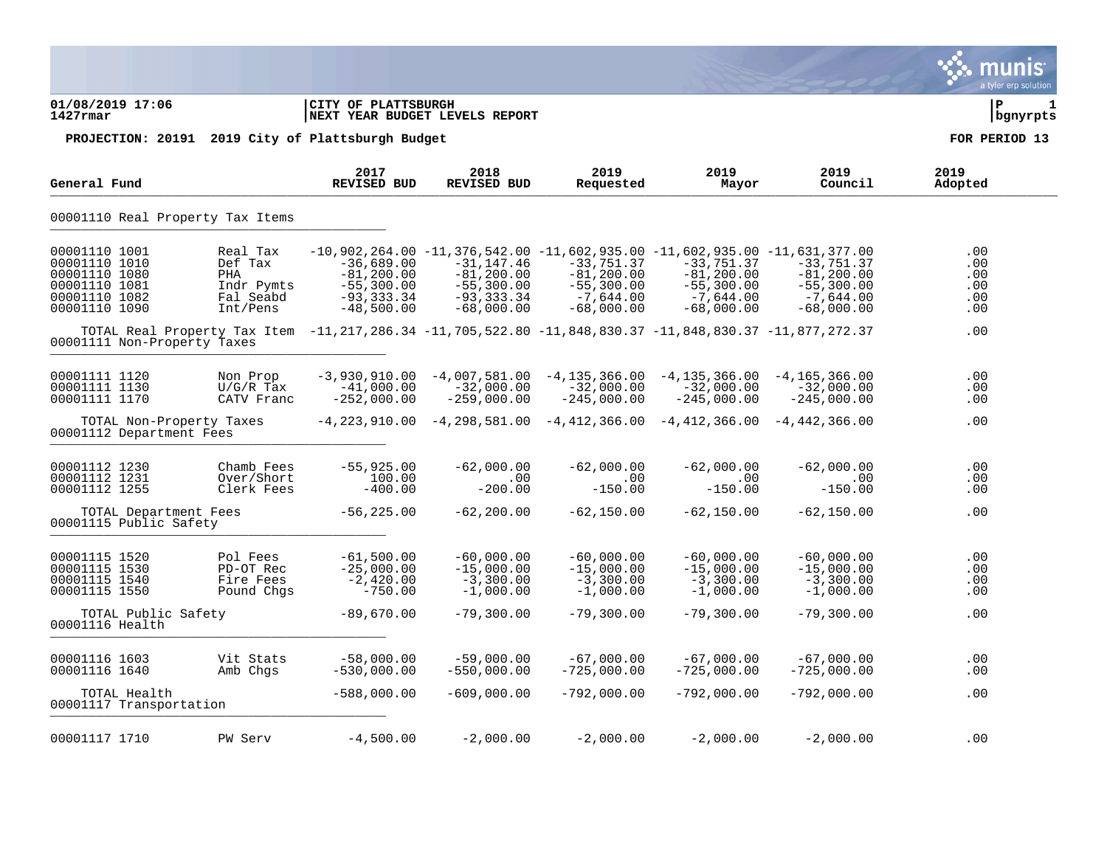|                                                                                                    |                                                                                                                                        |                                                                                |                                                                                 |                                                                                                                                                              |                                                                              |                                                                              | munis<br>a tyler erp solution          |
|----------------------------------------------------------------------------------------------------|----------------------------------------------------------------------------------------------------------------------------------------|--------------------------------------------------------------------------------|---------------------------------------------------------------------------------|--------------------------------------------------------------------------------------------------------------------------------------------------------------|------------------------------------------------------------------------------|------------------------------------------------------------------------------|----------------------------------------|
| 01/08/2019 17:06<br>$1427$ rmar                                                                    |                                                                                                                                        | CITY OF PLATTSBURGH<br>NEXT YEAR BUDGET LEVELS REPORT                          |                                                                                 |                                                                                                                                                              |                                                                              |                                                                              | l P<br>1<br>  bgnyrpts                 |
|                                                                                                    | PROJECTION: 20191 2019 City of Plattsburgh Budget                                                                                      |                                                                                |                                                                                 |                                                                                                                                                              |                                                                              |                                                                              | FOR PERIOD 13                          |
| General Fund                                                                                       |                                                                                                                                        | 2017<br><b>REVISED BUD</b>                                                     | 2018<br><b>REVISED BUD</b>                                                      | 2019<br>Requested                                                                                                                                            | 2019<br>Mayor                                                                | 2019<br>Council                                                              | 2019<br>Adopted                        |
|                                                                                                    | 00001110 Real Property Tax Items                                                                                                       |                                                                                |                                                                                 |                                                                                                                                                              |                                                                              |                                                                              |                                        |
| 00001110 1001<br>00001110 1010<br>00001110 1080<br>00001110 1081<br>00001110 1082<br>00001110 1090 | Real Tax<br>Def Tax<br>PHA<br>Indr Pymts<br>Fal Seabd<br>Int/Pens                                                                      | $-36,689.00$<br>$-81, 200.00$<br>$-55,300.00$<br>$-93, 333.34$<br>$-48,500.00$ | $-31, 147.46$<br>$-81, 200.00$<br>$-55,300.00$<br>$-93, 333.34$<br>$-68,000.00$ | $-10,902,264.00 -11,376,542.00 -11,602,935.00 -11,602,935.00 -11,631,377.00$<br>$-33,751.37$<br>$-81, 200.00$<br>$-55,300.00$<br>$-7,644.00$<br>$-68,000.00$ | $-33,751.37$<br>$-81, 200.00$<br>$-55,300.00$<br>$-7,644.00$<br>$-68,000.00$ | $-33,751.37$<br>$-81, 200.00$<br>$-55,300.00$<br>$-7,644.00$<br>$-68,000.00$ | .00<br>.00<br>.00<br>.00<br>.00<br>.00 |
|                                                                                                    | 707AL Real Property Tax Item -11,217,286.34 -11,705,522.80 -11,848,830.37 -11,848,830.37 -11,877,272.37<br>00001111 Non-Property Taxes |                                                                                |                                                                                 |                                                                                                                                                              |                                                                              |                                                                              | .00                                    |
| 00001111 1120<br>00001111 1130<br>00001111 1170                                                    | Non Prop<br>$U/G/R$ Tax<br>CATV Franc                                                                                                  | $-3,930,910.00$<br>$-41,000.00$<br>$-252,000.00$                               | $-4,007,581.00$<br>$-32,000.00$<br>$-259,000.00$                                | $-4, 135, 366.00$<br>$-32,000.00$<br>$-245,000.00$                                                                                                           | $-4, 135, 366.00$<br>$-32,000.00$<br>$-245,000.00$                           | $-4, 165, 366.00$<br>$-32,000.00$<br>$-245,000.00$                           | .00<br>.00<br>.00                      |
| 00001112 Department Fees                                                                           | TOTAL Non-Property Taxes                                                                                                               |                                                                                |                                                                                 | $-4,223,910.00$ $-4,298,581.00$ $-4,412,366.00$ $-4,412,366.00$ $-4,442,366.00$                                                                              |                                                                              |                                                                              | .00                                    |
| 00001112 1230<br>00001112 1231<br>00001112 1255                                                    | Chamb Fees<br>Over/Short<br>Clerk Fees                                                                                                 | $-55,925.00$<br>100.00<br>$-400.00$                                            | $-62,000.00$<br>.00<br>$-200.00$                                                | $-62,000.00$<br>$.00 \ \,$<br>$-150.00$                                                                                                                      | $-62,000.00$<br>.00<br>$-150.00$                                             | $-62,000.00$<br>.00<br>$-150.00$                                             | .00<br>.00<br>.00                      |
| 00001115 Public Safety                                                                             | TOTAL Department Fees                                                                                                                  | $-56, 225.00$                                                                  | $-62, 200.00$                                                                   | $-62, 150.00$                                                                                                                                                | $-62,150.00$                                                                 | $-62,150.00$                                                                 | .00                                    |
| 00001115 1520<br>00001115 1530<br>00001115 1540<br>00001115 1550                                   | Pol Fees<br>PD-OT Rec<br>Fire Fees<br>Pound Chgs                                                                                       | $-61,500.00$<br>$-25,000.00$<br>$-2,420.00$<br>$-750.00$                       | $-60,000.00$<br>$-15,000.00$<br>$-3,300.00$<br>$-1,000.00$                      | $-60,000.00$<br>$-15,000.00$<br>$-3,300.00$<br>$-1,000.00$                                                                                                   | $-60,000.00$<br>$-15,000.00$<br>$-3,300.00$<br>$-1,000.00$                   | $-60,000.00$<br>$-15,000.00$<br>$-3,300.00$<br>$-1,000.00$                   | .00<br>.00<br>.00<br>.00               |
| 00001116 Health                                                                                    | TOTAL Public Safety                                                                                                                    | $-89,670.00$                                                                   | $-79,300.00$                                                                    | $-79,300.00$                                                                                                                                                 | $-79,300.00$                                                                 | $-79,300.00$                                                                 | .00                                    |
| 00001116 1603<br>00001116 1640                                                                     | Vit Stats<br>Amb Chgs                                                                                                                  | $-58,000.00$<br>$-530,000.00$                                                  | $-59,000.00$<br>$-550,000.00$                                                   | $-67,000.00$<br>$-725,000.00$                                                                                                                                | $-67,000.00$<br>$-725,000.00$                                                | $-67,000.00$<br>$-725,000.00$                                                | .00<br>.00                             |
| TOTAL Health<br>00001117 Transportation                                                            |                                                                                                                                        | $-588,000.00$                                                                  | $-609,000.00$                                                                   | $-792,000.00$                                                                                                                                                | $-792,000.00$                                                                | $-792,000.00$                                                                | .00                                    |
| 00001117 1710                                                                                      | PW Serv                                                                                                                                | $-4,500.00$                                                                    | $-2,000.00$                                                                     | $-2,000.00$                                                                                                                                                  | $-2,000.00$                                                                  | $-2,000.00$                                                                  | .00                                    |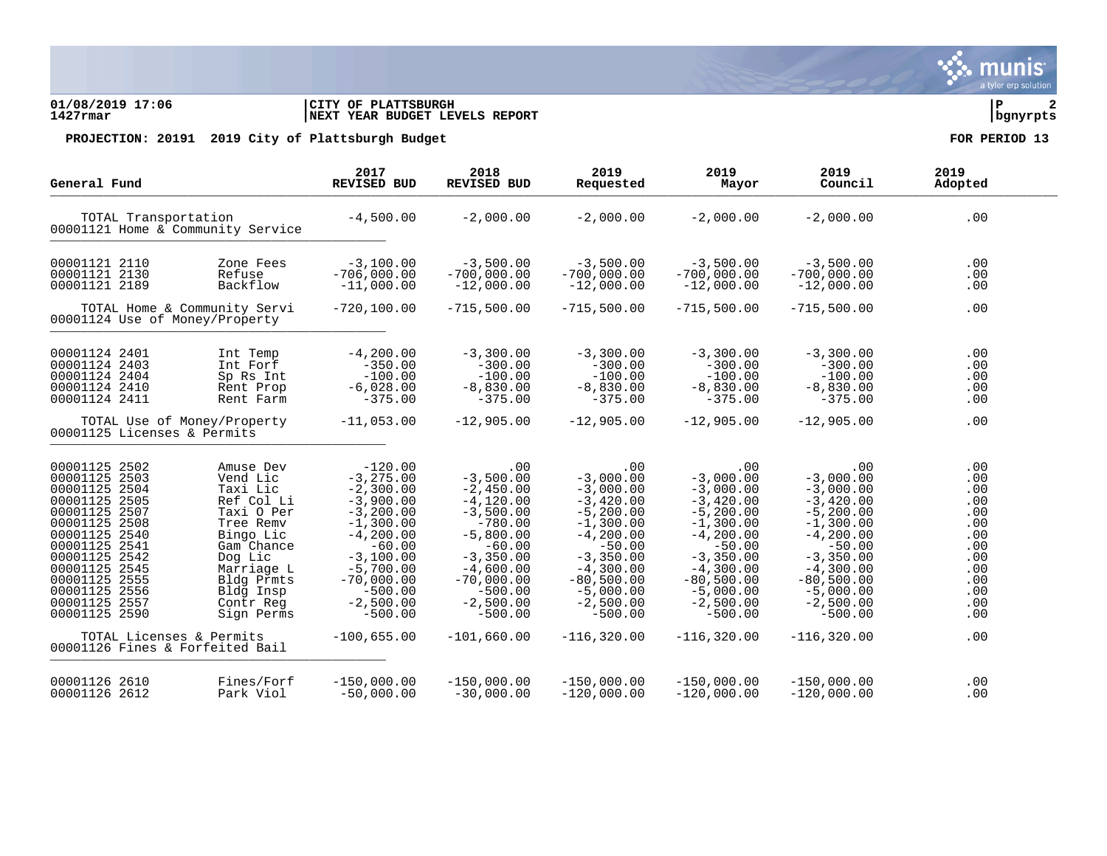munis a tyler erp solution

### **01/08/2019 17:06 |CITY OF PLATTSBURGH |P 2 1427rmar |NEXT YEAR BUDGET LEVELS REPORT |bgnyrpts**

| General Fund                                                                                                                                                                                                                                                                                                                                                                                                                       | 2017<br>REVISED BUD                                                                                                                                                                                     | 2018<br>REVISED BUD                                                                                                                                                                            | 2019<br>Requested                                                                                                                                                                                    | 2019<br>Mayor                                                                                                                                                                                        | 2019<br>Council                                                                                                                                                                                      | 2019<br>Adopted                                                                                |
|------------------------------------------------------------------------------------------------------------------------------------------------------------------------------------------------------------------------------------------------------------------------------------------------------------------------------------------------------------------------------------------------------------------------------------|---------------------------------------------------------------------------------------------------------------------------------------------------------------------------------------------------------|------------------------------------------------------------------------------------------------------------------------------------------------------------------------------------------------|------------------------------------------------------------------------------------------------------------------------------------------------------------------------------------------------------|------------------------------------------------------------------------------------------------------------------------------------------------------------------------------------------------------|------------------------------------------------------------------------------------------------------------------------------------------------------------------------------------------------------|------------------------------------------------------------------------------------------------|
| TOTAL Transportation<br>00001121 Home & Community Service                                                                                                                                                                                                                                                                                                                                                                          | $-4,500.00$                                                                                                                                                                                             | $-2,000.00$                                                                                                                                                                                    | $-2,000.00$                                                                                                                                                                                          | $-2,000.00$                                                                                                                                                                                          | $-2,000.00$                                                                                                                                                                                          | .00                                                                                            |
| 00001121 2110<br>Zone Fees<br>00001121 2130<br>Refuse<br>Backflow<br>00001121 2189                                                                                                                                                                                                                                                                                                                                                 | $-3,100.00$<br>$-706,000.00$<br>$-11,000.00$                                                                                                                                                            | $-3,500.00$<br>$-700,000.00$<br>$-12,000.00$                                                                                                                                                   | $-3,500.00$<br>$-700,000.00$<br>$-12,000.00$                                                                                                                                                         | $-3,500,00$<br>$-700,000.00$<br>$-12,000.00$                                                                                                                                                         | $-3,500.00$<br>$-700,000.00$<br>$-12,000.00$                                                                                                                                                         | .00<br>.00<br>.00                                                                              |
| TOTAL Home & Community Servi<br>00001124 Use of Money/Property                                                                                                                                                                                                                                                                                                                                                                     | $-720, 100.00$                                                                                                                                                                                          | $-715,500.00$                                                                                                                                                                                  | $-715,500.00$                                                                                                                                                                                        | $-715,500.00$                                                                                                                                                                                        | $-715,500.00$                                                                                                                                                                                        | .00                                                                                            |
| 00001124 2401<br>Int Temp<br>Int Fort<br>00001124 2403<br>00001124 2404<br>Sp Rs Int<br>00001124 2410<br>Rent Prop<br>00001124 2411<br>Rent Farm                                                                                                                                                                                                                                                                                   | $-4,200.00$<br>$-350.00$<br>$-100.00$<br>$-6,028.00$<br>$-375.00$                                                                                                                                       | $-3,300.00$<br>$-300.00$<br>$-100.00$<br>$-8,830.00$<br>$-375.00$                                                                                                                              | $-3,300.00$<br>$-300.00$<br>$-100.00$<br>$-8,830.00$<br>$-375.00$                                                                                                                                    | $-3,300,00$<br>$-300.00$<br>$-100.00$<br>$-8,830.00$<br>$-375.00$                                                                                                                                    | $-3,300.00$<br>$-300.00$<br>$-100.00$<br>$-8,830.00$<br>$-375.00$                                                                                                                                    | .00<br>.00<br>.00<br>.00<br>.00                                                                |
| TOTAL Use of Money/Property<br>00001125 Licenses & Permits                                                                                                                                                                                                                                                                                                                                                                         | $-11,053.00$                                                                                                                                                                                            | $-12,905.00$                                                                                                                                                                                   | $-12,905.00$                                                                                                                                                                                         | $-12,905.00$                                                                                                                                                                                         | $-12,905.00$                                                                                                                                                                                         | .00                                                                                            |
| 00001125 2502<br>Amuse Dev<br>00001125 2503<br>Vend Lic<br>00001125 2504<br>Taxi Lic<br>00001125 2505<br>Ref Col Li<br>00001125 2507<br>Taxi O Per<br>00001125 2508<br>Tree Remy<br>00001125 2540<br>Bingo Lic<br>00001125 2541<br>Gam Chance<br>00001125 2542<br>Dog Lic<br>00001125 2545<br>Marriage L<br>00001125 2555<br>Bldg Prmts<br>00001125 2556<br>Bldg Insp<br>00001125 2557<br>Contr Reg<br>00001125 2590<br>Sign Perms | $-120.00$<br>$-3, 275.00$<br>$-2,300.00$<br>$-3,900.00$<br>$-3,200.00$<br>$-1,300.00$<br>$-4,200.00$<br>$-60.00$<br>$-3,100.00$<br>$-5,700.00$<br>$-70,000.00$<br>$-500.00$<br>$-2,500.00$<br>$-500.00$ | .00<br>$-3,500.00$<br>$-2,450.00$<br>$-4,120.00$<br>$-3,500.00$<br>$-780.00$<br>$-5,800.00$<br>$-60.00$<br>$-3,350.00$<br>$-4,600.00$<br>$-70,000.00$<br>$-500.00$<br>$-2,500.00$<br>$-500.00$ | .00<br>$-3,000.00$<br>$-3,000.00$<br>$-3,420.00$<br>$-5, 200.00$<br>$-1,300.00$<br>$-4, 200.00$<br>$-50.00$<br>$-3,350.00$<br>$-4,300.00$<br>$-80,500.00$<br>$-5,000.00$<br>$-2,500.00$<br>$-500.00$ | .00<br>$-3,000,00$<br>$-3,000.00$<br>$-3,420.00$<br>$-5, 200.00$<br>$-1,300.00$<br>$-4, 200.00$<br>$-50.00$<br>$-3,350.00$<br>$-4,300.00$<br>$-80,500.00$<br>$-5,000.00$<br>$-2,500.00$<br>$-500.00$ | .00<br>$-3,000,00$<br>$-3,000.00$<br>$-3,420.00$<br>$-5, 200.00$<br>$-1,300.00$<br>$-4, 200.00$<br>$-50.00$<br>$-3,350.00$<br>$-4,300.00$<br>$-80,500.00$<br>$-5,000.00$<br>$-2,500.00$<br>$-500.00$ | .00<br>.00<br>.00<br>.00<br>.00<br>.00<br>.00<br>.00<br>.00<br>.00<br>.00<br>.00<br>.00<br>.00 |
| TOTAL Licenses & Permits<br>00001126 Fines & Forfeited Bail                                                                                                                                                                                                                                                                                                                                                                        | $-100,655.00$                                                                                                                                                                                           | $-101,660.00$                                                                                                                                                                                  | $-116,320.00$                                                                                                                                                                                        | $-116,320.00$                                                                                                                                                                                        | $-116,320.00$                                                                                                                                                                                        | .00                                                                                            |
| 00001126 2610<br>Fines/Forf<br>00001126 2612<br>Park Viol                                                                                                                                                                                                                                                                                                                                                                          | $-150,000.00$<br>$-50,000.00$                                                                                                                                                                           | $-150,000.00$<br>$-30,000.00$                                                                                                                                                                  | $-150,000.00$<br>$-120.000.00$                                                                                                                                                                       | $-150,000.00$<br>$-120.000.00$                                                                                                                                                                       | $-150,000.00$<br>$-120,000.00$                                                                                                                                                                       | .00<br>.00                                                                                     |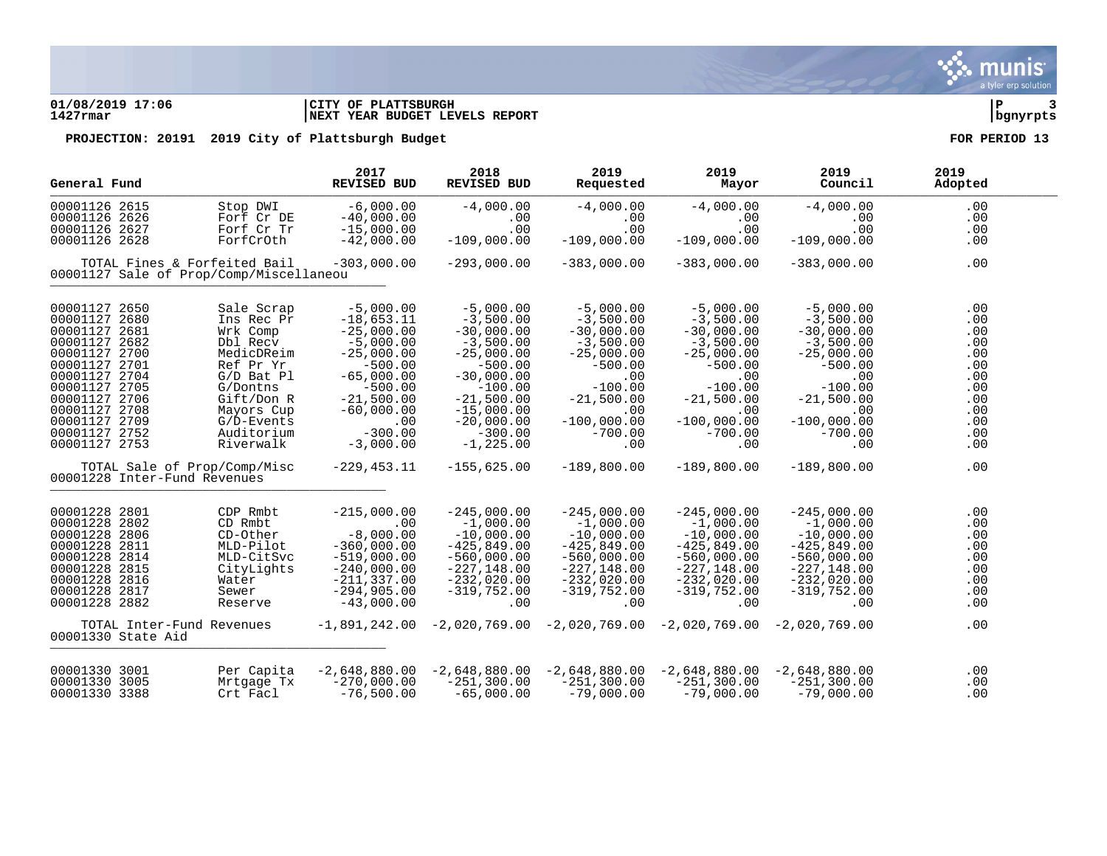### **01/08/2019 17:06 |CITY OF PLATTSBURGH |P 3 1427rmar |NEXT YEAR BUDGET LEVELS REPORT |bgnyrpts**

| General Fund                                                                                                                                                                                                              |                                                                                                                                                                               | 2017<br><b>REVISED BUD</b>                                                                                                                                                              | 2018<br>REVISED BUD                                                                                                                                                                              | 2019<br>Requested                                                                                                                                                                                           | 2019<br>Mayor                                                                                                                                                          | 2019<br>Council                                                                                                                                                         | 2019<br>Adopted                                                                         |
|---------------------------------------------------------------------------------------------------------------------------------------------------------------------------------------------------------------------------|-------------------------------------------------------------------------------------------------------------------------------------------------------------------------------|-----------------------------------------------------------------------------------------------------------------------------------------------------------------------------------------|--------------------------------------------------------------------------------------------------------------------------------------------------------------------------------------------------|-------------------------------------------------------------------------------------------------------------------------------------------------------------------------------------------------------------|------------------------------------------------------------------------------------------------------------------------------------------------------------------------|-------------------------------------------------------------------------------------------------------------------------------------------------------------------------|-----------------------------------------------------------------------------------------|
| 00001126 2615<br>00001126 2626<br>00001126 2627                                                                                                                                                                           | Stop DWI<br>Forf Cr DE<br>Forf Cr Tr                                                                                                                                          | $-6,000.00$<br>$-40,000.00$<br>$-15,000.00$                                                                                                                                             | $-4,000.00$<br>.00<br>.00                                                                                                                                                                        | $-4,000.00$<br>.00<br>.00                                                                                                                                                                                   | $-4,000.00$<br>$.00 \,$<br>.00                                                                                                                                         | $-4,000.00$<br>.00<br>.00                                                                                                                                               | .00<br>.00<br>.00                                                                       |
| 00001126 2628                                                                                                                                                                                                             | ForfCrOth                                                                                                                                                                     | $-42,000.00$                                                                                                                                                                            | $-109,000.00$                                                                                                                                                                                    | $-109,000.00$                                                                                                                                                                                               | $-109,000.00$                                                                                                                                                          | $-109,000.00$                                                                                                                                                           | .00                                                                                     |
| TOTAL Fines & Forfeited Bail<br>00001127 Sale of Prop/Comp/Miscellaneou                                                                                                                                                   |                                                                                                                                                                               | $-303,000.00$                                                                                                                                                                           | $-293,000.00$                                                                                                                                                                                    | $-383,000.00$                                                                                                                                                                                               | $-383,000.00$                                                                                                                                                          | $-383,000.00$                                                                                                                                                           | .00                                                                                     |
| 00001127 2650<br>00001127 2680<br>00001127 2681<br>00001127 2682<br>00001127 2700<br>00001127 2701<br>00001127 2704<br>00001127 2705<br>00001127 2706<br>00001127 2708<br>00001127 2709<br>00001127 2752<br>00001127 2753 | Sale Scrap<br>Ins Rec Pr<br>Wrk Comp<br>Dbl Recv<br>MedicDReim<br>Ref Pr Yr<br>G/D Bat Pl<br>G/Dontns<br>Gift/Don R<br>Mayors Cup<br>$G/D$ -Events<br>Auditorium<br>Riverwalk | $-5,000.00$<br>$-18,653.11$<br>$-25,000.00$<br>$-5,000.00$<br>$-25,000.00$<br>$-500.00$<br>$-65,000.00$<br>$-500.00$<br>$-21,500.00$<br>$-60,000.00$<br>.00<br>$-300.00$<br>$-3,000.00$ | $-5,000.00$<br>$-3,500.00$<br>$-30,000.00$<br>$-3,500.00$<br>$-25,000.00$<br>$-500.00$<br>$-30,000.00$<br>$-100.00$<br>$-21,500.00$<br>$-15,000.00$<br>$-20,000.00$<br>$-300.00$<br>$-1, 225.00$ | $-5,000.00$<br>$-3,500.00$<br>$-30,000.00$<br>$-3,500.00$<br>$-25,000.00$<br>$-500.00$<br>.00<br>$-100.00$<br>$-21,500.00$<br>.00<br>$-100,000.00$<br>$-700.00$<br>.00                                      | $-5,000.00$<br>$-3,500.00$<br>$-30,000.00$<br>$-3,500.00$<br>$-25,000.00$<br>$-500.00$<br>.00<br>$-100.00$<br>$-21,500.00$<br>.00<br>$-100,000.00$<br>$-700.00$<br>.00 | $-5,000.00$<br>$-3,500.00$<br>$-30,000.00$<br>$-3,500.00$<br>$-25,000.00$<br>$-500.00$<br>.00<br>$-100.00$<br>$-21,500.00$<br>.00<br>$-100,000.00$<br>$-700.00$<br>.00. | .00<br>.00<br>.00<br>.00<br>.00<br>.00<br>.00<br>.00<br>.00<br>.00<br>.00<br>.00<br>.00 |
| TOTAL Sale of Prop/Comp/Misc<br>00001228 Inter-Fund Revenues                                                                                                                                                              |                                                                                                                                                                               | $-229, 453.11$                                                                                                                                                                          | $-155,625.00$                                                                                                                                                                                    | $-189.800.00$                                                                                                                                                                                               | $-189,800.00$                                                                                                                                                          | $-189,800.00$                                                                                                                                                           | .00                                                                                     |
| 00001228 2801<br>00001228 2802<br>00001228 2806<br>00001228 2811<br>00001228 2814<br>00001228 2815<br>00001228 2816<br>00001228 2817<br>00001228 2882<br>TOTAL Inter-Fund Revenues                                        | CDP Rmbt<br>CD Rmbt<br>CD-Other<br>MLD-Pilot<br>MLD-CitSvc<br>CityLights<br>Water<br>Sewer<br>Reserve                                                                         | $-215.000.00$<br>.00<br>$-8,000.00$<br>$-360,000.00$<br>$-519,000.00$<br>$-240,000.00$<br>$-211, 337.00$<br>$-294,905.00$<br>$-43,000.00$                                               | $-245,000.00$<br>$-1,000.00$<br>$-10,000.00$<br>$-425,849.00$<br>$-560,000.00$<br>$-227,148.00$<br>$-232,020.00$<br>$-319,752.00$<br>.00                                                         | $-245.000.00$<br>$-1,000.00$<br>$-10,000.00$<br>$-425,849.00$<br>$-560,000.00$<br>$-227,148.00$<br>$-232,020.00$<br>$-319,752.00$<br>.00<br>$-1,891,242.00$ $-2,020,769.00$ $-2,020,769.00$ $-2,020,769.00$ | $-245,000.00$<br>$-1,000.00$<br>$-10,000.00$<br>$-425,849.00$<br>$-560,000.00$<br>$-227,148.00$<br>$-232,020.00$<br>$-319,752.00$<br>.00                               | $-245,000.00$<br>$-1,000.00$<br>$-10,000.00$<br>$-425,849.00$<br>$-560,000.00$<br>$-227,148.00$<br>$-232,020.00$<br>$-319,752.00$<br>.00<br>$-2.020.769.00$             | .00<br>.00<br>.00<br>.00<br>.00<br>.00<br>.00<br>.00<br>.00<br>.00                      |
| 00001330 State Aid                                                                                                                                                                                                        |                                                                                                                                                                               |                                                                                                                                                                                         |                                                                                                                                                                                                  |                                                                                                                                                                                                             |                                                                                                                                                                        |                                                                                                                                                                         |                                                                                         |
| 00001330 3001<br>00001330 3005<br>00001330 3388                                                                                                                                                                           | Per Capita<br>Mrtgage Tx<br>Crt Facl                                                                                                                                          | $-2,648,880.00$<br>$-270,000.00$<br>$-76,500.00$                                                                                                                                        | $-251,300.00$<br>$-65,000.00$                                                                                                                                                                    | $-2,648,880.00$ $-2,648,880.00$ $-2,648,880.00$<br>$-251,300.00$<br>$-79,000.00$                                                                                                                            | $-251, 300.00$<br>$-79,000.00$                                                                                                                                         | $-2,648,880.00$<br>$-251, 300.00$<br>$-79,000.00$                                                                                                                       | .00<br>.00<br>.00                                                                       |

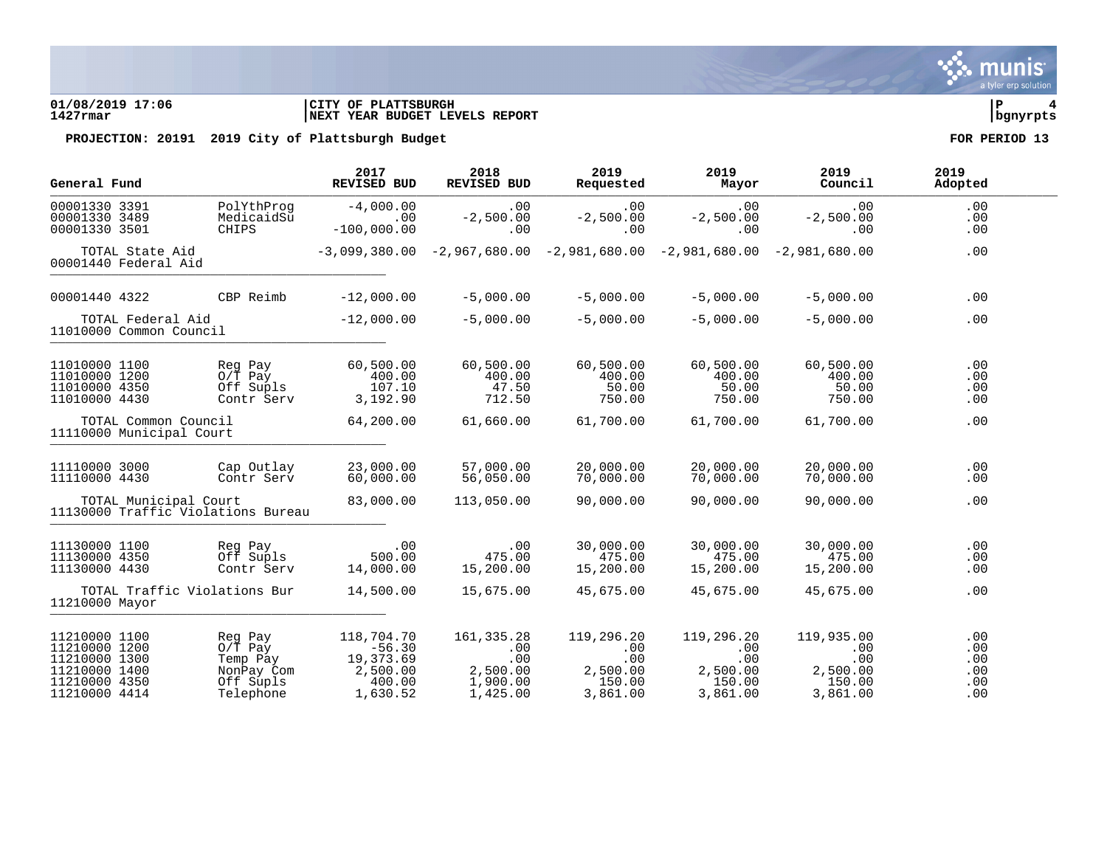### **01/08/2019 17:06 |CITY OF PLATTSBURGH |P 4 1427rmar |NEXT YEAR BUDGET LEVELS REPORT |bgnyrpts**

| General Fund                                                                                       |                                                             | 2017<br>REVISED BUD                                                                                 | 2018<br>REVISED BUD                                                                 | 2019<br>Requested                                          | 2019<br>Mayor                                              | 2019<br>Council                                            | 2019<br>Adopted                        |  |
|----------------------------------------------------------------------------------------------------|-------------------------------------------------------------|-----------------------------------------------------------------------------------------------------|-------------------------------------------------------------------------------------|------------------------------------------------------------|------------------------------------------------------------|------------------------------------------------------------|----------------------------------------|--|
| 00001330 3391<br>00001330 3489<br>00001330 3501                                                    | <b>CHIPS</b>                                                | PolYthProg<br>$-4,000.00$<br>MedicaidSu<br>$-100,000.00$                                            | .00<br>.00<br>$-2,500.00$<br>.00                                                    | .00<br>$-2,500.00$<br>.00                                  | .00<br>$-2,500.00$<br>.00                                  | .00<br>$-2,500.00$<br>.00                                  | .00<br>.00<br>.00                      |  |
|                                                                                                    | TOTAL State Aid<br>00001440 Federal Aid                     |                                                                                                     | $-3,099,380.00$ $-2,967,680.00$ $-2,981,680.00$ $-2,981,680.00$ $-2,981,680.00$     |                                                            |                                                            |                                                            | .00                                    |  |
| 00001440 4322                                                                                      |                                                             | $-12,000.00$<br>CBP Reimb                                                                           | $-5,000.00$                                                                         | $-5.000.00$                                                | $-5,000,00$                                                | $-5,000.00$                                                | .00                                    |  |
|                                                                                                    | TOTAL Federal Aid<br>11010000 Common Council                | $-12,000.00$                                                                                        | $-5,000.00$                                                                         | $-5,000.00$                                                | $-5,000.00$                                                | $-5,000.00$                                                | .00                                    |  |
| 11010000 1100<br>11010000 1200<br>11010000 4350<br>11010000 4430                                   | Reg Pay<br>$0/\overline{T}$ Pay                             | 60,500.00<br>Off Supls<br>3,192.90<br>Contr Serv                                                    | 60,500.00<br>400.00<br>400.00<br>107.10<br>47.50<br>712.50                          | 60,500.00<br>400.00<br>50.00<br>750.00                     | 60,500.00<br>400.00<br>50.00<br>750.00                     | 60,500.00<br>400.00<br>50.00<br>750.00                     | .00<br>.00<br>.00<br>.00               |  |
|                                                                                                    | TOTAL Common Council<br>11110000 Municipal Court            | 64,200.00                                                                                           | 61,660.00                                                                           | 61,700.00                                                  | 61,700.00                                                  | 61,700.00                                                  | .00                                    |  |
| 11110000 3000<br>11110000 4430                                                                     |                                                             | Cap Outlay<br>23,000.00<br>Contr Serv<br>60,000.00                                                  | 57,000.00<br>56,050.00                                                              | 20,000.00<br>70,000.00                                     | 20,000.00<br>70,000.00                                     | 20,000.00<br>70,000.00                                     | .00<br>.00                             |  |
|                                                                                                    | TOTAL Municipal Court<br>11130000 Traffic Violations Bureau | 83,000.00                                                                                           | 113,050.00                                                                          | 90,000.00                                                  | 90,000.00                                                  | 90,000.00                                                  | .00                                    |  |
| 11130000 1100<br>11130000 4350<br>11130000 4430                                                    | Reg Pay                                                     | Off Supls<br>Contr Serv<br>14,000.00                                                                | .00<br>.00<br>500.00<br>475.00<br>15,200.00                                         | 30,000.00<br>475.00<br>15,200.00                           | 30,000.00<br>475.00<br>15,200.00                           | 30,000.00<br>475.00<br>15,200.00                           | .00<br>.00<br>.00                      |  |
| 11210000 Mayor                                                                                     | TOTAL Traffic Violations Bur                                | 14,500.00                                                                                           | 15,675.00                                                                           | 45,675.00                                                  | 45,675.00                                                  | 45,675.00                                                  | .00                                    |  |
| 11210000 1100<br>11210000 1200<br>11210000 1300<br>11210000 1400<br>11210000 4350<br>11210000 4414 | Reg Pay<br>$0/T$ Pay                                        | 118,704.70<br>19,373.69<br>Temp Pay<br>2,500.00<br>NonPay Com<br>Off Supls<br>1,630.52<br>Telephone | 161, 335.28<br>$-56.30$<br>.00<br>.00<br>2,500.00<br>1,900.00<br>400.00<br>1,425.00 | 119,296.20<br>.00<br>.00<br>2,500.00<br>150.00<br>3,861.00 | 119,296.20<br>.00<br>.00<br>2,500.00<br>150.00<br>3,861.00 | 119,935.00<br>.00<br>.00<br>2,500.00<br>150.00<br>3,861.00 | .00<br>.00<br>.00<br>.00<br>.00<br>.00 |  |

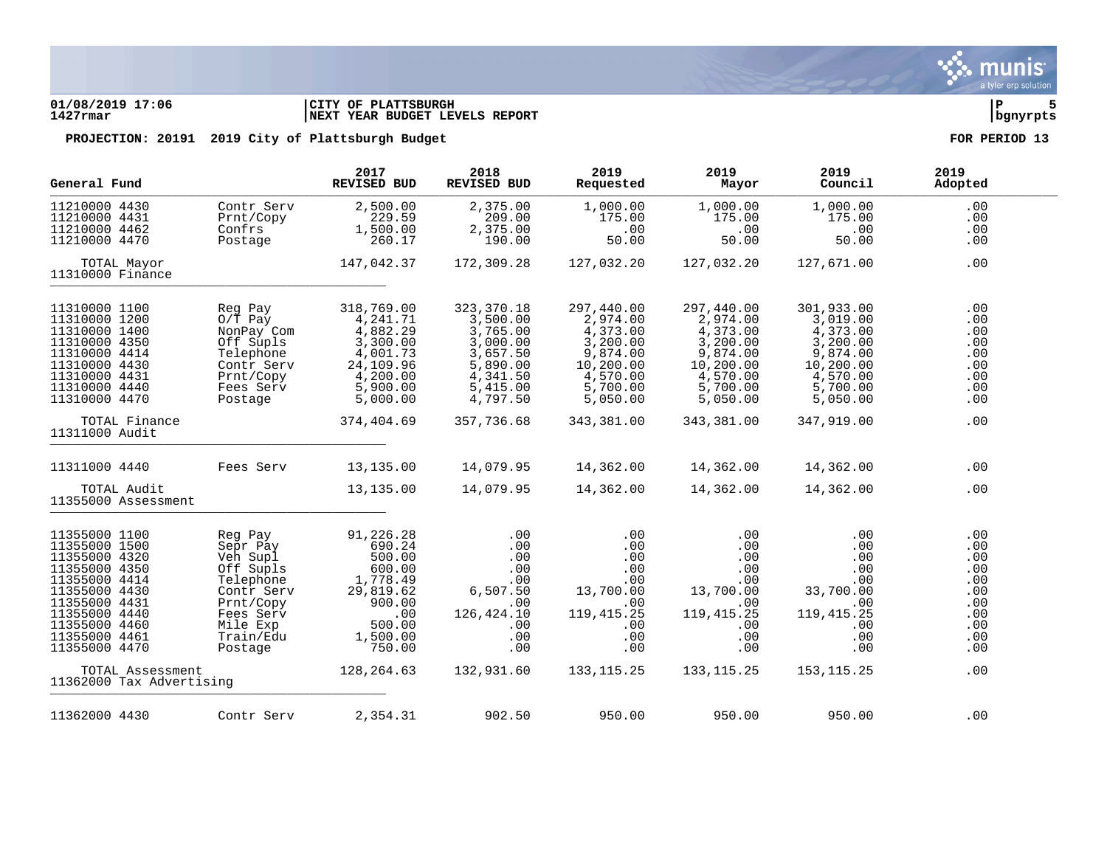### **01/08/2019 17:06 |CITY OF PLATTSBURGH |P 5 1427rmar |NEXT YEAR BUDGET LEVELS REPORT |bgnyrpts**

| General Fund                                                                                                                                                                             |                                                                                                                                                           | 2017<br><b>REVISED BUD</b>                                                                                                      | 2018<br>REVISED BUD                                                                                                        | 2019<br>Requested                                                                                                         | 2019<br>Mayor                                                                                                             | 2019<br>Council                                                                                                           | 2019<br>Adopted                                                                  |
|------------------------------------------------------------------------------------------------------------------------------------------------------------------------------------------|-----------------------------------------------------------------------------------------------------------------------------------------------------------|---------------------------------------------------------------------------------------------------------------------------------|----------------------------------------------------------------------------------------------------------------------------|---------------------------------------------------------------------------------------------------------------------------|---------------------------------------------------------------------------------------------------------------------------|---------------------------------------------------------------------------------------------------------------------------|----------------------------------------------------------------------------------|
| 11210000 4430<br>11210000 4431<br>11210000 4462<br>11210000 4470                                                                                                                         | Contr Serv<br>Prnt/Copy<br>Confrs<br>Postage                                                                                                              | 2,500.00<br>229.59<br>1,500.00<br>260.17                                                                                        | 2,375.00<br>209.00<br>2,375.00<br>190.00                                                                                   | 1,000.00<br>175.00<br>.00<br>50.00                                                                                        | 1,000.00<br>175.00<br>.00<br>50.00                                                                                        | 1,000.00<br>175.00<br>.00<br>50.00                                                                                        | .00<br>.00<br>.00<br>.00                                                         |
| TOTAL Mayor<br>11310000 Finance                                                                                                                                                          |                                                                                                                                                           | 147,042.37                                                                                                                      | 172,309.28                                                                                                                 | 127,032.20                                                                                                                | 127,032.20                                                                                                                | 127,671.00                                                                                                                | .00                                                                              |
| 11310000 1100<br>11310000 1200<br>11310000 1400<br>11310000 4350<br>11310000 4414<br>11310000 4430<br>11310000 4431<br>11310000 4440<br>11310000 4470<br>TOTAL Finance<br>11311000 Audit | Reg Pay<br>$0/T$ Pay<br>NonPay Com<br>Off Supls<br>Telephone<br>Contr Serv<br>Prnt/Copy<br>Fees Serv<br>Postage                                           | 318,769.00<br>4,241.71<br>4,882.29<br>3,300.00<br>4,001.73<br>24,109.96<br>4,200.00<br>5,900.00<br>5,000.00<br>374,404.69       | 323, 370. 18<br>3,500.00<br>3,765.00<br>3,000.00<br>3,657.50<br>5,890.00<br>4,341.50<br>5,415.00<br>4,797.50<br>357,736.68 | 297,440.00<br>2,974.00<br>4,373.00<br>3,200.00<br>9,874.00<br>10,200.00<br>4,570.00<br>5,700.00<br>5,050.00<br>343,381.00 | 297,440.00<br>2,974.00<br>4,373.00<br>3,200.00<br>9,874.00<br>10,200.00<br>4,570.00<br>5,700.00<br>5,050.00<br>343,381.00 | 301,933.00<br>3,019.00<br>4,373.00<br>3,200.00<br>9,874.00<br>10,200.00<br>4,570.00<br>5,700.00<br>5,050.00<br>347,919.00 | .00<br>.00<br>.00<br>.00<br>.00<br>.00<br>.00<br>.00<br>.00<br>.00               |
|                                                                                                                                                                                          |                                                                                                                                                           |                                                                                                                                 |                                                                                                                            |                                                                                                                           |                                                                                                                           |                                                                                                                           |                                                                                  |
| 11311000 4440<br>TOTAL Audit<br>11355000 Assessment                                                                                                                                      | Fees Serv                                                                                                                                                 | 13,135.00<br>13,135.00                                                                                                          | 14,079.95<br>14,079.95                                                                                                     | 14,362.00<br>14,362.00                                                                                                    | 14,362.00<br>14,362.00                                                                                                    | 14,362.00<br>14,362.00                                                                                                    | .00<br>.00                                                                       |
| 11355000 1100<br>11355000 1500<br>11355000 4320<br>11355000 4350<br>11355000 4414<br>11355000 4430<br>11355000 4431<br>11355000 4440<br>11355000 4460<br>11355000 4461<br>11355000 4470  | Reg Pay<br>Sepr Pay<br>Veh Supl<br>Off Supls<br>Telephone<br>Contr Serv<br>Prnt/Copy<br>Fees Serv<br>Mile Exp<br>Train/Edu<br>Postage<br>TOTAL Assessment | 91,226.28<br>690.24<br>500.00<br>600.00<br>1,778.49<br>29,819.62<br>900.00<br>.00<br>500.00<br>1,500.00<br>750.00<br>128,264.63 | .00<br>.00<br>.00<br>.00<br>.00<br>6,507.50<br>.00<br>126, 424.10<br>$.00 \,$<br>.00<br>$.00 \,$<br>132,931.60             | .00<br>.00<br>.00<br>.00<br>.00<br>13,700.00<br>.00<br>119, 415.25<br>.00<br>.00<br>.00.<br>133, 115. 25                  | .00<br>.00<br>.00<br>.00<br>.00<br>13,700.00<br>.00<br>119, 415. 25<br>.00<br>.00<br>.00<br>133, 115. 25                  | .00<br>.00<br>.00<br>.00<br>.00<br>33,700.00<br>.00<br>119, 415.25<br>.00.<br>.00<br>.00<br>153, 115.25                   | .00<br>.00<br>.00<br>.00<br>.00<br>.00<br>.00<br>.00<br>.00<br>.00<br>.00<br>.00 |
|                                                                                                                                                                                          | 11362000 Tax Advertising                                                                                                                                  |                                                                                                                                 |                                                                                                                            |                                                                                                                           |                                                                                                                           |                                                                                                                           |                                                                                  |
| 11362000 4430                                                                                                                                                                            | Contr Serv                                                                                                                                                | 2,354.31                                                                                                                        | 902.50                                                                                                                     | 950.00                                                                                                                    | 950.00                                                                                                                    | 950.00                                                                                                                    | .00                                                                              |

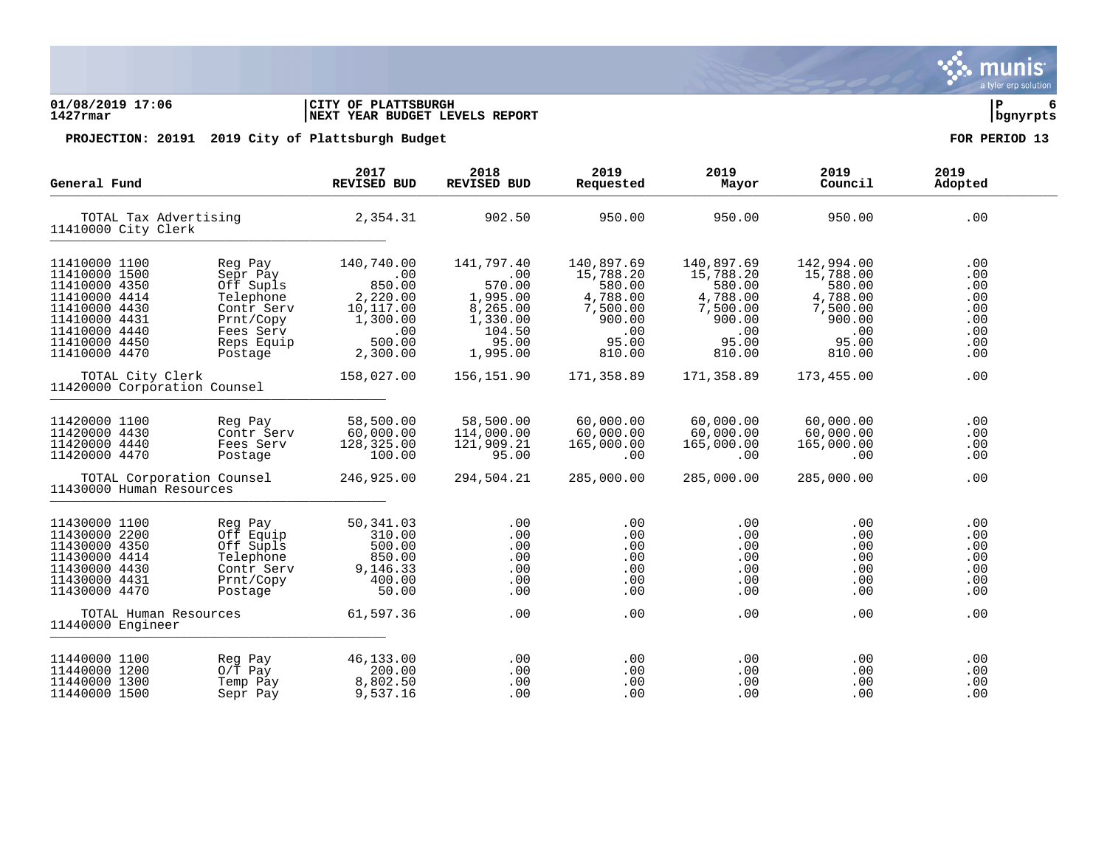### **01/08/2019 17:06 |CITY OF PLATTSBURGH |P 6 1427rmar |NEXT YEAR BUDGET LEVELS REPORT |bgnyrpts**

| General Fund                                                                                                                                          |                                                                                                                | 2017<br>REVISED BUD                                                                           | 2018<br>REVISED BUD                                                                            | 2019<br>Requested                                                                             | 2019<br>Mayor                                                                                 | 2019<br>Council                                                                               | 2019<br>Adopted                                             |
|-------------------------------------------------------------------------------------------------------------------------------------------------------|----------------------------------------------------------------------------------------------------------------|-----------------------------------------------------------------------------------------------|------------------------------------------------------------------------------------------------|-----------------------------------------------------------------------------------------------|-----------------------------------------------------------------------------------------------|-----------------------------------------------------------------------------------------------|-------------------------------------------------------------|
| TOTAL Tax Advertising<br>11410000 City Clerk                                                                                                          |                                                                                                                | 2,354.31                                                                                      | 902.50                                                                                         | 950.00                                                                                        | 950.00                                                                                        | 950.00                                                                                        | .00                                                         |
| 11410000 1100<br>11410000 1500<br>11410000 4350<br>11410000 4414<br>11410000 4430<br>11410000 4431<br>11410000 4440<br>11410000 4450<br>11410000 4470 | Reg Pay<br>Sepr Pay<br>Off Supls<br>Telephone<br>Contr Serv<br>Prnt/Copy<br>Fees Serv<br>Reps Equip<br>Postage | 140,740.00<br>.00<br>850.00<br>2,220.00<br>10,117.00<br>1,300.00<br>.00<br>500.00<br>2,300.00 | 141,797.40<br>.00<br>570.00<br>1,995.00<br>8,265.00<br>1,330.00<br>104.50<br>95.00<br>1,995.00 | 140,897.69<br>15,788.20<br>580.00<br>4,788.00<br>7,500.00<br>900.00<br>.00<br>95.00<br>810.00 | 140,897.69<br>15,788.20<br>580.00<br>4,788.00<br>7,500.00<br>900.00<br>.00<br>95.00<br>810.00 | 142,994.00<br>15,788.00<br>580.00<br>4,788.00<br>7,500.00<br>900.00<br>.00<br>95.00<br>810.00 | .00<br>.00<br>.00<br>.00<br>.00<br>.00<br>.00<br>.00<br>.00 |
| TOTAL City Clerk<br>11420000 Corporation Counsel                                                                                                      |                                                                                                                | 158,027.00                                                                                    | 156,151.90                                                                                     | 171,358.89                                                                                    | 171,358.89                                                                                    | 173,455.00                                                                                    | .00                                                         |
| 11420000 1100<br>11420000 4430<br>11420000 4440<br>11420000 4470                                                                                      | Reg Pay<br>Contr Serv<br>Fees Serv<br>Postage                                                                  | 58,500.00<br>60,000.00<br>128,325.00<br>100.00                                                | 58,500.00<br>114,000.00<br>121,909.21<br>95.00                                                 | 60,000.00<br>60,000.00<br>165,000.00<br>.00                                                   | 60,000.00<br>60,000.00<br>165,000.00<br>.00                                                   | 60,000.00<br>60,000.00<br>165,000.00<br>.00                                                   | .00<br>.00<br>.00<br>.00                                    |
| TOTAL Corporation Counsel<br>11430000 Human Resources                                                                                                 |                                                                                                                | 246,925.00                                                                                    | 294,504.21                                                                                     | 285,000.00                                                                                    | 285,000.00                                                                                    | 285,000.00                                                                                    | .00                                                         |
| 11430000 1100<br>11430000 2200<br>11430000 4350<br>11430000 4414<br>11430000 4430<br>11430000 4431<br>11430000 4470                                   | Reg Pay<br>Off Equip<br>Off Supls<br>Telephone<br>Contr Serv<br>Prnt/Copy<br>Postage                           | 50,341.03<br>310.00<br>500.00<br>850.00<br>9,146.33<br>400.00<br>50.00                        | .00<br>.00<br>.00<br>.00<br>.00<br>.00<br>.00                                                  | .00<br>.00<br>.00<br>.00<br>.00<br>.00<br>.00                                                 | .00<br>.00<br>.00<br>.00<br>.00<br>.00<br>.00                                                 | .00<br>.00<br>.00<br>.00<br>.00<br>.00<br>.00                                                 | .00<br>.00<br>.00<br>.00<br>.00<br>.00<br>.00               |
| TOTAL Human Resources<br>11440000 Engineer                                                                                                            |                                                                                                                | 61,597.36                                                                                     | .00                                                                                            | .00                                                                                           | .00                                                                                           | .00                                                                                           | .00                                                         |
| 11440000 1100<br>11440000 1200<br>11440000 1300<br>11440000 1500                                                                                      | Reg Pay<br>$0/T$ Pay<br>Temp Pay<br>Sepr Pay                                                                   | 46,133.00<br>200.00<br>8,802.50<br>9,537.16                                                   | .00<br>.00<br>.00<br>.00                                                                       | .00<br>.00<br>.00<br>.00                                                                      | .00<br>.00<br>.00<br>.00                                                                      | .00<br>.00<br>.00<br>.00                                                                      | .00<br>.00<br>.00<br>.00                                    |

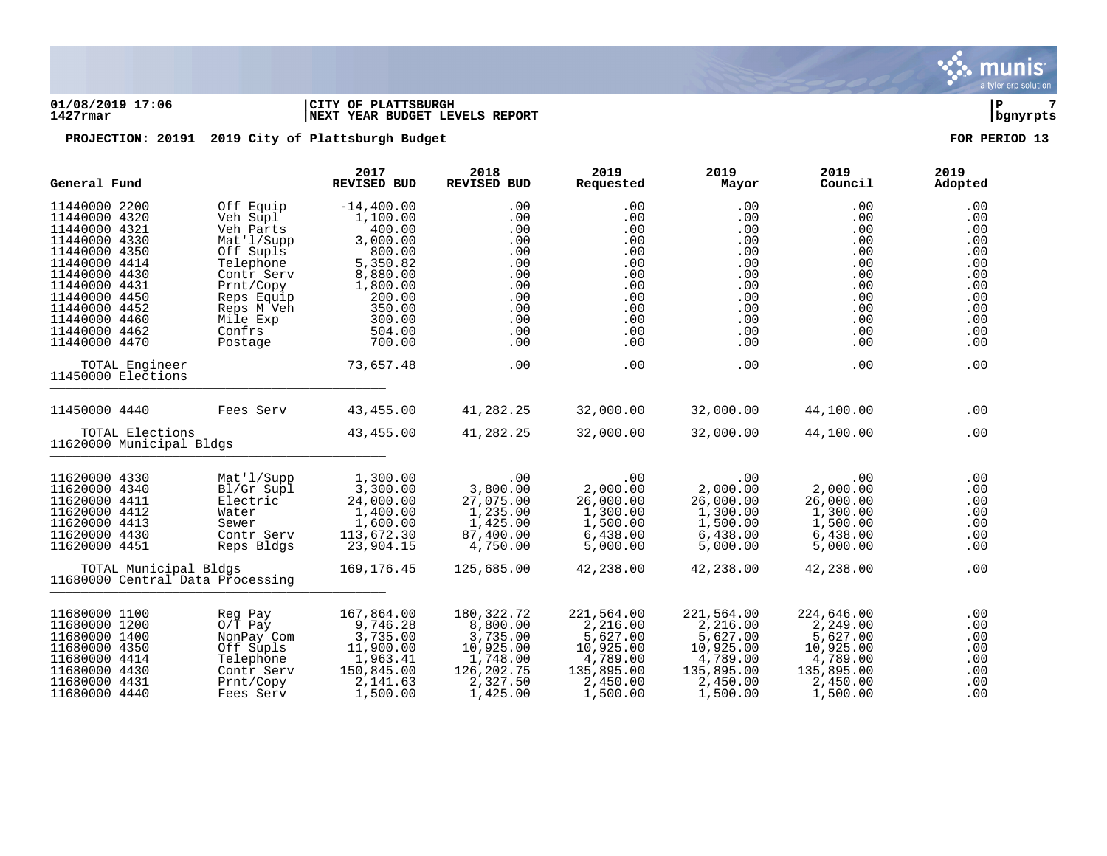### **01/08/2019 17:06 |CITY OF PLATTSBURGH |P 7 1427rmar |NEXT YEAR BUDGET LEVELS REPORT |bgnyrpts**

| General Fund                                                                                                                                                                                                                                |                                                                                                                                                                    | 2017<br><b>REVISED BUD</b>                                                                                                                                   | 2018<br>REVISED BUD                                                                                 | 2019<br>Requested                                                                                 | 2019<br>Mayor                                                                                     | 2019<br>Council                                                                                     | 2019<br>Adopted                                                                                |
|---------------------------------------------------------------------------------------------------------------------------------------------------------------------------------------------------------------------------------------------|--------------------------------------------------------------------------------------------------------------------------------------------------------------------|--------------------------------------------------------------------------------------------------------------------------------------------------------------|-----------------------------------------------------------------------------------------------------|---------------------------------------------------------------------------------------------------|---------------------------------------------------------------------------------------------------|-----------------------------------------------------------------------------------------------------|------------------------------------------------------------------------------------------------|
| 11440000 2200<br>11440000 4320<br>11440000 4321<br>11440000 4330<br>11440000 4350<br>11440000 4414<br>11440000 4430<br>11440000 4431<br>11440000 4450<br>11440000 4452<br>11440000 4460<br>11440000 4462<br>11440000 4470<br>TOTAL Engineer | Off Equip<br>Veh Supl<br>Veh Parts<br>Mat'l/Supp<br>Off Supls<br>Telephone<br>Contr Serv<br>Prnt/Copy<br>Reps Equip<br>Reps M Veh<br>Mile Exp<br>Confrs<br>Postage | $-14, 400.00$<br>1,100.00<br>400.00<br>3,000.00<br>800.00<br>5,350.82<br>8,880.00<br>1,800.00<br>200.00<br>350.00<br>300.00<br>504.00<br>700.00<br>73,657.48 | .00<br>.00<br>.00<br>.00<br>.00<br>.00<br>.00<br>.00<br>.00<br>.00<br>.00<br>.00<br>$.00 \,$<br>.00 | .00<br>.00<br>.00<br>.00<br>.00<br>.00<br>.00<br>.00<br>.00<br>.00<br>.00<br>.00<br>.00<br>.00    | .00<br>.00<br>.00<br>.00<br>.00<br>.00<br>.00<br>.00<br>.00<br>.00<br>.00<br>.00<br>.00<br>.00    | .00<br>.00<br>.00<br>.00<br>.00<br>.00<br>.00<br>.00<br>.00<br>.00<br>.00<br>$.00 \,$<br>.00<br>.00 | .00<br>.00<br>.00<br>.00<br>.00<br>.00<br>.00<br>.00<br>.00<br>.00<br>.00<br>.00<br>.00<br>.00 |
| 11450000 Elections                                                                                                                                                                                                                          |                                                                                                                                                                    |                                                                                                                                                              |                                                                                                     |                                                                                                   |                                                                                                   |                                                                                                     |                                                                                                |
| 11450000 4440                                                                                                                                                                                                                               | Fees Serv                                                                                                                                                          | 43,455.00                                                                                                                                                    | 41,282.25                                                                                           | 32,000.00                                                                                         | 32,000.00                                                                                         | 44,100.00                                                                                           | .00                                                                                            |
| TOTAL Elections<br>11620000 Municipal Bldgs                                                                                                                                                                                                 |                                                                                                                                                                    | 43,455.00                                                                                                                                                    | 41,282.25                                                                                           | 32,000.00                                                                                         | 32,000.00                                                                                         | 44,100.00                                                                                           | .00                                                                                            |
| 11620000 4330<br>11620000 4340<br>11620000 4411<br>11620000 4412<br>11620000 4413<br>11620000 4430<br>11620000 4451                                                                                                                         | Mat'l/Supp<br>Bl/Gr Supl<br>Electric<br>Water<br>Sewer<br>Contr Serv<br>Reps Bldgs                                                                                 | 1,300.00<br>3,300.00<br>24,000.00<br>1,400.00<br>1,600.00<br>113,672.30<br>23,904.15                                                                         | .00<br>3,800.00<br>27,075.00<br>1,235.00<br>1,425.00<br>87,400.00<br>4,750.00                       | .00<br>2,000.00<br>26,000.00<br>1,300.00<br>1,500.00<br>6,438.00<br>5,000.00                      | .00<br>2,000.00<br>26,000.00<br>1,300.00<br>1,500.00<br>6,438.00<br>5,000.00                      | .00<br>2,000.00<br>26,000.00<br>1,300.00<br>1,500.00<br>6,438.00<br>5,000.00                        | .00<br>.00<br>.00<br>.00<br>.00<br>.00<br>.00                                                  |
| TOTAL Municipal Bldgs<br>11680000 Central Data Processing                                                                                                                                                                                   |                                                                                                                                                                    | 169,176.45                                                                                                                                                   | 125,685.00                                                                                          | 42,238.00                                                                                         | 42,238.00                                                                                         | 42,238.00                                                                                           | .00                                                                                            |
| 11680000 1100<br>11680000 1200<br>11680000 1400<br>11680000 4350<br>11680000 4414<br>11680000 4430<br>11680000 4431<br>11680000 4440                                                                                                        | Reg Pay<br>$0/\bar{T}$ Pay<br>NonPay Com<br>Off Supls<br>Telephone<br>Contr Serv<br>Prnt/Copy<br>Fees Serv                                                         | 167,864.00<br>9,746.28<br>3,735.00<br>11,900.00<br>1,963.41<br>150,845.00<br>2,141.63<br>1,500.00                                                            | 180,322.72<br>8,800.00<br>3,735.00<br>10,925.00<br>1,748.00<br>126,202.75<br>2,327.50<br>1,425.00   | 221,564.00<br>2,216.00<br>5,627.00<br>10,925.00<br>4,789.00<br>135,895.00<br>2,450.00<br>1,500.00 | 221,564.00<br>2,216.00<br>5,627.00<br>10,925.00<br>4,789.00<br>135,895.00<br>2,450.00<br>1,500.00 | 224,646.00<br>2,249.00<br>5,627.00<br>10,925.00<br>4,789.00<br>135,895.00<br>2,450.00<br>1,500.00   | .00<br>.00<br>.00<br>.00<br>.00<br>.00<br>.00<br>.00                                           |

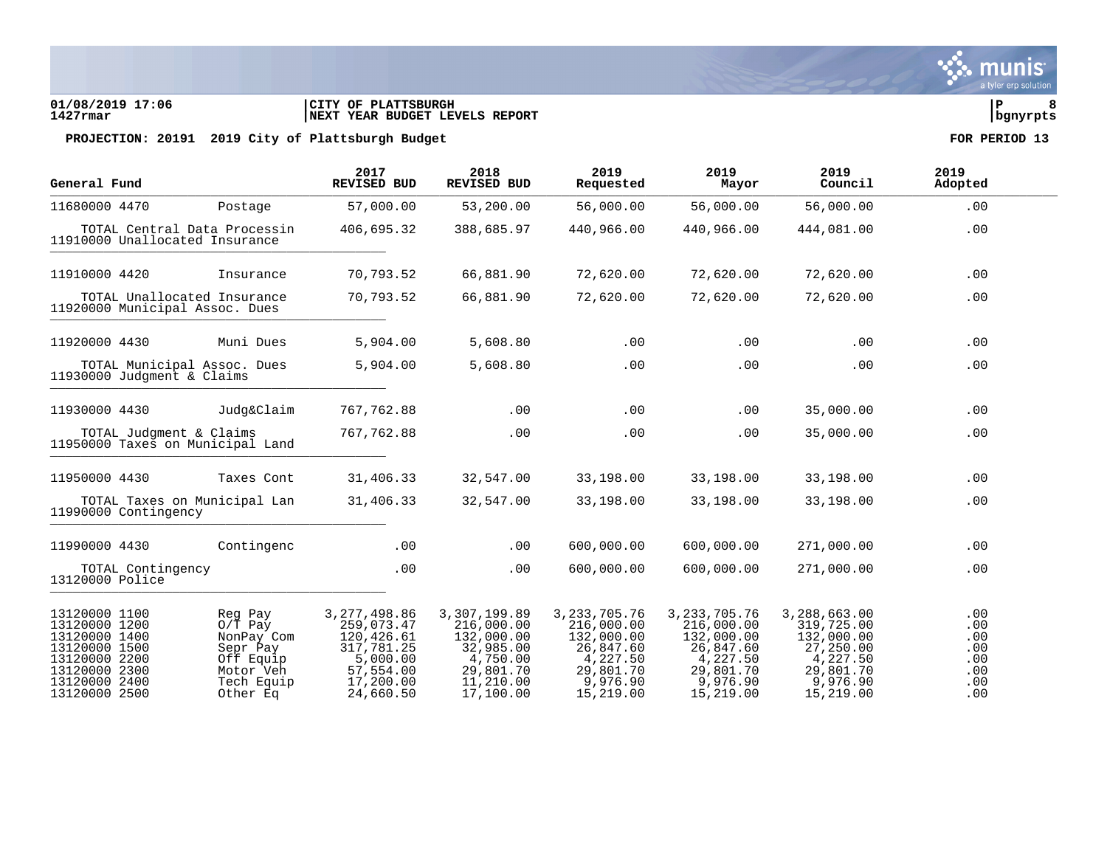### **01/08/2019 17:06 |CITY OF PLATTSBURGH |P 8 1427rmar |NEXT YEAR BUDGET LEVELS REPORT |bgnyrpts**

| Postage                                                                                |                                                                                                | REVISED BUD                                                                                 | Requested                                                                                     | Mayor                                                                                         | Council                                                                                    | Adopted                                       |     |
|----------------------------------------------------------------------------------------|------------------------------------------------------------------------------------------------|---------------------------------------------------------------------------------------------|-----------------------------------------------------------------------------------------------|-----------------------------------------------------------------------------------------------|--------------------------------------------------------------------------------------------|-----------------------------------------------|-----|
|                                                                                        | 57,000.00                                                                                      | 53,200.00                                                                                   | 56,000.00                                                                                     | 56,000.00                                                                                     | 56,000.00                                                                                  | .00                                           |     |
| TOTAL Central Data Processin<br>11910000 Unallocated Insurance                         | 406,695.32                                                                                     | 388,685.97                                                                                  | 440,966.00                                                                                    | 440,966.00                                                                                    | 444,081.00                                                                                 | .00                                           |     |
| Insurance                                                                              | 70,793.52                                                                                      | 66,881.90                                                                                   | 72,620.00                                                                                     | 72,620.00                                                                                     | 72,620.00                                                                                  | .00                                           |     |
| TOTAL Unallocated Insurance<br>11920000 Municipal Assoc. Dues                          | 70,793.52                                                                                      | 66,881.90                                                                                   | 72,620.00                                                                                     | 72,620.00                                                                                     | 72,620.00                                                                                  | .00                                           |     |
| Muni Dues                                                                              | 5,904.00                                                                                       | 5,608.80                                                                                    | .00                                                                                           | .00                                                                                           | .00                                                                                        | .00                                           |     |
| TOTAL Municipal Assoc. Dues<br>11930000 Judgment & Claims                              | 5,904.00                                                                                       | 5,608.80                                                                                    | .00                                                                                           | .00                                                                                           | .00                                                                                        | .00                                           |     |
| Judg&Claim                                                                             | 767, 762.88                                                                                    | .00                                                                                         | .00                                                                                           | .00                                                                                           | 35,000.00                                                                                  | .00                                           |     |
| TOTAL Judgment & Claims<br>11950000 Taxes on Municipal Land                            | 767,762.88                                                                                     | .00                                                                                         | .00                                                                                           | .00                                                                                           | 35,000.00                                                                                  | .00                                           |     |
| Taxes Cont                                                                             | 31,406.33                                                                                      | 32,547.00                                                                                   | 33,198.00                                                                                     | 33,198.00                                                                                     | 33,198.00                                                                                  | .00                                           |     |
| TOTAL Taxes on Municipal Lan<br>11990000 Contingency                                   | 31,406.33                                                                                      | 32,547.00                                                                                   | 33,198.00                                                                                     | 33,198.00                                                                                     | 33,198.00                                                                                  | .00                                           |     |
| Contingenc                                                                             | .00                                                                                            | .00                                                                                         | 600,000.00                                                                                    | 600,000.00                                                                                    | 271,000.00                                                                                 | .00                                           |     |
| TOTAL Contingency<br>13120000 Police                                                   | .00                                                                                            | .00                                                                                         | 600,000.00                                                                                    | 600,000.00                                                                                    | 271,000.00                                                                                 | .00                                           |     |
| Reg Pay<br>$O/T$ Pay<br>NonPay Com<br>Sepr Pay<br>Off Equip<br>Motor Veh<br>Tech Equip | 3, 277, 498.86<br>259,073.47<br>120,426.61<br>317,781.25<br>5,000.00<br>57,554.00<br>17,200.00 | 3,307,199.89<br>216,000.00<br>132,000.00<br>32,985.00<br>4,750.00<br>29,801.70<br>11,210.00 | 3, 233, 705. 76<br>216,000.00<br>132,000.00<br>26,847.60<br>4,227.50<br>29,801.70<br>9,976.90 | 3, 233, 705. 76<br>216,000.00<br>132,000.00<br>26,847.60<br>4,227.50<br>29,801.70<br>9,976.90 | 3,288,663.00<br>319,725.00<br>132,000.00<br>27,250.00<br>4,227.50<br>29,801.70<br>9,976.90 | .00<br>.00<br>.00<br>.00<br>.00<br>.00<br>.00 |     |
|                                                                                        | Other Ea                                                                                       | 24,660.50                                                                                   | 17,100.00                                                                                     | 15,219.00                                                                                     | 15,219.00                                                                                  | 15,219.00                                     | .00 |

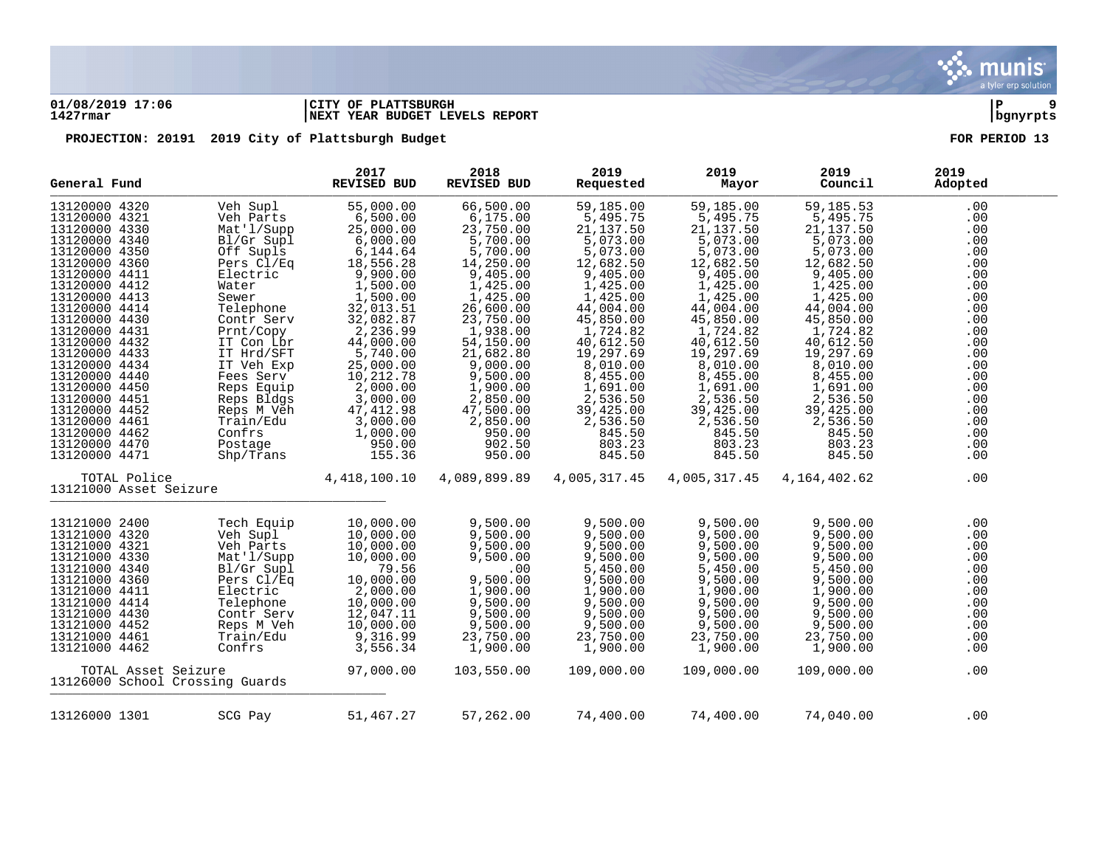

### **01/08/2019 17:06 |CITY OF PLATTSBURGH |P 9 1427rmar |NEXT YEAR BUDGET LEVELS REPORT |bgnyrpts**

| General Fund           |              |                                 | 2017<br><b>REVISED BUD</b> | 2018<br>REVISED BUD | 2019<br>Requested        | 2019<br>Mayor | 2019<br>Council | 2019<br>Adopted |  |
|------------------------|--------------|---------------------------------|----------------------------|---------------------|--------------------------|---------------|-----------------|-----------------|--|
| 13120000 4320          |              | Veh Supl                        | 55,000.00                  | 66,500.00           | 59,185.00                | 59,185.00     | 59,185.53       | .00             |  |
| 13120000 4321          |              | Veh Parts                       | 6,500.00                   | 6,175.00            | 5,495.75                 | 5,495.75      | 5,495.75        | .00             |  |
| 13120000 4330          |              | Mat'l/Supp                      | 25,000.00                  | 23,750.00           | 21, 137.50               | 21, 137.50    | 21, 137.50      | .00             |  |
| 13120000 4340          |              | Bl/Gr Supl                      | 6,000.00                   | 5,700.00            | $5,073.00$<br>$5,073.00$ | 5,073.00      | 5,073.00        | .00             |  |
| 13120000 4350          |              | Off Supls                       | 6,144.64                   | 5,700.00            |                          | 5,073.00      | 5,073.00        | .00             |  |
| 13120000 4360          |              | Pers Cl/Eq                      | 18,556.28                  | 14,250.00           | 12,682.50                | 12,682.50     | 12,682.50       | .00             |  |
| 13120000 4411          |              | Electric                        | 9,900.00                   | 9,405.00            | 9,405.00                 | 9,405.00      | 9,405.00        | .00             |  |
| 13120000 4412          |              | Water                           | 1,500.00                   | 1,425.00            | 1,425.00                 | 1,425.00      | 1,425.00        | .00             |  |
| 13120000 4413          |              | Sewer                           | 1,500.00                   | 1,425.00            | 1,425.00                 | 1,425.00      | 1,425.00        | .00             |  |
| 13120000 4414          |              | Telephone                       | 32,013.51<br>32,082.87     | 26,600.00           | 44,004.00                | 44,004.00     | 44,004.00       | .00             |  |
| 13120000 4430          |              | Contr Serv                      |                            | 23,750.00           | 45,850.00                | 45,850.00     | 45,850.00       | .00             |  |
| 13120000 4431          |              | Prnt/Copy                       | 2,236.99                   | 1,938.00            | 1,724.82                 | 1,724.82      | 1,724.82        | .00             |  |
| 13120000 4432          |              | IT Con Lbr                      | 44,000.00                  | 54,150.00           | 40,612.50                | 40,612.50     | 40,612.50       | .00             |  |
| 13120000 4433          |              | IT Hrd/SFT                      | 5,740.00                   | 21,682.80           | 19,297.69                | 19,297.69     | 19,297.69       | .00             |  |
| 13120000 4434          |              | IT Veh Exp                      | 25,000.00                  | 9,000.00            | 8,010.00                 | 8,010.00      | 8,010.00        | .00             |  |
| 13120000 4440          |              | Fees Serv                       | 10,212.78                  | 9,500.00            | 8,455.00                 | 8,455.00      | 8,455.00        | .00             |  |
| 13120000 4450          |              | Reps Equip                      | 2,000.00                   | 1,900.00            | 1,691.00                 | 1,691.00      | 1,691.00        | .00             |  |
| 13120000 4451          |              | Reps Bldgs                      | 3,000.00                   | 2,850.00            | 2,536.50                 | 2,536.50      | 2,536.50        | .00             |  |
| 13120000 4452          |              | Reps M Veh                      | 47, 412.98                 | 47,500.00           | 39,425.00                | 39,425.00     | 39,425.00       | .00             |  |
| 13120000 4461          |              | Train/Edu                       | 3,000.00                   | 2,850.00            | 2,536.50                 | 2,536.50      | 2,536.50        | .00             |  |
| 13120000 4462          |              | Confrs                          | 1,000.00                   | 950.00              | 845.50                   | 845.50        | 845.50          | .00             |  |
| 13120000 4470          |              | Postage                         | 950.00                     | 902.50              | 803.23                   | 803.23        | 803.23          | .00             |  |
| 13120000 4471          |              | $\mathrm{Shp}/\mathrm{Trans}$   | 155.36                     | 950.00              | 845.50                   | 845.50        | 845.50          | .00             |  |
| 13121000 Asset Seizure | TOTAL Police |                                 | 4,418,100.10               | 4,089,899.89        | 4,005,317.45             | 4,005,317.45  | 4,164,402.62    | .00             |  |
|                        |              |                                 |                            |                     |                          |               |                 |                 |  |
| 13121000 2400          |              | Tech Equip                      | 10,000.00                  | 9,500.00            | 9,500.00                 | 9,500.00      | 9,500.00        | .00             |  |
| 13121000 4320          |              | Veh Supl                        | 10,000.00                  | 9,500.00            | 9,500.00                 | 9,500.00      | 9,500.00        | .00             |  |
| 13121000 4321          |              | Veh Parts                       | 10,000.00                  | 9,500.00            | 9,500.00                 | 9,500.00      | 9,500.00        | .00             |  |
| 13121000 4330          |              | Mat'l/Supp                      | 10,000.00                  | 9,500.00            | 9,500.00                 | 9,500.00      | 9,500.00        | .00             |  |
| 13121000 4340          |              | Bl/Gr Supl                      | 79.56                      | .00                 | 5,450.00                 | 5,450.00      | 5,450.00        | .00             |  |
| 13121000 4360          |              | Pers Cl/Eq                      | 10,000.00                  | 9,500.00            | 9,500.00                 | 9,500.00      | 9,500.00        | .00             |  |
| 13121000 4411          |              | Electric                        | 2,000.00                   | 1,900.00            | 1,900.00                 | 1,900.00      | 1,900.00        | .00             |  |
| 13121000 4414          |              | Telephone                       | 10,000.00                  | 9,500.00            | 9,500.00                 | 9,500.00      | 9,500.00        | .00             |  |
| 13121000 4430          |              | Contr Serv                      | 12,047.11                  | 9,500.00            | 9,500.00                 | 9,500.00      | 9,500.00        | .00             |  |
| 13121000 4452          |              | Reps M Veh                      | 10,000.00                  | 9,500.00            | 9,500.00                 | 9,500.00      | 9,500.00        | .00             |  |
| 13121000 4461          |              | Train/Edu                       | 9,316.99                   | 23,750.00           | 23,750.00                | 23,750.00     | 23,750.00       | .00             |  |
| 13121000 4462          |              | Confrs                          | 3,556.34                   | 1,900.00            | 1,900.00                 | 1,900.00      | 1,900.00        | .00             |  |
|                        |              | TOTAL Asset Seizure             | 97,000.00                  | 103,550.00          | 109,000.00               | 109,000.00    | 109,000.00      | .00             |  |
|                        |              | 13126000 School Crossing Guards |                            |                     |                          |               |                 |                 |  |
| 13126000 1301          |              | SCG Pay                         | 51,467.27                  | 57,262.00           | 74,400.00                | 74,400.00     | 74,040.00       | .00             |  |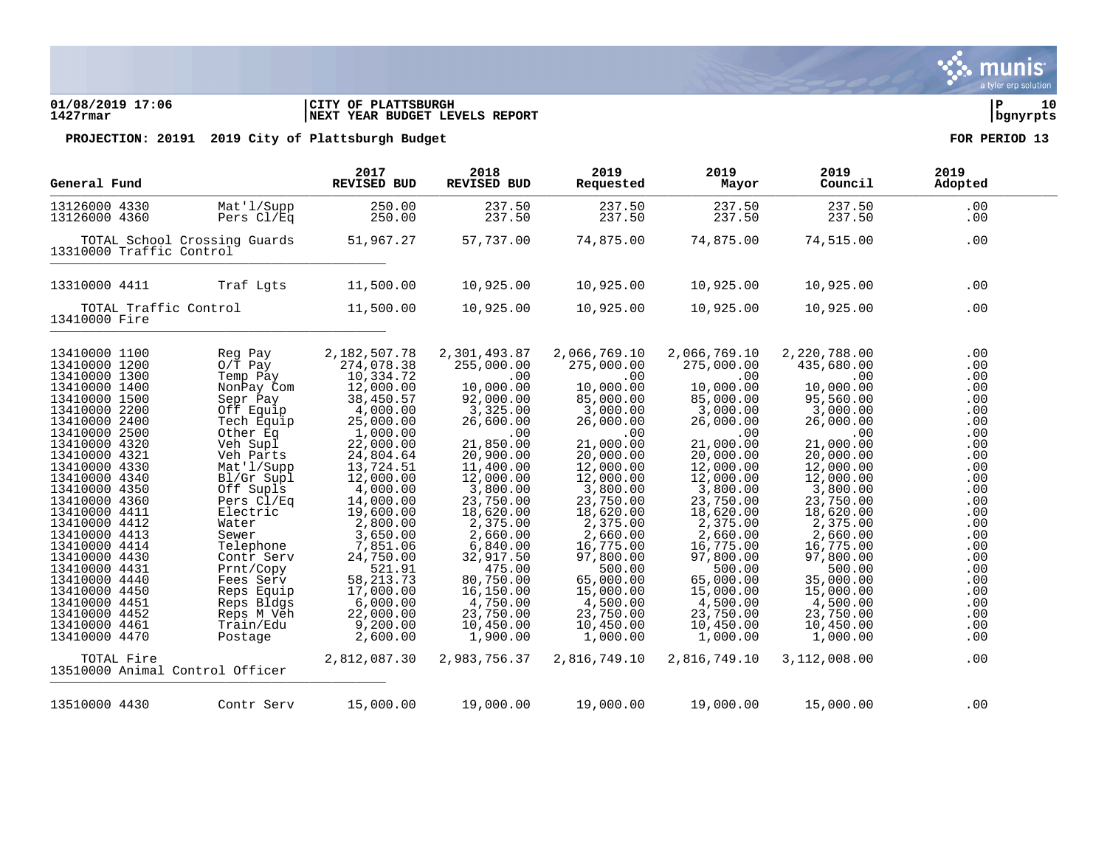### **01/08/2019 17:06 |CITY OF PLATTSBURGH |P 10 1427rmar |NEXT YEAR BUDGET LEVELS REPORT |bgnyrpts**

| General Fund                                                                                                                                                                                                                                                                                                                                                      |                                                                                                                                                                                                                                                                      | 2017<br><b>REVISED BUD</b>                                                                                                                                                                                                                                                 | 2018<br>REVISED BUD                                                                                                                                                                                                                                           | 2019<br>Requested                                                                                                                                                                                                                                              | 2019<br>Mayor                                                                                                                                                                                                                                                  | 2019<br>Council                                                                                                                                                                                                                                                | 2019<br>Adopted                                                                                                                                 |  |
|-------------------------------------------------------------------------------------------------------------------------------------------------------------------------------------------------------------------------------------------------------------------------------------------------------------------------------------------------------------------|----------------------------------------------------------------------------------------------------------------------------------------------------------------------------------------------------------------------------------------------------------------------|----------------------------------------------------------------------------------------------------------------------------------------------------------------------------------------------------------------------------------------------------------------------------|---------------------------------------------------------------------------------------------------------------------------------------------------------------------------------------------------------------------------------------------------------------|----------------------------------------------------------------------------------------------------------------------------------------------------------------------------------------------------------------------------------------------------------------|----------------------------------------------------------------------------------------------------------------------------------------------------------------------------------------------------------------------------------------------------------------|----------------------------------------------------------------------------------------------------------------------------------------------------------------------------------------------------------------------------------------------------------------|-------------------------------------------------------------------------------------------------------------------------------------------------|--|
| 13126000 4330<br>13126000 4360                                                                                                                                                                                                                                                                                                                                    | Mat'l/Supp<br>Pers Cl/Eq                                                                                                                                                                                                                                             | 250.00<br>250.00                                                                                                                                                                                                                                                           | 237.50<br>237.50                                                                                                                                                                                                                                              | 237.50<br>237.50                                                                                                                                                                                                                                               | 237.50<br>237.50                                                                                                                                                                                                                                               | 237.50<br>237.50                                                                                                                                                                                                                                               | .00<br>.00                                                                                                                                      |  |
|                                                                                                                                                                                                                                                                                                                                                                   | TOTAL School Crossing Guards<br>13310000 Traffic Control                                                                                                                                                                                                             | 51,967.27                                                                                                                                                                                                                                                                  | 57,737.00                                                                                                                                                                                                                                                     | 74,875.00                                                                                                                                                                                                                                                      | 74,875.00                                                                                                                                                                                                                                                      | 74,515.00                                                                                                                                                                                                                                                      | .00                                                                                                                                             |  |
| 13310000 4411                                                                                                                                                                                                                                                                                                                                                     | Traf Lqts                                                                                                                                                                                                                                                            | 11,500.00                                                                                                                                                                                                                                                                  | 10,925.00                                                                                                                                                                                                                                                     | 10,925.00                                                                                                                                                                                                                                                      | 10,925.00                                                                                                                                                                                                                                                      | 10,925.00                                                                                                                                                                                                                                                      | .00                                                                                                                                             |  |
| 13410000 Fire                                                                                                                                                                                                                                                                                                                                                     | TOTAL Traffic Control                                                                                                                                                                                                                                                | 11,500.00                                                                                                                                                                                                                                                                  | 10,925.00                                                                                                                                                                                                                                                     | 10,925.00                                                                                                                                                                                                                                                      | 10,925.00                                                                                                                                                                                                                                                      | 10,925.00                                                                                                                                                                                                                                                      | .00                                                                                                                                             |  |
| 13410000 1100<br>13410000 1200<br>13410000 1300<br>13410000 1400<br>13410000 1500<br>13410000 2200<br>13410000 2400<br>13410000 2500<br>13410000 4320<br>13410000 4321<br>13410000 4330<br>13410000 4340<br>13410000 4350<br>13410000 4360<br>13410000 4411<br>13410000 4412<br>13410000 4413<br>13410000 4414<br>13410000 4430<br>13410000 4431<br>13410000 4440 | Reg Pay<br>$0/T$ Pay<br>Temp Pay<br>NonPay Com<br>Sepr Pay<br>Off Equip<br>Tech Equip<br>Other Eq<br>Veh Supl<br>Veh Parts<br>Mat'l/Supp<br>Bl/Gr Supl<br>Off Supls<br>Pers Cl/Eq<br>Electric<br>Water<br>Sewer<br>Telephone<br>Contr Serv<br>Prnt/Copy<br>Fees Serv | 2,182,507.78<br>274,078.38<br>10,334.72<br>12,000.00<br>38,450.57<br>4,000.00<br>25,000.00<br>1,000.00<br>22,000.00<br>24,804.64<br>13,724.51<br>12,000.00<br>4,000.00<br>14,000.00<br>19,600.00<br>2,800.00<br>3,650.00<br>7,851.06<br>24,750.00<br>521.91<br>58, 213. 73 | 2,301,493.87<br>255,000.00<br>.00<br>10,000.00<br>92,000.00<br>3,325.00<br>26,600.00<br>.00<br>21,850.00<br>20,900.00<br>11,400.00<br>12,000.00<br>3,800.00<br>23,750.00<br>18,620.00<br>2,375.00<br>2,660.00<br>6,840.00<br>32,917.50<br>475.00<br>80,750.00 | 2,066,769.10<br>275,000.00<br>.00<br>10,000.00<br>85,000.00<br>3,000.00<br>26,000.00<br>.00<br>21,000.00<br>20,000.00<br>12,000.00<br>12,000.00<br>3,800.00<br>23,750.00<br>18,620.00<br>2,375.00<br>2,660.00<br>16,775.00<br>97,800.00<br>500.00<br>65,000.00 | 2,066,769.10<br>275,000.00<br>.00<br>10,000.00<br>85,000.00<br>3,000.00<br>26,000.00<br>.00<br>21,000.00<br>20,000.00<br>12,000.00<br>12,000.00<br>3,800.00<br>23,750.00<br>18,620.00<br>2,375.00<br>2,660.00<br>16,775.00<br>97,800.00<br>500.00<br>65,000.00 | 2,220,788.00<br>435,680.00<br>.00<br>10,000.00<br>95,560.00<br>3,000.00<br>26,000.00<br>.00<br>21,000.00<br>20,000.00<br>12,000.00<br>12,000.00<br>3,800.00<br>23,750.00<br>18,620.00<br>2,375.00<br>2,660.00<br>16,775.00<br>97,800.00<br>500.00<br>35,000.00 | .00<br>.00<br>.00<br>.00<br>.00<br>.00<br>.00<br>.00<br>.00<br>.00<br>.00<br>.00<br>.00<br>.00<br>.00<br>.00<br>.00<br>.00<br>.00<br>.00<br>.00 |  |
| 13410000 4450<br>13410000 4451<br>13410000 4452<br>13410000 4461<br>13410000 4470                                                                                                                                                                                                                                                                                 | Reps Equip<br>Reps Bldgs<br>Reps M Veh<br>Train/Edu<br>Postage                                                                                                                                                                                                       | 17,000.00<br>6,000.00<br>22,000.00<br>9,200.00<br>2,600.00                                                                                                                                                                                                                 | 16,150.00<br>4,750.00<br>23,750.00<br>10,450.00<br>1,900.00                                                                                                                                                                                                   | 15,000.00<br>4,500.00<br>23,750.00<br>10,450.00<br>1,000.00                                                                                                                                                                                                    | 15,000.00<br>4,500.00<br>23,750.00<br>10,450.00<br>1,000.00                                                                                                                                                                                                    | 15,000.00<br>4,500.00<br>23,750.00<br>10,450.00<br>1,000.00                                                                                                                                                                                                    | .00<br>.00<br>.00<br>.00<br>.00                                                                                                                 |  |
| TOTAL Fire                                                                                                                                                                                                                                                                                                                                                        | 13510000 Animal Control Officer                                                                                                                                                                                                                                      | 2,812,087.30                                                                                                                                                                                                                                                               | 2,983,756.37                                                                                                                                                                                                                                                  | 2,816,749.10                                                                                                                                                                                                                                                   | 2,816,749.10                                                                                                                                                                                                                                                   | 3,112,008.00                                                                                                                                                                                                                                                   | .00                                                                                                                                             |  |
| 13510000 4430                                                                                                                                                                                                                                                                                                                                                     | Contr Serv                                                                                                                                                                                                                                                           | 15,000.00                                                                                                                                                                                                                                                                  | 19,000.00                                                                                                                                                                                                                                                     | 19,000.00                                                                                                                                                                                                                                                      | 19,000.00                                                                                                                                                                                                                                                      | 15,000.00                                                                                                                                                                                                                                                      | .00                                                                                                                                             |  |

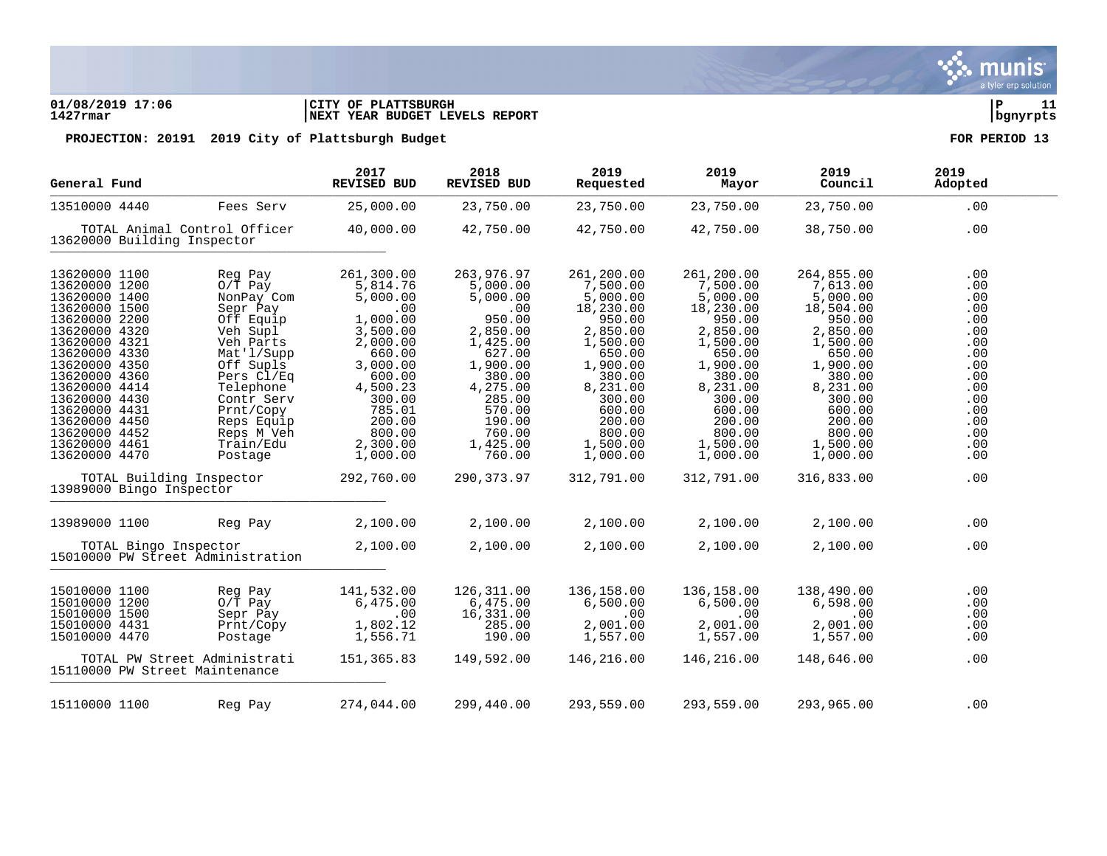### **01/08/2019 17:06 |CITY OF PLATTSBURGH |P 11 1427rmar |NEXT YEAR BUDGET LEVELS REPORT |bgnyrpts**

| General Fund                                                                                                                                                                                                                                                                                  |                                                                                                                                                                                                                           | 2017<br><b>REVISED BUD</b>                                                                                                                                                                | 2018<br><b>REVISED BUD</b>                                                                                                                                                            | 2019<br>Requested                                                                                                                                                                             | 2019<br>Mayor                                                                                                                                                                                 | 2019<br>Council                                                                                                                                                                               | 2019<br>Adopted                                                                                                     |
|-----------------------------------------------------------------------------------------------------------------------------------------------------------------------------------------------------------------------------------------------------------------------------------------------|---------------------------------------------------------------------------------------------------------------------------------------------------------------------------------------------------------------------------|-------------------------------------------------------------------------------------------------------------------------------------------------------------------------------------------|---------------------------------------------------------------------------------------------------------------------------------------------------------------------------------------|-----------------------------------------------------------------------------------------------------------------------------------------------------------------------------------------------|-----------------------------------------------------------------------------------------------------------------------------------------------------------------------------------------------|-----------------------------------------------------------------------------------------------------------------------------------------------------------------------------------------------|---------------------------------------------------------------------------------------------------------------------|
| 13510000 4440                                                                                                                                                                                                                                                                                 | Fees Serv                                                                                                                                                                                                                 | 25,000.00                                                                                                                                                                                 | 23,750.00                                                                                                                                                                             | 23,750.00                                                                                                                                                                                     | 23,750.00                                                                                                                                                                                     | 23,750.00                                                                                                                                                                                     | .00                                                                                                                 |
| TOTAL Animal Control Officer<br>13620000 Building Inspector                                                                                                                                                                                                                                   |                                                                                                                                                                                                                           | 40,000.00                                                                                                                                                                                 | 42,750.00                                                                                                                                                                             | 42,750.00                                                                                                                                                                                     | 42,750.00                                                                                                                                                                                     | 38,750.00                                                                                                                                                                                     | .00                                                                                                                 |
| 13620000 1100<br>13620000 1200<br>13620000 1400<br>13620000 1500<br>13620000 2200<br>13620000 4320<br>13620000 4321<br>13620000 4330<br>13620000 4350<br>13620000 4360<br>13620000 4414<br>13620000 4430<br>13620000 4431<br>13620000 4450<br>13620000 4452<br>13620000 4461<br>13620000 4470 | Reg Pay<br>$O/T$ Pay<br>NonPay Com<br>Sepr Pay<br>Off Equip<br>Veh Supl<br>Veh Parts<br>Mat'l/Supp<br>Off Supls<br>Pers Cl/Eq<br>Telephone<br>Contr Serv<br>Prnt/Copy<br>Reps Equip<br>Reps M Veh<br>Train/Edu<br>Postage | 261,300.00<br>5,814.76<br>5,000.00<br>.00<br>1,000.00<br>3,500.00<br>2,000.00<br>660.00<br>3,000.00<br>600.00<br>4,500.23<br>300.00<br>785.01<br>200.00<br>800.00<br>2,300.00<br>1,000.00 | 263,976.97<br>5,000.00<br>5,000.00<br>.00<br>950.00<br>2,850.00<br>1,425.00<br>627.00<br>1,900.00<br>380.00<br>4,275.00<br>285.00<br>570.00<br>190.00<br>760.00<br>1,425.00<br>760.00 | 261,200.00<br>7,500.00<br>5,000.00<br>18,230.00<br>950.00<br>2,850.00<br>1,500.00<br>650.00<br>1,900.00<br>380.00<br>8,231.00<br>300.00<br>600.00<br>200.00<br>800.00<br>1,500.00<br>1,000.00 | 261,200.00<br>7,500.00<br>5,000.00<br>18,230.00<br>950.00<br>2,850.00<br>1,500.00<br>650.00<br>1,900.00<br>380.00<br>8,231.00<br>300.00<br>600.00<br>200.00<br>800.00<br>1,500.00<br>1,000.00 | 264,855.00<br>7,613.00<br>5,000.00<br>18,504.00<br>950.00<br>2,850.00<br>1,500.00<br>650.00<br>1,900.00<br>380.00<br>8,231.00<br>300.00<br>600.00<br>200.00<br>800.00<br>1,500.00<br>1,000.00 | .00<br>.00<br>.00<br>.00<br>.00<br>.00<br>.00<br>.00<br>.00<br>.00<br>.00<br>.00<br>.00<br>.00<br>.00<br>.00<br>.00 |
| TOTAL Building Inspector<br>13989000 Bingo Inspector                                                                                                                                                                                                                                          |                                                                                                                                                                                                                           | 292,760.00                                                                                                                                                                                | 290, 373.97                                                                                                                                                                           | 312,791.00                                                                                                                                                                                    | 312,791.00                                                                                                                                                                                    | 316,833.00                                                                                                                                                                                    | .00                                                                                                                 |
| 13989000 1100                                                                                                                                                                                                                                                                                 | Reg Pay                                                                                                                                                                                                                   | 2,100.00                                                                                                                                                                                  | 2,100.00                                                                                                                                                                              | 2,100.00                                                                                                                                                                                      | 2,100.00                                                                                                                                                                                      | 2,100.00                                                                                                                                                                                      | .00                                                                                                                 |
| TOTAL Bingo Inspector<br>15010000 PW Street Administration                                                                                                                                                                                                                                    |                                                                                                                                                                                                                           | 2,100.00                                                                                                                                                                                  | 2,100.00                                                                                                                                                                              | 2,100.00                                                                                                                                                                                      | 2,100.00                                                                                                                                                                                      | 2,100.00                                                                                                                                                                                      | .00                                                                                                                 |
| 15010000 1100<br>15010000 1200<br>15010000 1500<br>15010000 4431<br>15010000 4470<br>TOTAL PW Street Administrati<br>15110000 PW Street Maintenance                                                                                                                                           | Reg Pay<br>$0/T$ Pay<br>Sepr Pay<br>Prnt/Copy<br>Postage                                                                                                                                                                  | 141,532.00<br>6,475.00<br>.00<br>1,802.12<br>1,556.71<br>151,365.83                                                                                                                       | 126,311.00<br>6,475.00<br>16,331.00<br>285.00<br>190.00<br>149,592.00                                                                                                                 | 136,158.00<br>6,500.00<br>.00<br>2,001.00<br>1,557.00<br>146,216.00                                                                                                                           | 136,158.00<br>6,500.00<br>.00<br>2,001.00<br>1,557.00<br>146,216.00                                                                                                                           | 138,490.00<br>6,598.00<br>.00<br>2,001.00<br>1,557.00<br>148,646.00                                                                                                                           | .00<br>.00<br>.00<br>.00<br>.00<br>.00                                                                              |
| 15110000 1100                                                                                                                                                                                                                                                                                 | Reg Pay                                                                                                                                                                                                                   | 274,044.00                                                                                                                                                                                | 299,440.00                                                                                                                                                                            | 293,559.00                                                                                                                                                                                    | 293,559.00                                                                                                                                                                                    | 293,965.00                                                                                                                                                                                    | .00                                                                                                                 |

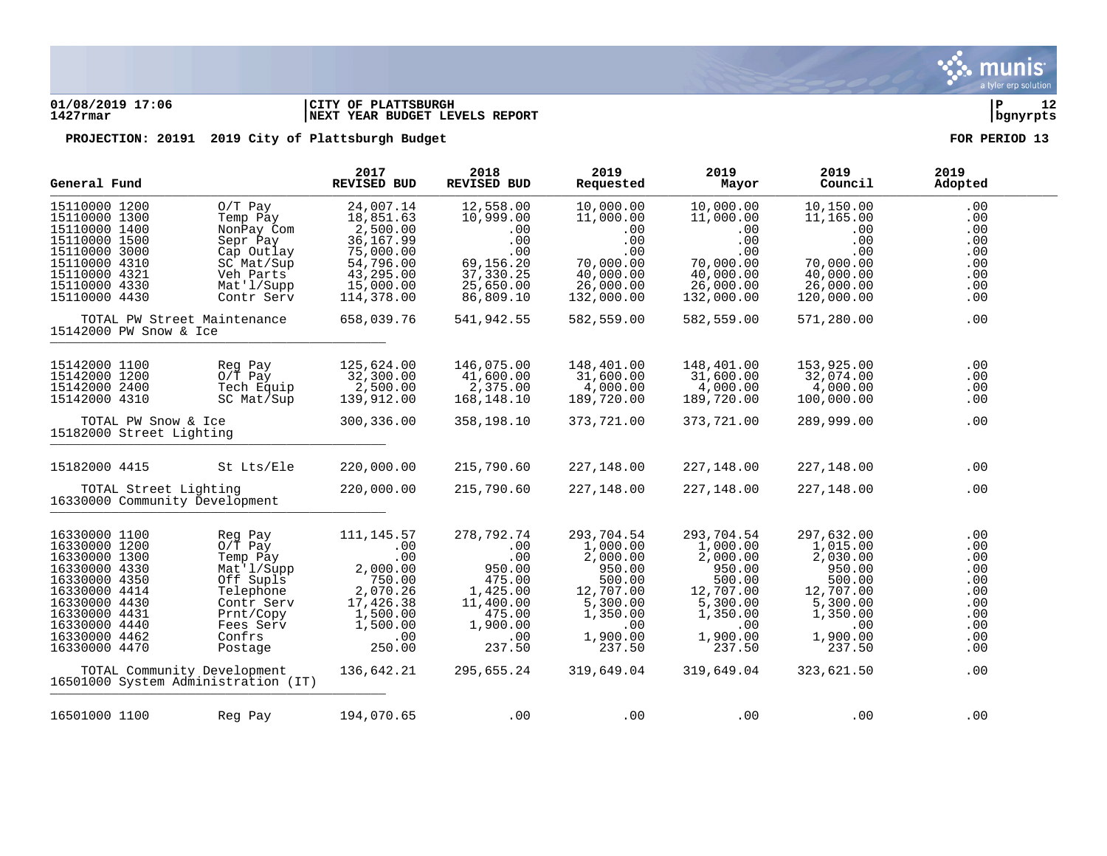

### **01/08/2019 17:06 |CITY OF PLATTSBURGH |P 12 1427rmar |NEXT YEAR BUDGET LEVELS REPORT |bgnyrpts**

| General Fund                                                                                                                                                                                                                                                                                                                                                                                           | 2017<br><b>REVISED BUD</b>                                                                                                      | 2018<br>REVISED BUD                                                                                                        | 2019<br>Requested                                                                                                                      | 2019<br>Mayor                                                                                                                          | 2019<br>Council                                                                                                                        | 2019<br>Adopted                                                                  |
|--------------------------------------------------------------------------------------------------------------------------------------------------------------------------------------------------------------------------------------------------------------------------------------------------------------------------------------------------------------------------------------------------------|---------------------------------------------------------------------------------------------------------------------------------|----------------------------------------------------------------------------------------------------------------------------|----------------------------------------------------------------------------------------------------------------------------------------|----------------------------------------------------------------------------------------------------------------------------------------|----------------------------------------------------------------------------------------------------------------------------------------|----------------------------------------------------------------------------------|
| 15110000 1200<br>$0/T$ Pay<br>15110000 1300<br>Temp Pay<br>15110000 1400<br>NonPay Com<br>15110000 1500<br>Sepr Pay<br>15110000 3000<br>Cap Outlay<br>15110000 4310<br>SC Mat/Sup<br>15110000 4321<br>Veh Parts<br>15110000 4330<br>Mat'l/Supp<br>15110000 4430<br>Contr Serv                                                                                                                          | 24,007.14<br>18,851.63<br>2,500.00<br>36, 167.99<br>75,000.00<br>54,796.00<br>43,295.00<br>15,000.00<br>114,378.00              | 12,558.00<br>10,999.00<br>.00<br>.00<br>.00<br>69,156.20<br>37,330.25<br>25,650.00<br>86,809.10                            | 10,000.00<br>11,000.00<br>.00<br>.00<br>.00<br>70,000.00<br>40,000.00<br>26,000.00<br>132,000.00                                       | 10,000.00<br>11,000.00<br>.00<br>.00<br>.00<br>70,000.00<br>40,000.00<br>26,000.00<br>132,000.00                                       | 10,150.00<br>11,165.00<br>.00<br>.00<br>.00<br>70,000.00<br>40,000.00<br>26,000.00<br>120,000.00                                       | .00<br>.00<br>.00<br>.00<br>.00<br>.00<br>.00<br>.00<br>.00                      |
| TOTAL PW Street Maintenance<br>15142000 PW Snow & Ice                                                                                                                                                                                                                                                                                                                                                  | 658,039.76                                                                                                                      | 541,942.55                                                                                                                 | 582,559.00                                                                                                                             | 582,559.00                                                                                                                             | 571,280.00                                                                                                                             | .00                                                                              |
| 15142000 1100<br>Reg Pay<br>15142000 1200<br>$0/T$ Pay<br>15142000 2400<br>Tech Equip<br>15142000 4310<br>SC Mat/Sup                                                                                                                                                                                                                                                                                   | 125,624.00<br>32,300.00<br>2,500.00<br>139,912.00                                                                               | 146,075.00<br>41,600.00<br>2,375.00<br>168,148.10                                                                          | 148,401.00<br>31,600.00<br>4,000.00<br>189,720.00                                                                                      | 148,401.00<br>31,600.00<br>4,000.00<br>189,720.00                                                                                      | 153,925.00<br>32,074.00<br>4,000.00<br>100,000.00                                                                                      | .00<br>.00<br>.00<br>.00                                                         |
| TOTAL PW Snow & Ice<br>15182000 Street Lighting                                                                                                                                                                                                                                                                                                                                                        | 300,336.00                                                                                                                      | 358,198.10                                                                                                                 | 373,721.00                                                                                                                             | 373,721.00                                                                                                                             | 289,999.00                                                                                                                             | .00                                                                              |
| St Lts/Ele<br>15182000 4415                                                                                                                                                                                                                                                                                                                                                                            | 220,000.00                                                                                                                      | 215,790.60                                                                                                                 | 227,148.00                                                                                                                             | 227,148.00                                                                                                                             | 227,148.00                                                                                                                             | .00                                                                              |
| TOTAL Street Lighting<br>16330000 Community Development                                                                                                                                                                                                                                                                                                                                                | 220,000.00                                                                                                                      | 215,790.60                                                                                                                 | 227,148.00                                                                                                                             | 227,148.00                                                                                                                             | 227,148.00                                                                                                                             | .00                                                                              |
| 16330000 1100<br>Reg Pay<br>16330000 1200<br>$0/T$ Pay<br>16330000 1300<br>Temp Pay<br>16330000 4330<br>Mat'l/Supp<br>16330000 4350<br>Off Supls<br>16330000 4414<br>Telephone<br>16330000 4430<br>Contr Serv<br>16330000 4431<br>Prnt/Copy<br>16330000 4440<br>Fees Serv<br>16330000 4462<br>Confrs<br>16330000 4470<br>Postage<br>TOTAL Community Development<br>16501000 System Administration (IT) | 111, 145.57<br>.00<br>.00<br>2,000.00<br>750.00<br>2,070.26<br>17,426.38<br>1,500.00<br>1,500.00<br>.00<br>250.00<br>136,642.21 | 278,792.74<br>.00<br>.00<br>950.00<br>475.00<br>1,425.00<br>11,400.00<br>475.00<br>1,900.00<br>.00<br>237.50<br>295,655.24 | 293,704.54<br>1,000.00<br>2,000.00<br>950.00<br>500.00<br>12,707.00<br>5,300.00<br>1,350.00<br>.00<br>1,900.00<br>237.50<br>319,649.04 | 293,704.54<br>1,000.00<br>2,000.00<br>950.00<br>500.00<br>12,707.00<br>5,300.00<br>1,350.00<br>.00<br>1,900.00<br>237.50<br>319,649.04 | 297,632.00<br>1,015.00<br>2,030.00<br>950.00<br>500.00<br>12,707.00<br>5,300.00<br>1,350.00<br>.00<br>1,900.00<br>237.50<br>323,621.50 | .00<br>.00<br>.00<br>.00<br>.00<br>.00<br>.00<br>.00<br>.00<br>.00<br>.00<br>.00 |
| 16501000 1100<br>Reg Pay                                                                                                                                                                                                                                                                                                                                                                               | 194,070.65                                                                                                                      | .00                                                                                                                        | .00                                                                                                                                    | .00                                                                                                                                    | .00                                                                                                                                    | .00                                                                              |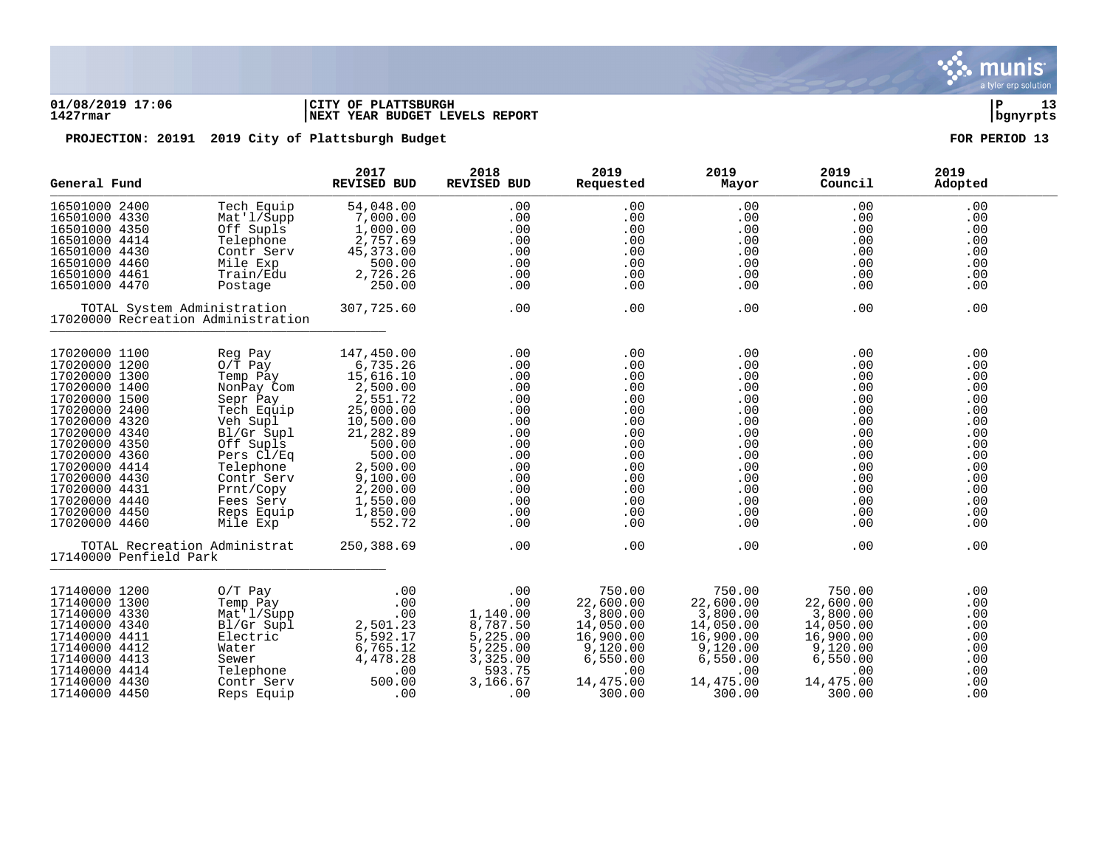

### **01/08/2019 17:06 |CITY OF PLATTSBURGH |P 13 1427rmar |NEXT YEAR BUDGET LEVELS REPORT |bgnyrpts**

|               | General Fund                                                      |            | 2018<br>REVISED BUD | 2019<br>Requested | 2019<br>Mayor | 2019<br>Council | 2019<br>Adopted |
|---------------|-------------------------------------------------------------------|------------|---------------------|-------------------|---------------|-----------------|-----------------|
| 16501000 2400 | Tech Equip                                                        | 54,048.00  | .00                 | .00               | .00           | .00             | .00             |
| 16501000 4330 | Mat'1/Supp                                                        | 7,000.00   | .00                 | .00               | .00           | .00             | .00             |
| 16501000 4350 | Off Supls                                                         | 1,000.00   | .00                 | .00               | .00           | .00             | .00             |
| 16501000 4414 | Telephone                                                         | 2,757.69   | .00                 | .00               | .00           | .00             | .00             |
| 16501000 4430 | Contr Serv                                                        | 45, 373.00 | .00                 | .00               | .00           | .00             | .00             |
| 16501000 4460 | Mile Exp                                                          | 500.00     | .00                 | .00               | .00           | .00             | .00             |
| 16501000 4461 | Train/Edu                                                         | 2,726.26   | .00                 | .00               | .00           | .00             | .00             |
| 16501000 4470 | Postage                                                           | 250.00     | .00                 | .00               | .00           | .00             | .00             |
|               | TOTAL System Administration<br>17020000 Recreation Administration | 307,725.60 | .00                 | .00               | .00           | .00             | .00             |
| 17020000 1100 | Reg Pay                                                           | 147,450.00 | .00                 | .00               | .00           | .00             | .00             |
| 17020000 1200 | $0/\bar{T}$ Pay                                                   | 6,735.26   | .00                 | .00               | .00           | .00             | .00             |
| 17020000 1300 | Temp Pay                                                          | 15,616.10  | .00                 | .00               | .00           | .00             | .00             |
| 17020000 1400 | NonPay Com                                                        | 2,500.00   | .00                 | .00               | .00           | .00             | .00             |
| 17020000 1500 | Sepr Pay                                                          | 2,551.72   | .00                 | .00               | .00           | .00             | .00             |
| 17020000 2400 | Tech Equip                                                        | 25,000.00  | .00                 | .00               | .00           | .00             | .00             |
| 17020000 4320 | Veh Supl                                                          | 10,500.00  | .00                 | .00               | .00           | .00             | .00             |
| 17020000 4340 | Bl/Gr Supl                                                        | 21,282.89  | .00                 | .00               | .00           | $.00 \,$        | .00             |
| 17020000 4350 | Off Supls                                                         | 500.00     | .00                 | .00               | .00           | .00             | .00             |
| 17020000 4360 | Pers Cl/Eq                                                        | 500.00     | .00                 | .00               | .00           | .00             | .00             |
| 17020000 4414 | Telephone                                                         | 2,500.00   | .00                 | .00               | .00           | .00             | .00             |
| 17020000 4430 | Contr Serv                                                        | 9,100.00   | .00                 | .00               | .00           | .00             | .00             |
| 17020000 4431 | Prnt/Copy                                                         | 2,200.00   | .00                 | .00               | .00           | $.00 \,$        | .00             |
| 17020000 4440 | Fees Serv                                                         | 1,550.00   | .00                 | .00               | .00           | $.00 \,$        | .00             |
| 17020000 4450 | Reps Equip                                                        | 1,850.00   | .00                 | .00               | .00           | .00             | .00             |
| 17020000 4460 | Mile Exp                                                          | 552.72     | .00                 | .00               | .00           | .00             | .00             |
|               | TOTAL Recreation Administrat<br>17140000 Penfield Park            | 250,388.69 | .00                 | .00               | .00           | .00             | .00             |
| 17140000 1200 | $0/T$ Pay                                                         | .00        | .00                 | 750.00            | 750.00        | 750.00          | .00             |
| 17140000 1300 | Temp Pay                                                          | .00        | .00                 | 22,600.00         | 22,600.00     | 22,600.00       | .00             |
| 17140000 4330 | Mat'l/Supp                                                        | .00        | 1,140.00            | 3,800.00          | 3,800.00      | 3,800.00        | .00             |
| 17140000 4340 | Bl/Gr Supl                                                        | 2,501.23   | 8,787.50            | 14,050.00         | 14,050.00     | 14,050.00       | .00             |
| 17140000 4411 | Electric                                                          | 5,592.17   | 5,225.00            | 16,900.00         | 16,900.00     | 16,900.00       | .00             |
| 17140000 4412 | Water                                                             | 6,765.12   | 5,225.00            | 9,120.00          | 9,120.00      | 9,120.00        | .00             |
| 17140000 4413 | Sewer                                                             | 4,478.28   | 3,325.00            | 6,550.00          | 6,550.00      | 6,550.00        | .00             |
| 17140000 4414 | Telephone                                                         | .00        | 593.75              | .00               | .00           | .00             | .00             |
| 17140000 4430 | Contr Serv                                                        | 500.00     | 3,166.67            | 14,475.00         | 14,475.00     | 14,475.00       | .00             |
| 17140000 4450 | Reps Equip                                                        | .00        | .00                 | 300.00            | 300.00        | 300.00          | .00             |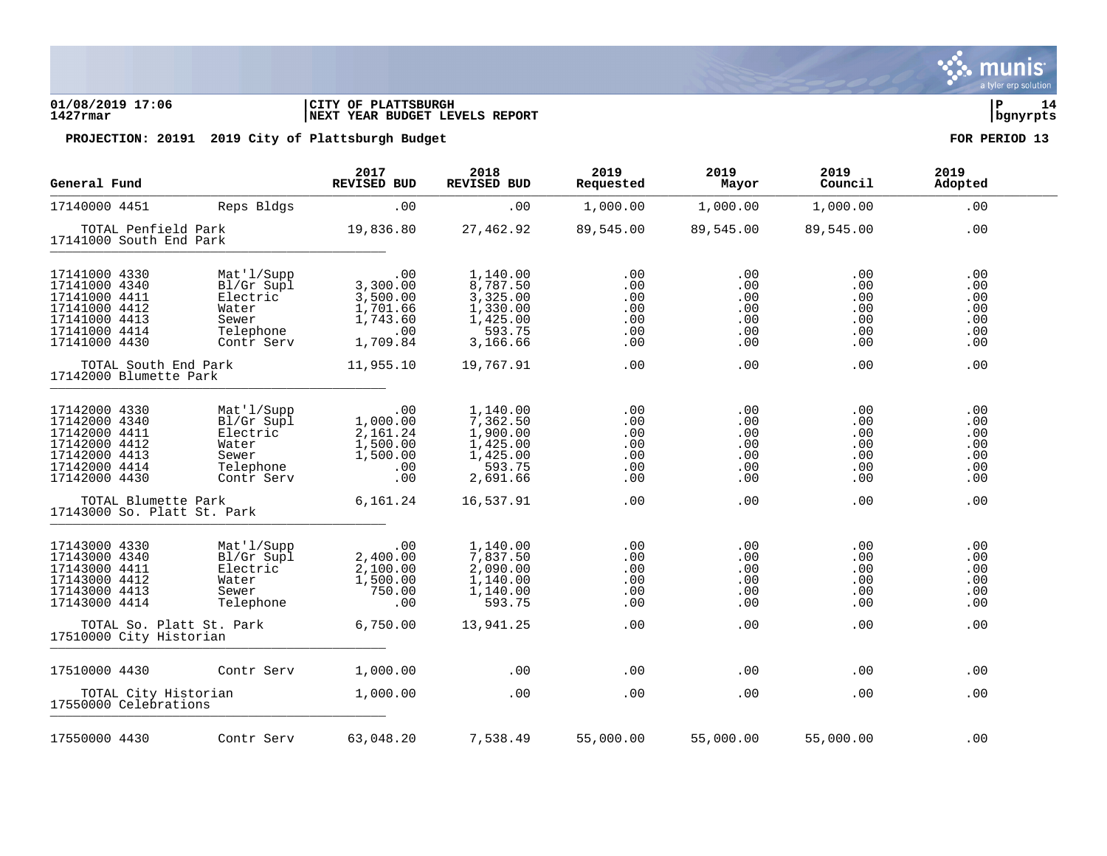### **01/08/2019 17:06 |CITY OF PLATTSBURGH |P 14 1427rmar |NEXT YEAR BUDGET LEVELS REPORT |bgnyrpts**

| General Fund                                                                                                        |                                                                                   | 2017<br>REVISED BUD                                                        | 2018<br>REVISED BUD                                                            | 2019<br>Requested                             | 2019<br>Mayor                                 | 2019<br>Council                                    | 2019<br>Adopted                               |
|---------------------------------------------------------------------------------------------------------------------|-----------------------------------------------------------------------------------|----------------------------------------------------------------------------|--------------------------------------------------------------------------------|-----------------------------------------------|-----------------------------------------------|----------------------------------------------------|-----------------------------------------------|
| 17140000 4451                                                                                                       | Reps Bldgs                                                                        | .00                                                                        | .00                                                                            | 1,000.00                                      | 1,000.00                                      | 1,000.00                                           | $.00 \,$                                      |
| TOTAL Penfield Park<br>17141000 South End Park                                                                      |                                                                                   | 19,836.80                                                                  | 27,462.92                                                                      | 89,545.00                                     | 89,545.00                                     | 89,545.00                                          | .00                                           |
| 17141000 4330<br>17141000 4340<br>17141000 4411<br>17141000 4412<br>17141000 4413<br>17141000 4414<br>17141000 4430 | Mat'l/Supp<br>Bl/Gr Supl<br>Electric<br>Water<br>Sewer<br>Telephone<br>Contr Serv | .00<br>3,300.00<br>$3,500.00$<br>$1,701.66$<br>1,743.60<br>.00<br>1,709.84 | 1,140.00<br>8,787.50<br>3,325.00<br>1,330.00<br>1,425.00<br>593.75<br>3,166.66 | .00<br>.00<br>.00<br>.00<br>.00<br>.00<br>.00 | .00<br>.00<br>.00<br>.00<br>.00<br>.00<br>.00 | .00<br>.00<br>.00<br>.00<br>.00<br>.00<br>$.00 \,$ | .00<br>.00<br>.00<br>.00<br>.00<br>.00<br>.00 |
| TOTAL South End Park<br>17142000 Blumette Park                                                                      |                                                                                   | 11,955.10                                                                  | 19,767.91                                                                      | .00                                           | .00                                           | .00                                                | .00                                           |
| 17142000 4330<br>17142000 4340<br>17142000 4411<br>17142000 4412<br>17142000 4413<br>17142000 4414<br>17142000 4430 | Mat'l/Supp<br>Bl/Gr Supl<br>Electric<br>Water<br>Sewer<br>Telephone<br>Contr Serv | .00<br>1,000.00<br>2,161.24<br>1,500.00<br>1,500.00<br>.00<br>.00          | 1,140.00<br>7,362.50<br>1,900.00<br>1,425.00<br>1,425.00<br>593.75<br>2,691.66 | .00<br>.00<br>.00<br>.00<br>.00<br>.00<br>.00 | .00<br>.00<br>.00<br>.00<br>.00<br>.00<br>.00 | .00<br>.00<br>.00<br>.00<br>.00<br>.00<br>$.00 \,$ | .00<br>.00<br>.00<br>.00<br>.00<br>.00<br>.00 |
| TOTAL Blumette Park<br>17143000 So. Platt St. Park                                                                  |                                                                                   | 6,161.24                                                                   | 16,537.91                                                                      | .00                                           | .00                                           | .00                                                | .00                                           |
| 17143000 4330<br>17143000 4340<br>17143000 4411<br>17143000 4412<br>17143000 4413<br>17143000 4414                  | Mat'l/Supp<br>Bl/Gr Supl<br>Electric<br>Water<br>Sewer<br>Telephone               | .00<br>2,400.00<br>2,100.00<br>1,500.00<br>750.00<br>.00                   | 1,140.00<br>7,837.50<br>2,090.00<br>1,140.00<br>1,140.00<br>593.75             | .00<br>.00<br>.00<br>.00<br>.00<br>.00        | .00<br>.00<br>.00<br>.00<br>.00<br>.00        | .00<br>.00<br>.00<br>.00<br>.00<br>.00             | .00<br>.00<br>.00<br>.00<br>.00<br>.00        |
| TOTAL So. Platt St. Park<br>17510000 City Historian                                                                 |                                                                                   | 6,750.00                                                                   | 13,941.25                                                                      | .00                                           | .00                                           | .00                                                | .00                                           |
| 17510000 4430                                                                                                       | Contr Serv                                                                        | 1,000.00                                                                   | .00                                                                            | .00                                           | .00                                           | .00                                                | .00                                           |
| TOTAL City Historian<br>17550000 Celebrations                                                                       |                                                                                   | 1,000.00                                                                   | .00                                                                            | .00                                           | .00                                           | .00                                                | .00                                           |
| 17550000 4430                                                                                                       | Contr Serv                                                                        | 63,048.20                                                                  | 7,538.49 55,000.00                                                             |                                               | 55,000.00                                     | 55,000.00                                          | .00                                           |

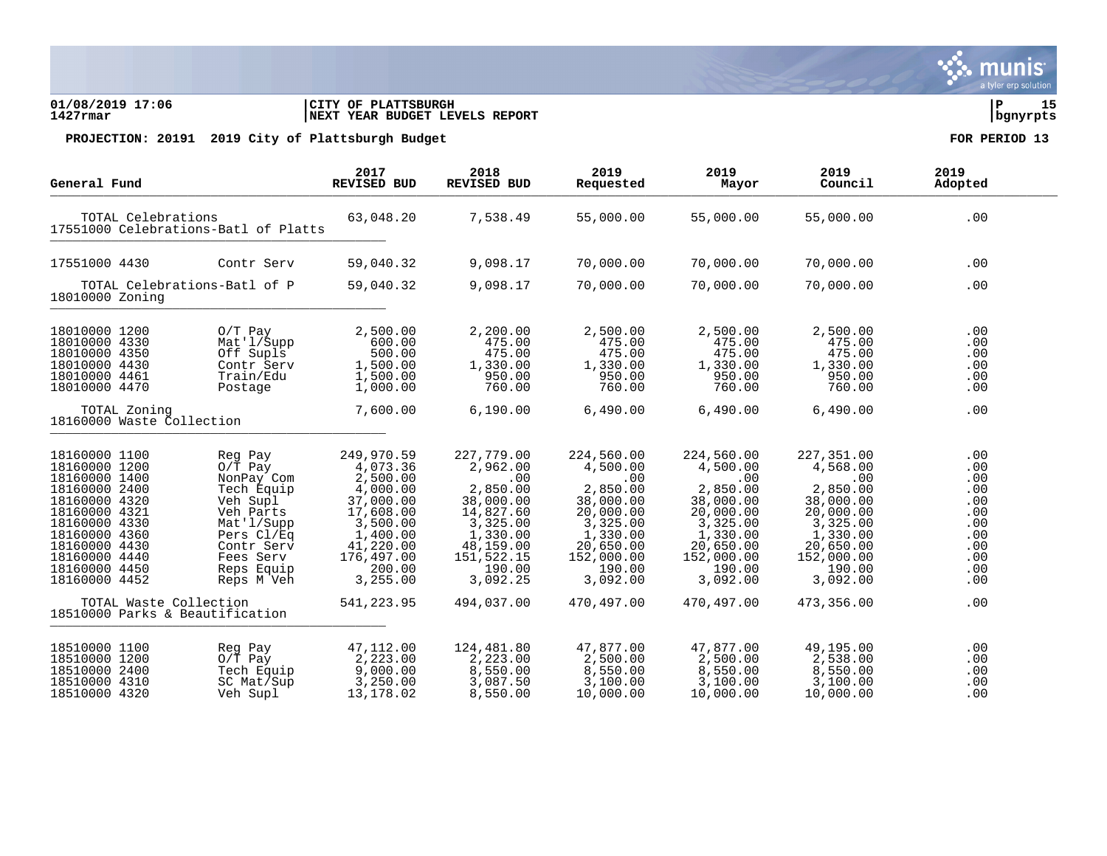### **01/08/2019 17:06 |CITY OF PLATTSBURGH |P 15 1427rmar |NEXT YEAR BUDGET LEVELS REPORT |bgnyrpts**

| General Fund                                                                                                                                                                                             |                                                                                                                                                              | 2017<br><b>REVISED BUD</b>                                                                                                                        | 2018<br><b>REVISED BUD</b>                                                                                                                   | 2019<br>Requested                                                                                                                            | 2019<br>Mayor                                                                                                                                | 2019<br>Council                                                                                                                              | 2019<br>Adopted                                                                  |
|----------------------------------------------------------------------------------------------------------------------------------------------------------------------------------------------------------|--------------------------------------------------------------------------------------------------------------------------------------------------------------|---------------------------------------------------------------------------------------------------------------------------------------------------|----------------------------------------------------------------------------------------------------------------------------------------------|----------------------------------------------------------------------------------------------------------------------------------------------|----------------------------------------------------------------------------------------------------------------------------------------------|----------------------------------------------------------------------------------------------------------------------------------------------|----------------------------------------------------------------------------------|
|                                                                                                                                                                                                          | TOTAL Celebrations<br>17551000 Celebrations-Batl of Platts                                                                                                   |                                                                                                                                                   | 7,538.49                                                                                                                                     | 55,000.00                                                                                                                                    | 55,000.00                                                                                                                                    | 55,000.00                                                                                                                                    | .00                                                                              |
| 17551000 4430                                                                                                                                                                                            | Contr Serv                                                                                                                                                   | 59,040.32                                                                                                                                         | 9,098.17                                                                                                                                     | 70,000.00                                                                                                                                    | 70,000.00                                                                                                                                    | 70,000.00                                                                                                                                    | .00                                                                              |
| 18010000 Zoning                                                                                                                                                                                          | TOTAL Celebrations-Batl of P                                                                                                                                 | 59,040.32                                                                                                                                         | 9,098.17                                                                                                                                     | 70,000.00                                                                                                                                    | 70,000.00                                                                                                                                    | 70,000.00                                                                                                                                    | .00                                                                              |
| 18010000 1200<br>18010000 4330<br>18010000 4350<br>18010000 4430<br>18010000 4461<br>18010000 4470                                                                                                       | $0/T$ Pay<br>Mat'l/Supp<br>Off Supls<br>Contr Serv<br>Train/Edu<br>Postage                                                                                   | 2,500.00<br>600.00<br>500.00<br>1,500.00<br>1,500.00<br>1,000.00                                                                                  | 2,200.00<br>475.00<br>475.00<br>1,330.00<br>950.00<br>760.00                                                                                 | 2,500.00<br>475.00<br>475.00<br>1,330.00<br>950.00<br>760.00                                                                                 | 2,500.00<br>475.00<br>475.00<br>1,330.00<br>950.00<br>760.00                                                                                 | 2,500.00<br>475.00<br>475.00<br>1,330.00<br>950.00<br>760.00                                                                                 | .00<br>.00<br>.00<br>.00<br>.00<br>.00                                           |
| TOTAL Zoning<br>18160000 Waste Collection                                                                                                                                                                |                                                                                                                                                              | 7,600.00                                                                                                                                          | 6,190.00                                                                                                                                     | 6,490.00                                                                                                                                     | 6,490.00                                                                                                                                     | 6,490.00                                                                                                                                     | .00                                                                              |
| 18160000 1100<br>18160000 1200<br>18160000 1400<br>18160000 2400<br>18160000 4320<br>18160000 4321<br>18160000 4330<br>18160000 4360<br>18160000 4430<br>18160000 4440<br>18160000 4450<br>18160000 4452 | Reg Pay<br>$0/T$ Pay<br>NonPay Com<br>Tech Equip<br>Veh Supl<br>Veh Parts<br>Mat'l/Supp<br>Pers Cl/Eq<br>Contr Serv<br>Fees Serv<br>Reps Equip<br>Reps M Veh | 249,970.59<br>4,073.36<br>2,500.00<br>4,000.00<br>37,000.00<br>17,608.00<br>3,500.00<br>1,400.00<br>41,220.00<br>176,497.00<br>200.00<br>3,255.00 | 227,779.00<br>2,962.00<br>.00<br>2,850.00<br>38,000.00<br>14,827.60<br>3,325.00<br>1,330.00<br>48,159.00<br>151,522.15<br>190.00<br>3,092.25 | 224,560.00<br>4,500.00<br>.00<br>2,850.00<br>38,000.00<br>20,000.00<br>3,325.00<br>1,330.00<br>20,650.00<br>152,000.00<br>190.00<br>3,092.00 | 224,560.00<br>4,500.00<br>.00<br>2,850.00<br>38,000.00<br>20,000.00<br>3,325.00<br>1,330.00<br>20,650.00<br>152,000.00<br>190.00<br>3,092.00 | 227,351.00<br>4,568.00<br>.00<br>2,850.00<br>38,000.00<br>20,000.00<br>3,325.00<br>1,330.00<br>20,650.00<br>152,000.00<br>190.00<br>3,092.00 | .00<br>.00<br>.00<br>.00<br>.00<br>.00<br>.00<br>.00<br>.00<br>.00<br>.00<br>.00 |
| TOTAL Waste Collection<br>18510000 Parks & Beautification                                                                                                                                                |                                                                                                                                                              | 541, 223.95                                                                                                                                       | 494,037.00                                                                                                                                   | 470,497.00                                                                                                                                   | 470,497.00                                                                                                                                   | 473,356.00                                                                                                                                   | .00                                                                              |
| 18510000 1100<br>18510000 1200<br>18510000 2400<br>18510000 4310<br>18510000 4320                                                                                                                        | Reg Pay<br>$0/T$ Pay<br>Tech Equip<br>SC Mat/Sup<br>Veh Supl                                                                                                 | 47,112.00<br>2,223.00<br>9,000.00<br>3,250.00<br>13,178.02                                                                                        | 124,481.80<br>2,223.00<br>8,550.00<br>3,087.50<br>8,550.00                                                                                   | 47,877.00<br>2,500.00<br>8,550.00<br>3,100.00<br>10,000.00                                                                                   | 47,877.00<br>2,500.00<br>8,550.00<br>3,100.00<br>10,000.00                                                                                   | 49,195.00<br>2,538.00<br>8,550.00<br>3,100.00<br>10,000.00                                                                                   | .00<br>.00<br>.00<br>.00<br>.00                                                  |

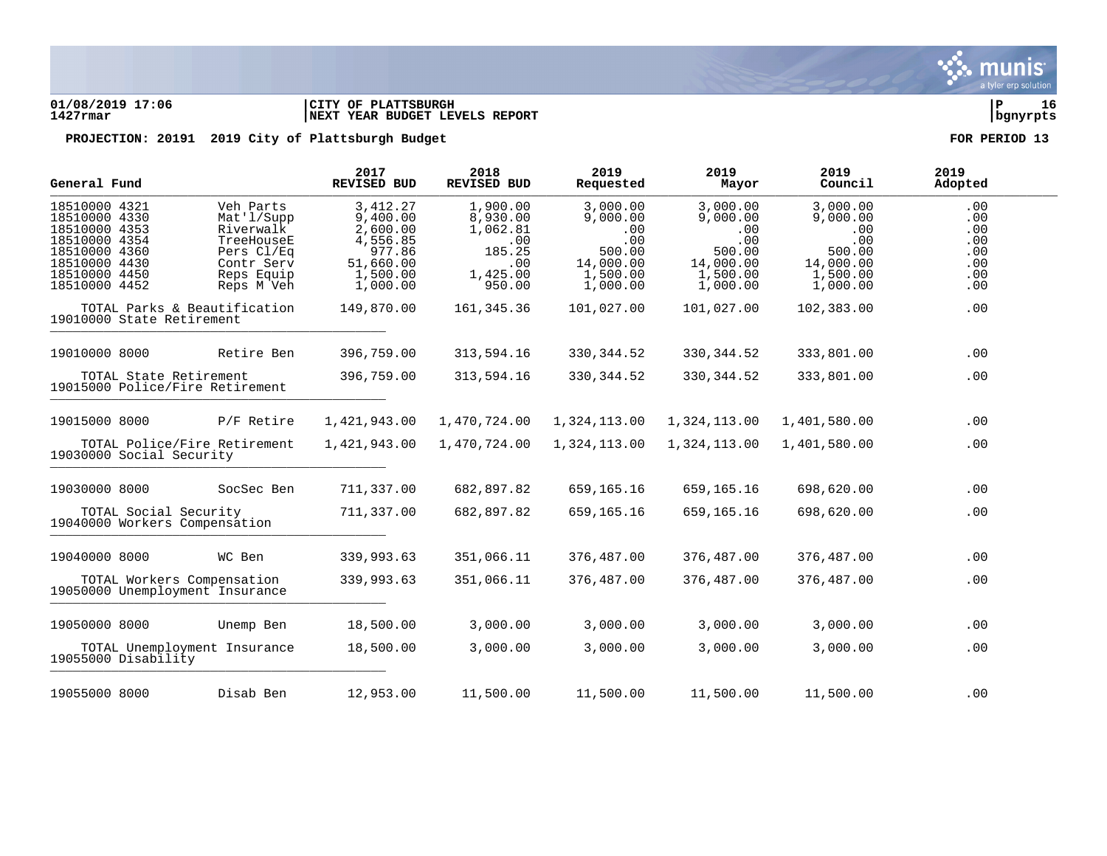

### **01/08/2019 17:06 |CITY OF PLATTSBURGH |P 16 1427rmar |NEXT YEAR BUDGET LEVELS REPORT |bgnyrpts**

|                                                                                                                                      | General Fund |                                                                                                            | 2017<br>REVISED BUD                                                                         | 2018<br>REVISED BUD                                                            | 2019<br>Requested                                                                 | 2019<br>Mayor                                                                     | 2019<br>Council                                                                   | 2019<br>Adopted                                      |  |
|--------------------------------------------------------------------------------------------------------------------------------------|--------------|------------------------------------------------------------------------------------------------------------|---------------------------------------------------------------------------------------------|--------------------------------------------------------------------------------|-----------------------------------------------------------------------------------|-----------------------------------------------------------------------------------|-----------------------------------------------------------------------------------|------------------------------------------------------|--|
| 18510000 4321<br>18510000 4330<br>18510000 4353<br>18510000 4354<br>18510000 4360<br>18510000 4430<br>18510000 4450<br>18510000 4452 |              | Veh Parts<br>Mat'l/Supp<br>Riverwalk<br>TreeHouseE<br>Pers Cl/Eq<br>Contr Serv<br>Reps Equip<br>Reps M Veh | 3,412.27<br>9,400.00<br>2,600.00<br>4,556.85<br>977.86<br>51,660.00<br>1,500.00<br>1,000.00 | 1,900.00<br>8,930.00<br>1,062.81<br>.00<br>185.25<br>.00<br>1,425.00<br>950.00 | 3,000.00<br>9,000.00<br>.00<br>.00<br>500.00<br>14,000.00<br>1,500.00<br>1,000.00 | 3,000.00<br>9,000.00<br>.00<br>.00<br>500.00<br>14,000.00<br>1,500.00<br>1,000.00 | 3,000.00<br>9,000.00<br>.00<br>.00<br>500.00<br>14,000.00<br>1,500.00<br>1,000.00 | .00<br>.00<br>.00<br>.00<br>.00<br>.00<br>.00<br>.00 |  |
| 19010000 State Retirement                                                                                                            |              | TOTAL Parks & Beautification                                                                               | 149,870.00                                                                                  | 161,345.36                                                                     | 101,027.00                                                                        | 101,027.00                                                                        | 102,383.00                                                                        | .00                                                  |  |
| 19010000 8000                                                                                                                        |              | Retire Ben                                                                                                 | 396,759.00                                                                                  | 313,594.16                                                                     | 330, 344.52                                                                       | 330, 344.52                                                                       | 333,801.00                                                                        | .00                                                  |  |
|                                                                                                                                      |              | TOTAL State Retirement<br>19015000 Police/Fire Retirement                                                  | 396,759.00                                                                                  | 313,594.16                                                                     | 330, 344.52                                                                       | 330, 344.52                                                                       | 333,801.00                                                                        | .00                                                  |  |
| 19015000 8000                                                                                                                        |              | P/F Retire                                                                                                 | 1,421,943.00                                                                                | 1,470,724.00                                                                   | 1,324,113.00                                                                      | 1,324,113.00                                                                      | 1,401,580.00                                                                      | .00                                                  |  |
| 19030000 Social Security                                                                                                             |              | TOTAL Police/Fire Retirement                                                                               | 1,421,943.00                                                                                | 1,470,724.00                                                                   | 1,324,113.00                                                                      | 1,324,113.00                                                                      | 1,401,580.00                                                                      | .00                                                  |  |
| 19030000 8000                                                                                                                        |              | SocSec Ben                                                                                                 | 711,337.00                                                                                  | 682,897.82                                                                     | 659,165.16                                                                        | 659,165.16                                                                        | 698,620.00                                                                        | .00                                                  |  |
|                                                                                                                                      |              | TOTAL Social Security<br>19040000 Workers Compensation                                                     | 711,337.00                                                                                  | 682,897.82                                                                     | 659,165.16                                                                        | 659, 165. 16                                                                      | 698,620.00                                                                        | .00                                                  |  |
| 19040000 8000                                                                                                                        |              | WC Ben                                                                                                     | 339,993.63                                                                                  | 351,066.11                                                                     | 376,487.00                                                                        | 376,487.00                                                                        | 376,487.00                                                                        | .00                                                  |  |
|                                                                                                                                      |              | TOTAL Workers Compensation<br>19050000 Unemployment Insurance                                              | 339,993.63                                                                                  | 351,066.11                                                                     | 376,487.00                                                                        | 376,487.00                                                                        | 376,487.00                                                                        | .00                                                  |  |
| 19050000 8000                                                                                                                        |              | Unemp Ben                                                                                                  | 18,500.00                                                                                   | 3,000.00                                                                       | 3,000.00                                                                          | 3,000.00                                                                          | 3,000.00                                                                          | .00                                                  |  |
| 19055000 Disability                                                                                                                  |              | TOTAL Unemployment Insurance                                                                               | 18,500.00                                                                                   | 3,000.00                                                                       | 3,000.00                                                                          | 3,000.00                                                                          | 3,000.00                                                                          | .00                                                  |  |
| 19055000 8000                                                                                                                        |              | Disab Ben                                                                                                  | 12,953.00                                                                                   | 11,500.00                                                                      | 11,500.00                                                                         | 11,500.00                                                                         | 11,500.00                                                                         | .00                                                  |  |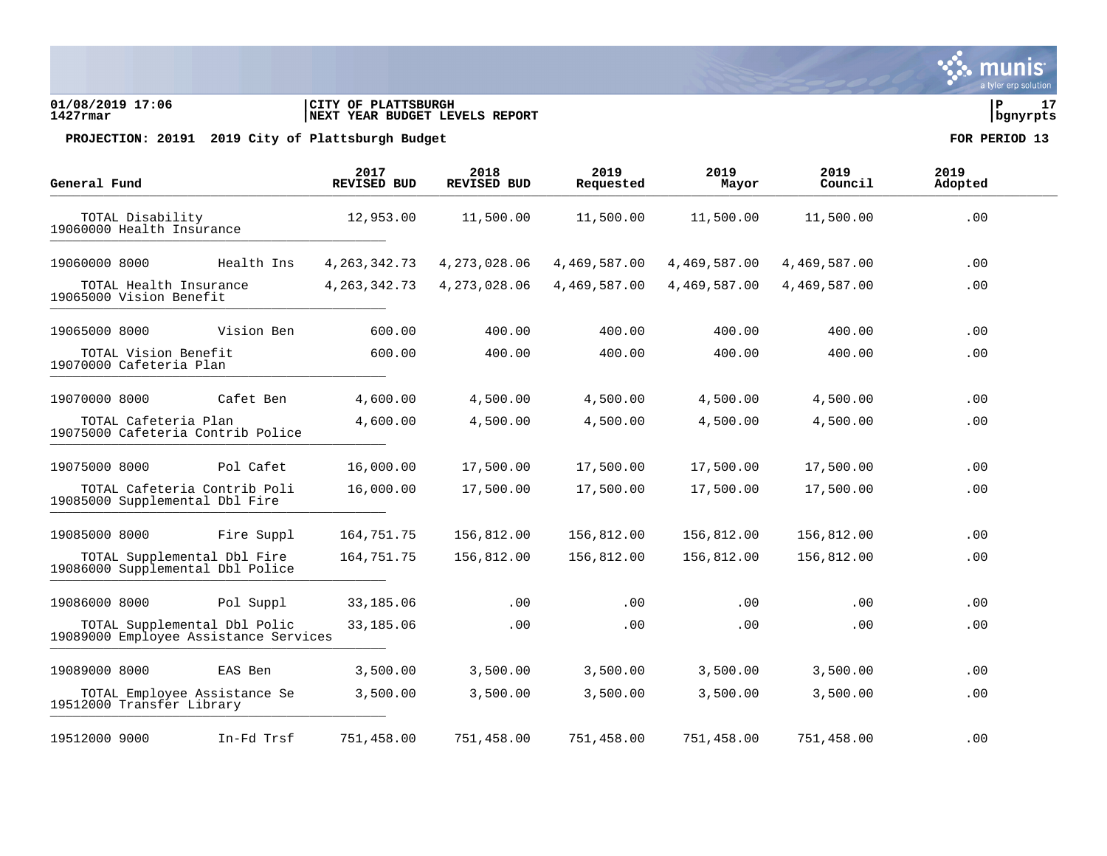### **01/08/2019 17:06 |CITY OF PLATTSBURGH |P 17 1427rmar |NEXT YEAR BUDGET LEVELS REPORT |bgnyrpts**

| General Fund  |                                                                 |                                       | 2017<br><b>REVISED BUD</b> | 2018<br><b>REVISED BUD</b> | 2019<br>Requested | 2019<br>Mayor | 2019<br>Council | 2019<br>Adopted |  |
|---------------|-----------------------------------------------------------------|---------------------------------------|----------------------------|----------------------------|-------------------|---------------|-----------------|-----------------|--|
|               | TOTAL Disability<br>19060000 Health Insurance                   |                                       | 12,953.00                  | 11,500.00                  | 11,500.00         | 11,500.00     | 11,500.00       | .00             |  |
| 19060000 8000 |                                                                 | Health Ins                            | 4, 263, 342. 73            | 4, 273, 028.06             | 4,469,587.00      | 4,469,587.00  | 4,469,587.00    | .00             |  |
|               | TOTAL Health Insurance<br>19065000 Vision Benefit               |                                       | 4, 263, 342. 73            | 4, 273, 028.06             | 4,469,587.00      | 4,469,587.00  | 4,469,587.00    | .00             |  |
| 19065000 8000 |                                                                 | Vision Ben                            | 600.00                     | 400.00                     | 400.00            | 400.00        | 400.00          | .00             |  |
|               | TOTAL Vision Benefit<br>19070000 Cafeteria Plan                 |                                       | 600.00                     | 400.00                     | 400.00            | 400.00        | 400.00          | .00             |  |
| 19070000 8000 |                                                                 | Cafet Ben                             | 4,600.00                   | 4,500.00                   | 4,500.00          | 4,500.00      | 4,500.00        | .00.            |  |
|               | TOTAL Cafeteria Plan<br>19075000 Cafeteria Contrib Police       |                                       | 4,600.00                   | 4,500.00                   | 4,500.00          | 4,500.00      | 4,500.00        | .00             |  |
| 19075000 8000 |                                                                 | Pol Cafet                             | 16,000.00                  | 17,500.00                  | 17,500.00         | 17,500.00     | 17,500.00       | .00             |  |
|               | TOTAL Cafeteria Contrib Poli<br>19085000 Supplemental Dbl Fire  |                                       | 16,000.00                  | 17,500.00                  | 17,500.00         | 17,500.00     | 17,500.00       | .00             |  |
| 19085000 8000 |                                                                 | Fire Suppl                            | 164,751.75                 | 156,812.00                 | 156,812.00        | 156,812.00    | 156,812.00      | .00             |  |
|               | TOTAL Supplemental Dbl Fire<br>19086000 Supplemental Dbl Police |                                       | 164,751.75                 | 156,812.00                 | 156,812.00        | 156,812.00    | 156,812.00      | .00             |  |
| 19086000 8000 |                                                                 | Pol Suppl                             | 33,185.06                  | .00                        | .00               | $.00 \,$      | .00.            | .00             |  |
|               | TOTAL Supplemental Dbl Polic                                    | 19089000 Employee Assistance Services | 33,185.06                  | .00                        | .00               | .00           | .00             | .00             |  |
| 19089000 8000 |                                                                 | EAS Ben                               | 3,500.00                   | 3,500.00                   | 3,500.00          | 3,500.00      | 3,500.00        | .00             |  |
|               | TOTAL Employee Assistance Se<br>19512000 Transfer Library       |                                       | 3,500.00                   | 3,500.00                   | 3,500.00          | 3,500.00      | 3,500.00        | .00             |  |
| 19512000 9000 |                                                                 | In-Fd Trsf                            | 751,458.00                 | 751,458.00                 | 751,458.00        | 751,458.00    | 751,458.00      | .00             |  |

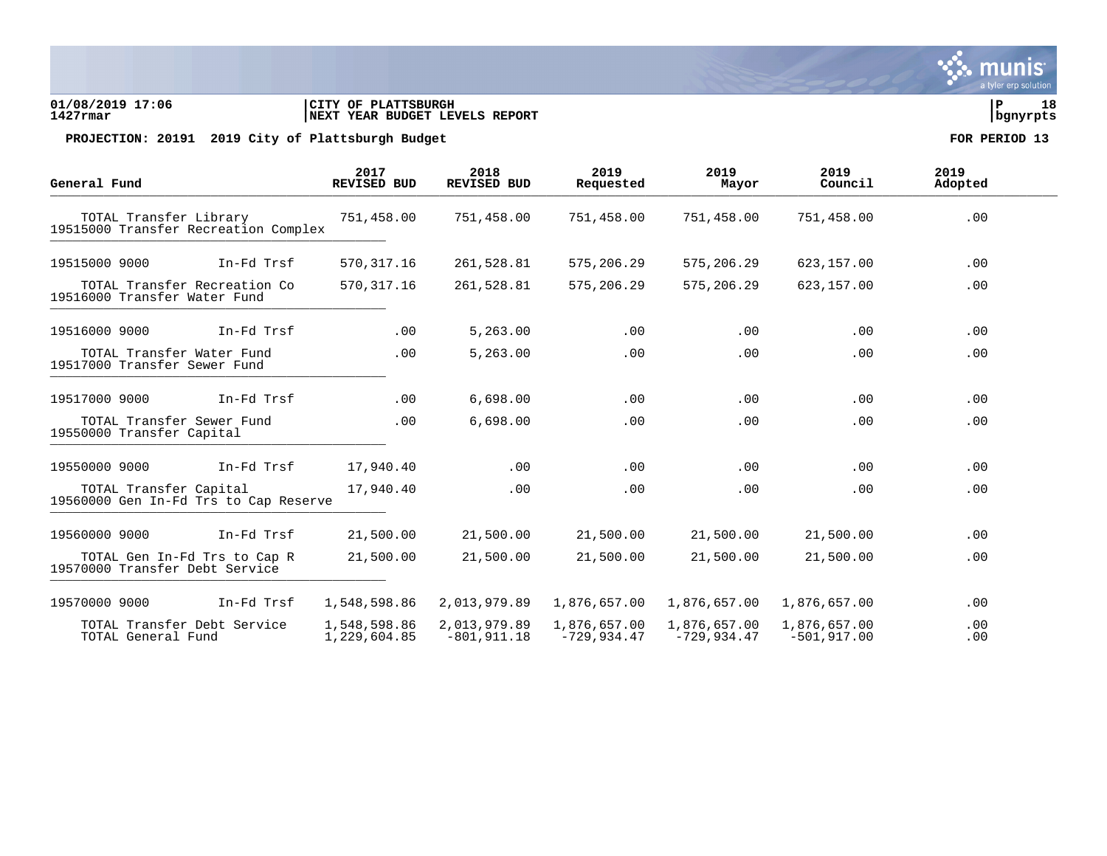### **01/08/2019 17:06 |CITY OF PLATTSBURGH |P 18 1427rmar |NEXT YEAR BUDGET LEVELS REPORT |bgnyrpts**

PROJECTION: 20191 2019 City of Plattsburgh Budget **FOR PERIOD** 13

| General Fund                                                    | 2017<br><b>REVISED BUD</b>   | 2018<br><b>REVISED BUD</b>     | 2019<br>Requested             | 2019<br>Mayor                 | 2019<br>Council                | 2019<br>Adopted |
|-----------------------------------------------------------------|------------------------------|--------------------------------|-------------------------------|-------------------------------|--------------------------------|-----------------|
| TOTAL Transfer Library<br>19515000 Transfer Recreation Complex  | 751,458.00                   | 751,458.00                     | 751,458.00                    | 751,458.00                    | 751,458.00                     | .00             |
| 19515000 9000<br>In-Fd Trsf                                     | 570, 317.16                  | 261,528.81                     | 575, 206.29                   | 575,206.29                    | 623,157.00                     | .00             |
| TOTAL Transfer Recreation Co<br>19516000 Transfer Water Fund    | 570, 317.16                  | 261,528.81                     | 575,206.29                    | 575,206.29                    | 623,157.00                     | .00             |
| 19516000 9000<br>In-Fd Trsf                                     | .00                          | 5,263.00                       | .00                           | .00                           | .00                            | .00             |
| TOTAL Transfer Water Fund<br>19517000 Transfer Sewer Fund       | .00                          | 5,263.00                       | .00                           | .00                           | .00                            | .00             |
| 19517000 9000<br>In-Fd Trsf                                     | .00                          | 6,698.00                       | .00                           | .00                           | .00                            | .00             |
| TOTAL Transfer Sewer Fund<br>19550000 Transfer Capital          | .00                          | 6,698.00                       | .00                           | .00                           | .00                            | .00             |
| 19550000 9000<br>In-Fd Trsf                                     | 17,940.40                    | .00                            | .00                           | .00                           | .00                            | .00             |
| TOTAL Transfer Capital<br>19560000 Gen In-Fd Trs to Cap Reserve | 17,940.40                    | .00                            | .00                           | .00                           | .00                            | .00             |
| In-Fd Trsf<br>19560000 9000                                     | 21,500.00                    | 21,500.00                      | 21,500.00                     | 21,500.00                     | 21,500.00                      | .00             |
| TOTAL Gen In-Fd Trs to Cap R<br>19570000 Transfer Debt Service  | 21,500.00                    | 21,500.00                      | 21,500.00                     | 21,500.00                     | 21,500.00                      | .00             |
| 19570000 9000<br>In-Fd Trsf                                     | 1,548,598.86                 | 2,013,979.89                   | 1,876,657.00                  | 1,876,657.00                  | 1,876,657.00                   | .00             |
| TOTAL Transfer Debt Service<br>TOTAL General Fund               | 1,548,598.86<br>1,229,604.85 | 2,013,979.89<br>$-801, 911.18$ | 1,876,657.00<br>$-729,934.47$ | 1,876,657.00<br>$-729,934.47$ | 1,876,657.00<br>$-501, 917.00$ | .00<br>.00      |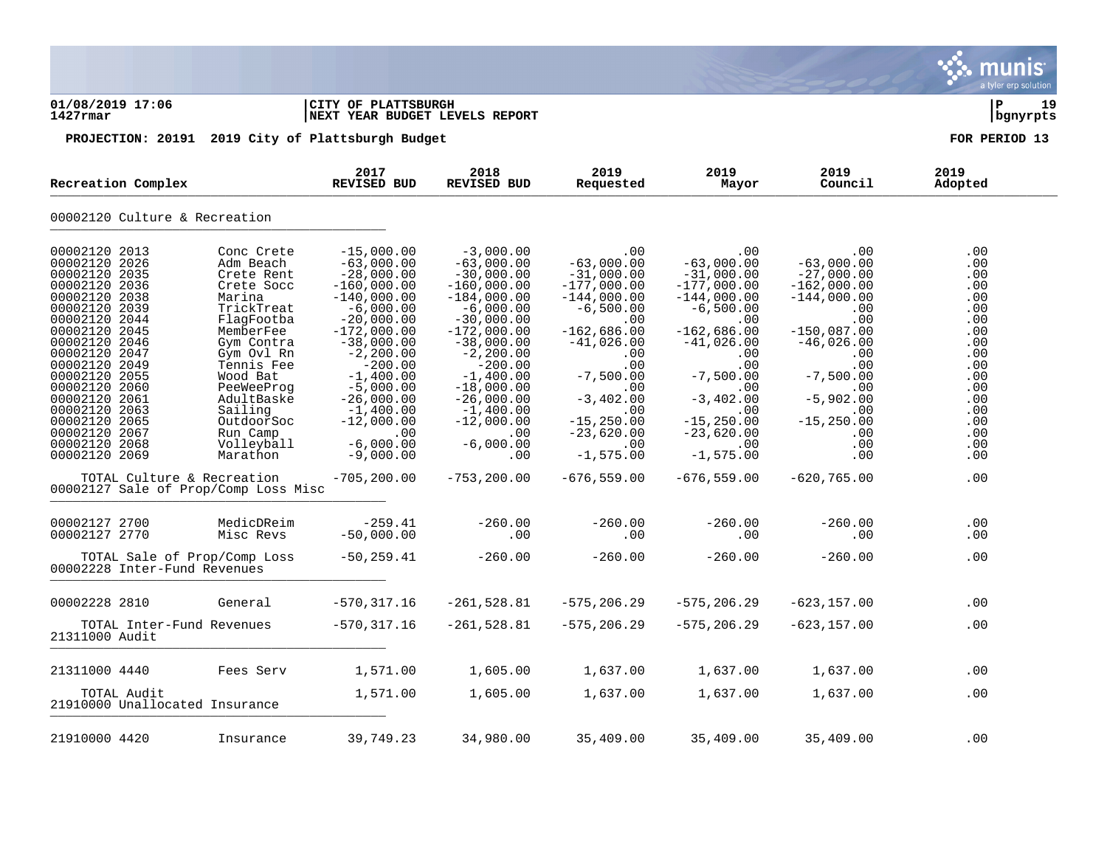a tyler erp solutior **01/08/2019 17:06 |CITY OF PLATTSBURGH |P 19 1427rmar |NEXT YEAR BUDGET LEVELS REPORT |bgnyrpts PROJECTION: 20191 2019 City of Plattsburgh Budget FOR PERIOD 13 2018 2019 2019 2019 2019 Recreation Complex REVISED BUD REVISED BUD** Net Leation Complex Revised body Revised body Requested Rayof Council Adopted Culture & Recreation \_\_\_\_\_\_\_\_\_\_\_\_\_\_\_\_\_\_\_\_\_\_\_\_\_\_\_\_\_\_\_\_\_\_\_\_\_\_\_\_\_\_\_\_ 2013 Conc Crete -15,000.00 -3,000.00 .00 .00 .00 .00 2026 Adm Beach -63,000.00 -63,000.00 -63,000.00 -63,000.00 -63,000.00 .00 2035 Crete Rent -28,000.00 -30,000.00 -31,000.00 -31,000.00 -27,000.00 .00 2036 Crete Socc -160,000.00 -160,000.00 -177,000.00 -177,000.00 -162,000.00 .00 2038 Marina -140,000.00 -184,000.00 -144,000.00 -144,000.00 -144,000.00 .00 2039 TrickTreat -6,000.00 -6,000.00 -6,500.00 -6,500.00 .00 .00 2044 FlagFootba -20,000.00 -30,000.00 .00 .00 .00 .00 2045 MemberFee -172,000.00 -172,000.00 -162,686.00 -162,686.00 -150,087.00 .00 2046 Gym Contra -38,000.00 -38,000.00 -41,026.00 -41,026.00 -46,026.00 .00 2047 Gym Ovl Rn -2,200.00 -2,200.00 .00 .00 .00 .00 2049 Tennis Fee -200.00 -200.00 .00 .00 .00 .00 2055 Wood Bat -1,400.00 -1,400.00 -7,500.00 -7,500.00 -7,500.00 .00 2060 PeeWeeProg -5,000.00 -18,000.00 .00 .00 .00 .00 2061 AdultBaske -26,000.00 -26,000.00 -3,402.00 -3,402.00 -5,902.00 .00 2063 Sailing -1,400.00 -1,400.00 .00 .00 .00 .00 2065 OutdoorSoc -12,000.00 -12,000.00 -15,250.00 -15,250.00 -15,250.00 .00 2067 Run Camp .00 .00 -23,620.00 -23,620.00 .00 .00 2068 Volleyball -6,000.00 -6,000.00 .00 .00 .00 .00 2069 Marathon -9,000.00 .00 -1,575.00 -1,575.00 .00 .00 TOTAL Culture & Recreation -705,200.00 -753,200.00 -676,559.00 -676,559.00 -620,765.00 .00 00002127 Sale of Prop/Comp Loss Misc 2700 MedicDReim -259.41 -260.00 -260.00 -260.00 -260.00 .00 2770 Misc Revs -50,000.00 .00 .00 .00 .00 .00 TOTAL Sale of Prop/Comp Loss -50,259.41 -260.00 -260.00 -260.00 -260.00 .00 Inter-Fund Revenues \_\_\_\_\_\_\_\_\_\_\_\_\_\_\_\_\_\_\_\_\_\_\_\_\_\_\_\_\_\_\_\_\_\_\_\_\_\_\_\_\_\_\_\_ 2810 General -570,317.16 -261,528.81 -575,206.29 -575,206.29 -623,157.00 .00 TOTAL Inter-Fund Revenues -570,317.16 -261,528.81 -575,206.29 -575,206.29 -623,157.00 .00 Audit \_\_\_\_\_\_\_\_\_\_\_\_\_\_\_\_\_\_\_\_\_\_\_\_\_\_\_\_\_\_\_\_\_\_\_\_\_\_\_\_\_\_\_\_ 4440 Fees Serv 1,571.00 1,605.00 1,637.00 1,637.00 1,637.00 .00 TOTAL Audit 1,571.00 1,605.00 1,637.00 1,637.00 1,637.00 .00 Unallocated Insurance \_\_\_\_\_\_\_\_\_\_\_\_\_\_\_\_\_\_\_\_\_\_\_\_\_\_\_\_\_\_\_\_\_\_\_\_\_\_\_\_\_\_\_\_ 4420 Insurance 39,749.23 34,980.00 35,409.00 35,409.00 35,409.00 .00

munis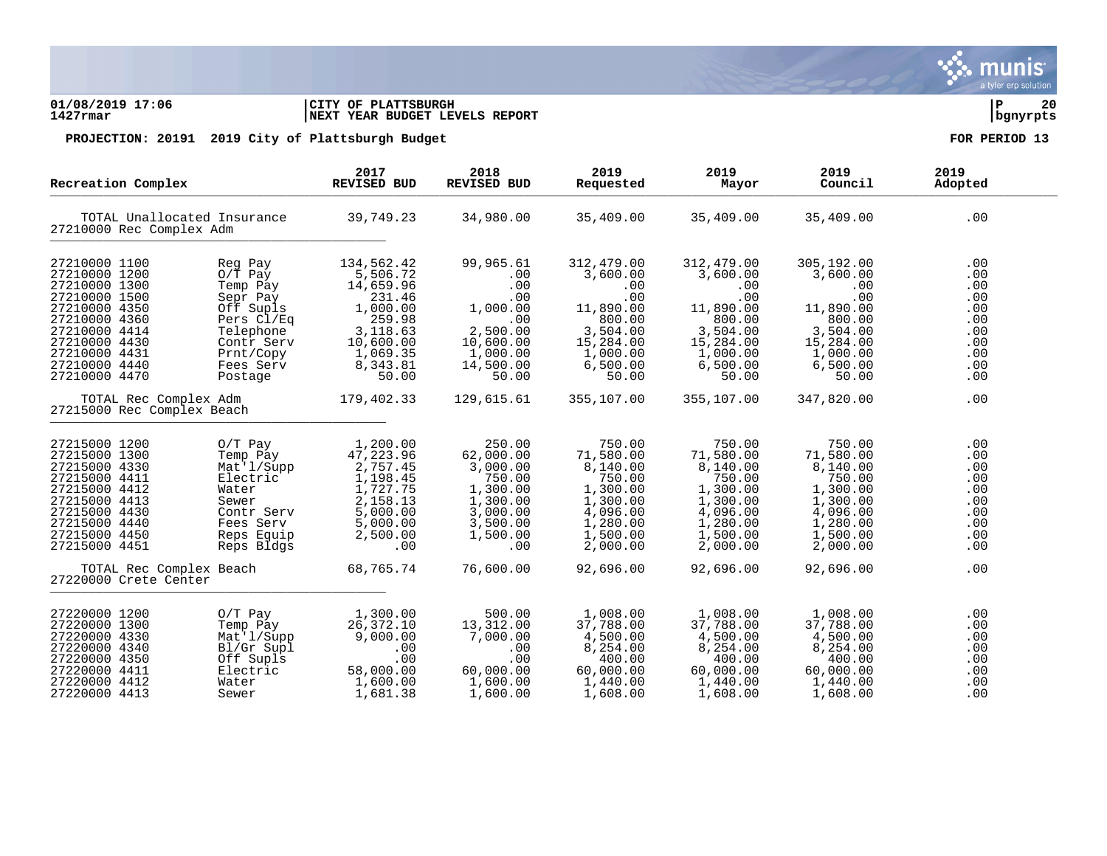### **01/08/2019 17:06 |CITY OF PLATTSBURGH |P 20 1427rmar |NEXT YEAR BUDGET LEVELS REPORT |bgnyrpts**

| Recreation Complex<br>TOTAL Unallocated Insurance<br>27210000 Rec Complex Adm                                                                                                           |                                                                                                                                                    | 2017<br><b>REVISED BUD</b>                                                                                                    | 2018<br><b>REVISED BUD</b>                                                                                   | 2019<br>Requested                                                                                                     | 2019<br>Mayor                                                                                                         | 2019<br>Council                                                                                                       | 2019<br>Adopted                                                           |
|-----------------------------------------------------------------------------------------------------------------------------------------------------------------------------------------|----------------------------------------------------------------------------------------------------------------------------------------------------|-------------------------------------------------------------------------------------------------------------------------------|--------------------------------------------------------------------------------------------------------------|-----------------------------------------------------------------------------------------------------------------------|-----------------------------------------------------------------------------------------------------------------------|-----------------------------------------------------------------------------------------------------------------------|---------------------------------------------------------------------------|
|                                                                                                                                                                                         |                                                                                                                                                    | 39,749.23                                                                                                                     | 34,980.00                                                                                                    | 35,409.00                                                                                                             | 35,409.00                                                                                                             | 35,409.00                                                                                                             | .00                                                                       |
| 27210000 1100<br>27210000 1200<br>27210000 1300<br>27210000 1500<br>27210000 4350<br>27210000 4360<br>27210000 4414<br>27210000 4430<br>27210000 4431<br>27210000 4440<br>27210000 4470 | Reg Pay<br>$0/\overline{T}$ Pay<br>Temp Pay<br>Sepr Pay<br>Off Supls<br>Pers Cl/Eq<br>Telephone<br>Contr Serv<br>Prnt/Copy<br>Fees Serv<br>Postage | 134,562.42<br>5,506.72<br>14,659.96<br>231.46<br>1,000.00<br>259.98<br>3,118.63<br>10,600.00<br>1,069.35<br>8,343.81<br>50.00 | 99,965.61<br>.00<br>.00<br>.00<br>1,000.00<br>.00<br>2,500.00<br>10,600.00<br>1,000.00<br>14,500.00<br>50.00 | 312,479.00<br>3,600.00<br>.00<br>.00<br>11,890.00<br>800.00<br>3,504.00<br>15,284.00<br>1,000.00<br>6,500.00<br>50.00 | 312,479.00<br>3,600.00<br>.00<br>.00<br>11,890.00<br>800.00<br>3,504.00<br>15,284.00<br>1,000.00<br>6,500.00<br>50.00 | 305,192.00<br>3,600.00<br>.00<br>.00<br>11,890.00<br>800.00<br>3,504.00<br>15,284.00<br>1,000.00<br>6,500.00<br>50.00 | .00<br>.00<br>.00<br>.00<br>.00<br>.00<br>.00<br>.00<br>.00<br>.00<br>.00 |
| TOTAL Rec Complex Adm<br>27215000 Rec Complex Beach                                                                                                                                     |                                                                                                                                                    | 179,402.33                                                                                                                    | 129,615.61                                                                                                   | 355,107.00                                                                                                            | 355,107.00                                                                                                            | 347,820.00                                                                                                            | .00                                                                       |
| 27215000 1200<br>27215000 1300<br>27215000 4330<br>27215000 4411<br>27215000 4412<br>27215000 4413<br>27215000 4430<br>27215000 4440<br>27215000 4450<br>27215000 4451                  | $O/T$ Pay<br>Temp Pay<br>Mat'l/Supp<br>Electric<br>Water<br>Sewer<br>Contr Serv<br>Fees Serv<br>Reps Equip<br>Reps Bldgs                           | 1,200.00<br>47,223.96<br>2,757.45<br>1,198.45<br>1,727.75<br>2,158.13<br>5,000.00<br>5,000.00<br>2,500.00<br>.00              | 250.00<br>62,000.00<br>3,000.00<br>750.00<br>1,300.00<br>1,300.00<br>3,000.00<br>3,500.00<br>1,500.00<br>.00 | 750.00<br>71,580.00<br>8,140.00<br>750.00<br>1,300.00<br>1,300.00<br>4,096.00<br>1,280.00<br>1,500.00<br>2,000.00     | 750.00<br>71,580.00<br>8,140.00<br>750.00<br>1,300.00<br>1,300.00<br>4,096.00<br>1,280.00<br>1,500.00<br>2,000.00     | 750.00<br>71,580.00<br>8,140.00<br>750.00<br>1,300.00<br>1,300.00<br>4,096.00<br>1,280.00<br>1,500.00<br>2,000.00     | .00<br>.00<br>.00<br>.00<br>.00<br>.00<br>.00<br>.00<br>.00<br>.00        |
| TOTAL Rec Complex Beach<br>27220000 Crete Center                                                                                                                                        |                                                                                                                                                    | 68,765.74                                                                                                                     | 76,600.00                                                                                                    | 92,696.00                                                                                                             | 92,696.00                                                                                                             | 92,696.00                                                                                                             | .00                                                                       |
| 27220000 1200<br>27220000 1300<br>27220000 4330<br>27220000 4340<br>27220000 4350<br>27220000 4411<br>27220000 4412<br>27220000 4413                                                    | $0/T$ Pay<br>Temp Pay<br>Mat'l/Supp<br>Bl/Gr Supl<br>Off Supls<br>Electric<br>Water<br>Sewer                                                       | 1,300.00<br>26, 372.10<br>9,000.00<br>.00<br>.00<br>58,000.00<br>1,600.00<br>1,681.38                                         | 500.00<br>13,312.00<br>7,000.00<br>.00<br>.00<br>60,000.00<br>1,600.00<br>1,600.00                           | 1,008.00<br>37,788.00<br>4,500.00<br>8,254.00<br>400.00<br>60,000.00<br>1,440.00<br>1,608.00                          | 1,008.00<br>37,788.00<br>4,500.00<br>8,254.00<br>400.00<br>60,000.00<br>1,440.00<br>1,608.00                          | 1,008.00<br>37,788.00<br>4,500.00<br>8,254.00<br>400.00<br>60,000.00<br>1,440.00<br>1,608.00                          | .00<br>.00<br>.00<br>.00<br>.00<br>.00<br>.00<br>.00                      |

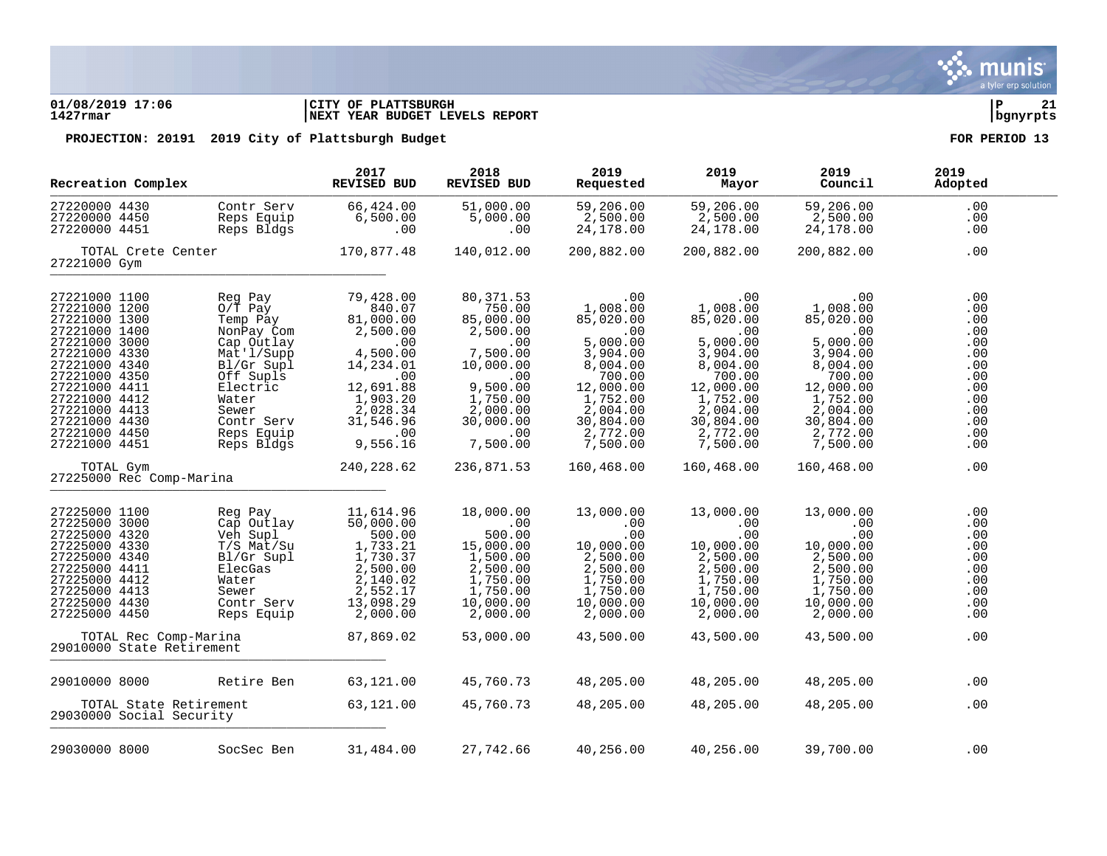### **01/08/2019 17:06 |CITY OF PLATTSBURGH |P 21 1427rmar |NEXT YEAR BUDGET LEVELS REPORT |bgnyrpts**

| Recreation Complex                                                                                                                                                                                                                                      |                                                                                                                                                                                     | 2017<br><b>REVISED BUD</b>                                                                                                                                             | 2018<br>REVISED BUD                                                                                                                                                    | 2019<br>Requested                                                                                                                                                         | 2019<br>Mayor                                                                                                                                                             | 2019<br>Council                                                                                                                                                           | 2019<br>Adopted                                                                                       |
|---------------------------------------------------------------------------------------------------------------------------------------------------------------------------------------------------------------------------------------------------------|-------------------------------------------------------------------------------------------------------------------------------------------------------------------------------------|------------------------------------------------------------------------------------------------------------------------------------------------------------------------|------------------------------------------------------------------------------------------------------------------------------------------------------------------------|---------------------------------------------------------------------------------------------------------------------------------------------------------------------------|---------------------------------------------------------------------------------------------------------------------------------------------------------------------------|---------------------------------------------------------------------------------------------------------------------------------------------------------------------------|-------------------------------------------------------------------------------------------------------|
| 27220000 4430<br>27220000 4450<br>27220000 4451                                                                                                                                                                                                         | Contr Serv<br>Reps Equip<br>Reps Bldgs                                                                                                                                              | 66,424.00<br>6,500.00<br>.00                                                                                                                                           | 51,000.00<br>5,000.00<br>.00                                                                                                                                           | 59,206.00<br>2,500.00<br>24,178.00                                                                                                                                        | 59,206.00<br>2,500.00<br>24,178.00                                                                                                                                        | 59,206.00<br>2,500.00<br>24,178.00                                                                                                                                        | $.00 \,$<br>.00<br>.00                                                                                |
| 27221000 Gym                                                                                                                                                                                                                                            | TOTAL Crete Center                                                                                                                                                                  | 170,877.48                                                                                                                                                             | 140,012.00                                                                                                                                                             | 200,882.00                                                                                                                                                                | 200,882.00                                                                                                                                                                | 200,882.00                                                                                                                                                                | .00                                                                                                   |
| 27221000 1100<br>27221000 1200<br>27221000 1300<br>27221000 1400<br>27221000 3000<br>27221000 4330<br>27221000 4340<br>27221000 4350<br>27221000 4411<br>27221000 4412<br>27221000 4413<br>27221000 4430<br>27221000 4450<br>27221000 4451<br>TOTAL Gym | Reg Pay<br>$0/\bar{T}$ Pay<br>Temp Pay<br>NonPay Com<br>Cap Outlay<br>Mat'l/Supp<br>Bl/Gr Supl<br>Off Supls<br>Electric<br>Water<br>Sewer<br>Contr Serv<br>Reps Equip<br>Reps Bldgs | 79,428.00<br>840.07<br>81,000.00<br>2,500.00<br>.00<br>4,500.00<br>14,234.01<br>.00<br>12,691.88<br>1,903.20<br>2,028.34<br>31,546.96<br>.00<br>9,556.16<br>240,228.62 | 80, 371.53<br>750.00<br>85,000.00<br>2,500.00<br>.00<br>7,500.00<br>10,000.00<br>.00<br>9,500.00<br>1,750.00<br>2,000.00<br>30,000.00<br>.00<br>7,500.00<br>236,871.53 | .00<br>1,008.00<br>85,020.00<br>.00<br>5,000.00<br>3,904.00<br>8,004.00<br>700.00<br>12,000.00<br>1,752.00<br>2,004.00<br>30,804.00<br>2,772.00<br>7,500.00<br>160,468.00 | .00<br>1,008.00<br>85,020.00<br>.00<br>5,000.00<br>3,904.00<br>8,004.00<br>700.00<br>12,000.00<br>1,752.00<br>2,004.00<br>30,804.00<br>2,772.00<br>7,500.00<br>160,468.00 | .00<br>1,008.00<br>85,020.00<br>.00<br>5,000.00<br>3,904.00<br>8,004.00<br>700.00<br>12,000.00<br>1,752.00<br>2,004.00<br>30,804.00<br>2,772.00<br>7,500.00<br>160,468.00 | .00<br>.00<br>.00<br>.00<br>.00<br>.00<br>.00<br>.00<br>.00<br>.00<br>.00<br>.00<br>.00<br>.00<br>.00 |
| 27225000 Rec Comp-Marina                                                                                                                                                                                                                                |                                                                                                                                                                                     |                                                                                                                                                                        |                                                                                                                                                                        |                                                                                                                                                                           |                                                                                                                                                                           |                                                                                                                                                                           |                                                                                                       |
| 27225000 1100<br>27225000 3000<br>27225000 4320<br>27225000 4330<br>27225000 4340<br>27225000 4411<br>27225000 4412<br>27225000 4413<br>27225000 4430<br>27225000 4450                                                                                  | Reg Pay<br>Cap Outlay<br>Veh Supl<br>T/S Mat/Su<br>Bl/Gr Supl<br>ElecGas<br>Water<br>Sewer<br>Contr Serv<br>Reps Equip                                                              | 11,614.96<br>50,000.00<br>500.00<br>1,733.21<br>$\frac{1}{7}$ , 730.37<br>2, 500.00<br>2,140.02<br>2,552.17<br>13,098.29<br>2,000.00                                   | 18,000.00<br>.00<br>500.00<br>15,000.00<br>1,500.00<br>2,500.00<br>1,750.00<br>1,750.00<br>10,000.00<br>2,000.00                                                       | 13,000.00<br>.00<br>.00<br>10,000.00<br>2,500.00<br>2,500.00<br>1,750.00<br>1,750.00<br>10,000.00<br>2,000.00                                                             | 13,000.00<br>.00<br>.00<br>10,000.00<br>2,500.00<br>2,500.00<br>1,750.00<br>1,750.00<br>10,000.00<br>2,000.00                                                             | 13,000.00<br>.00<br>$.00 \,$<br>10,000.00<br>2,500.00<br>2,500.00<br>1,750.00<br>1,750.00<br>10,000.00<br>2,000.00                                                        | .00<br>.00<br>.00<br>.00<br>.00<br>.00<br>.00<br>.00<br>.00<br>.00                                    |
| 29010000 State Retirement                                                                                                                                                                                                                               | TOTAL Rec Comp-Marina                                                                                                                                                               | 87,869.02                                                                                                                                                              | 53,000.00                                                                                                                                                              | 43,500.00                                                                                                                                                                 | 43,500.00                                                                                                                                                                 | 43,500.00                                                                                                                                                                 | .00                                                                                                   |
| 29010000 8000<br>29030000 Social Security                                                                                                                                                                                                               | Retire Ben<br>TOTAL State Retirement                                                                                                                                                | 63,121.00<br>63,121.00                                                                                                                                                 | 45,760.73<br>45,760.73                                                                                                                                                 | 48,205.00<br>48,205.00                                                                                                                                                    | 48,205.00<br>48,205.00                                                                                                                                                    | 48,205.00<br>48,205.00                                                                                                                                                    | .00<br>.00                                                                                            |
| 29030000 8000                                                                                                                                                                                                                                           | SocSec Ben                                                                                                                                                                          | 31,484.00                                                                                                                                                              | 27,742.66                                                                                                                                                              | 40,256.00                                                                                                                                                                 | 40,256.00                                                                                                                                                                 | 39,700.00                                                                                                                                                                 | .00                                                                                                   |

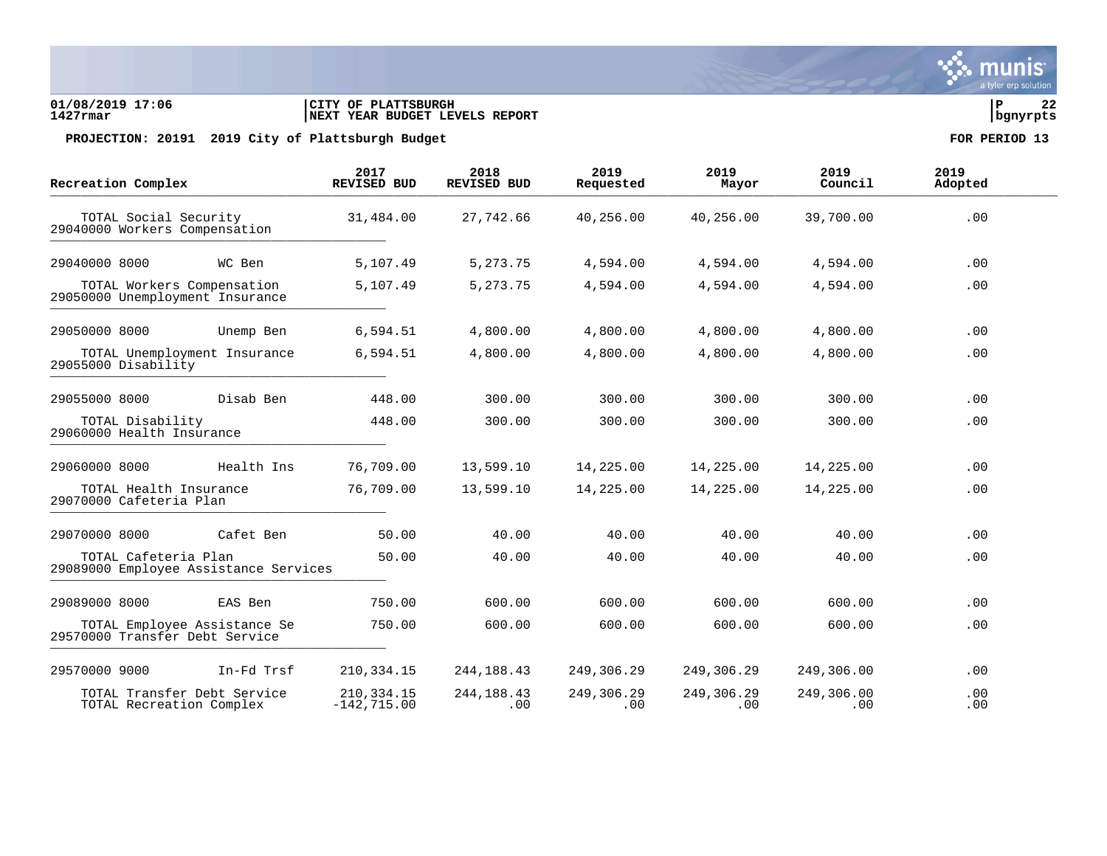### **01/08/2019 17:06 |CITY OF PLATTSBURGH |P 22 1427rmar |NEXT YEAR BUDGET LEVELS REPORT |bgnyrpts**

PROJECTION: 20191 2019 City of Plattsburgh Budget **FOR PERIOD** 13

| Recreation Complex                                             | 2017<br>REVISED BUD            | 2018<br><b>REVISED BUD</b> | 2019<br>Requested | 2019<br>Mayor     | 2019<br>Council   | 2019<br>Adopted |  |
|----------------------------------------------------------------|--------------------------------|----------------------------|-------------------|-------------------|-------------------|-----------------|--|
| TOTAL Social Security<br>29040000 Workers Compensation         | 31,484.00                      | 27,742.66                  | 40,256.00         | 40,256.00         | 39,700.00         | .00             |  |
| 29040000 8000<br>WC Ben                                        | 5,107.49                       | 5, 273. 75                 | 4,594.00          | 4,594.00          | 4,594.00          | .00             |  |
| TOTAL Workers Compensation<br>29050000 Unemployment Insurance  | 5,107.49                       | 5, 273. 75                 | 4,594.00          | 4,594.00          | 4,594.00          | .00             |  |
| 29050000 8000<br>Unemp Ben                                     | 6,594.51                       | 4,800.00                   | 4,800.00          | 4,800.00          | 4,800.00          | .00             |  |
| TOTAL Unemployment Insurance<br>29055000 Disability            | 6,594.51                       | 4,800.00                   | 4,800.00          | 4,800.00          | 4,800.00          | .00             |  |
| Disab Ben<br>29055000 8000                                     | 448.00                         | 300.00                     | 300.00            | 300.00            | 300.00            | .00             |  |
| TOTAL Disability<br>29060000 Health Insurance                  | 448.00                         | 300.00                     | 300.00            | 300.00            | 300.00            | .00             |  |
| 29060000 8000<br>Health Ins                                    | 76,709.00                      | 13,599.10                  | 14,225.00         | 14,225.00         | 14,225.00         | .00             |  |
| TOTAL Health Insurance<br>29070000 Cafeteria Plan              | 76,709.00                      | 13,599.10                  | 14,225.00         | 14,225.00         | 14,225.00         | .00             |  |
| 29070000 8000<br>Cafet Ben                                     | 50.00                          | 40.00                      | 40.00             | 40.00             | 40.00             | .00             |  |
| TOTAL Cafeteria Plan<br>29089000 Employee Assistance Services  | 50.00                          | 40.00                      | 40.00             | 40.00             | 40.00             | .00             |  |
| 29089000 8000<br>EAS Ben                                       | 750.00                         | 600.00                     | 600.00            | 600.00            | 600.00            | .00             |  |
| TOTAL Employee Assistance Se<br>29570000 Transfer Debt Service | 750.00                         | 600.00                     | 600.00            | 600.00            | 600.00            | .00             |  |
| 29570000 9000<br>In-Fd Trsf                                    | 210, 334. 15                   | 244, 188. 43               | 249,306.29        | 249,306.29        | 249,306.00        | .00             |  |
| TOTAL Transfer Debt Service<br>TOTAL Recreation Complex        | 210, 334. 15<br>$-142, 715.00$ | 244, 188. 43<br>.00        | 249,306.29<br>.00 | 249,306.29<br>.00 | 249,306.00<br>.00 | .00<br>.00      |  |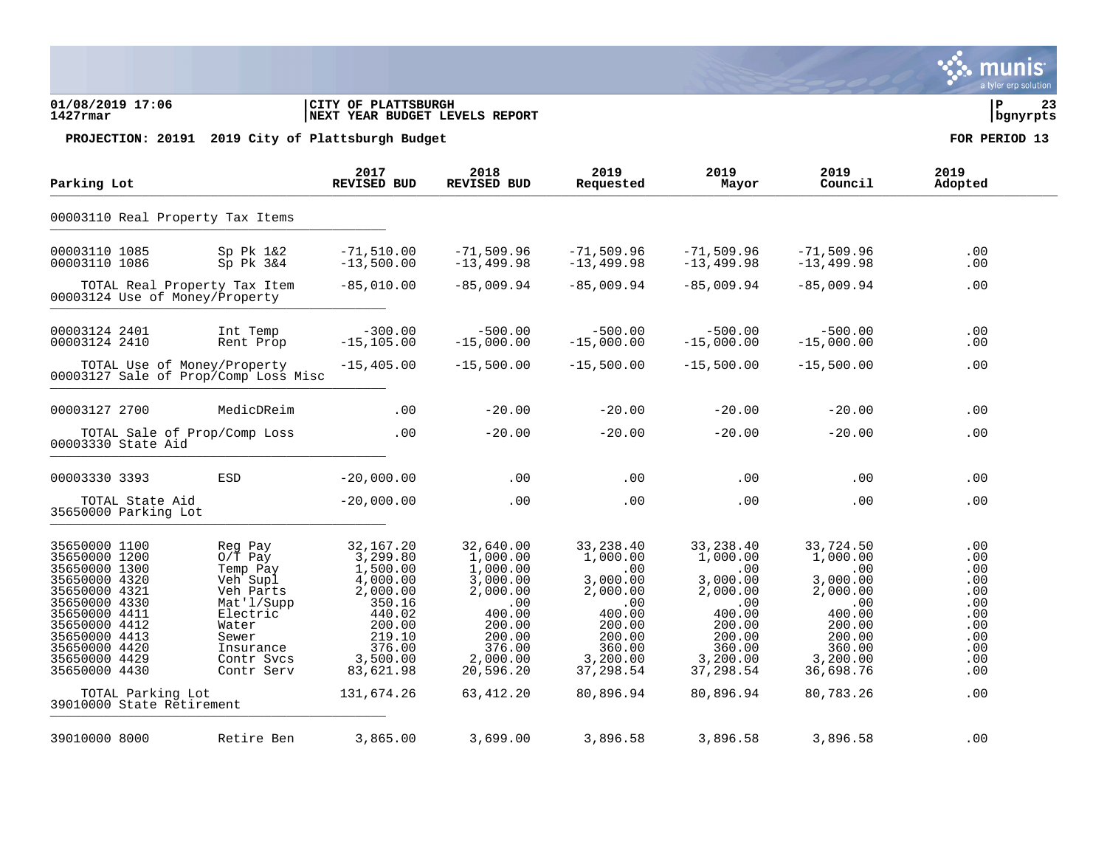### **01/08/2019 17:06 |CITY OF PLATTSBURGH |P 23 1427rmar |NEXT YEAR BUDGET LEVELS REPORT |bgnyrpts**

PROJECTION: 20191 2019 City of Plattsburgh Budget **FOR PERIOD** 13

| Parking Lot                                                                                                                                                                                              |                                                                |                                                                                                                                                | 2017<br><b>REVISED BUD</b>                                                                                                                         | 2018<br>REVISED BUD                                                                                                                            | 2019<br>Requested                                                                                                                          | 2019<br>Mayor                                                                                                                             | 2019<br>Council                                                                                                                                | 2019<br>Adopted                                                                         |
|----------------------------------------------------------------------------------------------------------------------------------------------------------------------------------------------------------|----------------------------------------------------------------|------------------------------------------------------------------------------------------------------------------------------------------------|----------------------------------------------------------------------------------------------------------------------------------------------------|------------------------------------------------------------------------------------------------------------------------------------------------|--------------------------------------------------------------------------------------------------------------------------------------------|-------------------------------------------------------------------------------------------------------------------------------------------|------------------------------------------------------------------------------------------------------------------------------------------------|-----------------------------------------------------------------------------------------|
|                                                                                                                                                                                                          | 00003110 Real Property Tax Items                               |                                                                                                                                                |                                                                                                                                                    |                                                                                                                                                |                                                                                                                                            |                                                                                                                                           |                                                                                                                                                |                                                                                         |
| 00003110 1085<br>00003110 1086                                                                                                                                                                           |                                                                | $Sp$ P $k$ 1&2<br>$Sp$ P $k$ $3&4$                                                                                                             | $-71,510.00$<br>$-13,500.00$                                                                                                                       | $-71,509.96$<br>$-13, 499.98$                                                                                                                  | $-71,509.96$<br>$-13, 499.98$                                                                                                              | $-71,509.96$<br>$-13, 499.98$                                                                                                             | $-71,509.96$<br>$-13, 499.98$                                                                                                                  | .00<br>.00                                                                              |
|                                                                                                                                                                                                          | TOTAL Real Property Tax Item<br>00003124 Use of Money/Property |                                                                                                                                                | $-85,010.00$                                                                                                                                       | $-85,009.94$                                                                                                                                   | $-85,009.94$                                                                                                                               | $-85,009.94$                                                                                                                              | $-85,009.94$                                                                                                                                   | .00                                                                                     |
| 00003124 2401<br>00003124 2410                                                                                                                                                                           |                                                                | Int Temp<br>Rent Prop                                                                                                                          | $-300.00$<br>$-15, 105.00$                                                                                                                         | $-500.00$<br>$-15,000.00$                                                                                                                      | $-500.00$<br>$-15,000.00$                                                                                                                  | $-500.00$<br>$-15,000.00$                                                                                                                 | $-500.00$<br>$-15,000.00$                                                                                                                      | .00<br>.00                                                                              |
|                                                                                                                                                                                                          | TOTAL Use of Money/Property                                    | 00003127 Sale of Prop/Comp Loss Misc                                                                                                           | $-15,405.00$                                                                                                                                       | $-15,500.00$                                                                                                                                   | $-15,500.00$                                                                                                                               | $-15,500.00$                                                                                                                              | $-15,500.00$                                                                                                                                   | .00                                                                                     |
| 00003127 2700                                                                                                                                                                                            |                                                                | MedicDReim                                                                                                                                     | .00                                                                                                                                                | $-20.00$                                                                                                                                       | $-20.00$                                                                                                                                   | $-20.00$                                                                                                                                  | $-20.00$                                                                                                                                       | .00                                                                                     |
|                                                                                                                                                                                                          | TOTAL Sale of Prop/Comp Loss<br>00003330 State Aid             |                                                                                                                                                | .00                                                                                                                                                | $-20.00$                                                                                                                                       | $-20.00$                                                                                                                                   | $-20.00$                                                                                                                                  | $-20.00$                                                                                                                                       | .00                                                                                     |
| 00003330 3393                                                                                                                                                                                            |                                                                | <b>ESD</b>                                                                                                                                     | $-20,000.00$                                                                                                                                       | .00                                                                                                                                            | .00                                                                                                                                        | .00                                                                                                                                       | .00                                                                                                                                            | .00                                                                                     |
|                                                                                                                                                                                                          | TOTAL State Aid<br>35650000 Parking Lot                        |                                                                                                                                                | $-20,000.00$                                                                                                                                       | .00                                                                                                                                            | .00                                                                                                                                        | .00                                                                                                                                       | .00                                                                                                                                            | .00                                                                                     |
| 35650000 1100<br>35650000 1200<br>35650000 1300<br>35650000 4320<br>35650000 4321<br>35650000 4330<br>35650000 4411<br>35650000 4412<br>35650000 4413<br>35650000 4420<br>35650000 4429<br>35650000 4430 | TOTAL Parking Lot<br>39010000 State Retirement                 | Reg Pay<br>$0/T$ Pay<br>Temp Pay<br>Veh Supl<br>Veh Parts<br>Mat'l/Supp<br>Electric<br>Water<br>Sewer<br>Insurance<br>Contr Svcs<br>Contr Serv | 32,167.20<br>3,299.80<br>1,500.00<br>4,000.00<br>2,000.00<br>350.16<br>440.02<br>200.00<br>219.10<br>376.00<br>3,500.00<br>83,621.98<br>131,674.26 | 32,640.00<br>1,000.00<br>1,000.00<br>3,000.00<br>2,000.00<br>.00<br>400.00<br>200.00<br>200.00<br>376.00<br>2,000.00<br>20,596.20<br>63,412.20 | 33, 238.40<br>1,000.00<br>.00<br>3,000.00<br>2,000.00<br>.00<br>400.00<br>200.00<br>200.00<br>360.00<br>3,200.00<br>37,298.54<br>80,896.94 | 33,238.40<br>1,000.00<br>.00<br>3,000.00<br>2,000.00<br>.00<br>400.00<br>200.00<br>200.00<br>360.00<br>3,200.00<br>37,298.54<br>80,896.94 | 33,724.50<br>1,000.00<br>$.00 \,$<br>3,000.00<br>2,000.00<br>.00<br>400.00<br>200.00<br>200.00<br>360.00<br>3,200.00<br>36,698.76<br>80,783.26 | .00<br>.00<br>.00<br>.00<br>.00<br>.00<br>.00<br>.00<br>.00<br>.00<br>.00<br>.00<br>.00 |
| 39010000 8000                                                                                                                                                                                            |                                                                | Retire Ben                                                                                                                                     | 3,865.00                                                                                                                                           | 3,699.00                                                                                                                                       | 3,896.58                                                                                                                                   | 3,896.58                                                                                                                                  | 3,896.58                                                                                                                                       | .00                                                                                     |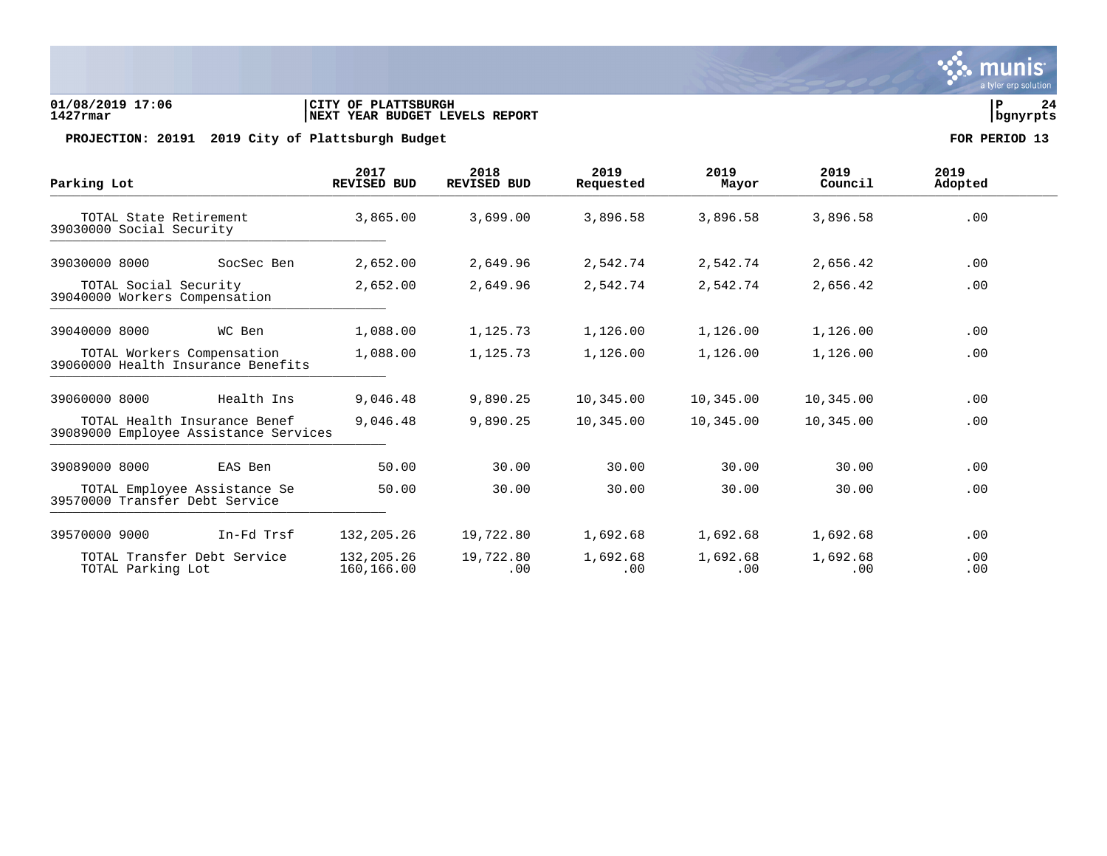

## **01/08/2019 17:06 |CITY OF PLATTSBURGH |P 24 1427rmar |NEXT YEAR BUDGET LEVELS REPORT |bgnyrpts**

PROJECTION: 20191 2019 City of Plattsburgh Budget **FOR PERIOD** 13

| Parking Lot                                                           |            | 2017<br><b>REVISED BUD</b> | 2018<br><b>REVISED BUD</b> | 2019<br>Requested | 2019<br>Mayor   | 2019<br>Council | 2019<br>Adopted |
|-----------------------------------------------------------------------|------------|----------------------------|----------------------------|-------------------|-----------------|-----------------|-----------------|
| TOTAL State Retirement<br>39030000 Social Security                    |            | 3,865.00                   | 3,699.00                   | 3,896.58          | 3,896.58        | 3,896.58        | .00             |
| 39030000 8000<br>SocSec Ben                                           |            | 2,652.00                   | 2,649.96                   | 2,542.74          | 2,542.74        | 2,656.42        | .00             |
| TOTAL Social Security<br>39040000 Workers Compensation                |            | 2,652.00                   | 2,649.96                   | 2,542.74          | 2,542.74        | 2,656.42        | .00             |
| 39040000 8000                                                         | WC Ben     | 1,088.00                   | 1,125.73                   | 1,126.00          | 1,126.00        | 1,126.00        | .00             |
| TOTAL Workers Compensation<br>39060000 Health Insurance Benefits      |            | 1,088.00                   | 1,125.73                   | 1,126.00          | 1,126.00        | 1,126.00        | .00             |
| 39060000 8000                                                         | Health Ins | 9,046.48                   | 9,890.25                   | 10,345.00         | 10,345.00       | 10,345.00       | .00             |
| TOTAL Health Insurance Benef<br>39089000 Employee Assistance Services |            | 9,046.48                   | 9,890.25                   | 10,345.00         | 10,345.00       | 10,345.00       | .00             |
| 39089000 8000                                                         | EAS Ben    | 50.00                      | 30.00                      | 30.00             | 30.00           | 30.00           | .00             |
| TOTAL Employee Assistance Se<br>39570000 Transfer Debt Service        |            | 50.00                      | 30.00                      | 30.00             | 30.00           | 30.00           | .00             |
| 39570000 9000                                                         | In-Fd Trsf | 132,205.26                 | 19,722.80                  | 1,692.68          | 1,692.68        | 1,692.68        | .00             |
| TOTAL Transfer Debt Service<br>TOTAL Parking Lot                      |            | 132,205.26<br>160,166.00   | 19,722.80<br>.00           | 1,692.68<br>.00   | 1,692.68<br>.00 | 1,692.68<br>.00 | .00<br>.00      |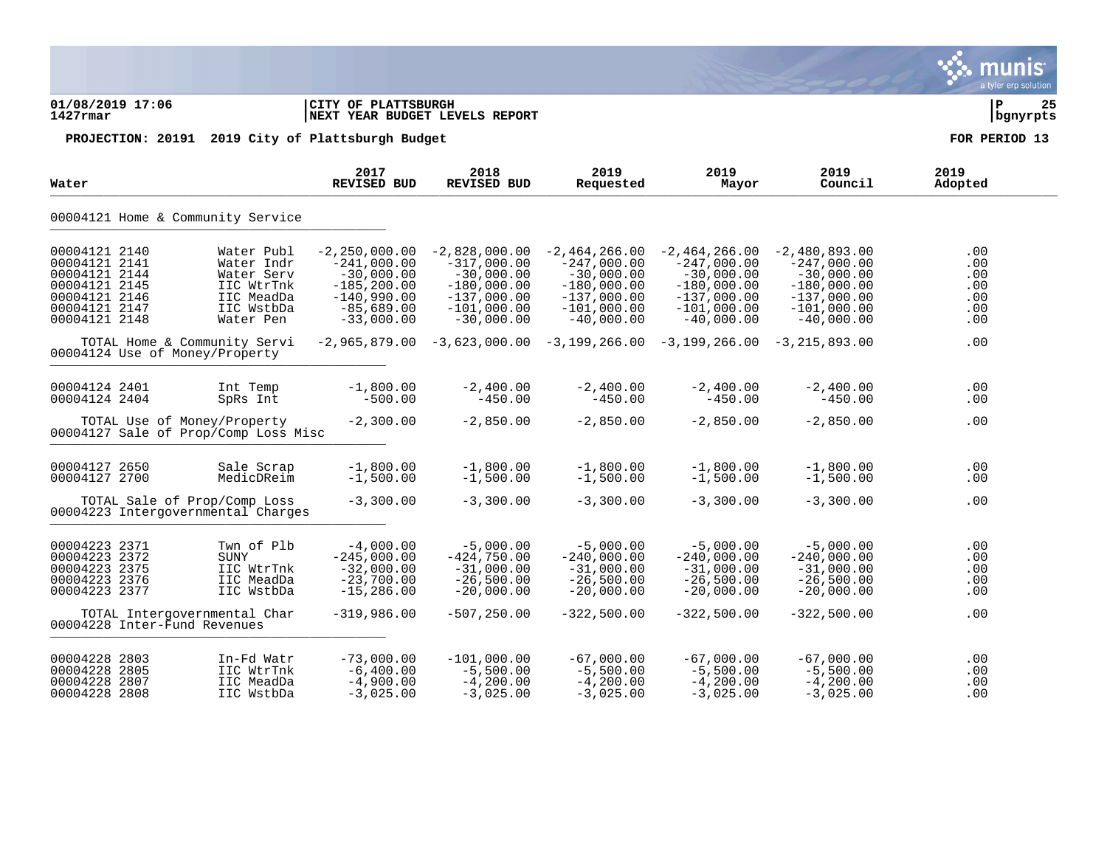| 01/08/2019 17:06<br>$1427$ $rmar$                                                                                   |                                |                                                                                               | CITY OF PLATTSBURGH<br>NEXT YEAR BUDGET LEVELS REPORT                                                                 |                                                                                                                     |                                                                                                                     |                                                                                                                     |                                                                                                                     | ΙP<br>25<br>  bgnyrpts                             |
|---------------------------------------------------------------------------------------------------------------------|--------------------------------|-----------------------------------------------------------------------------------------------|-----------------------------------------------------------------------------------------------------------------------|---------------------------------------------------------------------------------------------------------------------|---------------------------------------------------------------------------------------------------------------------|---------------------------------------------------------------------------------------------------------------------|---------------------------------------------------------------------------------------------------------------------|----------------------------------------------------|
|                                                                                                                     |                                |                                                                                               | PROJECTION: 20191 2019 City of Plattsburgh Budget                                                                     |                                                                                                                     |                                                                                                                     |                                                                                                                     |                                                                                                                     | FOR PERIOD 13                                      |
| Water                                                                                                               |                                |                                                                                               | 2017<br><b>REVISED BUD</b>                                                                                            | 2018<br><b>REVISED BUD</b>                                                                                          | 2019<br>Requested                                                                                                   | 2019<br>Mayor                                                                                                       | 2019<br>Council                                                                                                     | 2019<br>Adopted                                    |
|                                                                                                                     |                                | 00004121 Home & Community Service                                                             |                                                                                                                       |                                                                                                                     |                                                                                                                     |                                                                                                                     |                                                                                                                     |                                                    |
| 00004121 2140<br>00004121 2141<br>00004121 2144<br>00004121 2145<br>00004121 2146<br>00004121 2147<br>00004121 2148 |                                | Water Publ<br>Water Indr<br>Water Serv<br>IIC WtrTnk<br>IIC MeadDa<br>IIC WstbDa<br>Water Pen | $-2, 250, 000.00$<br>$-241.000.00$<br>$-30,000.00$<br>$-185, 200.00$<br>$-140,990.00$<br>$-85,689.00$<br>$-33,000.00$ | $-2,828,000.00$<br>$-317,000.00$<br>$-30,000.00$<br>$-180,000.00$<br>$-137,000.00$<br>$-101,000.00$<br>$-30,000.00$ | $-2,464,266.00$<br>$-247.000.00$<br>$-30,000.00$<br>$-180,000.00$<br>$-137,000.00$<br>$-101,000.00$<br>$-40,000.00$ | $-2,464,266.00$<br>$-247.000.00$<br>$-30,000.00$<br>$-180,000.00$<br>$-137,000.00$<br>$-101,000.00$<br>$-40,000.00$ | $-2,480,893.00$<br>$-247,000.00$<br>$-30,000.00$<br>$-180,000.00$<br>$-137,000.00$<br>$-101,000.00$<br>$-40,000.00$ | .00<br>$.00 \,$<br>.00<br>.00<br>.00<br>.00<br>.00 |
|                                                                                                                     | 00004124 Use of Money/Property | TOTAL Home & Community Servi                                                                  |                                                                                                                       | $-2,965,879.00 -3,623,000.00 -3,199,266.00 -3,199,266.00$                                                           |                                                                                                                     |                                                                                                                     | $-3, 215, 893.00$                                                                                                   | .00                                                |
| 00004124 2401<br>00004124 2404                                                                                      |                                | Int Temp<br>SpRs Int                                                                          | $-1,800.00$<br>$-500.00$                                                                                              | $-2,400.00$<br>$-450.00$                                                                                            | $-2,400.00$<br>$-450.00$                                                                                            | $-2,400.00$<br>$-450.00$                                                                                            | $-2,400.00$<br>$-450.00$                                                                                            | .00<br>.00                                         |
|                                                                                                                     | TOTAL Use of Money/Property    | 00004127 Sale of Prop/Comp Loss Misc                                                          | $-2,300.00$                                                                                                           | $-2,850.00$                                                                                                         | $-2,850.00$                                                                                                         | $-2,850.00$                                                                                                         | $-2,850.00$                                                                                                         | .00                                                |
| 00004127 2650<br>00004127 2700                                                                                      |                                | Sale Scrap<br>MedicDReim                                                                      | $-1,800.00$<br>$-1,500.00$                                                                                            | $-1,800.00$<br>$-1,500.00$                                                                                          | $-1,800.00$<br>$-1,500.00$                                                                                          | $-1,800.00$<br>$-1,500.00$                                                                                          | $-1,800.00$<br>$-1,500.00$                                                                                          | .00<br>.00                                         |
|                                                                                                                     |                                | TOTAL Sale of Prop/Comp Loss<br>00004223 Intergovernmental Charges                            | $-3,300.00$                                                                                                           | $-3,300.00$                                                                                                         | $-3,300.00$                                                                                                         | $-3,300.00$                                                                                                         | $-3,300.00$                                                                                                         | .00                                                |
| 00004223 2371<br>00004223 2372<br>00004223 2375<br>00004223 2376<br>00004223 2377                                   |                                | Twn of Plb<br>SUNY<br>IIC WtrTnk<br>IIC MeadDa<br>IIC WstbDa                                  | $-4,000.00$<br>$-245,000.00$<br>$-32,000.00$<br>$-23,700.00$<br>$-15, 286.00$                                         | $-5,000.00$<br>$-424,750.00$<br>$-31,000.00$<br>$-26,500.00$<br>$-20,000.00$                                        | $-5,000.00$<br>$-240,000.00$<br>$-31,000.00$<br>$-26,500.00$<br>$-20,000.00$                                        | $-5,000.00$<br>$-240,000.00$<br>$-31,000.00$<br>$-26,500.00$<br>$-20,000.00$                                        | $-5,000.00$<br>$-240,000.00$<br>$-31,000.00$<br>$-26,500.00$<br>$-20,000.00$                                        | $.00 \,$<br>.00<br>.00<br>.00<br>.00               |
|                                                                                                                     | 00004228 Inter-Fund Revenues   | TOTAL Intergovernmental Char                                                                  | $-319,986.00$                                                                                                         | $-507, 250.00$                                                                                                      | $-322,500.00$                                                                                                       | $-322,500.00$                                                                                                       | $-322,500.00$                                                                                                       | .00                                                |
| 00004228 2803<br>00004228 2805<br>00004228 2807<br>00004228 2808                                                    |                                | In-Fd Watr<br>IIC WtrTnk<br>IIC MeadDa<br>IIC WstbDa                                          | $-73,000.00$<br>$-6,400.00$<br>$-4,900.00$<br>$-3,025.00$                                                             | $-101,000.00$<br>$-5,500.00$<br>$-4,200.00$<br>$-3,025.00$                                                          | $-67,000.00$<br>$-5,500.00$<br>$-4,200.00$<br>$-3,025.00$                                                           | $-67,000.00$<br>$-5,500.00$<br>$-4,200.00$<br>$-3,025.00$                                                           | $-67,000.00$<br>$-5,500.00$<br>$-4,200.00$<br>$-3,025.00$                                                           | $.00 \,$<br>.00<br>.00<br>.00                      |

S. munis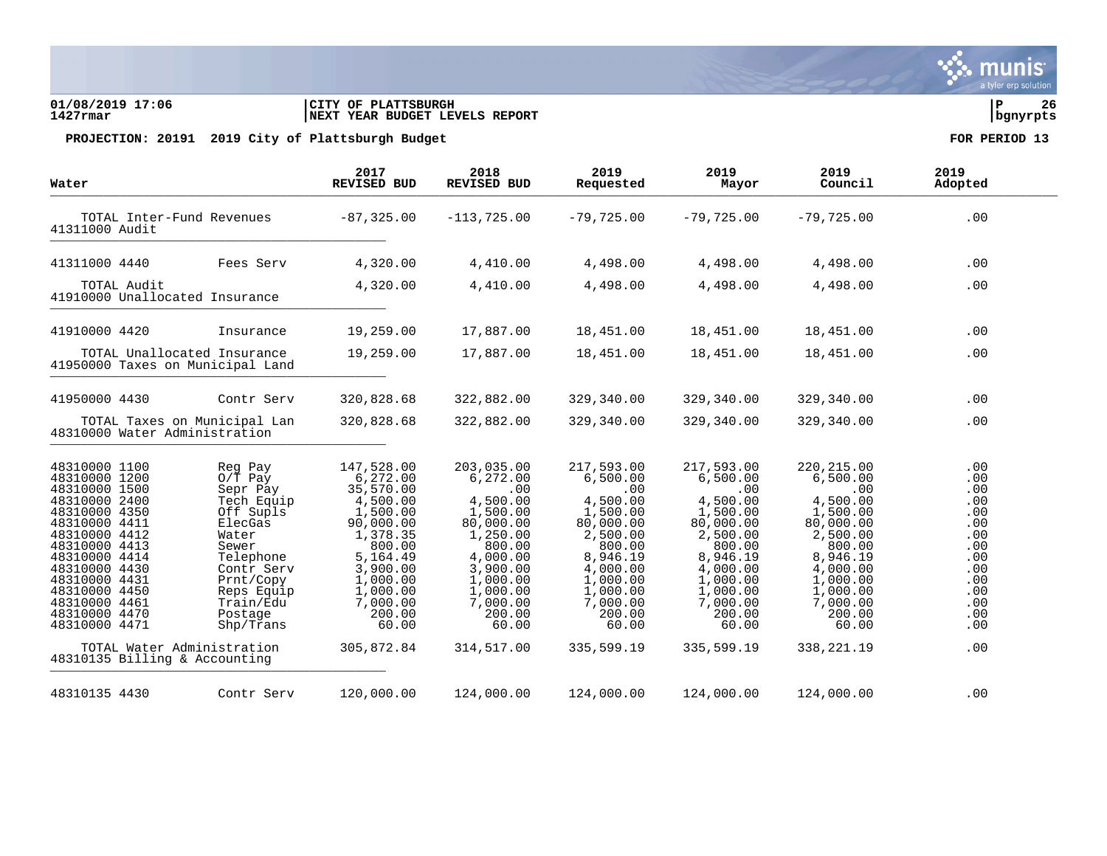### **01/08/2019 17:06 |CITY OF PLATTSBURGH |P 26 1427rmar |NEXT YEAR BUDGET LEVELS REPORT |bgnyrpts**

| Water                                                                                                                                                                                                                                                                                                                      |                                                                                                                                                                                     | 2017<br>REVISED BUD                                                                                                                                                                         | 2018<br>REVISED BUD                                                                                                                                                                   | 2019<br>Requested                                                                                                                                                                     | 2019<br>Mayor                                                                                                                                                                         | 2019<br>Council                                                                                                                                                                          | 2019<br>Adopted                                                                                              |
|----------------------------------------------------------------------------------------------------------------------------------------------------------------------------------------------------------------------------------------------------------------------------------------------------------------------------|-------------------------------------------------------------------------------------------------------------------------------------------------------------------------------------|---------------------------------------------------------------------------------------------------------------------------------------------------------------------------------------------|---------------------------------------------------------------------------------------------------------------------------------------------------------------------------------------|---------------------------------------------------------------------------------------------------------------------------------------------------------------------------------------|---------------------------------------------------------------------------------------------------------------------------------------------------------------------------------------|------------------------------------------------------------------------------------------------------------------------------------------------------------------------------------------|--------------------------------------------------------------------------------------------------------------|
| TOTAL Inter-Fund Revenues<br>41311000 Audit                                                                                                                                                                                                                                                                                |                                                                                                                                                                                     | $-87, 325.00$                                                                                                                                                                               | $-113, 725.00$                                                                                                                                                                        | $-79,725.00$                                                                                                                                                                          | $-79,725.00$                                                                                                                                                                          | $-79,725.00$                                                                                                                                                                             | .00                                                                                                          |
| 41311000 4440                                                                                                                                                                                                                                                                                                              | Fees Serv                                                                                                                                                                           | 4,320.00                                                                                                                                                                                    | 4,410.00                                                                                                                                                                              | 4,498.00                                                                                                                                                                              | 4,498.00                                                                                                                                                                              | 4,498.00                                                                                                                                                                                 | .00                                                                                                          |
| TOTAL Audit<br>41910000 Unallocated Insurance                                                                                                                                                                                                                                                                              |                                                                                                                                                                                     | 4,320.00                                                                                                                                                                                    | 4,410.00                                                                                                                                                                              | 4,498.00                                                                                                                                                                              | 4,498.00                                                                                                                                                                              | 4,498.00                                                                                                                                                                                 | .00                                                                                                          |
| 41910000 4420                                                                                                                                                                                                                                                                                                              | Insurance                                                                                                                                                                           | 19,259.00                                                                                                                                                                                   | 17,887.00                                                                                                                                                                             | 18,451.00                                                                                                                                                                             | 18,451.00                                                                                                                                                                             | 18,451.00                                                                                                                                                                                | .00                                                                                                          |
| TOTAL Unallocated Insurance<br>41950000 Taxes on Municipal Land                                                                                                                                                                                                                                                            |                                                                                                                                                                                     | 19,259.00                                                                                                                                                                                   | 17,887.00                                                                                                                                                                             | 18,451.00                                                                                                                                                                             | 18,451.00                                                                                                                                                                             | 18,451.00                                                                                                                                                                                | .00                                                                                                          |
| 41950000 4430                                                                                                                                                                                                                                                                                                              | Contr Serv                                                                                                                                                                          | 320,828.68                                                                                                                                                                                  | 322,882.00                                                                                                                                                                            | 329,340.00                                                                                                                                                                            | 329,340.00                                                                                                                                                                            | 329,340.00                                                                                                                                                                               | .00                                                                                                          |
| TOTAL Taxes on Municipal Lan<br>48310000 Water Administration                                                                                                                                                                                                                                                              |                                                                                                                                                                                     | 320,828.68                                                                                                                                                                                  | 322,882.00                                                                                                                                                                            | 329,340.00                                                                                                                                                                            | 329,340.00                                                                                                                                                                            | 329,340.00                                                                                                                                                                               | .00                                                                                                          |
| 48310000 1100<br>48310000 1200<br>48310000 1500<br>48310000 2400<br>48310000 4350<br>48310000 4411<br>48310000 4412<br>48310000 4413<br>48310000 4414<br>48310000 4430<br>48310000 4431<br>48310000 4450<br>48310000 4461<br>48310000 4470<br>48310000 4471<br>TOTAL Water Administration<br>48310135 Billing & Accounting | Reg Pay<br>$0/T$ Pay<br>Sepr Pay<br>Tech Equip<br>Off Supls<br>ElecGas<br>Water<br>Sewer<br>Telephone<br>Contr Serv<br>Prnt/Copy<br>Reps Equip<br>Train/Edu<br>Postage<br>Shp/Trans | 147,528.00<br>6,272.00<br>35,570.00<br>4,500.00<br>1,500.00<br>90,000.00<br>1,378.35<br>800.00<br>5,164.49<br>3,900.00<br>1,000.00<br>1,000.00<br>7,000.00<br>200.00<br>60.00<br>305,872.84 | 203,035.00<br>6,272.00<br>.00<br>4,500.00<br>1,500.00<br>80,000.00<br>1,250.00<br>800.00<br>4,000.00<br>3,900.00<br>1,000.00<br>1,000.00<br>7,000.00<br>200.00<br>60.00<br>314,517.00 | 217,593.00<br>6,500.00<br>.00<br>4,500.00<br>1,500.00<br>80,000.00<br>2,500.00<br>800.00<br>8,946.19<br>4,000.00<br>1,000.00<br>1,000.00<br>7,000.00<br>200.00<br>60.00<br>335,599.19 | 217,593.00<br>6,500.00<br>.00<br>4,500.00<br>1,500.00<br>80,000.00<br>2,500.00<br>800.00<br>8,946.19<br>4,000.00<br>1,000.00<br>1,000.00<br>7,000.00<br>200.00<br>60.00<br>335,599.19 | 220, 215.00<br>6,500.00<br>.00<br>4,500.00<br>1,500.00<br>80,000.00<br>2,500.00<br>800.00<br>8,946.19<br>4,000.00<br>1,000.00<br>1,000.00<br>7,000.00<br>200.00<br>60.00<br>338, 221. 19 | .00<br>.00<br>.00<br>.00<br>.00<br>.00<br>.00<br>.00<br>.00<br>.00<br>.00<br>.00<br>.00<br>.00<br>.00<br>.00 |
| 48310135 4430                                                                                                                                                                                                                                                                                                              | Contr Serv                                                                                                                                                                          | 120,000.00                                                                                                                                                                                  | 124,000.00                                                                                                                                                                            | 124,000.00                                                                                                                                                                            | 124,000.00                                                                                                                                                                            | 124,000.00                                                                                                                                                                               | .00                                                                                                          |

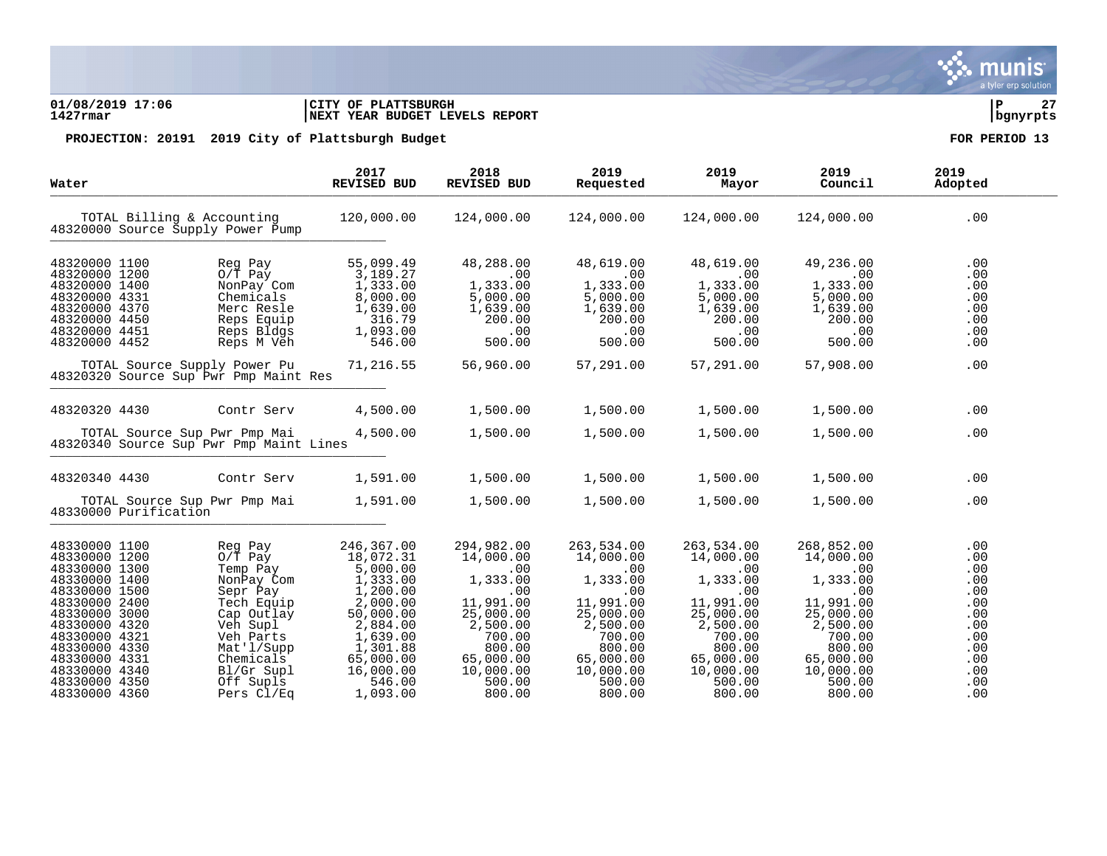# munis a tyler erp solution

### **01/08/2019 17:06 |CITY OF PLATTSBURGH |P 27 1427rmar |NEXT YEAR BUDGET LEVELS REPORT |bgnyrpts**

|                                                                                                                                                                                  | 2017<br>REVISED BUD                                                                                                                                          | 2018<br>REVISED BUD                                                                                                                             | 2019<br>Requested                                                                                                                               | 2019<br>Mayor                                                                                                                                             | 2019<br>Council                                                                                                                                 | 2019<br>Adopted                                                                              |
|----------------------------------------------------------------------------------------------------------------------------------------------------------------------------------|--------------------------------------------------------------------------------------------------------------------------------------------------------------|-------------------------------------------------------------------------------------------------------------------------------------------------|-------------------------------------------------------------------------------------------------------------------------------------------------|-----------------------------------------------------------------------------------------------------------------------------------------------------------|-------------------------------------------------------------------------------------------------------------------------------------------------|----------------------------------------------------------------------------------------------|
| TOTAL Billing & Accounting<br>48320000 Source Supply Power Pump                                                                                                                  | 120,000.00                                                                                                                                                   | 124,000.00                                                                                                                                      | 124,000.00                                                                                                                                      | 124,000.00                                                                                                                                                | 124,000.00                                                                                                                                      | .00                                                                                          |
| Reg Pay<br>$0/\overline{T}$ Pay<br>NonPay Com<br>Chemicals<br>Merc Resle<br>Reps Equip<br>Reps Bldgs<br>Reps M Veh                                                               | 55,099.49<br>3,189.27<br>1,333.00<br>8,000.00<br>1,639.00<br>316.79<br>1,093.00<br>546.00                                                                    | 48,288.00<br>.00<br>1,333.00<br>5,000.00<br>1,639.00<br>200.00<br>.00<br>500.00                                                                 | 48,619.00<br>.00<br>1,333.00<br>5,000.00<br>1,639.00<br>200.00<br>.00<br>500.00                                                                 | 48,619.00<br>.00<br>1,333.00<br>5,000.00<br>1,639.00<br>200.00<br>.00<br>500.00                                                                           | 49,236.00<br>.00<br>1,333.00<br>5,000.00<br>1,639.00<br>200.00<br>.00<br>500.00                                                                 | .00<br>.00<br>.00<br>.00<br>.00<br>.00<br>.00<br>.00                                         |
| TOTAL Source Supply Power Pu                                                                                                                                                     | 71,216.55                                                                                                                                                    | 56,960.00                                                                                                                                       | 57,291.00                                                                                                                                       | 57,291.00                                                                                                                                                 | 57,908.00                                                                                                                                       | .00                                                                                          |
| Contr Serv                                                                                                                                                                       | 4,500.00                                                                                                                                                     | 1,500.00                                                                                                                                        | 1,500.00                                                                                                                                        | 1,500.00                                                                                                                                                  | 1,500.00                                                                                                                                        | .00                                                                                          |
| TOTAL Source Sup Pwr Pmp Mai                                                                                                                                                     | 4,500.00                                                                                                                                                     | 1,500.00                                                                                                                                        | 1,500.00                                                                                                                                        | 1,500.00                                                                                                                                                  | 1,500.00                                                                                                                                        | .00                                                                                          |
| Contr Serv                                                                                                                                                                       | 1,591.00                                                                                                                                                     | 1,500.00                                                                                                                                        | 1,500.00                                                                                                                                        | 1,500.00                                                                                                                                                  | 1,500.00                                                                                                                                        | .00                                                                                          |
| TOTAL Source Sup Pwr Pmp Mai<br>48330000 Purification                                                                                                                            | 1,591.00                                                                                                                                                     | 1,500.00                                                                                                                                        | 1,500.00                                                                                                                                        | 1,500.00                                                                                                                                                  | 1,500.00                                                                                                                                        | .00                                                                                          |
| Reg Pay<br>$0/\overline{T}$ Pay<br>Temp Pay<br>NonPay Com<br>Sepr Pay<br>Tech Equip<br>Cap Outlay<br>Veh Supl<br>Veh Parts<br>Mat'l/Supp<br>Chemicals<br>Bl/Gr Supl<br>Off Supls | 246,367.00<br>18,072.31<br>5,000.00<br>1,333.00<br>1,200.00<br>2,000.00<br>50,000.00<br>2,884.00<br>1,639.00<br>1,301.88<br>65,000.00<br>16,000.00<br>546.00 | 294,982.00<br>14,000.00<br>.00<br>1,333.00<br>.00<br>11,991.00<br>25,000.00<br>2,500.00<br>700.00<br>800.00<br>65,000.00<br>10,000.00<br>500.00 | 263,534.00<br>14,000.00<br>.00<br>1,333.00<br>.00<br>11,991.00<br>25,000.00<br>2,500.00<br>700.00<br>800.00<br>65,000.00<br>10,000.00<br>500.00 | 263,534.00<br>14,000.00<br>.00<br>1,333.00<br>.00<br>11,991.00<br>25,000.00<br>2,500.00<br>700.00<br>800.00<br>65,000.00<br>10,000.00<br>500.00<br>800.00 | 268,852.00<br>14,000.00<br>.00<br>1,333.00<br>.00<br>11,991.00<br>25,000.00<br>2,500.00<br>700.00<br>800.00<br>65,000.00<br>10,000.00<br>500.00 | .00<br>.00<br>.00<br>.00<br>.00<br>.00<br>.00<br>$.00 \,$<br>.00<br>.00<br>.00<br>.00<br>.00 |
|                                                                                                                                                                                  | Pers Cl/Eq                                                                                                                                                   | 48320320 Source Sup Pwr Pmp Maint Res<br>48320340 Source Sup Pwr Pmp Maint Lines                                                                |                                                                                                                                                 |                                                                                                                                                           |                                                                                                                                                 |                                                                                              |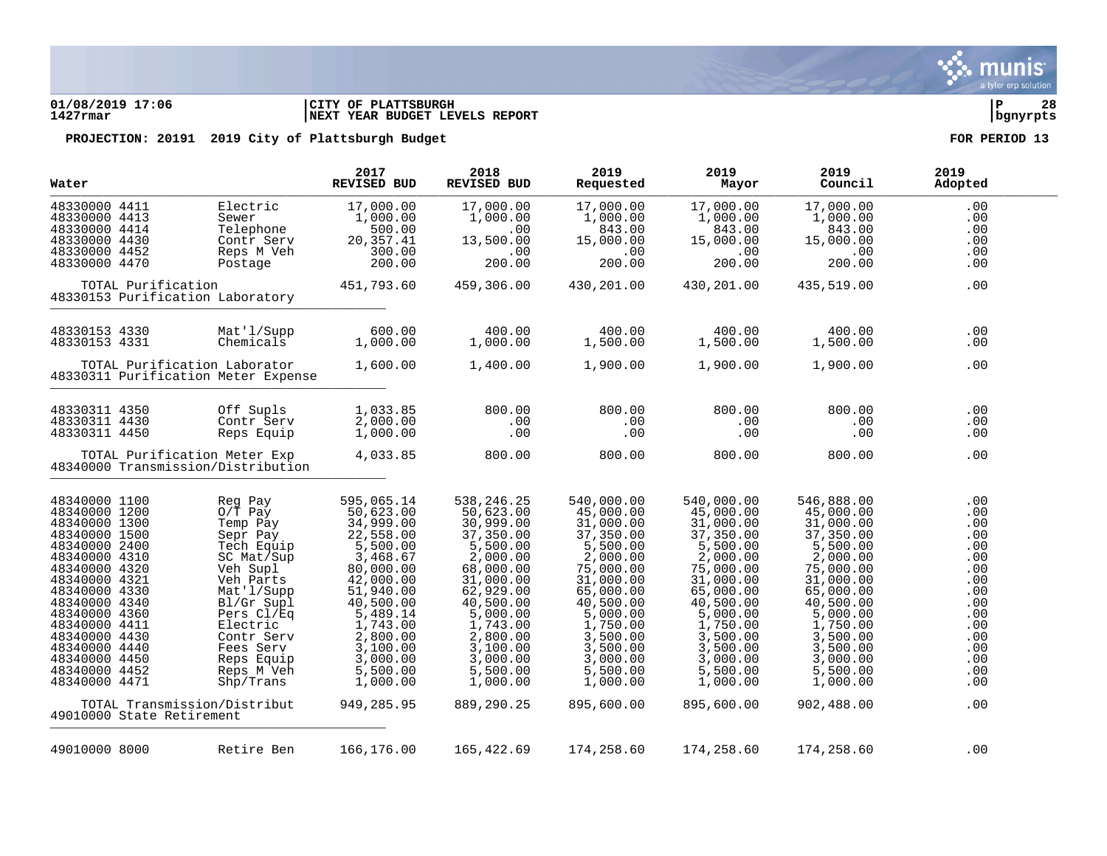

### **01/08/2019 17:06 |CITY OF PLATTSBURGH |P 28 1427rmar |NEXT YEAR BUDGET LEVELS REPORT |bgnyrpts**

| Water                                                                                                                                                                                                                                                                                         |                           |                                                                                                                                                                                                                                                                                 | 2017<br><b>REVISED BUD</b>                                                                                                                                                                                                      | 2018<br>REVISED BUD                                                                                                                                                                                                             | 2019<br>Requested                                                                                                                                                                                                               | 2019<br>Mayor                                                                                                                                                                                                                   | 2019<br>Council                                                                                                                                                                                                                 | 2019<br>Adopted                                                                                                            |
|-----------------------------------------------------------------------------------------------------------------------------------------------------------------------------------------------------------------------------------------------------------------------------------------------|---------------------------|---------------------------------------------------------------------------------------------------------------------------------------------------------------------------------------------------------------------------------------------------------------------------------|---------------------------------------------------------------------------------------------------------------------------------------------------------------------------------------------------------------------------------|---------------------------------------------------------------------------------------------------------------------------------------------------------------------------------------------------------------------------------|---------------------------------------------------------------------------------------------------------------------------------------------------------------------------------------------------------------------------------|---------------------------------------------------------------------------------------------------------------------------------------------------------------------------------------------------------------------------------|---------------------------------------------------------------------------------------------------------------------------------------------------------------------------------------------------------------------------------|----------------------------------------------------------------------------------------------------------------------------|
| 48330000 4411<br>48330000 4413<br>48330000 4414<br>48330000 4430<br>48330000 4452<br>48330000 4470                                                                                                                                                                                            |                           | Electric<br>Sewer<br>Telephone<br>Contr Serv<br>Reps M Veh<br>Postage                                                                                                                                                                                                           | 17,000.00<br>1,000.00<br>500.00<br>20, 357.41<br>300.00<br>200.00                                                                                                                                                               | 17,000.00<br>1,000.00<br>.00<br>13,500.00<br>.00<br>200.00                                                                                                                                                                      | 17,000.00<br>1,000.00<br>843.00<br>15,000.00<br>.00<br>200.00                                                                                                                                                                   | 17,000.00<br>1,000.00<br>843.00<br>15,000.00<br>.00<br>200.00                                                                                                                                                                   | 17,000.00<br>1,000.00<br>843.00<br>15,000.00<br>.00<br>200.00                                                                                                                                                                   | .00<br>.00<br>.00<br>.00<br>.00<br>.00                                                                                     |
|                                                                                                                                                                                                                                                                                               | TOTAL Purification        | 48330153 Purification Laboratory                                                                                                                                                                                                                                                | 451,793.60                                                                                                                                                                                                                      | 459,306.00                                                                                                                                                                                                                      | 430,201.00                                                                                                                                                                                                                      | 430,201.00                                                                                                                                                                                                                      | 435,519.00                                                                                                                                                                                                                      | .00                                                                                                                        |
| 48330153 4330<br>48330153 4331                                                                                                                                                                                                                                                                |                           | Mat'l/Supp<br>Chemicals                                                                                                                                                                                                                                                         | 600.00<br>1,000.00                                                                                                                                                                                                              | 400.00<br>1,000.00                                                                                                                                                                                                              | 400.00<br>1,500.00                                                                                                                                                                                                              | 400.00<br>1,500.00                                                                                                                                                                                                              | 400.00<br>1,500.00                                                                                                                                                                                                              | .00<br>.00                                                                                                                 |
|                                                                                                                                                                                                                                                                                               |                           | TOTAL Purification Laborator<br>48330311 Purification Meter Expense                                                                                                                                                                                                             | 1,600.00                                                                                                                                                                                                                        | 1,400.00                                                                                                                                                                                                                        | 1,900.00                                                                                                                                                                                                                        | 1,900.00                                                                                                                                                                                                                        | 1,900.00                                                                                                                                                                                                                        | .00                                                                                                                        |
| 48330311 4350<br>48330311 4430<br>48330311 4450                                                                                                                                                                                                                                               |                           | Off Supls<br>Contr Serv<br>Reps Equip                                                                                                                                                                                                                                           | 1,033.85<br>2,000.00<br>1,000.00                                                                                                                                                                                                | 800.00<br>.00<br>$.00 \,$                                                                                                                                                                                                       | 800.00<br>.00<br>.00                                                                                                                                                                                                            | 800.00<br>.00<br>$.00 \,$                                                                                                                                                                                                       | 800.00<br>.00<br>.00                                                                                                                                                                                                            | .00<br>.00<br>.00                                                                                                          |
|                                                                                                                                                                                                                                                                                               |                           | TOTAL Purification Meter Exp<br>48340000 Transmission/Distribution                                                                                                                                                                                                              | 4,033.85                                                                                                                                                                                                                        | 800.00                                                                                                                                                                                                                          | 800.00                                                                                                                                                                                                                          | 800.00                                                                                                                                                                                                                          | 800.00                                                                                                                                                                                                                          | .00                                                                                                                        |
| 48340000 1100<br>48340000 1200<br>48340000 1300<br>48340000 1500<br>48340000 2400<br>48340000 4310<br>48340000 4320<br>48340000 4321<br>48340000 4330<br>48340000 4340<br>48340000 4360<br>48340000 4411<br>48340000 4430<br>48340000 4440<br>48340000 4450<br>48340000 4452<br>48340000 4471 |                           | Reg Pay<br>$O/T$ Pay<br>Temp Pay<br>Sepr Pay<br>Tech Equip<br>SC Mat/Sup<br>Veh Supl<br>Veh Parts<br>Mat'l/Supp<br>Bl/Gr Supl<br>Pers Cl/Eq<br>Electric<br>Contr Serv<br>Fees Serv<br>Reps Equip<br>Reps M Veh<br>$\mathrm{Shp}/\mathrm{Trans}$<br>TOTAL Transmission/Distribut | 595,065.14<br>50,623.00<br>34,999.00<br>22,558.00<br>5,500.00<br>3,468.67<br>80,000.00<br>42,000.00<br>51,940.00<br>40,500.00<br>5,489.14<br>1,743.00<br>2,800.00<br>3,100.00<br>3,000.00<br>5,500.00<br>1,000.00<br>949,285.95 | 538,246.25<br>50,623.00<br>30,999.00<br>37,350.00<br>5,500.00<br>2,000.00<br>68,000.00<br>31,000.00<br>62,929.00<br>40,500.00<br>5,000.00<br>1,743.00<br>2,800.00<br>3,100.00<br>3,000.00<br>5,500.00<br>1,000.00<br>889,290.25 | 540,000.00<br>45,000.00<br>31,000.00<br>37,350.00<br>5,500.00<br>2,000.00<br>75,000.00<br>31,000.00<br>65,000.00<br>40,500.00<br>5,000.00<br>1,750.00<br>3,500.00<br>3,500.00<br>3,000.00<br>5,500.00<br>1,000.00<br>895,600.00 | 540,000.00<br>45,000.00<br>31,000.00<br>37,350.00<br>5,500.00<br>2,000.00<br>75,000.00<br>31,000.00<br>65,000.00<br>40,500.00<br>5,000.00<br>1,750.00<br>3,500.00<br>3,500.00<br>3,000.00<br>5,500.00<br>1,000.00<br>895,600.00 | 546,888.00<br>45,000.00<br>31,000.00<br>37,350.00<br>5,500.00<br>2,000.00<br>75,000.00<br>31,000.00<br>65,000.00<br>40,500.00<br>5,000.00<br>1,750.00<br>3,500.00<br>3,500.00<br>3,000.00<br>5,500.00<br>1,000.00<br>902,488.00 | .00<br>.00<br>.00<br>.00<br>.00<br>.00<br>.00<br>.00<br>.00<br>.00<br>.00<br>.00<br>.00<br>.00<br>.00<br>.00<br>.00<br>.00 |
|                                                                                                                                                                                                                                                                                               | 49010000 State Retirement |                                                                                                                                                                                                                                                                                 |                                                                                                                                                                                                                                 |                                                                                                                                                                                                                                 |                                                                                                                                                                                                                                 |                                                                                                                                                                                                                                 |                                                                                                                                                                                                                                 |                                                                                                                            |
| 49010000 8000                                                                                                                                                                                                                                                                                 |                           | Retire Ben                                                                                                                                                                                                                                                                      | 166,176.00                                                                                                                                                                                                                      | 165,422.69                                                                                                                                                                                                                      | 174,258.60                                                                                                                                                                                                                      | 174,258.60                                                                                                                                                                                                                      | 174,258.60                                                                                                                                                                                                                      | .00                                                                                                                        |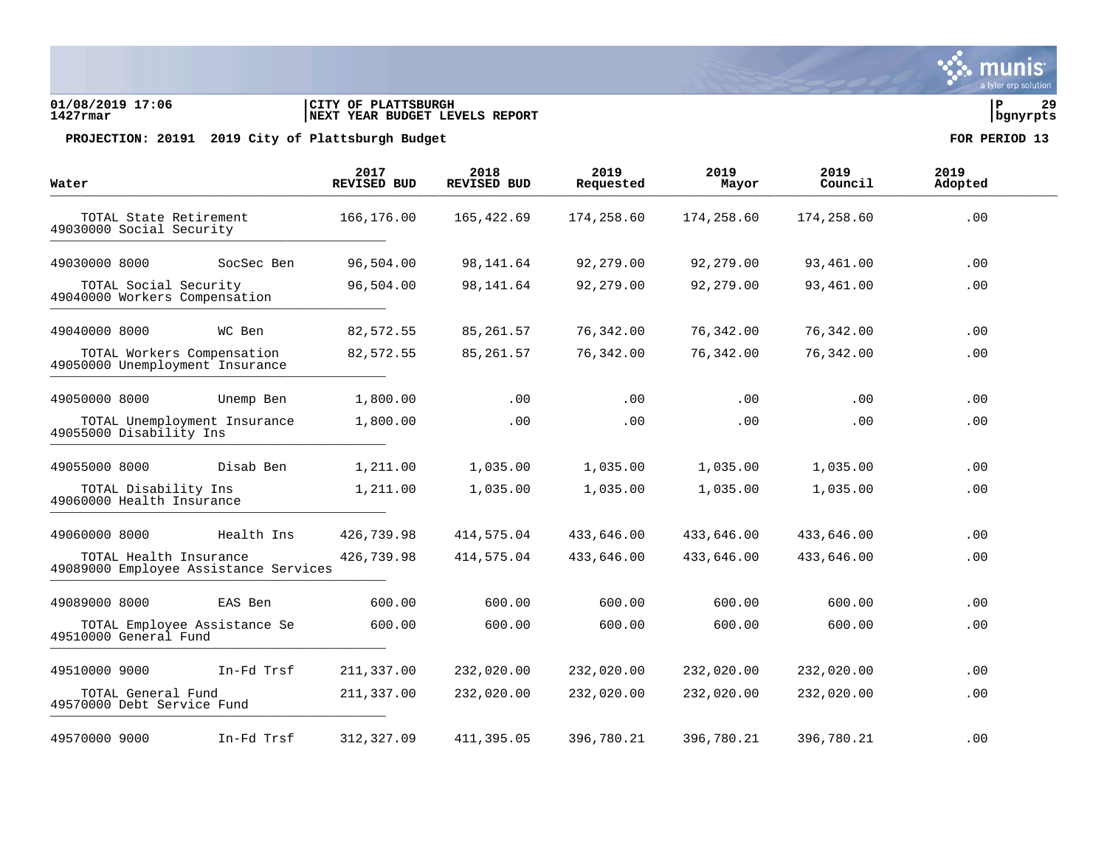### **01/08/2019 17:06 |CITY OF PLATTSBURGH |P 29 1427rmar |NEXT YEAR BUDGET LEVELS REPORT |bgnyrpts**

PROJECTION: 20191 2019 City of Plattsburgh Budget **FOR PERIOD** 13

| Water                                                           | 2017<br><b>REVISED BUD</b> | 2018<br><b>REVISED BUD</b> | 2019<br>Requested | 2019<br>Mayor | 2019<br>Council | 2019<br>Adopted |
|-----------------------------------------------------------------|----------------------------|----------------------------|-------------------|---------------|-----------------|-----------------|
| TOTAL State Retirement<br>49030000 Social Security              | 166,176.00                 | 165,422.69                 | 174,258.60        | 174,258.60    | 174,258.60      | .00             |
| SocSec Ben<br>49030000 8000                                     | 96,504.00                  | 98,141.64                  | 92,279.00         | 92,279.00     | 93,461.00       | .00             |
| TOTAL Social Security<br>49040000 Workers Compensation          | 96,504.00                  | 98,141.64                  | 92,279.00         | 92,279.00     | 93,461.00       | .00             |
| 49040000 8000<br>WC Ben                                         | 82,572.55                  | 85,261.57                  | 76,342.00         | 76,342.00     | 76,342.00       | .00             |
| TOTAL Workers Compensation<br>49050000 Unemployment Insurance   | 82,572.55                  | 85, 261.57                 | 76,342.00         | 76,342.00     | 76,342.00       | .00             |
| 49050000 8000<br>Unemp Ben                                      | 1,800.00                   | .00                        | .00               | $.00 \,$      | .00             | .00             |
| TOTAL Unemployment Insurance<br>49055000 Disability Ins         | 1,800.00                   | $.00 \,$                   | .00               | .00           | .00             | .00             |
| Disab Ben<br>49055000 8000                                      | 1,211.00                   | 1,035.00                   | 1,035.00          | 1,035.00      | 1,035.00        | .00             |
| TOTAL Disability Ins<br>49060000 Health Insurance               | 1,211.00                   | 1,035.00                   | 1,035.00          | 1,035.00      | 1,035.00        | .00             |
| Health Ins<br>49060000 8000                                     | 426,739.98                 | 414,575.04                 | 433,646.00        | 433,646.00    | 433,646.00      | .00             |
| TOTAL Health Insurance<br>49089000 Employee Assistance Services | 426,739.98                 | 414,575.04                 | 433,646.00        | 433,646.00    | 433,646.00      | .00             |
| 49089000 8000<br>EAS Ben                                        | 600.00                     | 600.00                     | 600.00            | 600.00        | 600.00          | .00             |
| TOTAL Employee Assistance Se<br>49510000 General Fund           | 600.00                     | 600.00                     | 600.00            | 600.00        | 600.00          | .00             |
| In-Fd Trsf<br>49510000 9000                                     | 211,337.00                 | 232,020.00                 | 232,020.00        | 232,020.00    | 232,020.00      | .00             |
| TOTAL General Fund<br>49570000 Debt Service Fund                | 211,337.00                 | 232,020.00                 | 232,020.00        | 232,020.00    | 232,020.00      | .00             |
| 49570000 9000<br>In-Fd Trsf                                     | 312,327.09                 | 411,395.05                 | 396,780.21        | 396,780.21    | 396,780.21      | .00             |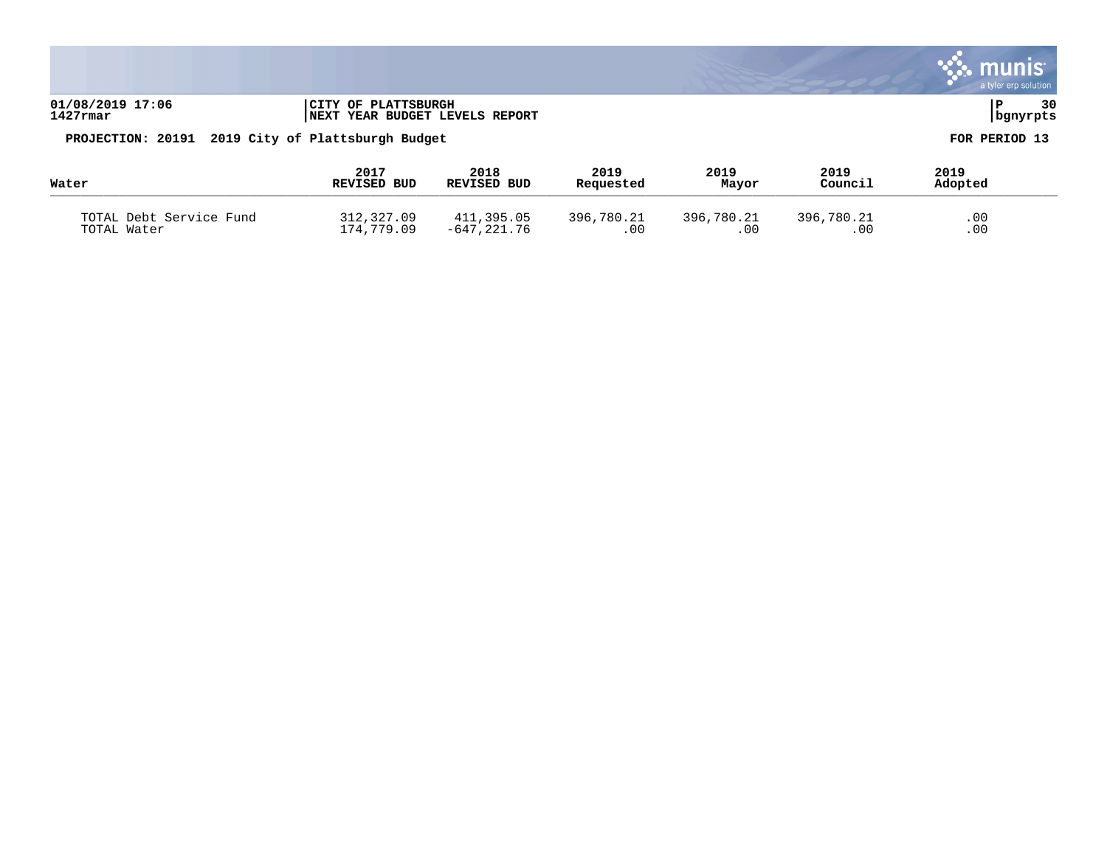|                                                   |                                                            |                     |                   |               |                 | a tyler erp solution |
|---------------------------------------------------|------------------------------------------------------------|---------------------|-------------------|---------------|-----------------|----------------------|
| 01/08/2019 17:06<br>$1427$ rmar                   | OF PLATTSBURGH<br>  CITY<br>NEXT YEAR BUDGET LEVELS REPORT |                     |                   |               |                 | 30<br>  bgnyrpts     |
| PROJECTION: 20191 2019 City of Plattsburgh Budget |                                                            |                     |                   |               |                 | FOR PERIOD 13        |
| Water                                             | 2017<br>REVISED BUD                                        | 2018<br>REVISED BUD | 2019<br>Requested | 2019<br>Mayor | 2019<br>Council | 2019<br>Adopted      |

| ……                      | שטע שטעוניי | שטע שטעוניי   | <b>Wednebrea</b> | <b>ELG Y ULL</b> | -------    | AUUPLEU |  |
|-------------------------|-------------|---------------|------------------|------------------|------------|---------|--|
| TOTAL Debt Service Fund | 312,327.09  | 411,395.05    | 396,780.21       | 396,780.21       | 396,780.21 | .00     |  |
| TOTAL Water             | 174,779.09  | $-647,221.76$ | .00              | . 00             | .00        | .00     |  |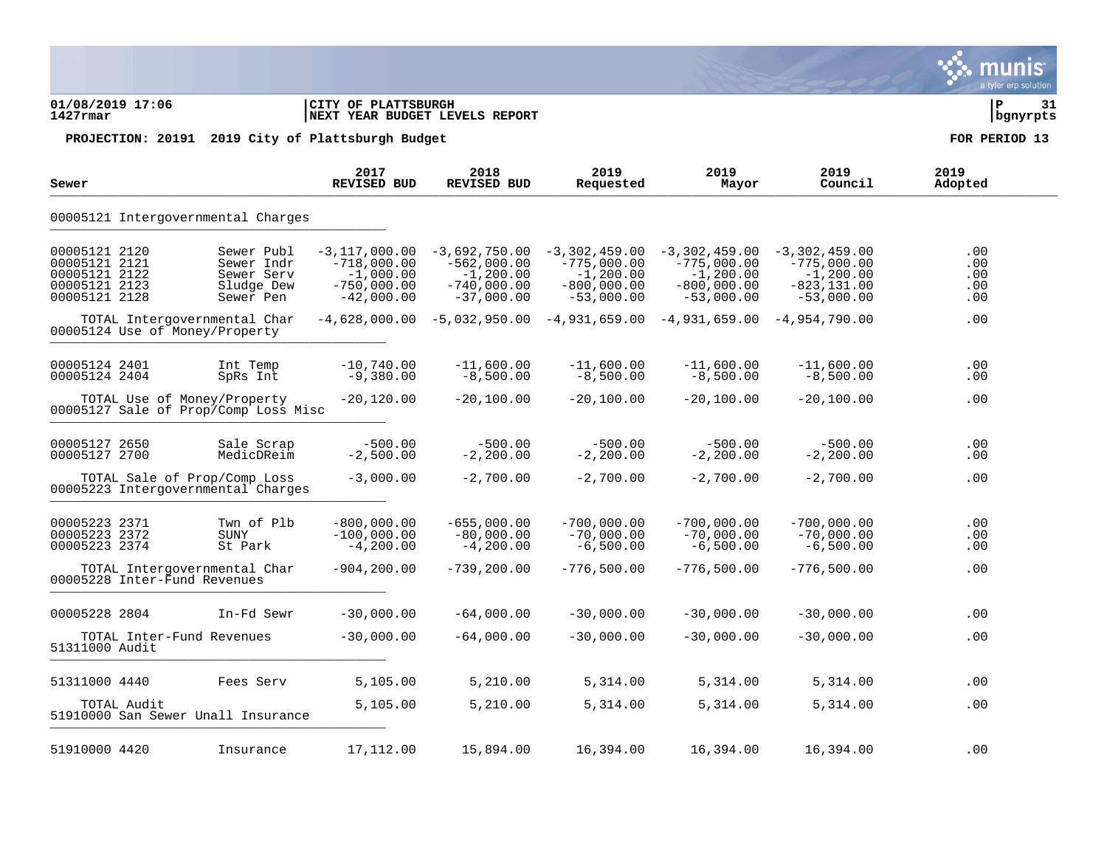### **01/08/2019 17:06 |CITY OF PLATTSBURGH |P 31 1427rmar |NEXT YEAR BUDGET LEVELS REPORT |bgnyrpts**

| Sewer                                                                             |                                                                                                   | 2017<br><b>REVISED BUD</b>                                                                          | 2018<br><b>REVISED BUD</b>                                                                           | 2019<br>Requested                                                                 | 2019<br>Mayor                                                                                                        | 2019<br>Council                                                                                       | 2019<br>Adopted                        |
|-----------------------------------------------------------------------------------|---------------------------------------------------------------------------------------------------|-----------------------------------------------------------------------------------------------------|------------------------------------------------------------------------------------------------------|-----------------------------------------------------------------------------------|----------------------------------------------------------------------------------------------------------------------|-------------------------------------------------------------------------------------------------------|----------------------------------------|
|                                                                                   | 00005121 Intergovernmental Charges                                                                |                                                                                                     |                                                                                                      |                                                                                   |                                                                                                                      |                                                                                                       |                                        |
| 00005121 2120<br>00005121 2121<br>00005121 2122<br>00005121 2123<br>00005121 2128 | Sewer Publ<br>Sewer Indr<br>Sewer Serv<br>Sludge Dew<br>Sewer Pen<br>TOTAL Intergovernmental Char | $-3,117,000.00$<br>$-718,000.00$<br>$-1,000.00$<br>$-750,000.00$<br>$-42,000.00$<br>$-4,628,000.00$ | $-3,692,750.00$<br>$-562,000.00$<br>$-1, 200.00$<br>$-740,000.00$<br>$-37,000.00$<br>$-5,032,950.00$ | $-3,302,459.00$<br>$-775,000.00$<br>$-1, 200.00$<br>$-800,000.00$<br>$-53,000.00$ | $-3,302,459.00$<br>$-775,000.00$<br>$-1, 200.00$<br>$-800,000.00$<br>$-53,000.00$<br>$-4,931,659.00$ $-4,931,659.00$ | $-3,302,459.00$<br>$-775,000.00$<br>$-1, 200.00$<br>$-823, 131.00$<br>$-53,000.00$<br>$-4,954,790.00$ | .00<br>.00<br>.00<br>.00<br>.00<br>.00 |
|                                                                                   | 00005124 Use of Money/Property                                                                    |                                                                                                     |                                                                                                      |                                                                                   |                                                                                                                      |                                                                                                       |                                        |
| 00005124 2401<br>00005124 2404                                                    | Int Temp<br>SpRs Int                                                                              | $-10,740.00$<br>$-9,380.00$                                                                         | $-11,600.00$<br>$-8,500.00$                                                                          | $-11,600.00$<br>$-8,500.00$                                                       | $-11,600.00$<br>$-8,500.00$                                                                                          | $-11,600.00$<br>$-8,500.00$                                                                           | .00<br>.00                             |
|                                                                                   | TOTAL Use of Money/Property<br>00005127 Sale of Prop/Comp Loss Misc                               | $-20,120.00$                                                                                        | $-20,100.00$                                                                                         | $-20,100.00$                                                                      | $-20,100.00$                                                                                                         | $-20,100.00$                                                                                          | .00                                    |
| 00005127 2650<br>00005127 2700                                                    | Sale Scrap<br>MedicDReim                                                                          | $-500.00$<br>$-2,500.00$                                                                            | $-500.00$<br>$-2, 200.00$                                                                            | $-500.00$<br>$-2, 200.00$                                                         | $-500.00$<br>$-2, 200.00$                                                                                            | $-500.00$<br>$-2, 200.00$                                                                             | .00<br>.00                             |
|                                                                                   | TOTAL Sale of Prop/Comp Loss<br>00005223 Intergovernmental Charges                                | $-3,000.00$                                                                                         | $-2,700.00$                                                                                          | $-2,700.00$                                                                       | $-2,700.00$                                                                                                          | $-2,700.00$                                                                                           | .00                                    |
| 00005223 2371<br>00005223 2372<br>00005223 2374                                   | Twn of Plb<br>SUNY<br>St Park                                                                     | $-800,000.00$<br>$-100,000.00$<br>$-4, 200.00$                                                      | $-655,000.00$<br>$-80,000.00$<br>$-4, 200.00$                                                        | $-700,000.00$<br>$-70,000.00$<br>$-6,500.00$                                      | $-700,000.00$<br>$-70,000.00$<br>$-6,500.00$                                                                         | $-700,000.00$<br>$-70,000.00$<br>$-6,500.00$                                                          | .00<br>.00<br>.00                      |
|                                                                                   | TOTAL Intergovernmental Char<br>00005228 Inter-Fund Revenues                                      | $-904, 200.00$                                                                                      | $-739, 200.00$                                                                                       | $-776,500.00$                                                                     | $-776,500.00$                                                                                                        | $-776,500.00$                                                                                         | .00                                    |
| 00005228 2804                                                                     | In-Fd Sewr                                                                                        | $-30,000.00$                                                                                        | $-64,000.00$                                                                                         | $-30,000.00$                                                                      | $-30,000.00$                                                                                                         | $-30,000.00$                                                                                          | .00                                    |
| 51311000 Audit                                                                    | TOTAL Inter-Fund Revenues                                                                         | $-30,000.00$                                                                                        | $-64,000.00$                                                                                         | $-30,000.00$                                                                      | $-30,000.00$                                                                                                         | $-30,000.00$                                                                                          | .00                                    |
| 51311000 4440                                                                     | Fees Serv                                                                                         | 5,105.00                                                                                            | 5,210.00                                                                                             | 5,314.00                                                                          | 5,314.00                                                                                                             | 5,314.00                                                                                              | .00                                    |
|                                                                                   | TOTAL Audit<br>51910000 San Sewer Unall Insurance                                                 | 5,105.00                                                                                            | 5,210.00                                                                                             | 5,314.00                                                                          | 5,314.00                                                                                                             | 5,314.00                                                                                              | .00                                    |
| 51910000 4420                                                                     | Insurance                                                                                         | 17,112.00                                                                                           | 15,894.00                                                                                            | 16,394.00                                                                         | 16,394.00                                                                                                            | 16,394.00                                                                                             | .00                                    |

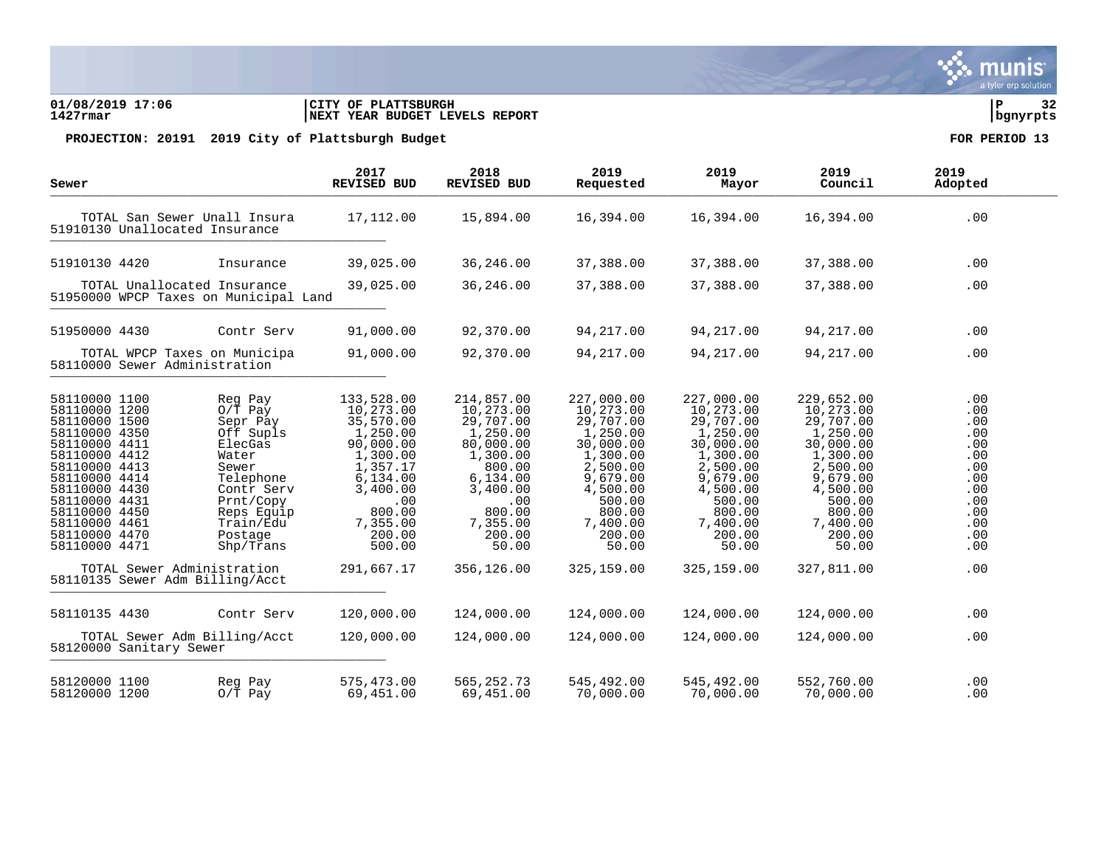### **01/08/2019 17:06 |CITY OF PLATTSBURGH |P 32 1427rmar |NEXT YEAR BUDGET LEVELS REPORT |bgnyrpts**

| Sewer                                                                                                                                                                                                                                      |                                |                                                                                                                                                                                                          | 2017<br>REVISED BUD                                                                                                                                                          | 2018<br><b>REVISED BUD</b>                                                                                                                                                | 2019<br>Requested                                                                                                                                                              | 2019<br>Mayor                                                                                                                                                                  | 2019<br>Council                                                                                                                                                                | 2019<br>Adopted                                                                                       |  |
|--------------------------------------------------------------------------------------------------------------------------------------------------------------------------------------------------------------------------------------------|--------------------------------|----------------------------------------------------------------------------------------------------------------------------------------------------------------------------------------------------------|------------------------------------------------------------------------------------------------------------------------------------------------------------------------------|---------------------------------------------------------------------------------------------------------------------------------------------------------------------------|--------------------------------------------------------------------------------------------------------------------------------------------------------------------------------|--------------------------------------------------------------------------------------------------------------------------------------------------------------------------------|--------------------------------------------------------------------------------------------------------------------------------------------------------------------------------|-------------------------------------------------------------------------------------------------------|--|
|                                                                                                                                                                                                                                            | 51910130 Unallocated Insurance | TOTAL San Sewer Unall Insura                                                                                                                                                                             | 17,112.00                                                                                                                                                                    | 15,894.00                                                                                                                                                                 | 16,394.00                                                                                                                                                                      | 16,394.00                                                                                                                                                                      | 16,394.00                                                                                                                                                                      | .00                                                                                                   |  |
| 51910130 4420                                                                                                                                                                                                                              |                                | Insurance                                                                                                                                                                                                | 39,025.00                                                                                                                                                                    | 36,246.00                                                                                                                                                                 | 37,388.00                                                                                                                                                                      | 37,388.00                                                                                                                                                                      | 37,388.00                                                                                                                                                                      | .00                                                                                                   |  |
|                                                                                                                                                                                                                                            | TOTAL Unallocated Insurance    | 51950000 WPCP Taxes on Municipal Land                                                                                                                                                                    | 39,025.00                                                                                                                                                                    | 36,246.00                                                                                                                                                                 | 37,388.00                                                                                                                                                                      | 37,388.00                                                                                                                                                                      | 37,388.00                                                                                                                                                                      | .00                                                                                                   |  |
| 51950000 4430                                                                                                                                                                                                                              |                                | Contr Serv                                                                                                                                                                                               | 91,000.00                                                                                                                                                                    | 92,370.00                                                                                                                                                                 | 94,217.00                                                                                                                                                                      | 94,217.00                                                                                                                                                                      | 94,217.00                                                                                                                                                                      | .00                                                                                                   |  |
|                                                                                                                                                                                                                                            | 58110000 Sewer Administration  | TOTAL WPCP Taxes on Municipa                                                                                                                                                                             | 91,000.00                                                                                                                                                                    | 92,370.00                                                                                                                                                                 | 94,217.00                                                                                                                                                                      | 94, 217.00                                                                                                                                                                     | 94, 217.00                                                                                                                                                                     | .00                                                                                                   |  |
| 58110000 1100<br>58110000 1200<br>58110000 1500<br>58110000 4350<br>58110000 4411<br>58110000 4412<br>58110000 4413<br>58110000 4414<br>58110000 4430<br>58110000 4431<br>58110000 4450<br>58110000 4461<br>58110000 4470<br>58110000 4471 | TOTAL Sewer Administration     | Reg Pay<br>$0/T$ Pay<br>Sepr Pay<br>Off Supls<br>ElecGas<br>Water<br>Sewer<br>Telephone<br>Contr Serv<br>Prnt/Copy<br>Reps Equip<br>Train/Edu<br>Postage<br>Shp/Trans<br>58110135 Sewer Adm Billing/Acct | 133,528.00<br>10,273.00<br>35,570.00<br>1,250.00<br>90,000.00<br>1,300.00<br>1,357.17<br>6,134.00<br>3,400.00<br>.00<br>800.00<br>7,355.00<br>200.00<br>500.00<br>291,667.17 | 214,857.00<br>10,273.00<br>29,707.00<br>1,250.00<br>80,000.00<br>1,300.00<br>800.00<br>6,134.00<br>3,400.00<br>.00<br>800.00<br>7,355.00<br>200.00<br>50.00<br>356,126.00 | 227,000.00<br>10,273.00<br>29,707.00<br>1,250.00<br>30,000.00<br>1,300.00<br>2,500.00<br>9,679.00<br>4,500.00<br>500.00<br>800.00<br>7,400.00<br>200.00<br>50.00<br>325,159.00 | 227,000.00<br>10,273.00<br>29,707.00<br>1,250.00<br>30,000.00<br>1,300.00<br>2,500.00<br>9,679.00<br>4,500.00<br>500.00<br>800.00<br>7,400.00<br>200.00<br>50.00<br>325,159.00 | 229,652.00<br>10,273.00<br>29,707.00<br>1,250.00<br>30,000.00<br>1,300.00<br>2,500.00<br>9,679.00<br>4,500.00<br>500.00<br>800.00<br>7,400.00<br>200.00<br>50.00<br>327,811.00 | .00<br>.00<br>.00<br>.00<br>.00<br>.00<br>.00<br>.00<br>.00<br>.00<br>.00<br>.00<br>.00<br>.00<br>.00 |  |
| 58110135 4430                                                                                                                                                                                                                              |                                | Contr Serv                                                                                                                                                                                               | 120,000.00                                                                                                                                                                   | 124,000.00                                                                                                                                                                | 124,000.00                                                                                                                                                                     | 124,000.00                                                                                                                                                                     | 124,000.00                                                                                                                                                                     | .00                                                                                                   |  |
|                                                                                                                                                                                                                                            | 58120000 Sanitary Sewer        | TOTAL Sewer Adm Billing/Acct                                                                                                                                                                             | 120,000.00                                                                                                                                                                   | 124,000.00                                                                                                                                                                | 124,000.00                                                                                                                                                                     | 124,000.00                                                                                                                                                                     | 124,000.00                                                                                                                                                                     | .00                                                                                                   |  |
| 58120000 1100<br>58120000 1200                                                                                                                                                                                                             |                                | Reg Pay<br>$O/T$ Pay                                                                                                                                                                                     | 575,473.00<br>69,451.00                                                                                                                                                      | 565, 252. 73<br>69,451.00                                                                                                                                                 | 545,492.00<br>70,000.00                                                                                                                                                        | 545,492.00<br>70,000.00                                                                                                                                                        | 552,760.00<br>70,000.00                                                                                                                                                        | .00<br>.00                                                                                            |  |

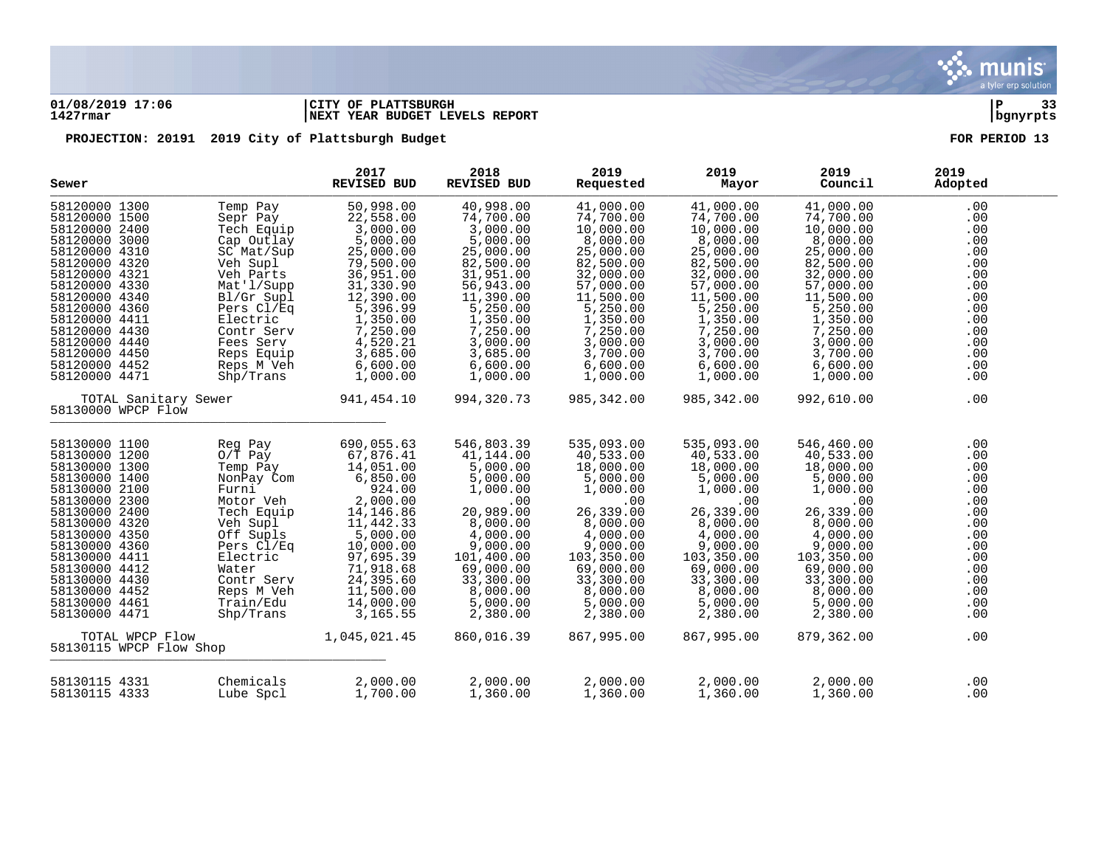

### **01/08/2019 17:06 |CITY OF PLATTSBURGH |P 33 1427rmar |NEXT YEAR BUDGET LEVELS REPORT |bgnyrpts**

| Sewer                                                                                                                                                                                                                                                                                                                      |                                                                                                                                                                                                                                       | 2017<br><b>REVISED BUD</b>                                                                                                                                                                                             | 2018<br><b>REVISED BUD</b>                                                                                                                                                                                    | 2019<br>Requested                                                                                                                                                                                              | 2019<br>Mayor                                                                                                                                                                                                  | 2019<br>Council                                                                                                                                                                                                | 2019<br>Adopted                                                                                                     |
|----------------------------------------------------------------------------------------------------------------------------------------------------------------------------------------------------------------------------------------------------------------------------------------------------------------------------|---------------------------------------------------------------------------------------------------------------------------------------------------------------------------------------------------------------------------------------|------------------------------------------------------------------------------------------------------------------------------------------------------------------------------------------------------------------------|---------------------------------------------------------------------------------------------------------------------------------------------------------------------------------------------------------------|----------------------------------------------------------------------------------------------------------------------------------------------------------------------------------------------------------------|----------------------------------------------------------------------------------------------------------------------------------------------------------------------------------------------------------------|----------------------------------------------------------------------------------------------------------------------------------------------------------------------------------------------------------------|---------------------------------------------------------------------------------------------------------------------|
| 58120000 1300<br>58120000 1500<br>58120000 2400<br>58120000 3000<br>58120000 4310<br>58120000 4320<br>58120000 4321<br>58120000 4330<br>58120000 4340<br>58120000 4360<br>58120000 4411<br>58120000 4430<br>58120000 4440<br>58120000 4450<br>58120000 4452<br>58120000 4471                                               | Temp Pay<br>Sepr Pay<br>Tech Equip<br>Cap Outlay<br>SC Mat/Sup<br>Veh Supl<br>Veh Parts<br>Mat'l/Supp<br>Bl/Gr Supl<br>Pers Cl/Eq<br>Electric<br>Contr Serv<br>Fees Serv<br>Reps Equip<br>Reps M Veh<br>$\mathrm{Shp}/\mathrm{Trans}$ | 50,998.00<br>22,558.00<br>3,000.00<br>5,000.00<br>25,000.00<br>79,500.00<br>36,951.00<br>31,330.90<br>12,390.00<br>5,396.99<br>1,350.00<br>7,250.00<br>4,520.21<br>3,685.00<br>6,600.00<br>1,000.00                    | 40,998.00<br>74,700.00<br>3,000.00<br>5,000.00<br>25,000.00<br>82,500.00<br>31,951.00<br>56,943.00<br>11,390.00<br>5,250.00<br>1,350.00<br>7,250.00<br>3,000.00<br>3,685.00<br>6,600.00<br>1,000.00           | 41,000.00<br>74,700.00<br>10,000.00<br>8,000.00<br>25,000.00<br>82,500.00<br>32,000.00<br>57,000.00<br>11,500.00<br>5,250.00<br>1,350.00<br>7,250.00<br>3,000.00<br>3,700.00<br>6,600.00<br>1,000.00           | 41,000.00<br>74,700.00<br>10,000.00<br>8,000.00<br>25,000.00<br>82,500.00<br>32,000.00<br>57,000.00<br>11,500.00<br>5,250.00<br>1,350.00<br>7,250.00<br>3,000.00<br>3,700.00<br>6,600.00<br>1,000.00           | 41,000.00<br>74,700.00<br>10,000.00<br>8,000.00<br>25,000.00<br>82,500.00<br>32,000.00<br>57,000.00<br>11,500.00<br>5,250.00<br>1,350.00<br>7,250.00<br>3,000.00<br>3,700.00<br>6,600.00<br>1,000.00           | .00<br>.00<br>.00<br>.00<br>.00<br>.00<br>.00<br>.00<br>.00<br>.00<br>.00<br>.00<br>.00<br>.00<br>.00<br>.00        |
| TOTAL Sanitary Sewer<br>58130000 WPCP Flow                                                                                                                                                                                                                                                                                 |                                                                                                                                                                                                                                       | 941,454.10                                                                                                                                                                                                             | 994,320.73                                                                                                                                                                                                    | 985,342.00                                                                                                                                                                                                     | 985,342.00                                                                                                                                                                                                     | 992,610.00                                                                                                                                                                                                     | .00                                                                                                                 |
| 58130000 1100<br>58130000 1200<br>58130000 1300<br>58130000 1400<br>58130000 2100<br>58130000 2300<br>58130000 2400<br>58130000 4320<br>58130000 4350<br>58130000 4360<br>58130000 4411<br>58130000 4412<br>58130000 4430<br>58130000 4452<br>58130000 4461<br>58130000 4471<br>TOTAL WPCP Flow<br>58130115 WPCP Flow Shop | Reg Pay<br>$O/T$ Pay<br>Temp Pay<br>NonPay Com<br>Furni<br>Motor Veh<br>Tech Equip<br>Veh Supl<br>Off Supls<br>Pers Cl/Eq<br>Electric<br>Water<br>Contr Serv<br>Reps M Veh<br>Train/Edu<br>Shp/Trans                                  | 690,055.63<br>67,876.41<br>14,051.00<br>6,850.00<br>924.00<br>2,000.00<br>14,146.86<br>11,442.33<br>5,000.00<br>10,000.00<br>97,695.39<br>71,918.68<br>24,395.60<br>11,500.00<br>14,000.00<br>3,165.55<br>1,045,021.45 | 546,803.39<br>41,144.00<br>5,000.00<br>5,000.00<br>1,000.00<br>.00<br>20,989.00<br>8,000.00<br>4,000.00<br>9,000.00<br>101,400.00<br>69,000.00<br>33,300.00<br>8,000.00<br>5,000.00<br>2,380.00<br>860,016.39 | 535,093.00<br>40,533.00<br>18,000.00<br>5,000.00<br>1,000.00<br>.00<br>26,339.00<br>8,000.00<br>4,000.00<br>9,000.00<br>103,350.00<br>69,000.00<br>33,300.00<br>8,000.00<br>5,000.00<br>2,380.00<br>867,995.00 | 535,093.00<br>40,533.00<br>18,000.00<br>5,000.00<br>1,000.00<br>.00<br>26,339.00<br>8,000.00<br>4,000.00<br>9,000.00<br>103,350.00<br>69,000.00<br>33,300.00<br>8,000.00<br>5,000.00<br>2,380.00<br>867,995.00 | 546,460.00<br>40,533.00<br>18,000.00<br>5,000.00<br>1,000.00<br>.00<br>26,339.00<br>8,000.00<br>4,000.00<br>9,000.00<br>103,350.00<br>69,000.00<br>33,300.00<br>8,000.00<br>5,000.00<br>2,380.00<br>879,362.00 | .00<br>.00<br>.00<br>.00<br>.00<br>.00<br>.00<br>.00<br>.00<br>.00<br>.00<br>.00<br>.00<br>.00<br>.00<br>.00<br>.00 |
| 58130115 4331<br>58130115 4333                                                                                                                                                                                                                                                                                             | Chemicals<br>Lube Spcl                                                                                                                                                                                                                | 2,000.00<br>1,700.00                                                                                                                                                                                                   | 2,000.00<br>1,360.00                                                                                                                                                                                          | 2,000.00<br>1,360.00                                                                                                                                                                                           | 2,000.00<br>1,360.00                                                                                                                                                                                           | 2,000.00<br>1,360.00                                                                                                                                                                                           | .00<br>.00                                                                                                          |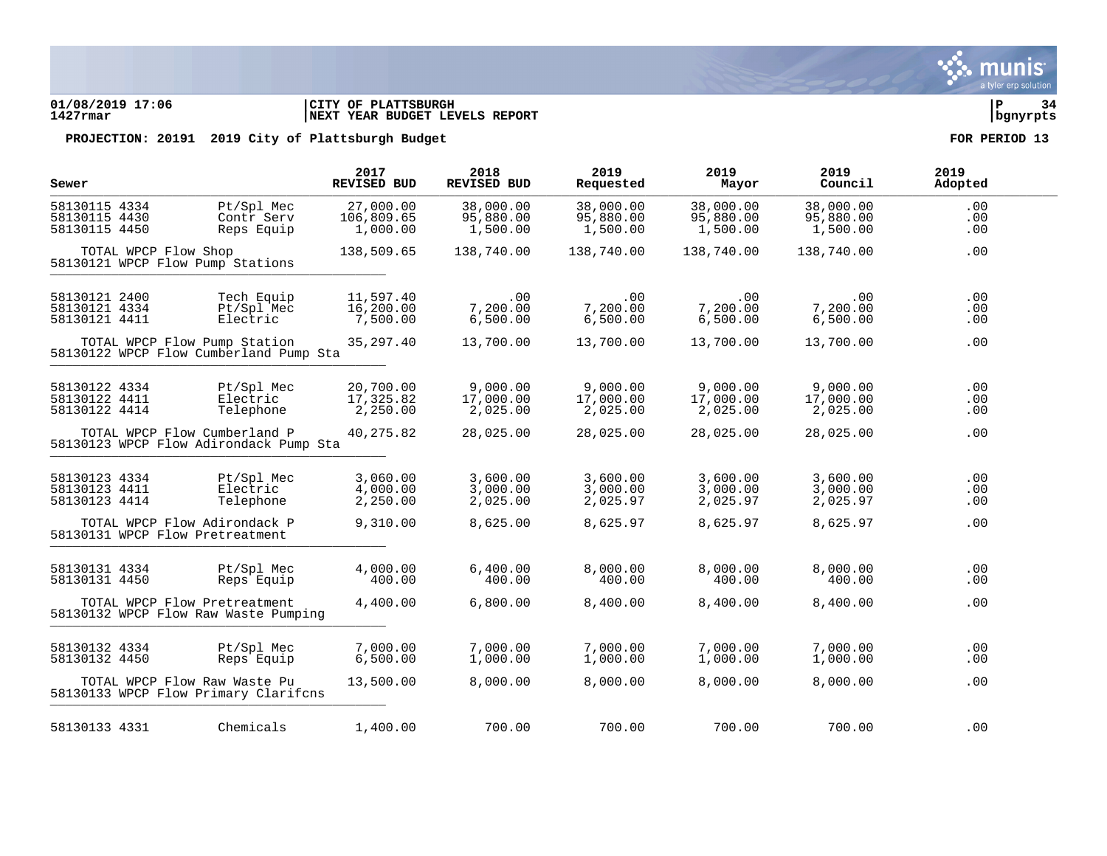### **01/08/2019 17:06 |CITY OF PLATTSBURGH |P 34 1427rmar |NEXT YEAR BUDGET LEVELS REPORT |bgnyrpts**

| Sewer                                           |                                                                        | 2017<br><b>REVISED BUD</b>          | 2018<br>REVISED BUD                | 2019<br>Requested                  | 2019<br>Mayor                      | 2019<br>Council                    | 2019<br>Adopted   |
|-------------------------------------------------|------------------------------------------------------------------------|-------------------------------------|------------------------------------|------------------------------------|------------------------------------|------------------------------------|-------------------|
| 58130115 4334<br>58130115 4430<br>58130115 4450 | Pt/Spl Mec<br>Contr Serv<br>Reps Equip                                 | 27,000.00<br>106,809.65<br>1,000.00 | 38,000.00<br>95,880.00<br>1,500.00 | 38,000.00<br>95,880.00<br>1,500.00 | 38,000.00<br>95,880.00<br>1,500.00 | 38,000.00<br>95,880.00<br>1,500.00 | .00<br>.00<br>.00 |
|                                                 | TOTAL WPCP Flow Shop<br>58130121 WPCP Flow Pump Stations               | 138,509.65                          | 138,740.00                         | 138,740.00                         | 138,740.00                         | 138,740.00                         | .00               |
| 58130121 2400<br>58130121 4334<br>58130121 4411 | Tech Equip<br>Pt/Spl Mec<br>Electric                                   | 11,597.40<br>16,200.00<br>7,500.00  | .00<br>7,200.00<br>6,500.00        | .00<br>7,200.00<br>6,500.00        | .00<br>7,200.00<br>6,500.00        | .00<br>7,200.00<br>6,500.00        | .00<br>.00<br>.00 |
|                                                 | TOTAL WPCP Flow Pump Station<br>58130122 WPCP Flow Cumberland Pump Sta | 35, 297.40                          | 13,700.00                          | 13,700.00                          | 13,700.00                          | 13,700.00                          | .00               |
| 58130122 4334<br>58130122 4411<br>58130122 4414 | Pt/Spl Mec<br>Electric<br>Telephone                                    | 20,700.00<br>17,325.82<br>2,250.00  | 9,000.00<br>17,000.00<br>2,025.00  | 9,000.00<br>17,000.00<br>2,025.00  | 9,000.00<br>17,000.00<br>2,025.00  | 9,000.00<br>17,000.00<br>2,025.00  | .00<br>.00<br>.00 |
|                                                 | TOTAL WPCP Flow Cumberland P<br>58130123 WPCP Flow Adirondack Pump Sta | 40,275.82                           | 28,025.00                          | 28,025.00                          | 28,025.00                          | 28,025.00                          | .00               |
| 58130123 4334<br>58130123 4411<br>58130123 4414 | Pt/Spl Mec<br>Electric<br>Telephone                                    | 3,060.00<br>4,000.00<br>2,250.00    | 3,600.00<br>3,000.00<br>2,025.00   | 3,600.00<br>3,000.00<br>2,025.97   | 3,600.00<br>3,000.00<br>2,025.97   | 3,600.00<br>3,000.00<br>2,025.97   | .00<br>.00<br>.00 |
|                                                 | TOTAL WPCP Flow Adirondack P<br>58130131 WPCP Flow Pretreatment        | 9,310.00                            | 8,625.00                           | 8,625.97                           | 8,625.97                           | 8,625.97                           | .00               |
| 58130131 4334<br>58130131 4450                  | Pt/Spl Mec<br>Reps Equip                                               | 4,000.00<br>400.00                  | 6,400.00<br>400.00                 | 8,000.00<br>400.00                 | 8,000.00<br>400.00                 | 8,000.00<br>400.00                 | .00<br>.00        |
|                                                 | TOTAL WPCP Flow Pretreatment<br>58130132 WPCP Flow Raw Waste Pumping   | 4,400.00                            | 6,800.00                           | 8,400.00                           | 8,400.00                           | 8,400.00                           | .00               |
| 58130132 4334<br>58130132 4450                  | Pt/Spl Mec<br>Reps Equip                                               | 7,000.00<br>6,500.00                | 7,000.00<br>1,000.00               | 7,000.00<br>1,000.00               | 7,000.00<br>1,000.00               | 7,000.00<br>1,000.00               | .00<br>.00        |
|                                                 | TOTAL WPCP Flow Raw Waste Pu<br>58130133 WPCP Flow Primary Clarifons   | 13,500.00                           | 8,000.00                           | 8,000.00                           | 8,000.00                           | 8,000.00                           | .00               |
| 58130133 4331                                   | Chemicals                                                              | 1,400.00                            | 700.00                             | 700.00                             | 700.00                             | 700.00                             | .00               |

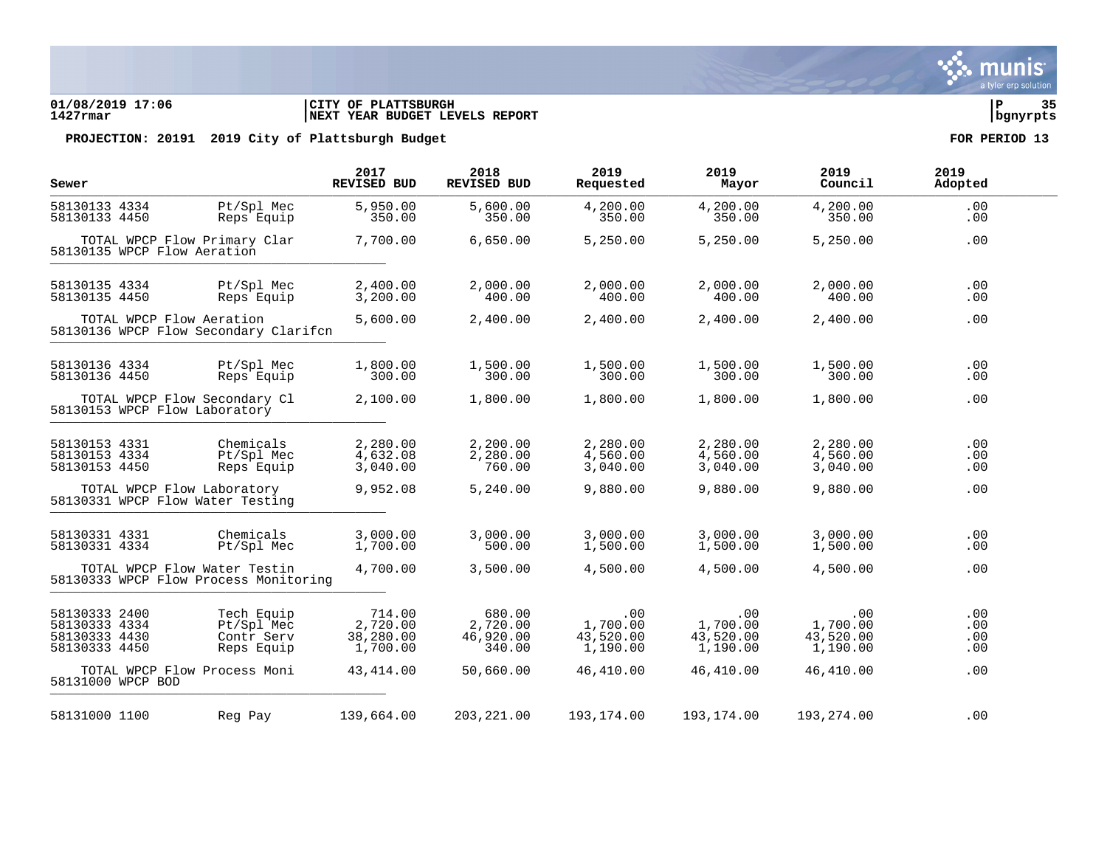### **01/08/2019 17:06 |CITY OF PLATTSBURGH |P 35 1427rmar |NEXT YEAR BUDGET LEVELS REPORT |bgnyrpts**

| Sewer                                                            |                             |                                                                       | 2017<br><b>REVISED BUD</b>                  | 2018<br><b>REVISED BUD</b>                | 2019<br>Requested                        | 2019<br>Mayor                            | 2019<br>Council                          | 2019<br>Adopted          |
|------------------------------------------------------------------|-----------------------------|-----------------------------------------------------------------------|---------------------------------------------|-------------------------------------------|------------------------------------------|------------------------------------------|------------------------------------------|--------------------------|
| 58130133 4334<br>58130133 4450                                   |                             | Pt/Spl Mec<br>Reps Equip                                              | 5,950.00<br>350.00                          | 5,600.00<br>350.00                        | 4,200.00<br>350.00                       | 4,200.00<br>350.00                       | 4,200.00<br>350.00                       | .00<br>.00               |
|                                                                  | 58130135 WPCP Flow Aeration | TOTAL WPCP Flow Primary Clar                                          | 7,700.00                                    | 6,650.00                                  | 5,250.00                                 | 5,250.00                                 | 5,250.00                                 | .00                      |
| 58130135 4334<br>58130135 4450                                   |                             | Pt/Spl Mec<br>Reps Equip                                              | 2,400.00<br>3,200.00                        | 2,000.00<br>400.00                        | 2,000.00<br>400.00                       | 2,000.00<br>400.00                       | 2,000.00<br>400.00                       | .00<br>.00               |
|                                                                  | TOTAL WPCP Flow Aeration    | 58130136 WPCP Flow Secondary Clarifon                                 | 5,600.00                                    | 2,400.00                                  | 2,400.00                                 | 2,400.00                                 | 2,400.00                                 | .00                      |
| 58130136 4334<br>58130136 4450                                   |                             | Pt/Spl Mec<br>Reps Equip                                              | 1,800.00<br>300.00                          | 1,500.00<br>300.00                        | 1,500.00<br>300.00                       | 1,500.00<br>300.00                       | 1,500.00<br>300.00                       | .00<br>.00               |
|                                                                  |                             | TOTAL WPCP Flow Secondary Cl<br>58130153 WPCP Flow Laboratory         | 2,100.00                                    | 1,800.00                                  | 1,800.00                                 | 1,800.00                                 | 1,800.00                                 | .00                      |
| 58130153 4331<br>58130153 4334<br>58130153 4450                  |                             | Chemicals<br>Pt/Spl Mec<br>Reps Equip                                 | 2,280.00<br>4,632.08<br>3,040.00            | 2,200.00<br>2,280.00<br>760.00            | 2,280.00<br>4,560.00<br>3,040.00         | 2,280.00<br>4,560.00<br>3,040.00         | 2,280.00<br>4,560.00<br>3,040.00         | .00<br>.00<br>.00        |
|                                                                  |                             | TOTAL WPCP Flow Laboratory<br>58130331 WPCP Flow Water Testing        | 9,952.08                                    | 5,240.00                                  | 9,880.00                                 | 9,880.00                                 | 9,880.00                                 | .00                      |
| 58130331 4331<br>58130331 4334                                   |                             | Chemicals<br>Pt/Spl Mec                                               | 3,000.00<br>1,700.00                        | 3,000.00<br>500.00                        | 3,000.00<br>1,500.00                     | 3,000.00<br>1,500.00                     | 3,000.00<br>1,500.00                     | .00<br>.00               |
|                                                                  |                             | TOTAL WPCP Flow Water Testin<br>58130333 WPCP Flow Process Monitoring | 4,700.00                                    | 3,500.00                                  | 4,500.00                                 | 4,500.00                                 | 4,500.00                                 | .00                      |
| 58130333 2400<br>58130333 4334<br>58130333 4430<br>58130333 4450 |                             | Tech Equip<br>Pt/Spl Mec<br>Contr Serv<br>Reps Equip                  | 714.00<br>2,720.00<br>38,280.00<br>1,700.00 | 680.00<br>2,720.00<br>46,920.00<br>340.00 | .00<br>1,700.00<br>43,520.00<br>1,190.00 | .00<br>1,700.00<br>43,520.00<br>1,190.00 | .00<br>1,700.00<br>43,520.00<br>1,190.00 | .00<br>.00<br>.00<br>.00 |
|                                                                  | 58131000 WPCP BOD           | TOTAL WPCP Flow Process Moni                                          | 43, 414.00                                  | 50,660.00                                 | 46,410.00                                | 46,410.00                                | 46,410.00                                | .00                      |
| 58131000 1100                                                    |                             | Reg Pay                                                               | 139,664.00                                  | 203, 221.00                               | 193,174.00                               | 193,174.00                               | 193,274.00                               | .00                      |

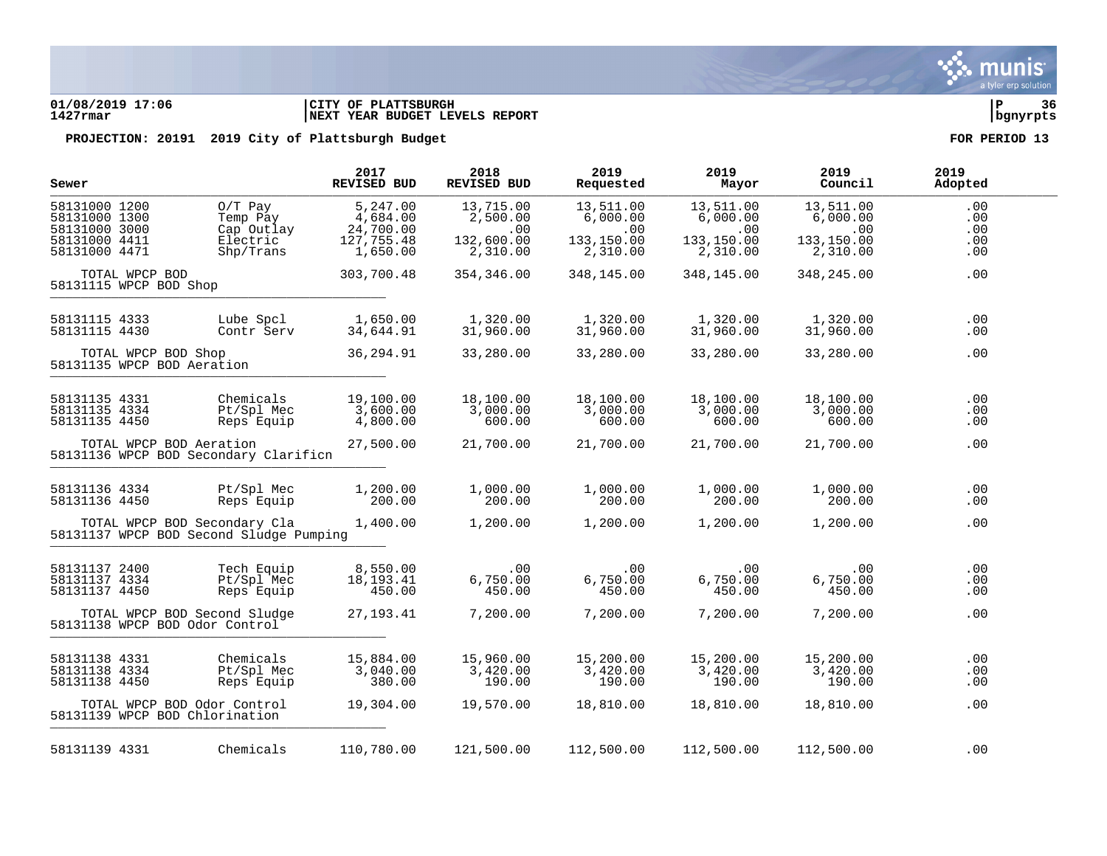

### **01/08/2019 17:06 |CITY OF PLATTSBURGH |P 36 1427rmar |NEXT YEAR BUDGET LEVELS REPORT |bgnyrpts**

| Sewer                                                                             |                     |                                                                         | 2017<br><b>REVISED BUD</b>                                  | 2018<br><b>REVISED BUD</b>                             | 2019<br>Requested                                      | 2019<br>Mayor                                               | 2019<br>Council                                        | 2019<br>Adopted                 |
|-----------------------------------------------------------------------------------|---------------------|-------------------------------------------------------------------------|-------------------------------------------------------------|--------------------------------------------------------|--------------------------------------------------------|-------------------------------------------------------------|--------------------------------------------------------|---------------------------------|
| 58131000 1200<br>58131000 1300<br>58131000 3000<br>58131000 4411<br>58131000 4471 |                     | $0/T$ Pay<br>Temp Pay<br>Cap Outlay<br>Electric<br>Shp/Trans            | 5,247.00<br>4,684.00<br>24,700.00<br>127,755.48<br>1,650.00 | 13,715.00<br>2,500.00<br>.00<br>132,600.00<br>2,310.00 | 13,511.00<br>6,000.00<br>.00<br>133,150.00<br>2,310.00 | 13,511.00<br>6,000.00<br>$.00 \,$<br>133,150.00<br>2,310.00 | 13,511.00<br>6,000.00<br>.00<br>133,150.00<br>2,310.00 | .00<br>.00<br>.00<br>.00<br>.00 |
| 58131115 WPCP BOD Shop                                                            | TOTAL WPCP BOD      |                                                                         | 303,700.48                                                  | 354,346.00                                             | 348,145.00                                             | 348,145.00                                                  | 348,245.00                                             | .00                             |
| 58131115 4333<br>58131115 4430                                                    |                     | Lube Spcl<br>Contr Serv                                                 | 1,650.00<br>34,644.91                                       | 1,320.00<br>31,960.00                                  | 1,320.00<br>31,960.00                                  | 1,320.00<br>31,960.00                                       | 1,320.00<br>31,960.00                                  | .00<br>.00                      |
|                                                                                   | TOTAL WPCP BOD Shop | 58131135 WPCP BOD Aeration                                              | 36, 294.91                                                  | 33,280.00                                              | 33,280.00                                              | 33,280.00                                                   | 33,280.00                                              | .00                             |
| 58131135 4331<br>58131135 4334<br>58131135 4450                                   |                     | Chemicals<br>Pt/Spl Mec<br>Reps Equip                                   | 19,100.00<br>3,600.00<br>4,800.00                           | 18,100.00<br>3,000.00<br>600.00                        | 18,100.00<br>3,000.00<br>600.00                        | 18,100.00<br>3,000.00<br>600.00                             | 18,100.00<br>3,000.00<br>600.00                        | .00<br>.00<br>.00               |
|                                                                                   |                     | TOTAL WPCP BOD Aeration<br>58131136 WPCP BOD Secondary Clarificn        | 27,500.00                                                   | 21,700.00                                              | 21,700.00                                              | 21,700.00                                                   | 21,700.00                                              | .00                             |
| 58131136 4334<br>58131136 4450                                                    |                     | Pt/Spl Mec<br>Reps Equip                                                | 1,200.00<br>200.00                                          | 1,000.00<br>200.00                                     | 1,000.00<br>200.00                                     | 1,000.00<br>200.00                                          | 1,000.00<br>200.00                                     | .00<br>.00                      |
|                                                                                   |                     | TOTAL WPCP BOD Secondary Cla<br>58131137 WPCP BOD Second Sludge Pumping | 1,400.00                                                    | 1,200.00                                               | 1,200.00                                               | 1,200.00                                                    | 1,200.00                                               | .00                             |
| 58131137 2400<br>58131137 4334<br>58131137 4450                                   |                     | Tech Equip<br>Pt/Spl Mec<br>Reps Equip                                  | 8,550.00<br>18,193.41<br>450.00                             | $.00 \,$<br>6,750.00<br>450.00                         | .00<br>6,750.00<br>450.00                              | $.00 \,$<br>6,750.00<br>450.00                              | .00<br>6,750.00<br>450.00                              | .00<br>.00<br>.00               |
|                                                                                   |                     | TOTAL WPCP BOD Second Sludge<br>58131138 WPCP BOD Odor Control          | 27, 193. 41                                                 | 7,200.00                                               | 7,200.00                                               | 7,200.00                                                    | 7,200.00                                               | .00                             |
| 58131138 4331<br>58131138 4334<br>58131138 4450                                   |                     | Chemicals<br>Pt/Spl Mec<br>Reps Equip                                   | 15,884.00<br>3,040.00<br>380.00                             | 15,960.00<br>3,420.00<br>190.00                        | 15,200.00<br>3,420.00<br>190.00                        | 15,200.00<br>3,420.00<br>190.00                             | 15,200.00<br>3,420.00<br>190.00                        | .00<br>.00<br>.00               |
|                                                                                   |                     | TOTAL WPCP BOD Odor Control<br>58131139 WPCP BOD Chlorination           | 19,304.00                                                   | 19,570.00                                              | 18,810.00                                              | 18,810.00                                                   | 18,810.00                                              | .00                             |
| 58131139 4331                                                                     |                     | Chemicals                                                               | 110,780.00                                                  | 121,500.00                                             | 112,500.00                                             | 112,500.00                                                  | 112,500.00                                             | .00                             |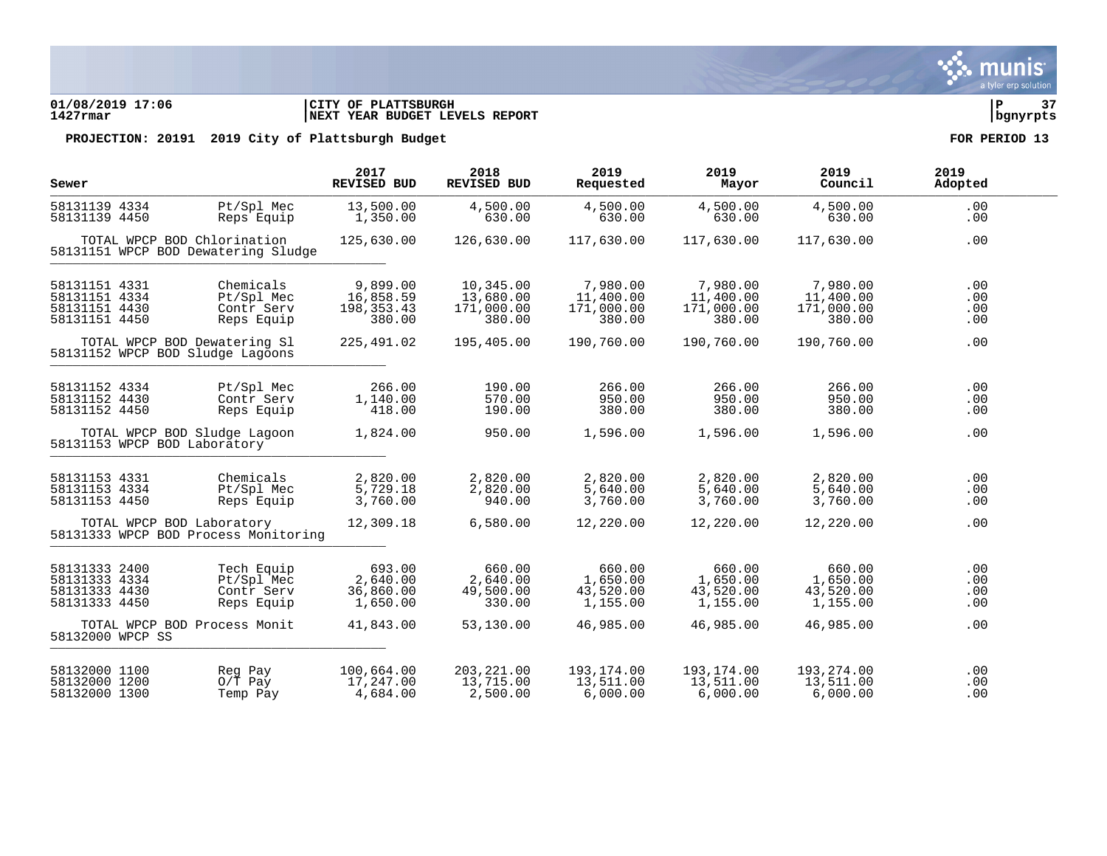### **01/08/2019 17:06 |CITY OF PLATTSBURGH |P 37 1427rmar |NEXT YEAR BUDGET LEVELS REPORT |bgnyrpts**

PROJECTION: 20191 2019 City of Plattsburgh Budget **FOR PERIOD** 13

| Sewer            |                                                                    | 2017<br>REVISED BUD | 2018<br>REVISED BUD | 2019<br>Requested | 2019<br>Mayor | 2019<br>Council | 2019<br>Adopted |
|------------------|--------------------------------------------------------------------|---------------------|---------------------|-------------------|---------------|-----------------|-----------------|
| 58131139 4334    | Pt/Spl Mec                                                         | 13,500.00           | 4,500.00            | 4,500.00          | 4,500.00      | 4,500.00        | .00             |
| 58131139 4450    | Reps Equip                                                         | 1,350.00            | 630.00              | 630.00            | 630.00        | 630.00          | .00             |
|                  | TOTAL WPCP BOD Chlorination<br>58131151 WPCP BOD Dewatering Sludge | 125,630.00          | 126,630.00          | 117,630.00        | 117,630.00    | 117,630.00      | .00             |
| 58131151 4331    | Chemicals                                                          | 9,899.00            | 10,345.00           | 7,980.00          | 7,980.00      | 7,980.00        | .00             |
| 58131151 4334    | Pt/Spl Mec                                                         | 16,858.59           | 13,680.00           | 11,400.00         | 11,400.00     | 11,400.00       | .00             |
| 58131151 4430    | Contr Serv                                                         | 198, 353. 43        | 171,000.00          | 171,000.00        | 171,000.00    | 171,000.00      | .00             |
| 58131151 4450    | Reps Equip                                                         | 380.00              | 380.00              | 380.00            | 380.00        | 380.00          | .00             |
|                  | TOTAL WPCP BOD Dewatering Sl<br>58131152 WPCP BOD Sludge Lagoons   | 225,491.02          | 195,405.00          | 190,760.00        | 190,760.00    | 190,760.00      | .00             |
| 58131152 4334    | Pt/Spl Mec                                                         | 266.00              | 190.00              | 266.00            | 266.00        | 266.00          | .00             |
| 58131152 4430    | Contr Serv                                                         | 1,140.00            | 570.00              | 950.00            | 950.00        | 950.00          | .00             |
| 58131152 4450    | Reps Equip                                                         | 418.00              | 190.00              | 380.00            | 380.00        | 380.00          | .00             |
|                  | TOTAL WPCP BOD Sludge Lagoon<br>58131153 WPCP BOD Laboratory       | 1,824.00            | 950.00              | 1,596.00          | 1,596.00      | 1,596.00        | .00             |
| 58131153 4331    | Chemicals                                                          | 2,820.00            | 2,820.00            | 2,820.00          | 2,820.00      | 2,820.00        | .00             |
| 58131153 4334    | Pt/Spl Mec                                                         | 5,729.18            | 2,820.00            | 5,640.00          | 5,640.00      | 5,640.00        | .00             |
| 58131153 4450    | Reps Equip                                                         | 3,760.00            | 940.00              | 3,760.00          | 3,760.00      | 3,760.00        | .00             |
|                  | TOTAL WPCP BOD Laboratory<br>58131333 WPCP BOD Process Monitoring  | 12,309.18           | 6,580.00            | 12,220.00         | 12,220.00     | 12,220.00       | .00             |
| 58131333 2400    | Tech Equip                                                         | 693.00              | 660.00              | 660.00            | 660.00        | 660.00          | .00             |
| 58131333 4334    | Pt/Spl Mec                                                         | 2,640.00            | 2,640.00            | 1,650.00          | 1,650.00      | 1,650.00        | .00             |
| 58131333 4430    | Contr Serv                                                         | 36,860.00           | 49,500.00           | 43,520.00         | 43,520.00     | 43,520.00       | .00             |
| 58131333 4450    | Reps Equip                                                         | 1,650.00            | 330.00              | 1,155.00          | 1,155.00      | 1,155.00        | .00             |
| 58132000 WPCP SS | TOTAL WPCP BOD Process Monit                                       | 41,843.00           | 53,130.00           | 46,985.00         | 46,985.00     | 46,985.00       | .00             |
| 58132000 1100    | Reg Pay                                                            | 100,664.00          | 203, 221.00         | 193,174.00        | 193,174.00    | 193,274.00      | .00             |
| 58132000 1200    | $0/T$ Pay                                                          | 17,247.00           | 13,715.00           | 13,511.00         | 13,511.00     | 13,511.00       | .00             |
| 58132000 1300    | Temp Pay                                                           | 4,684.00            | 2,500.00            | 6,000.00          | 6,000.00      | 6,000.00        | .00             |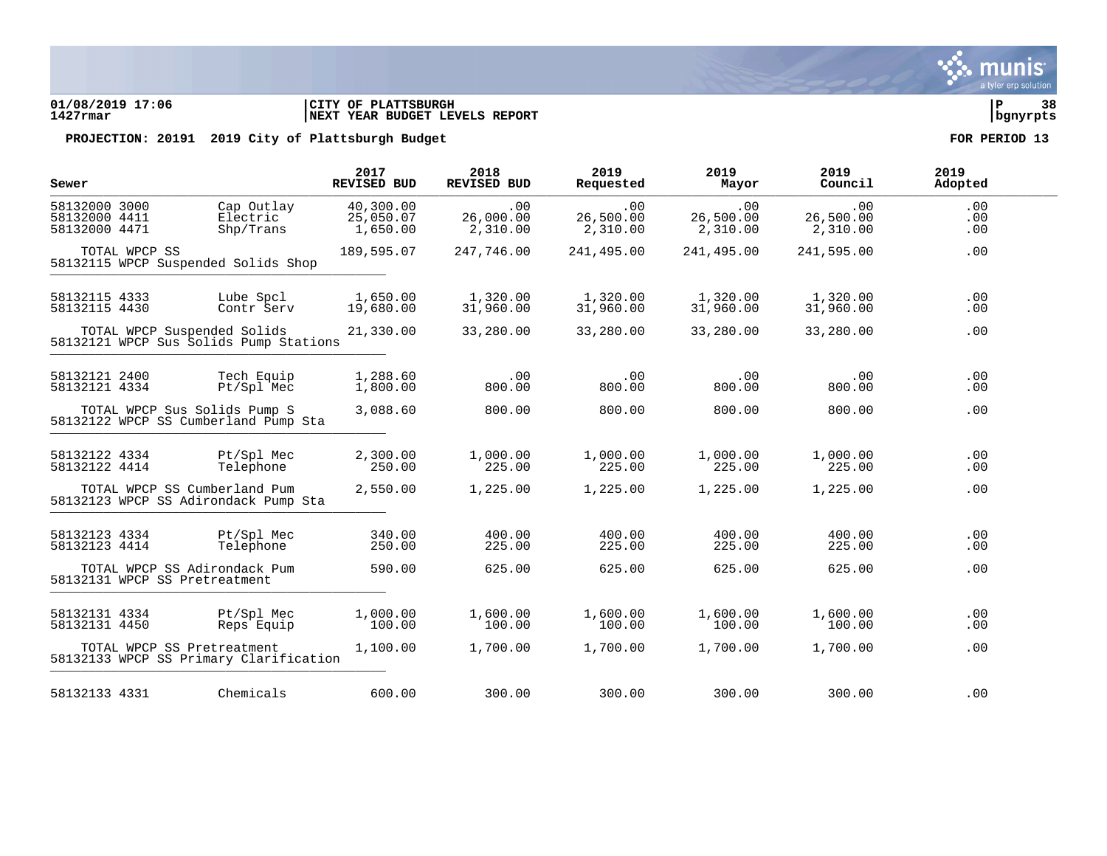### **01/08/2019 17:06 |CITY OF PLATTSBURGH |P 38 1427rmar |NEXT YEAR BUDGET LEVELS REPORT |bgnyrpts**

| Sewer                                           |               |                                                                       | 2017<br><b>REVISED BUD</b>         | 2018<br>REVISED BUD          | 2019<br>Requested            | 2019<br>Mayor                | 2019<br>Council              | 2019<br>Adopted   |  |
|-------------------------------------------------|---------------|-----------------------------------------------------------------------|------------------------------------|------------------------------|------------------------------|------------------------------|------------------------------|-------------------|--|
| 58132000 3000<br>58132000 4411<br>58132000 4471 |               | Cap Outlay<br>Electric<br>Shp/Trans                                   | 40,300.00<br>25,050.07<br>1,650.00 | .00<br>26,000.00<br>2,310.00 | .00<br>26,500.00<br>2,310.00 | .00<br>26,500.00<br>2,310.00 | .00<br>26,500.00<br>2,310.00 | .00<br>.00<br>.00 |  |
|                                                 | TOTAL WPCP SS | 58132115 WPCP Suspended Solids Shop                                   | 189,595.07                         | 247,746.00                   | 241,495.00                   | 241,495.00                   | 241,595.00                   | .00               |  |
| 58132115 4333<br>58132115 4430                  |               | Lube Spcl<br>Contr Serv                                               | 1,650.00<br>19,680.00              | 1,320.00<br>31,960.00        | 1,320.00<br>31,960.00        | 1,320.00<br>31,960.00        | 1,320.00<br>31,960.00        | .00<br>.00        |  |
|                                                 |               | TOTAL WPCP Suspended Solids<br>58132121 WPCP Sus Solids Pump Stations | 21,330.00                          | 33,280.00                    | 33,280.00                    | 33,280.00                    | 33,280.00                    | .00               |  |
| 58132121 2400<br>58132121 4334                  |               | Tech Equip<br>Pt/Spl Mec                                              | 1,288.60<br>1,800.00               | .00<br>800.00                | .00<br>800.00                | .00<br>800.00                | .00<br>800.00                | .00<br>.00        |  |
|                                                 |               | TOTAL WPCP Sus Solids Pump S<br>58132122 WPCP SS Cumberland Pump Sta  | 3,088.60                           | 800.00                       | 800.00                       | 800.00                       | 800.00                       | .00               |  |
| 58132122 4334<br>58132122 4414                  |               | Pt/Spl Mec<br>Telephone                                               | 2,300.00<br>250.00                 | 1,000.00<br>225.00           | 1,000.00<br>225.00           | 1,000.00<br>225.00           | 1,000.00<br>225.00           | .00<br>.00        |  |
|                                                 |               | TOTAL WPCP SS Cumberland Pum<br>58132123 WPCP SS Adirondack Pump Sta  | 2,550.00                           | 1,225.00                     | 1,225.00                     | 1,225.00                     | 1,225.00                     | .00               |  |
| 58132123 4334<br>58132123 4414                  |               | Pt/Spl Mec<br>Telephone                                               | 340.00<br>250.00                   | 400.00<br>225.00             | 400.00<br>225.00             | 400.00<br>225.00             | 400.00<br>225.00             | .00<br>.00        |  |
|                                                 |               | TOTAL WPCP SS Adirondack Pum<br>58132131 WPCP SS Pretreatment         | 590.00                             | 625.00                       | 625.00                       | 625.00                       | 625.00                       | .00               |  |
| 58132131 4334<br>58132131 4450                  |               | Pt/Spl Mec<br>Reps Equip                                              | 1,000.00<br>100.00                 | 1,600.00<br>100.00           | 1,600.00<br>100.00           | 1,600.00<br>100.00           | 1,600.00<br>100.00           | .00<br>.00        |  |
|                                                 |               | TOTAL WPCP SS Pretreatment<br>58132133 WPCP SS Primary Clarification  | 1,100.00                           | 1,700.00                     | 1,700.00                     | 1,700.00                     | 1,700.00                     | .00               |  |
| 58132133 4331                                   |               | Chemicals                                                             | 600.00                             | 300.00                       | 300.00                       | 300.00                       | 300.00                       | .00               |  |

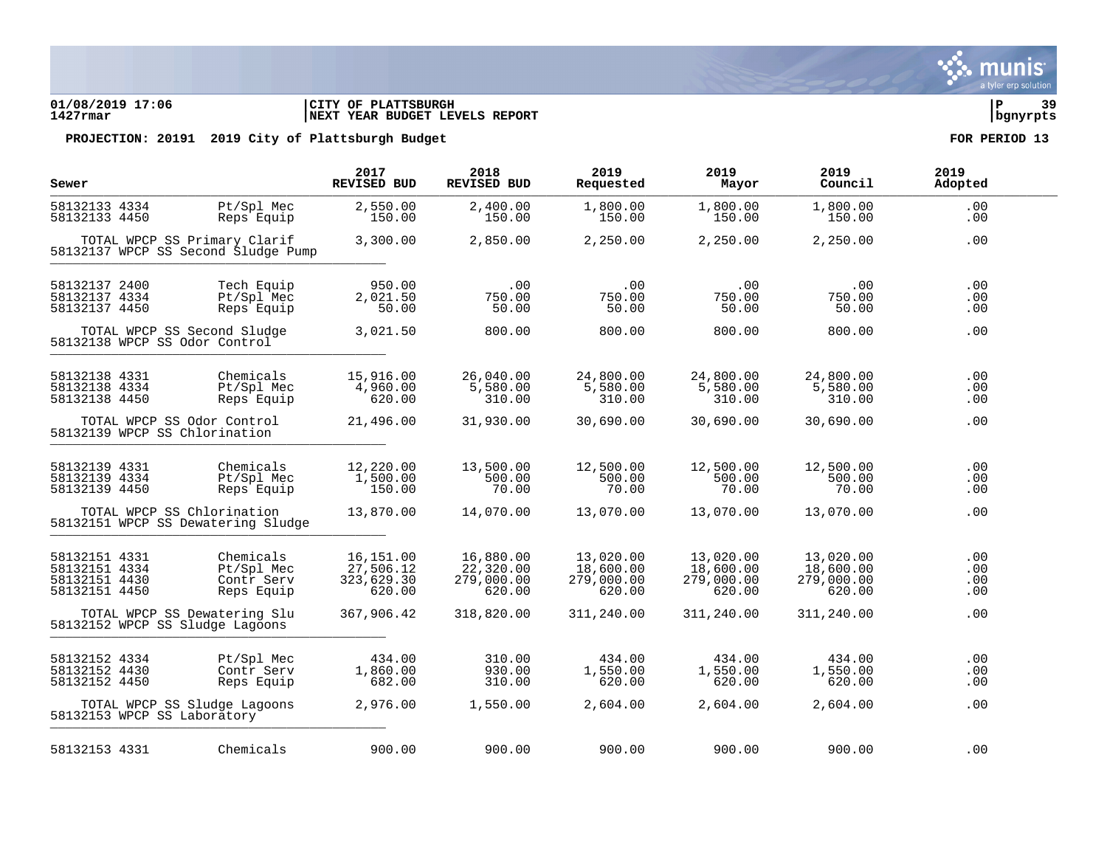### **01/08/2019 17:06 |CITY OF PLATTSBURGH |P 39 1427rmar |NEXT YEAR BUDGET LEVELS REPORT |bgnyrpts**

| Sewer                                                            |                                                              |                                                                     | 2017<br><b>REVISED BUD</b>                     | 2018<br><b>REVISED BUD</b>                     | 2019<br>Requested                              | 2019<br>Mayor                                  | 2019<br>Council                                | 2019<br>Adopted          |  |
|------------------------------------------------------------------|--------------------------------------------------------------|---------------------------------------------------------------------|------------------------------------------------|------------------------------------------------|------------------------------------------------|------------------------------------------------|------------------------------------------------|--------------------------|--|
| 58132133 4334<br>58132133 4450                                   |                                                              | Pt/Spl Mec<br>Reps Equip                                            | 2,550.00<br>150.00                             | 2,400.00<br>150.00                             | 1,800.00<br>150.00                             | 1,800.00<br>150.00                             | 1,800.00<br>150.00                             | .00<br>.00               |  |
|                                                                  |                                                              | TOTAL WPCP SS Primary Clarif<br>58132137 WPCP SS Second Sludge Pump | 3,300.00                                       | 2,850.00                                       | 2,250.00                                       | 2,250.00                                       | 2,250.00                                       | .00                      |  |
| 58132137 2400<br>58132137 4334<br>58132137 4450                  |                                                              | Tech Equip<br>Pt/Spl Mec<br>Reps Equip                              | 950.00<br>2,021.50<br>50.00                    | .00<br>750.00<br>50.00                         | .00<br>750.00<br>50.00                         | .00<br>750.00<br>50.00                         | .00<br>750.00<br>50.00                         | .00<br>.00<br>.00        |  |
|                                                                  | TOTAL WPCP SS Second Sludge<br>58132138 WPCP SS Odor Control |                                                                     | 3,021.50                                       | 800.00                                         | 800.00                                         | 800.00                                         | 800.00                                         | .00                      |  |
| 58132138 4331<br>58132138 4334<br>58132138 4450                  |                                                              | Chemicals<br>Pt/Spl Mec<br>Reps Equip                               | 15,916.00<br>4,960.00<br>620.00                | 26,040.00<br>5,580.00<br>310.00                | 24,800.00<br>5,580.00<br>310.00                | 24,800.00<br>5,580.00<br>310.00                | 24,800.00<br>5,580.00<br>310.00                | .00<br>.00<br>.00        |  |
|                                                                  | TOTAL WPCP SS Odor Control<br>58132139 WPCP SS Chlorination  |                                                                     | 21,496.00                                      | 31,930.00                                      | 30,690.00                                      | 30,690.00                                      | 30,690.00                                      | .00                      |  |
| 58132139 4331<br>58132139 4334<br>58132139 4450                  |                                                              | Chemicals<br>Pt/Spl Mec<br>Reps Equip                               | 12,220.00<br>1,500.00<br>150.00                | 13,500.00<br>500.00<br>70.00                   | 12,500.00<br>500.00<br>70.00                   | 12,500.00<br>500.00<br>70.00                   | 12,500.00<br>500.00<br>70.00                   | .00<br>.00<br>.00        |  |
|                                                                  | TOTAL WPCP SS Chlorination                                   | 58132151 WPCP SS Dewatering Sludge                                  | 13,870.00                                      | 14,070.00                                      | 13,070.00                                      | 13,070.00                                      | 13,070.00                                      | .00                      |  |
| 58132151 4331<br>58132151 4334<br>58132151 4430<br>58132151 4450 |                                                              | Chemicals<br>Pt/Spl Mec<br>Contr Serv<br>Reps Equip                 | 16,151.00<br>27,506.12<br>323,629.30<br>620.00 | 16,880.00<br>22,320.00<br>279,000.00<br>620.00 | 13,020.00<br>18,600.00<br>279,000.00<br>620.00 | 13,020.00<br>18,600.00<br>279,000.00<br>620.00 | 13,020.00<br>18,600.00<br>279,000.00<br>620.00 | .00<br>.00<br>.00<br>.00 |  |
|                                                                  | 58132152 WPCP SS Sludge Lagoons                              | TOTAL WPCP SS Dewatering Slu                                        | 367,906.42                                     | 318,820.00                                     | 311,240.00                                     | 311,240.00                                     | 311,240.00                                     | .00                      |  |
| 58132152 4334<br>58132152 4430<br>58132152 4450                  |                                                              | Pt/Spl Mec<br>Contr Serv<br>Reps Equip                              | 434.00<br>1,860.00<br>682.00                   | 310.00<br>930.00<br>310.00                     | 434.00<br>1,550.00<br>620.00                   | 434.00<br>1,550.00<br>620.00                   | 434.00<br>1,550.00<br>620.00                   | .00<br>.00<br>.00        |  |
|                                                                  | 58132153 WPCP SS Laboratory                                  | TOTAL WPCP SS Sludge Lagoons                                        | 2,976.00                                       | 1,550.00                                       | 2,604.00                                       | 2,604.00                                       | 2,604.00                                       | .00                      |  |
| 58132153 4331                                                    |                                                              | Chemicals                                                           | 900.00                                         | 900.00                                         | 900.00                                         | 900.00                                         | 900.00                                         | .00                      |  |

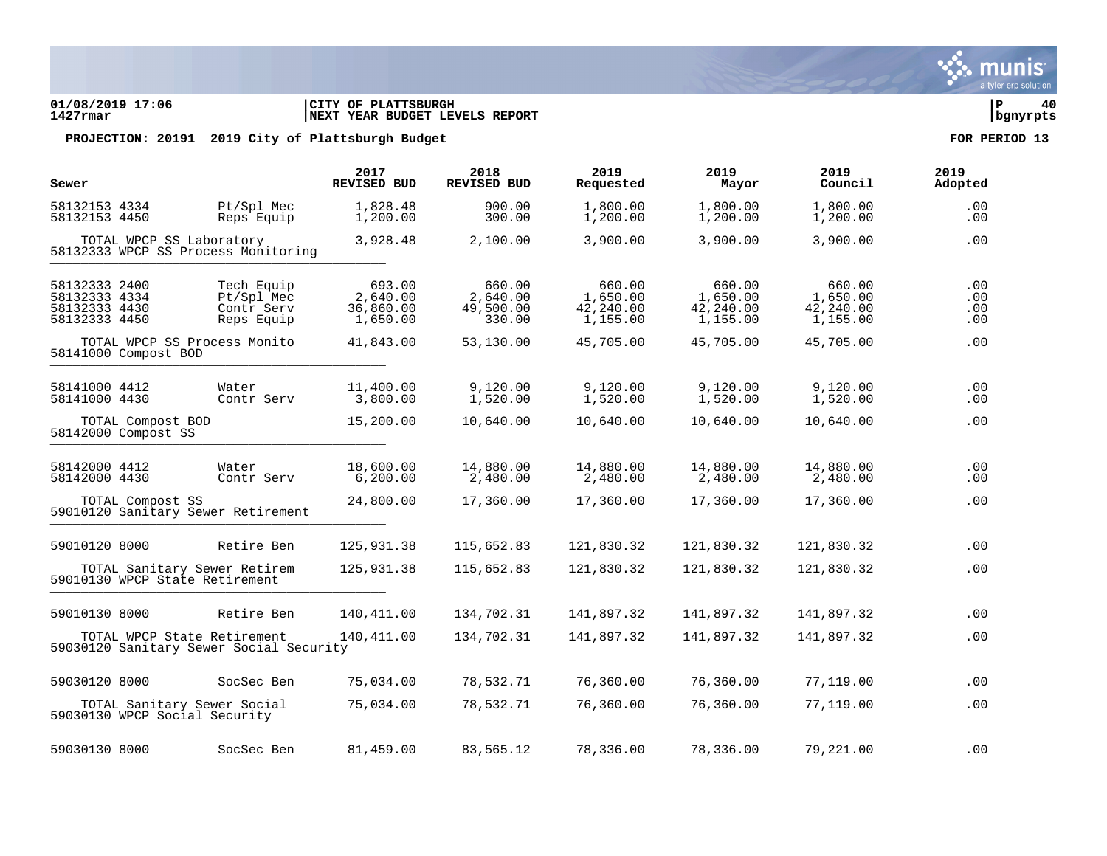### **01/08/2019 17:06 |CITY OF PLATTSBURGH |P 40 1427rmar |NEXT YEAR BUDGET LEVELS REPORT |bgnyrpts**

| Sewer                                                            |                   |                                                                        | 2017<br><b>REVISED BUD</b>                  | 2018<br><b>REVISED BUD</b>                | 2019<br>Requested                           | 2019<br>Mayor                               | 2019<br>Council                             | 2019<br>Adopted          |
|------------------------------------------------------------------|-------------------|------------------------------------------------------------------------|---------------------------------------------|-------------------------------------------|---------------------------------------------|---------------------------------------------|---------------------------------------------|--------------------------|
| 58132153 4334<br>58132153 4450                                   |                   | Pt/Spl Mec<br>Reps Equip                                               | 1,828.48<br>1,200.00                        | 900.00<br>300.00                          | 1,800.00<br>1,200.00                        | 1,800.00<br>1,200.00                        | 1,800.00<br>1,200.00                        | .00<br>.00               |
|                                                                  |                   | TOTAL WPCP SS Laboratory<br>58132333 WPCP SS Process Monitoring        | 3,928.48                                    | 2,100.00                                  | 3,900.00                                    | 3,900.00                                    | 3,900.00                                    | .00                      |
| 58132333 2400<br>58132333 4334<br>58132333 4430<br>58132333 4450 |                   | Tech Equip<br>Pt/Spl Mec<br>Contr Serv<br>Reps Equip                   | 693.00<br>2,640.00<br>36,860.00<br>1,650.00 | 660.00<br>2,640.00<br>49,500.00<br>330.00 | 660.00<br>1,650.00<br>42,240.00<br>1,155.00 | 660.00<br>1,650.00<br>42,240.00<br>1,155.00 | 660.00<br>1,650.00<br>42,240.00<br>1,155.00 | .00<br>.00<br>.00<br>.00 |
| 58141000 Compost BOD                                             |                   | TOTAL WPCP SS Process Monito                                           | 41,843.00                                   | 53,130.00                                 | 45,705.00                                   | 45,705.00                                   | 45,705.00                                   | .00                      |
| 58141000 4412<br>58141000 4430                                   |                   | Water<br>Contr Serv                                                    | 11,400.00<br>3,800.00                       | 9,120.00<br>1,520.00                      | 9,120.00<br>1,520.00                        | 9,120.00<br>1,520.00                        | 9,120.00<br>1,520.00                        | .00<br>.00               |
| 58142000 Compost SS                                              | TOTAL Compost BOD |                                                                        | 15,200.00                                   | 10,640.00                                 | 10,640.00                                   | 10,640.00                                   | 10,640.00                                   | .00                      |
| 58142000 4412<br>58142000 4430                                   |                   | Water<br>Contr Serv                                                    | 18,600.00<br>6, 200.00                      | 14,880.00<br>2,480.00                     | 14,880.00<br>2,480.00                       | 14,880.00<br>2,480.00                       | 14,880.00<br>2,480.00                       | .00<br>.00               |
|                                                                  | TOTAL Compost SS  | 59010120 Sanitary Sewer Retirement                                     | 24,800.00                                   | 17,360.00                                 | 17,360.00                                   | 17,360.00                                   | 17,360.00                                   | .00                      |
| 59010120 8000                                                    |                   | Retire Ben                                                             | 125,931.38                                  | 115,652.83                                | 121,830.32                                  | 121,830.32                                  | 121,830.32                                  | .00                      |
|                                                                  |                   | TOTAL Sanitary Sewer Retirem<br>59010130 WPCP State Retirement         | 125,931.38                                  | 115,652.83                                | 121,830.32                                  | 121,830.32                                  | 121,830.32                                  | .00                      |
| 59010130 8000                                                    |                   | Retire Ben                                                             | 140,411.00                                  | 134,702.31                                | 141,897.32                                  | 141,897.32                                  | 141,897.32                                  | .00                      |
|                                                                  |                   | TOTAL WPCP State Retirement<br>59030120 Sanitary Sewer Social Security | 140,411.00                                  | 134,702.31                                | 141,897.32                                  | 141,897.32                                  | 141,897.32                                  | .00                      |
| 59030120 8000                                                    |                   | SocSec Ben                                                             | 75,034.00                                   | 78,532.71                                 | 76,360.00                                   | 76,360.00                                   | 77,119.00                                   | .00                      |
|                                                                  |                   | TOTAL Sanitary Sewer Social<br>59030130 WPCP Social Security           | 75,034.00                                   | 78,532.71                                 | 76,360.00                                   | 76,360.00                                   | 77,119.00                                   | .00                      |
| 59030130 8000                                                    |                   | SocSec Ben                                                             | 81,459.00                                   | 83,565.12                                 | 78,336.00                                   | 78,336.00                                   | 79,221.00                                   | .00                      |

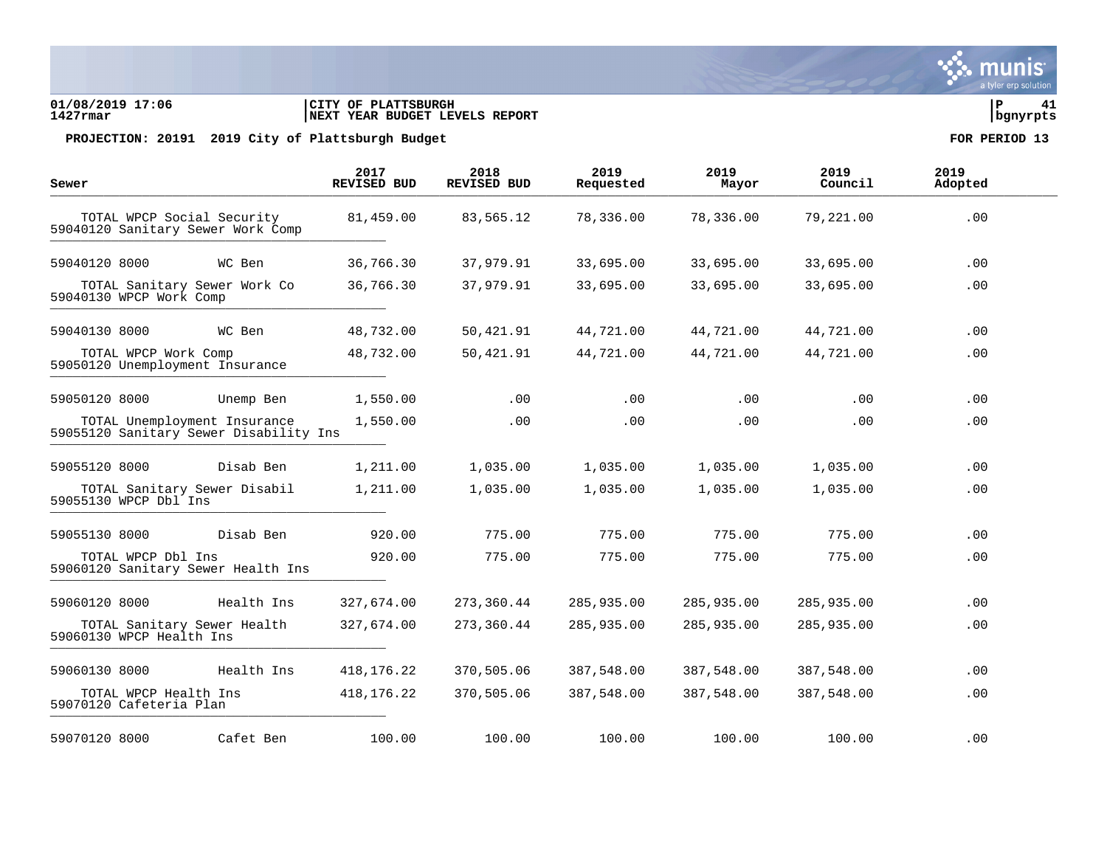### **01/08/2019 17:06 |CITY OF PLATTSBURGH |P 41 1427rmar |NEXT YEAR BUDGET LEVELS REPORT |bgnyrpts**

| Sewer                                                   |                                                                        | 2017<br><b>REVISED BUD</b> | 2018<br>REVISED BUD | 2019<br>Requested | 2019<br>Mayor | 2019<br>Council | 2019<br>Adopted |
|---------------------------------------------------------|------------------------------------------------------------------------|----------------------------|---------------------|-------------------|---------------|-----------------|-----------------|
|                                                         | TOTAL WPCP Social Security<br>59040120 Sanitary Sewer Work Comp        | 81,459.00                  | 83,565.12           | 78,336.00         | 78,336.00     | 79,221.00       | .00             |
| 59040120 8000                                           | WC Ben                                                                 | 36,766.30                  | 37,979.91           | 33,695.00         | 33,695.00     | 33,695.00       | .00             |
| 59040130 WPCP Work Comp                                 | TOTAL Sanitary Sewer Work Co                                           | 36,766.30                  | 37,979.91           | 33,695.00         | 33,695.00     | 33,695.00       | .00             |
| 59040130 8000                                           | WC Ben                                                                 | 48,732.00                  | 50,421.91           | 44,721.00         | 44,721.00     | 44,721.00       | .00             |
| TOTAL WPCP Work Comp<br>59050120 Unemployment Insurance |                                                                        | 48,732.00                  | 50,421.91           | 44,721.00         | 44,721.00     | 44,721.00       | .00             |
| 59050120 8000                                           | Unemp Ben                                                              | 1,550.00                   | .00                 | .00               | $.00 \,$      | .00             | .00             |
|                                                         | TOTAL Unemployment Insurance<br>59055120 Sanitary Sewer Disability Ins | 1,550.00                   | .00                 | .00               | $.00 \,$      | .00             | .00             |
| 59055120 8000                                           | Disab Ben                                                              | 1,211.00                   | 1,035.00            | 1,035.00          | 1,035.00      | 1,035.00        | .00             |
| 59055130 WPCP Dbl Ins                                   | TOTAL Sanitary Sewer Disabil                                           | 1,211.00                   | 1,035.00            | 1,035.00          | 1,035.00      | 1,035.00        | .00             |
| 59055130 8000                                           | Disab Ben                                                              | 920.00                     | 775.00              | 775.00            | 775.00        | 775.00          | .00             |
| TOTAL WPCP Dbl Ins                                      | 59060120 Sanitary Sewer Health Ins                                     | 920.00                     | 775.00              | 775.00            | 775.00        | 775.00          | .00             |
| 59060120 8000                                           | Health Ins                                                             | 327,674.00                 | 273,360.44          | 285,935.00        | 285,935.00    | 285,935.00      | .00             |
| 59060130 WPCP Health Ins                                | TOTAL Sanitary Sewer Health                                            | 327,674.00                 | 273,360.44          | 285,935.00        | 285,935.00    | 285,935.00      | .00             |
| 59060130 8000                                           | Health Ins                                                             | 418, 176. 22               | 370,505.06          | 387,548.00        | 387,548.00    | 387,548.00      | .00             |
| TOTAL WPCP Health Ins<br>59070120 Cafeteria Plan        |                                                                        | 418, 176. 22               | 370,505.06          | 387,548.00        | 387,548.00    | 387,548.00      | .00             |
| 59070120 8000                                           | Cafet Ben                                                              | 100.00                     | 100.00              | 100.00            | 100.00        | 100.00          | .00             |

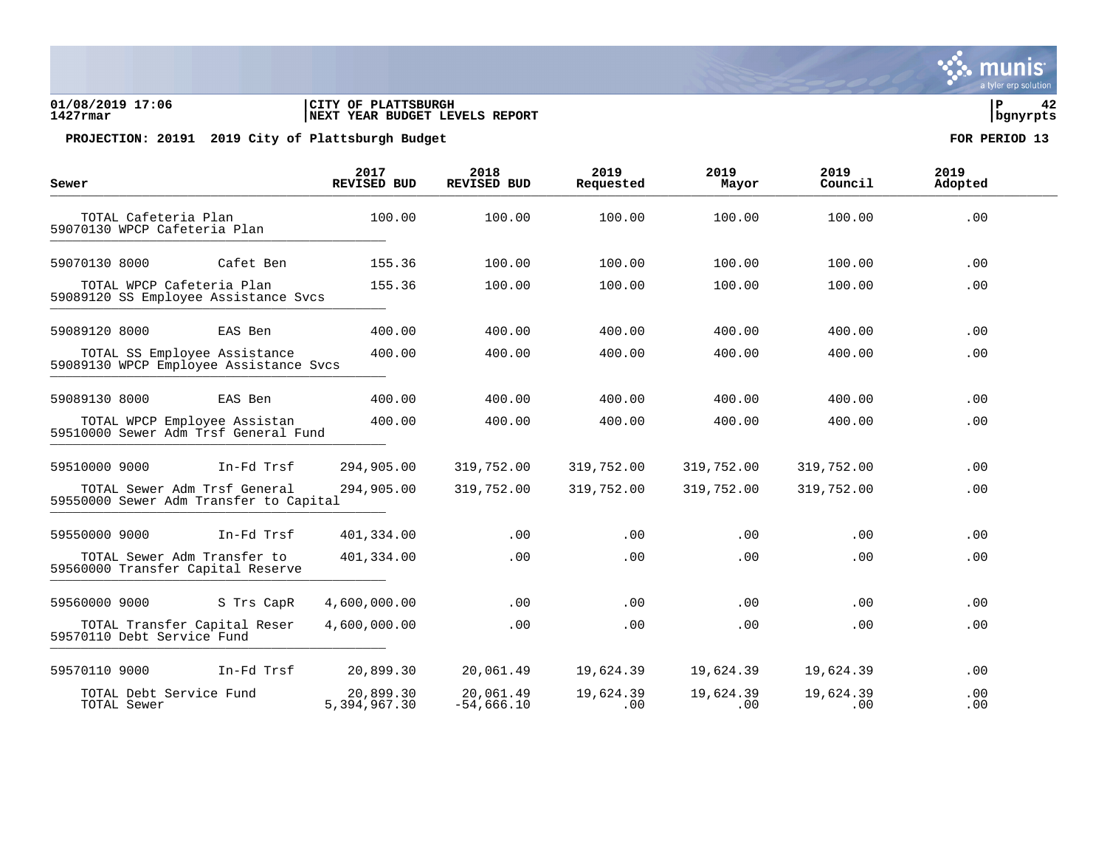### **01/08/2019 17:06 |CITY OF PLATTSBURGH |P 42 1427rmar |NEXT YEAR BUDGET LEVELS REPORT |bgnyrpts**

PROJECTION: 20191 2019 City of Plattsburgh Budget **FOR PERIOD** 13

| Sewer                                                                  |            | 2017<br><b>REVISED BUD</b> | 2018<br><b>REVISED BUD</b> | 2019<br>Requested     | 2019<br>Mayor    | 2019<br>Council  | 2019<br>Adopted |  |
|------------------------------------------------------------------------|------------|----------------------------|----------------------------|-----------------------|------------------|------------------|-----------------|--|
| TOTAL Cafeteria Plan<br>59070130 WPCP Cafeteria Plan                   |            | 100.00                     | 100.00                     | 100.00                | 100.00           | 100.00           | .00             |  |
| 59070130 8000                                                          | Cafet Ben  | 155.36                     | 100.00                     | 100.00                | 100.00           | 100.00           | $.00 \,$        |  |
| TOTAL WPCP Cafeteria Plan<br>59089120 SS Employee Assistance Svcs      |            | 155.36                     | 100.00                     | 100.00                | 100.00           | 100.00           | .00             |  |
| 59089120 8000                                                          | EAS Ben    | 400.00                     | 400.00                     | 400.00                | 400.00           | 400.00           | .00             |  |
| TOTAL SS Employee Assistance<br>59089130 WPCP Employee Assistance Svcs |            | 400.00                     | 400.00                     | 400.00                | 400.00           | 400.00           | .00             |  |
| 59089130 8000                                                          | EAS Ben    | 400.00                     | 400.00                     | 400.00                | 400.00           | 400.00           | $.00 \,$        |  |
| TOTAL WPCP Employee Assistan<br>59510000 Sewer Adm Trsf General Fund   |            | 400.00                     | 400.00                     | 400.00                | 400.00           | 400.00           | .00             |  |
| 59510000 9000                                                          | In-Fd Trsf | 294,905.00                 | 319,752.00                 | 319,752.00            | 319,752.00       | 319,752.00       | .00             |  |
| TOTAL Sewer Adm Trsf General<br>59550000 Sewer Adm Transfer to Capital |            | 294,905.00                 | 319,752.00                 | 319,752.00            | 319,752.00       | 319,752.00       | .00             |  |
| 59550000 9000                                                          | In-Fd Trsf | 401,334.00                 | .00                        | .00                   | .00              | .00              | .00             |  |
| TOTAL Sewer Adm Transfer to<br>59560000 Transfer Capital Reserve       |            | 401,334.00                 | .00                        | .00                   | .00              | .00              | .00             |  |
| 59560000 9000                                                          | S Trs CapR | 4,600,000.00               | .00                        | .00                   | .00              | .00              | .00             |  |
| TOTAL Transfer Capital Reser<br>59570110 Debt Service Fund             |            | 4,600,000.00               | .00                        | .00                   | .00              | .00              | .00             |  |
| 59570110 9000                                                          | In-Fd Trsf | 20,899.30                  | 20,061.49                  | 19,624.39             | 19,624.39        | 19,624.39        | .00             |  |
| TOTAL Debt Service Fund<br>TOTAL Sewer                                 |            | 20,899.30<br>5,394,967.30  | 20,061.49<br>$-54,666.10$  | 19,624.39<br>$.00 \,$ | 19,624.39<br>.00 | 19,624.39<br>.00 | .00<br>.00      |  |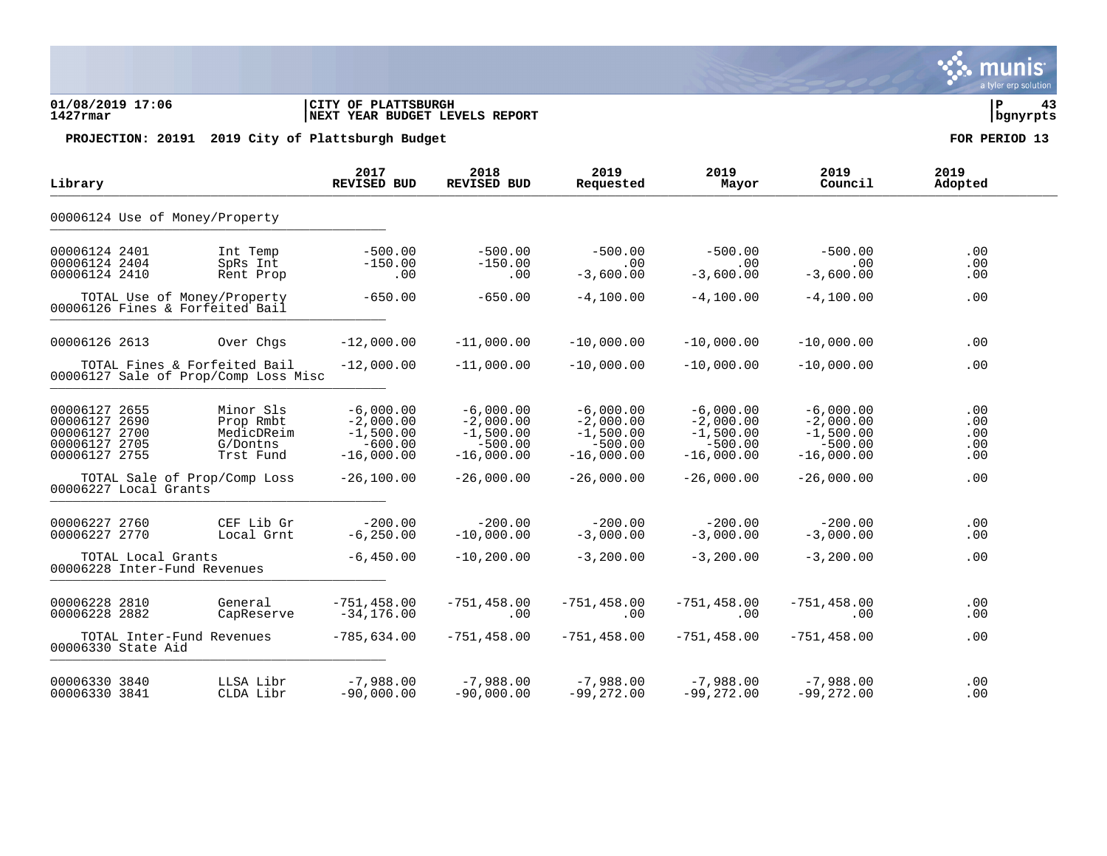### **01/08/2019 17:06 |CITY OF PLATTSBURGH |P 43 1427rmar |NEXT YEAR BUDGET LEVELS REPORT |bgnyrpts**

PROJECTION: 20191 2019 City of Plattsburgh Budget **FOR PERIOD** 13

| Library                                                                              |                                                               | 2017<br><b>REVISED BUD</b>                                             | 2018<br><b>REVISED BUD</b>                                             | 2019<br>Requested                                                      | 2019<br>Mayor                                                          | 2019<br>Council                                                        | 2019<br>Adopted                 |
|--------------------------------------------------------------------------------------|---------------------------------------------------------------|------------------------------------------------------------------------|------------------------------------------------------------------------|------------------------------------------------------------------------|------------------------------------------------------------------------|------------------------------------------------------------------------|---------------------------------|
| 00006124 Use of Money/Property                                                       |                                                               |                                                                        |                                                                        |                                                                        |                                                                        |                                                                        |                                 |
| 00006124 2401<br>00006124 2404<br>00006124 2410                                      | Int Temp<br>SpRs Int<br>Rent Prop                             | $-500.00$<br>$-150.00$<br>.00                                          | $-500.00$<br>$-150.00$<br>.00                                          | $-500.00$<br>.00<br>$-3,600.00$                                        | $-500.00$<br>.00<br>$-3,600.00$                                        | $-500.00$<br>.00<br>$-3,600.00$                                        | .00<br>.00<br>.00               |
| TOTAL Use of Money/Property<br>00006126 Fines & Forfeited Bail                       |                                                               | $-650.00$                                                              | $-650.00$                                                              | $-4,100.00$                                                            | $-4,100.00$                                                            | $-4,100.00$                                                            | .00                             |
| 00006126 2613                                                                        | Over Chgs                                                     | $-12,000.00$                                                           | $-11,000.00$                                                           | $-10,000.00$                                                           | $-10,000.00$                                                           | $-10,000.00$                                                           | .00                             |
| TOTAL Fines & Forfeited Bail<br>00006127 Sale of Prop/Comp Loss Misc                 |                                                               | $-12,000.00$                                                           | $-11,000.00$                                                           | $-10,000.00$                                                           | $-10,000,00$                                                           | $-10,000.00$                                                           | .00                             |
| 00006127 2655<br>00006127<br>2690<br>00006127 2700<br>00006127 2705<br>00006127 2755 | Minor Sls<br>Prop Rmbt<br>MedicDReim<br>G/Dontns<br>Trst Fund | $-6,000.00$<br>$-2,000.00$<br>$-1,500.00$<br>$-600.00$<br>$-16,000.00$ | $-6,000.00$<br>$-2,000.00$<br>$-1,500.00$<br>$-500.00$<br>$-16,000.00$ | $-6,000.00$<br>$-2,000.00$<br>$-1,500.00$<br>$-500.00$<br>$-16,000.00$ | $-6,000.00$<br>$-2,000.00$<br>$-1,500.00$<br>$-500.00$<br>$-16,000.00$ | $-6,000.00$<br>$-2,000.00$<br>$-1,500.00$<br>$-500.00$<br>$-16,000.00$ | .00<br>.00<br>.00<br>.00<br>.00 |
| TOTAL Sale of Prop/Comp Loss<br>00006227 Local Grants                                |                                                               | $-26,100.00$                                                           | $-26,000.00$                                                           | $-26,000.00$                                                           | $-26,000.00$                                                           | $-26,000.00$                                                           | .00                             |
| 00006227 2760<br>00006227 2770                                                       | CEF Lib Gr<br>Local Grnt                                      | $-200.00$<br>$-6, 250.00$                                              | $-200.00$<br>$-10,000.00$                                              | $-200.00$<br>$-3,000.00$                                               | $-200.00$<br>$-3,000.00$                                               | $-200.00$<br>$-3,000.00$                                               | .00<br>.00                      |
| TOTAL Local Grants<br>00006228 Inter-Fund Revenues                                   |                                                               | $-6,450.00$                                                            | $-10, 200.00$                                                          | $-3,200.00$                                                            | $-3,200.00$                                                            | $-3,200.00$                                                            | .00                             |
| 00006228 2810<br>00006228 2882                                                       | General<br>CapReserve                                         | $-751, 458.00$<br>$-34, 176.00$                                        | $-751, 458.00$<br>.00                                                  | $-751, 458.00$<br>.00                                                  | $-751, 458.00$<br>.00                                                  | $-751, 458.00$<br>$.00 \,$                                             | .00<br>.00                      |
| TOTAL Inter-Fund Revenues<br>00006330 State Aid                                      |                                                               | $-785,634.00$                                                          | $-751, 458.00$                                                         | $-751, 458.00$                                                         | $-751, 458.00$                                                         | $-751, 458.00$                                                         | .00                             |
| 00006330 3840<br>00006330 3841                                                       | LLSA Libr<br>CLDA Libr                                        | $-7,988.00$<br>$-90,000.00$                                            | $-7,988.00$<br>$-90,000.00$                                            | $-7,988.00$<br>$-99,272.00$                                            | $-7,988.00$<br>$-99,272.00$                                            | $-7,988.00$<br>$-99, 272.00$                                           | .00<br>.00                      |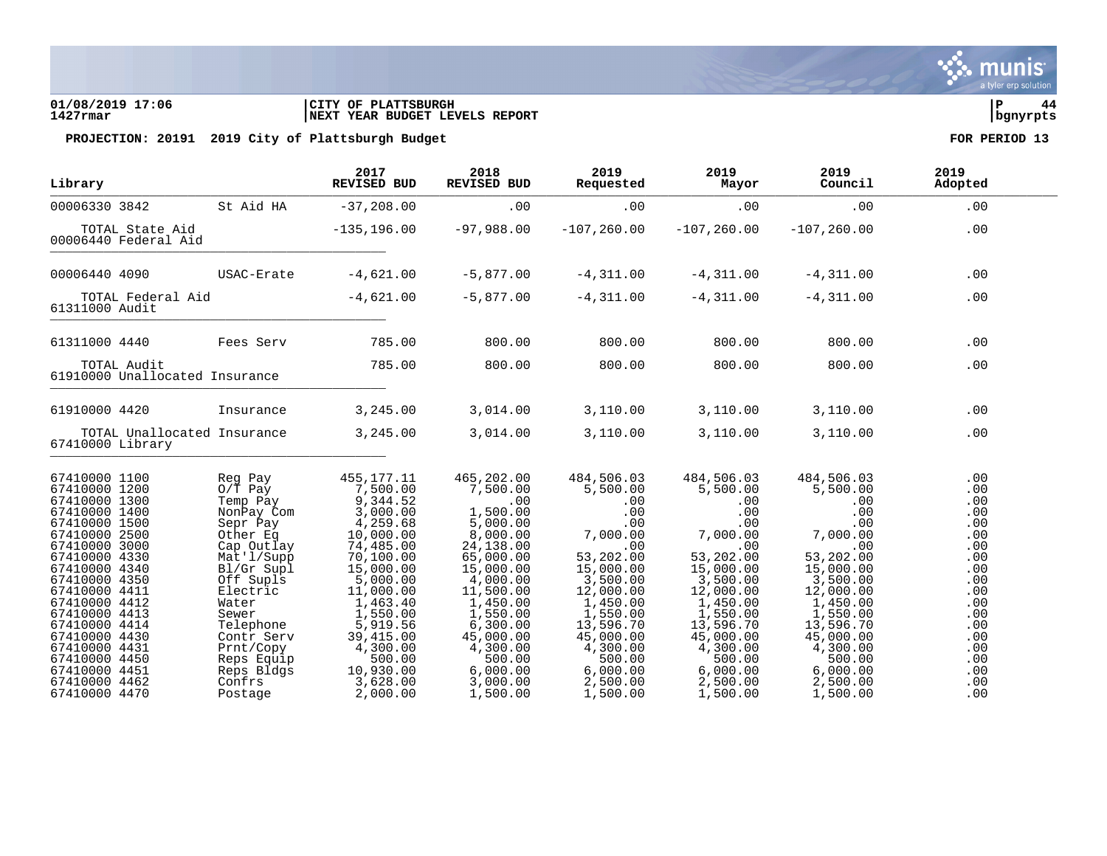### **01/08/2019 17:06 |CITY OF PLATTSBURGH |P 44 1427rmar |NEXT YEAR BUDGET LEVELS REPORT |bgnyrpts**

| Library                                                                                                                                                                                                                                                                                                                                          |                                                                                                                                                                                                                                                      | 2017<br>REVISED BUD                                                                                                                                                                                                                                 | 2018<br>REVISED BUD                                                                                                                                                                                                                          | 2019<br>Requested                                                                                                                                                                                                             | 2019<br>Mayor                                                                                                                                                                                                                 | 2019<br>Council                                                                                                                                                                                                                    | 2019<br>Adopted                                                                                                                          |
|--------------------------------------------------------------------------------------------------------------------------------------------------------------------------------------------------------------------------------------------------------------------------------------------------------------------------------------------------|------------------------------------------------------------------------------------------------------------------------------------------------------------------------------------------------------------------------------------------------------|-----------------------------------------------------------------------------------------------------------------------------------------------------------------------------------------------------------------------------------------------------|----------------------------------------------------------------------------------------------------------------------------------------------------------------------------------------------------------------------------------------------|-------------------------------------------------------------------------------------------------------------------------------------------------------------------------------------------------------------------------------|-------------------------------------------------------------------------------------------------------------------------------------------------------------------------------------------------------------------------------|------------------------------------------------------------------------------------------------------------------------------------------------------------------------------------------------------------------------------------|------------------------------------------------------------------------------------------------------------------------------------------|
| 00006330 3842                                                                                                                                                                                                                                                                                                                                    | St Aid HA                                                                                                                                                                                                                                            | $-37,208.00$                                                                                                                                                                                                                                        | .00                                                                                                                                                                                                                                          | .00                                                                                                                                                                                                                           | .00                                                                                                                                                                                                                           | .00                                                                                                                                                                                                                                | .00                                                                                                                                      |
| TOTAL State Aid<br>00006440 Federal Aid                                                                                                                                                                                                                                                                                                          |                                                                                                                                                                                                                                                      | $-135, 196.00$                                                                                                                                                                                                                                      | -97,988.00                                                                                                                                                                                                                                   | $-107, 260.00$                                                                                                                                                                                                                | $-107,260.00$                                                                                                                                                                                                                 | $-107, 260.00$                                                                                                                                                                                                                     | .00                                                                                                                                      |
| 00006440 4090                                                                                                                                                                                                                                                                                                                                    | USAC-Erate                                                                                                                                                                                                                                           | $-4,621.00$                                                                                                                                                                                                                                         | $-5,877.00$                                                                                                                                                                                                                                  | $-4,311.00$                                                                                                                                                                                                                   | $-4,311.00$                                                                                                                                                                                                                   | $-4,311.00$                                                                                                                                                                                                                        | .00                                                                                                                                      |
| TOTAL Federal Aid<br>61311000 Audit                                                                                                                                                                                                                                                                                                              |                                                                                                                                                                                                                                                      | $-4,621.00$                                                                                                                                                                                                                                         | $-5,877.00$                                                                                                                                                                                                                                  | $-4, 311.00$                                                                                                                                                                                                                  | $-4,311.00$                                                                                                                                                                                                                   | $-4,311.00$                                                                                                                                                                                                                        | .00                                                                                                                                      |
| 61311000 4440                                                                                                                                                                                                                                                                                                                                    | Fees Serv                                                                                                                                                                                                                                            | 785.00                                                                                                                                                                                                                                              | 800.00                                                                                                                                                                                                                                       | 800.00                                                                                                                                                                                                                        | 800.00                                                                                                                                                                                                                        | 800.00                                                                                                                                                                                                                             | .00                                                                                                                                      |
| TOTAL Audit<br>61910000 Unallocated Insurance                                                                                                                                                                                                                                                                                                    |                                                                                                                                                                                                                                                      | 785.00                                                                                                                                                                                                                                              | 800.00                                                                                                                                                                                                                                       | 800.00                                                                                                                                                                                                                        | 800.00                                                                                                                                                                                                                        | 800.00                                                                                                                                                                                                                             | .00                                                                                                                                      |
| 61910000 4420                                                                                                                                                                                                                                                                                                                                    | Insurance                                                                                                                                                                                                                                            | 3,245.00                                                                                                                                                                                                                                            | 3,014.00                                                                                                                                                                                                                                     | 3,110.00                                                                                                                                                                                                                      | 3,110.00                                                                                                                                                                                                                      | 3,110.00                                                                                                                                                                                                                           | .00                                                                                                                                      |
| 67410000 Library                                                                                                                                                                                                                                                                                                                                 | TOTAL Unallocated Insurance                                                                                                                                                                                                                          | 3, 245.00                                                                                                                                                                                                                                           | 3,014.00                                                                                                                                                                                                                                     | 3,110.00                                                                                                                                                                                                                      | 3,110.00                                                                                                                                                                                                                      | 3,110.00                                                                                                                                                                                                                           | .00                                                                                                                                      |
| 67410000 1100<br>67410000 1200<br>67410000 1300<br>67410000 1400<br>67410000 1500<br>67410000 2500<br>67410000 3000<br>67410000 4330<br>67410000 4340<br>67410000 4350<br>67410000 4411<br>67410000 4412<br>67410000 4413<br>67410000 4414<br>67410000 4430<br>67410000 4431<br>67410000 4450<br>67410000 4451<br>67410000 4462<br>67410000 4470 | Reg Pay<br>$0/T$ Pay<br>Temp Pay<br>NonPay Com<br>Sepr Pay<br>Other Eq<br>Cap Outlay<br>Mat'l/Supp<br>Bl/Gr Supl<br>Off Supls<br>Electric<br>Water<br>Sewer<br>Telephone<br>Contr Serv<br>Prnt/Copy<br>Reps Equip<br>Reps Bldgs<br>Confrs<br>Postage | 455,177.11<br>7,500.00<br>9,344.52<br>3,000.00<br>4,259.68<br>10,000.00<br>74,485.00<br>70,100.00<br>15,000.00<br>5,000.00<br>11,000.00<br>1,463.40<br>1,550.00<br>5,919.56<br>39,415.00<br>4,300.00<br>500.00<br>10,930.00<br>3,628.00<br>2,000.00 | 465,202.00<br>7,500.00<br>.00<br>1,500.00<br>5,000.00<br>8,000.00<br>24,138.00<br>65,000.00<br>15,000.00<br>4,000.00<br>11,500.00<br>1,450.00<br>1,550.00<br>6,300.00<br>45,000.00<br>4,300.00<br>500.00<br>6,000.00<br>3,000.00<br>1,500.00 | 484,506.03<br>5,500.00<br>.00<br>.00<br>.00<br>7,000.00<br>.00<br>53,202.00<br>15,000.00<br>3,500.00<br>12,000.00<br>1,450.00<br>1,550.00<br>13,596.70<br>45,000.00<br>4,300.00<br>500.00<br>6,000.00<br>2,500.00<br>1,500.00 | 484,506.03<br>5,500.00<br>.00<br>.00<br>.00<br>7,000.00<br>.00<br>53,202.00<br>15,000.00<br>3,500.00<br>12,000.00<br>1,450.00<br>1,550.00<br>13,596.70<br>45,000.00<br>4,300.00<br>500.00<br>6,000.00<br>2,500.00<br>1,500.00 | 484,506.03<br>5,500.00<br>$.00 \,$<br>.00<br>.00<br>7,000.00<br>.00<br>53,202.00<br>15,000.00<br>3,500.00<br>12,000.00<br>1,450.00<br>1,550.00<br>13,596.70<br>45,000.00<br>4,300.00<br>500.00<br>6,000.00<br>2,500.00<br>1,500.00 | .00<br>.00<br>.00<br>.00<br>.00<br>.00<br>.00<br>.00<br>.00<br>.00<br>.00<br>.00<br>.00<br>.00<br>.00<br>.00<br>.00<br>.00<br>.00<br>.00 |

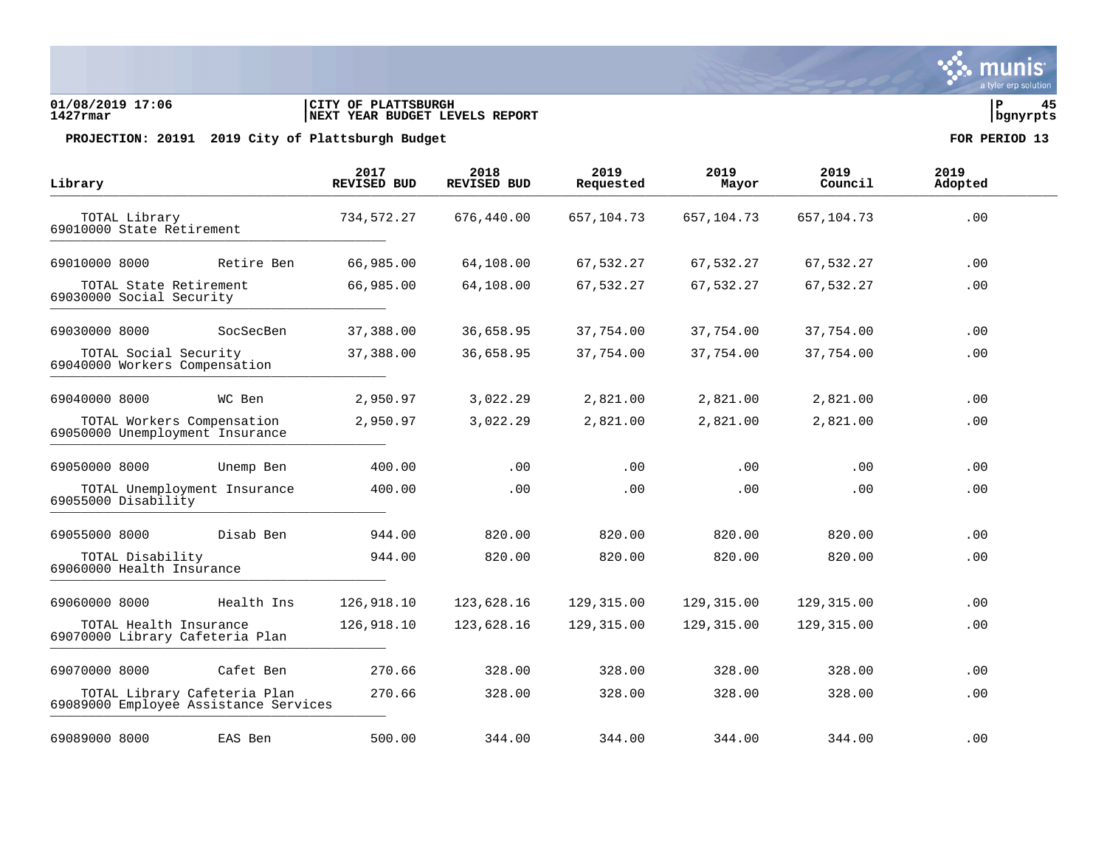### **01/08/2019 17:06 |CITY OF PLATTSBURGH |P 45 1427rmar |NEXT YEAR BUDGET LEVELS REPORT |bgnyrpts**

| Library                                                               |            | 2017<br><b>REVISED BUD</b> | 2018<br><b>REVISED BUD</b> | 2019<br>Requested | 2019<br>Mayor | 2019<br>Council | 2019<br>Adopted |  |
|-----------------------------------------------------------------------|------------|----------------------------|----------------------------|-------------------|---------------|-----------------|-----------------|--|
| TOTAL Library<br>69010000 State Retirement                            |            | 734,572.27                 | 676,440.00                 | 657, 104. 73      | 657,104.73    | 657,104.73      | .00             |  |
| 69010000 8000                                                         | Retire Ben | 66,985.00                  | 64,108.00                  | 67,532.27         | 67,532.27     | 67,532.27       | .00             |  |
| TOTAL State Retirement<br>69030000 Social Security                    |            | 66,985.00                  | 64,108.00                  | 67,532.27         | 67,532.27     | 67,532.27       | .00             |  |
| 69030000 8000                                                         | SocSecBen  | 37,388.00                  | 36,658.95                  | 37,754.00         | 37,754.00     | 37,754.00       | .00             |  |
| TOTAL Social Security<br>69040000 Workers Compensation                |            | 37,388.00                  | 36,658.95                  | 37,754.00         | 37,754.00     | 37,754.00       | .00             |  |
| 69040000 8000                                                         | WC Ben     | 2,950.97                   | 3,022.29                   | 2,821.00          | 2,821.00      | 2,821.00        | .00             |  |
| TOTAL Workers Compensation<br>69050000 Unemployment Insurance         |            | 2,950.97                   | 3,022.29                   | 2,821.00          | 2,821.00      | 2,821.00        | .00             |  |
| 69050000 8000                                                         | Unemp Ben  | 400.00                     | .00                        | .00               | .00           | .00             | .00             |  |
| TOTAL Unemployment Insurance<br>69055000 Disability                   |            | 400.00                     | .00                        | .00               | .00           | .00             | .00             |  |
| 69055000 8000                                                         | Disab Ben  | 944.00                     | 820.00                     | 820.00            | 820.00        | 820.00          | .00             |  |
| TOTAL Disability<br>69060000 Health Insurance                         |            | 944.00                     | 820.00                     | 820.00            | 820.00        | 820.00          | .00             |  |
| 69060000 8000                                                         | Health Ins | 126,918.10                 | 123,628.16                 | 129,315.00        | 129,315.00    | 129,315.00      | .00             |  |
| TOTAL Health Insurance<br>69070000 Library Cafeteria Plan             |            | 126,918.10                 | 123,628.16                 | 129,315.00        | 129,315.00    | 129,315.00      | .00             |  |
| 69070000 8000                                                         | Cafet Ben  | 270.66                     | 328.00                     | 328.00            | 328.00        | 328.00          | .00             |  |
| TOTAL Library Cafeteria Plan<br>69089000 Employee Assistance Services |            | 270.66                     | 328.00                     | 328.00            | 328.00        | 328.00          | .00             |  |
| 69089000 8000                                                         | EAS Ben    | 500.00                     | 344.00                     | 344.00            | 344.00        | 344.00          | .00             |  |

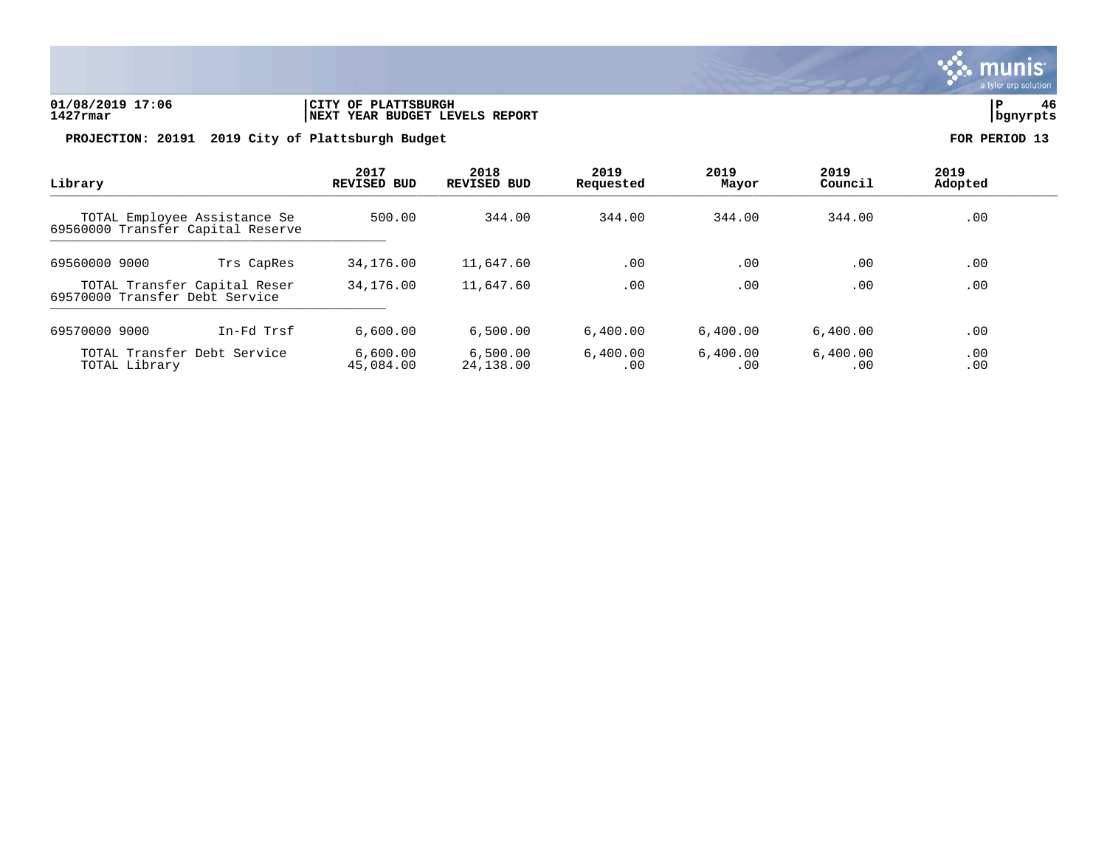

# **01/08/2019 17:06 |CITY OF PLATTSBURGH |P 46 1427rmar |NEXT YEAR BUDGET LEVELS REPORT |bgnyrpts**

| Library<br>TOTAL Employee Assistance Se<br>69560000 Transfer Capital Reserve |                             | 2017<br><b>REVISED BUD</b> | 2018<br><b>REVISED BUD</b> | 2019<br>Requested | 2019<br>Mayor   | 2019<br>Council | 2019<br>Adopted |  |
|------------------------------------------------------------------------------|-----------------------------|----------------------------|----------------------------|-------------------|-----------------|-----------------|-----------------|--|
|                                                                              |                             | 500.00                     | 344.00                     | 344.00            | 344.00          | 344.00          | .00             |  |
| 69560000 9000                                                                | Trs CapRes                  | 34,176.00                  | 11,647.60                  | .00               | .00             | .00             | .00             |  |
| TOTAL Transfer Capital Reser<br>69570000 Transfer Debt Service               |                             | 34,176.00                  | 11,647.60                  | .00               | .00             | .00             | .00             |  |
| 69570000 9000                                                                | In-Fd Trsf                  | 6,600.00                   | 6,500.00                   | 6,400.00          | 6,400.00        | 6,400.00        | .00             |  |
| TOTAL Library                                                                | TOTAL Transfer Debt Service | 6,600.00<br>45,084.00      | 6,500.00<br>24,138.00      | 6,400.00<br>.00   | 6,400.00<br>.00 | 6,400.00<br>.00 | .00<br>.00      |  |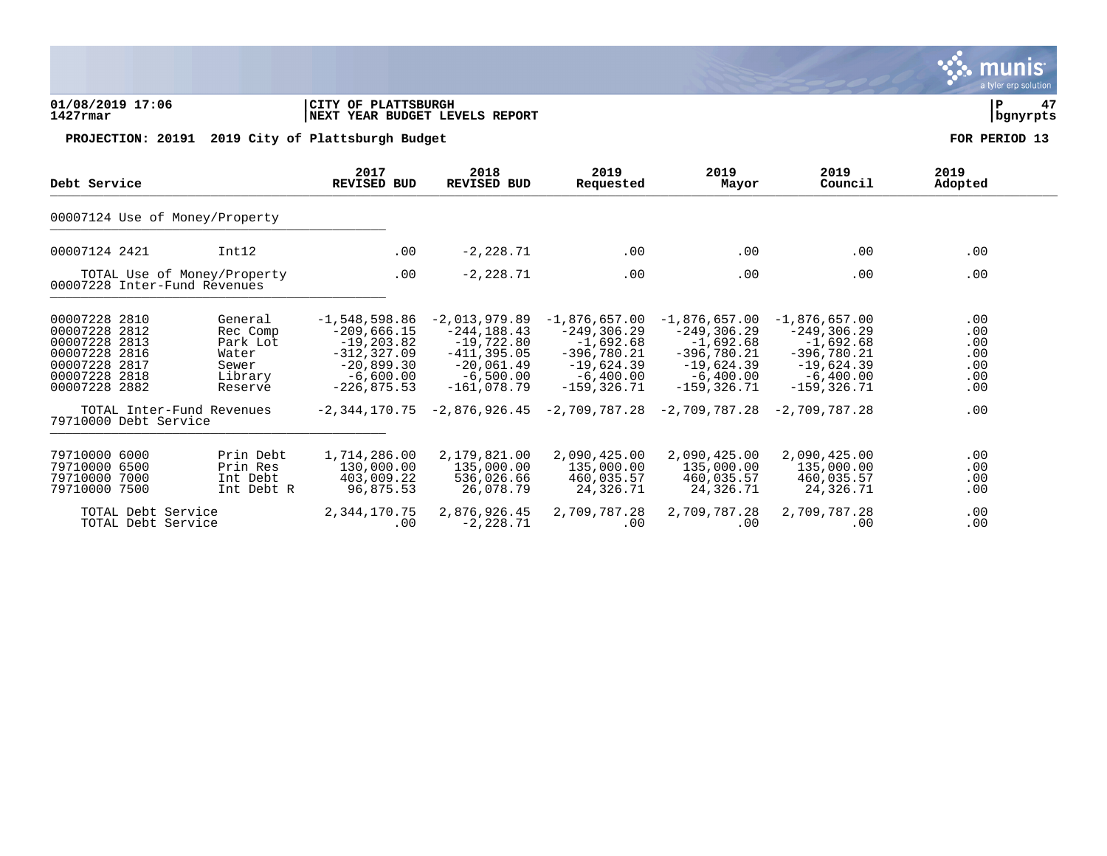### **01/08/2019 17:06 |CITY OF PLATTSBURGH |P 47 1427rmar |NEXT YEAR BUDGET LEVELS REPORT |bgnyrpts**

PROJECTION: 20191 2019 City of Plattsburgh Budget **FOR PERIOD** 13

| Debt Service                                                |            | 2017               | 2018               | 2019                                                            | 2019            | 2019            | 2019    |
|-------------------------------------------------------------|------------|--------------------|--------------------|-----------------------------------------------------------------|-----------------|-----------------|---------|
|                                                             |            | <b>REVISED BUD</b> | <b>REVISED BUD</b> | Requested                                                       | Mayor           | Council         | Adopted |
| 00007124 Use of Money/Property                              |            |                    |                    |                                                                 |                 |                 |         |
| 00007124 2421                                               | Int12      | .00                | $-2,228.71$        | .00                                                             | .00             | .00             | .00     |
| TOTAL Use of Money/Property<br>00007228 Inter-Fund Revenues |            | .00                | $-2,228.71$        | .00                                                             | .00             | .00             | .00     |
| 00007228 2810                                               | General    | $-1,548,598.86$    | $-2,013,979.89$    | $-1,876,657.00$                                                 | $-1,876,657.00$ | $-1.876.657.00$ | .00     |
| 00007228 2812                                               | Rec Comp   | $-209,666.15$      | $-244, 188.43$     | $-249, 306.29$                                                  | -249,306.29     | -249,306.29     | .00     |
| 00007228 2813                                               | Park Lot   | $-19, 203.82$      | $-19,722.80$       | $-1,692.68$                                                     | $-1,692.68$     | $-1,692.68$     | .00     |
| 00007228 2816                                               | Water      | $-312, 327.09$     | $-411.395.05$      | $-396.780.21$                                                   | $-396.780.21$   | $-396.780.21$   | .00     |
| 00007228 2817                                               | Sewer      | $-20,899.30$       | $-20,061.49$       | -19,624.39                                                      | -19,624.39      | -19,624.39      | .00     |
| 00007228 2818                                               | Library    | $-6,600.00$        | $-6,500.00$        | $-6,400.00$                                                     | $-6,400.00$     | $-6,400.00$     | .00     |
| 00007228 2882                                               | Reserve    | $-226, 875.53$     | $-161.078.79$      | $-159, 326.71$                                                  | $-159.326.71$   | $-159.326.71$   | .00     |
| TOTAL Inter-Fund Revenues<br>79710000 Debt Service          |            |                    |                    | $-2,344,170.75$ $-2,876,926.45$ $-2,709,787.28$ $-2,709,787.28$ |                 | $-2.709.787.28$ | .00     |
| 79710000 6000                                               | Prin Debt  | 1,714,286.00       | 2,179,821.00       | 2,090,425.00                                                    | 2,090,425.00    | 2,090,425.00    | .00     |
| 79710000 6500                                               | Prin Res   | 130,000.00         | 135,000.00         | 135,000.00                                                      | 135,000.00      | 135,000.00      | .00     |
| 79710000 7000                                               | Int Debt   | 403,009.22         | 536,026.66         | 460,035.57                                                      | 460,035.57      | 460,035.57      | .00     |
| 79710000 7500                                               | Int Debt R | 96,875.53          | 26,078.79          | 24,326.71                                                       | 24,326.71       | 24,326.71       | .00     |
| TOTAL Debt Service                                          |            | 2,344,170.75       | 2,876,926.45       | 2,709,787.28                                                    | 2,709,787.28    | 2,709,787.28    | .00     |
| TOTAL Debt Service                                          |            | .00                | $-2, 228.71$       | .00                                                             | .00             | .00             | .00     |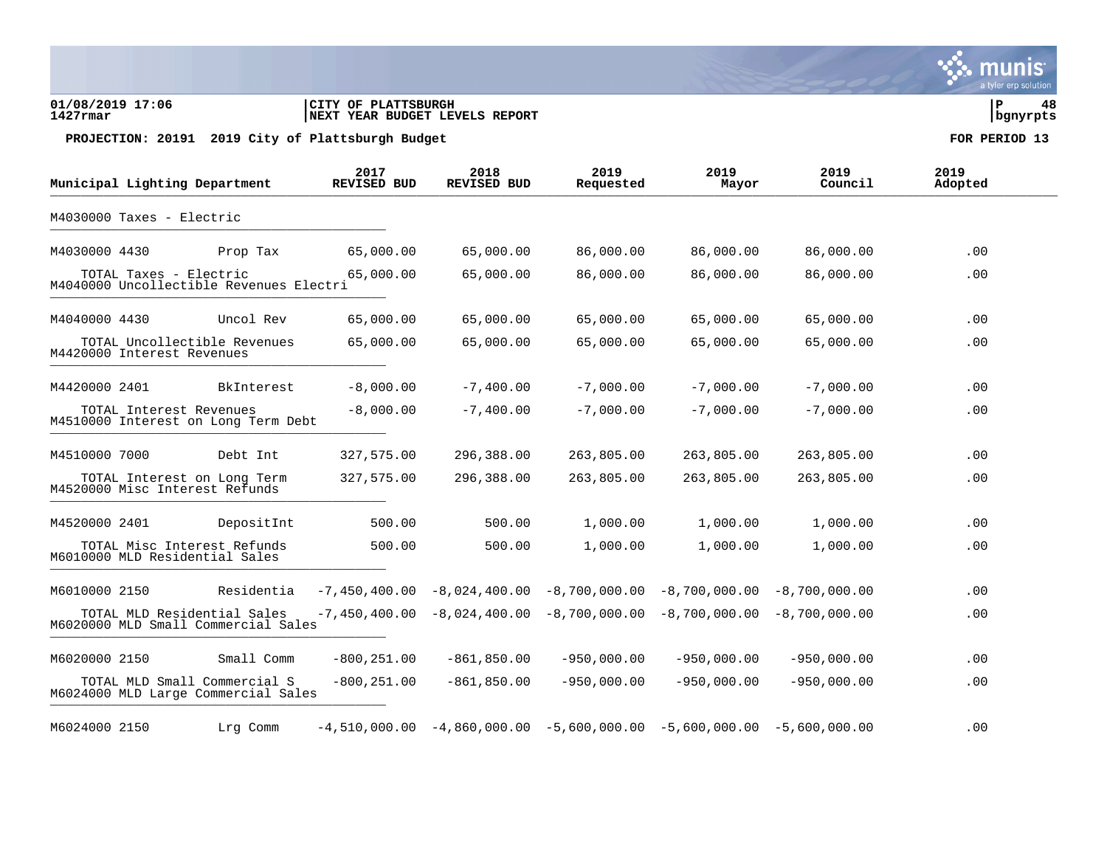### **01/08/2019 17:06 |CITY OF PLATTSBURGH |P 48 1427rmar |NEXT YEAR BUDGET LEVELS REPORT |bgnyrpts**

PROJECTION: 20191 2019 City of Plattsburgh Budget **FOR PERIOD** 13

|               | Municipal Lighting Department |                                                                     | 2017<br><b>REVISED BUD</b> | 2018<br><b>REVISED BUD</b> | 2019<br>Requested                                                           | 2019<br>Mayor | 2019<br>Council | 2019<br>Adopted |
|---------------|-------------------------------|---------------------------------------------------------------------|----------------------------|----------------------------|-----------------------------------------------------------------------------|---------------|-----------------|-----------------|
|               | M4030000 Taxes - Electric     |                                                                     |                            |                            |                                                                             |               |                 |                 |
| M4030000 4430 |                               | Prop Tax                                                            | 65,000.00                  | 65,000.00                  | 86,000.00                                                                   | 86,000.00     | 86,000.00       | .00             |
|               | TOTAL Taxes - Electric        | M4040000 Uncollectible Revenues Electri                             | 65,000.00                  | 65,000.00                  | 86,000.00                                                                   | 86,000.00     | 86,000.00       | .00             |
| M4040000 4430 |                               | Uncol Rev                                                           | 65,000.00                  | 65,000.00                  | 65,000.00                                                                   | 65,000.00     | 65,000.00       | .00             |
|               | M4420000 Interest Revenues    | TOTAL Uncollectible Revenues                                        | 65,000.00                  | 65,000.00                  | 65,000.00                                                                   | 65,000.00     | 65,000.00       | .00             |
| M4420000 2401 |                               | BkInterest                                                          | $-8,000.00$                | $-7,400.00$                | $-7,000.00$                                                                 | $-7,000.00$   | $-7,000.00$     | .00             |
|               | TOTAL Interest Revenues       | M4510000 Interest on Long Term Debt                                 | $-8,000.00$                | $-7,400.00$                | $-7,000.00$                                                                 | $-7,000.00$   | $-7,000.00$     | .00             |
| M4510000 7000 |                               | Debt Int                                                            | 327,575.00                 | 296,388.00                 | 263,805.00                                                                  | 263,805.00    | 263,805.00      | .00             |
|               |                               | TOTAL Interest on Long Term<br>M4520000 Misc Interest Refunds       | 327,575.00                 | 296,388.00                 | 263,805.00                                                                  | 263,805.00    | 263,805.00      | .00             |
| M4520000 2401 |                               | DepositInt                                                          | 500.00                     | 500.00                     | 1,000.00                                                                    | 1,000.00      | 1,000.00        | .00             |
|               |                               | TOTAL Misc Interest Refunds<br>M6010000 MLD Residential Sales       | 500.00                     | 500.00                     | 1,000.00                                                                    | 1,000.00      | 1,000.00        | .00             |
| M6010000 2150 |                               | Residentia                                                          | $-7,450,400.00$            |                            | $-8,024,400.00 -8,700,000.00 -8,700,000.00$                                 |               | $-8,700,000.00$ | .00             |
|               |                               | TOTAL MLD Residential Sales<br>M6020000 MLD Small Commercial Sales  | $-7,450,400.00$            |                            | $-8,024,400.00 -8,700,000.00 -8,700,000.00$                                 |               | $-8,700,000.00$ | .00             |
| M6020000 2150 |                               | Small Comm                                                          | $-800, 251.00$             | $-861, 850.00$             | $-950,000.00$                                                               | $-950,000.00$ | $-950,000.00$   | .00             |
|               |                               | TOTAL MLD Small Commercial S<br>M6024000 MLD Large Commercial Sales | $-800, 251.00$             | $-861, 850.00$             | $-950,000.00$                                                               | $-950,000.00$ | $-950,000.00$   | .00             |
| M6024000 2150 |                               | Lrg Comm                                                            |                            |                            | $-4,510,000.00 - 4,860,000.00 - 5,600,000.00 - 5,600,000.00 - 5,600,000.00$ |               |                 | .00             |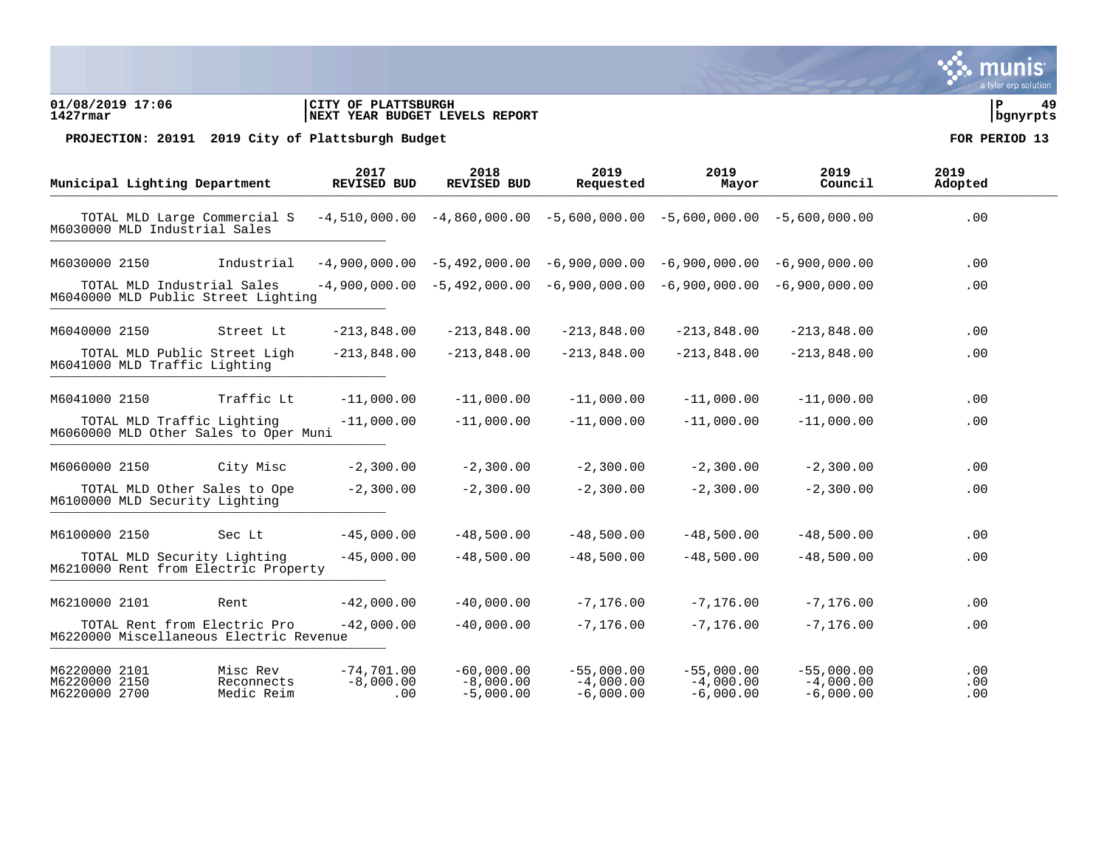### **01/08/2019 17:06 |CITY OF PLATTSBURGH |P 49 1427rmar |NEXT YEAR BUDGET LEVELS REPORT |bgnyrpts**

PROJECTION: 20191 2019 City of Plattsburgh Budget **FOR PERIOD** 13

|                                                 | Municipal Lighting Department  |                                                                         | 2017<br><b>REVISED BUD</b>         | 2018<br><b>REVISED BUD</b>                 | 2019<br>Requested                          | 2019<br>Mayor                                                                   | 2019<br>Council                            | 2019<br>Adopted   |
|-------------------------------------------------|--------------------------------|-------------------------------------------------------------------------|------------------------------------|--------------------------------------------|--------------------------------------------|---------------------------------------------------------------------------------|--------------------------------------------|-------------------|
|                                                 | M6030000 MLD Industrial Sales  | TOTAL MLD Large Commercial S                                            |                                    |                                            |                                            | $-4,510,000.00 - 4,860,000.00 - 5,600,000.00 - 5,600,000.00 - 5,600,000.00$     |                                            | .00               |
| M6030000 2150                                   |                                | Industrial                                                              |                                    |                                            |                                            | $-4,900,000.00$ $-5,492,000.00$ $-6,900,000.00$ $-6,900,000.00$ $-6,900,000.00$ |                                            | .00               |
|                                                 | TOTAL MLD Industrial Sales     | M6040000 MLD Public Street Lighting                                     |                                    | $-4,900,000.00 -5,492,000.00$              |                                            | $-6,900,000.00 - 6,900,000.00$                                                  | $-6,900,000,00$                            | .00               |
| M6040000 2150                                   |                                | Street Lt                                                               | $-213,848.00$                      | $-213,848.00$                              | $-213,848.00$                              | $-213,848.00$                                                                   | $-213,848.00$                              | .00               |
|                                                 | M6041000 MLD Traffic Lighting  | TOTAL MLD Public Street Ligh                                            | $-213,848.00$                      | $-213,848.00$                              | $-213,848.00$                              | $-213,848.00$                                                                   | $-213,848.00$                              | .00               |
| M6041000 2150                                   |                                | Traffic Lt                                                              | $-11,000.00$                       | $-11,000.00$                               | $-11,000.00$                               | $-11,000.00$                                                                    | $-11,000.00$                               | .00               |
|                                                 | TOTAL MLD Traffic Lighting     | M6060000 MLD Other Sales to Oper Muni                                   | $-11,000.00$                       | $-11,000.00$                               | $-11,000.00$                               | $-11,000.00$                                                                    | $-11,000.00$                               | .00               |
| M6060000 2150                                   |                                | City Misc                                                               | $-2,300.00$                        | $-2,300.00$                                | $-2,300.00$                                | $-2,300.00$                                                                     | $-2,300.00$                                | .00               |
|                                                 | M6100000 MLD Security Lighting | TOTAL MLD Other Sales to Ope                                            | $-2,300.00$                        | $-2,300.00$                                | $-2,300.00$                                | $-2,300,00$                                                                     | $-2,300.00$                                | .00               |
| M6100000 2150                                   |                                | Sec Lt                                                                  | $-45,000.00$                       | $-48,500.00$                               | $-48,500.00$                               | $-48,500.00$                                                                    | $-48,500.00$                               | .00               |
|                                                 | TOTAL MLD Security Lighting    | M6210000 Rent from Electric Property                                    | $-45,000.00$                       | $-48,500.00$                               | $-48,500.00$                               | $-48,500.00$                                                                    | $-48,500.00$                               | .00               |
| M6210000 2101                                   |                                | Rent                                                                    | $-42,000.00$                       | $-40,000.00$                               | $-7, 176.00$                               | $-7, 176.00$                                                                    | $-7, 176.00$                               | .00               |
|                                                 |                                | TOTAL Rent from Electric Pro<br>M6220000 Miscellaneous Electric Revenue | $-42,000.00$                       | $-40,000.00$                               | $-7, 176.00$                               | $-7, 176.00$                                                                    | $-7, 176.00$                               | .00               |
| M6220000 2101<br>M6220000 2150<br>M6220000 2700 |                                | Misc Rev<br>Reconnects<br>Medic Reim                                    | $-74,701,00$<br>$-8,000.00$<br>.00 | $-60,000.00$<br>$-8,000.00$<br>$-5,000.00$ | $-55,000.00$<br>$-4,000.00$<br>$-6,000.00$ | $-55,000.00$<br>$-4,000.00$<br>$-6,000.00$                                      | $-55,000.00$<br>$-4,000.00$<br>$-6,000.00$ | .00<br>.00<br>.00 |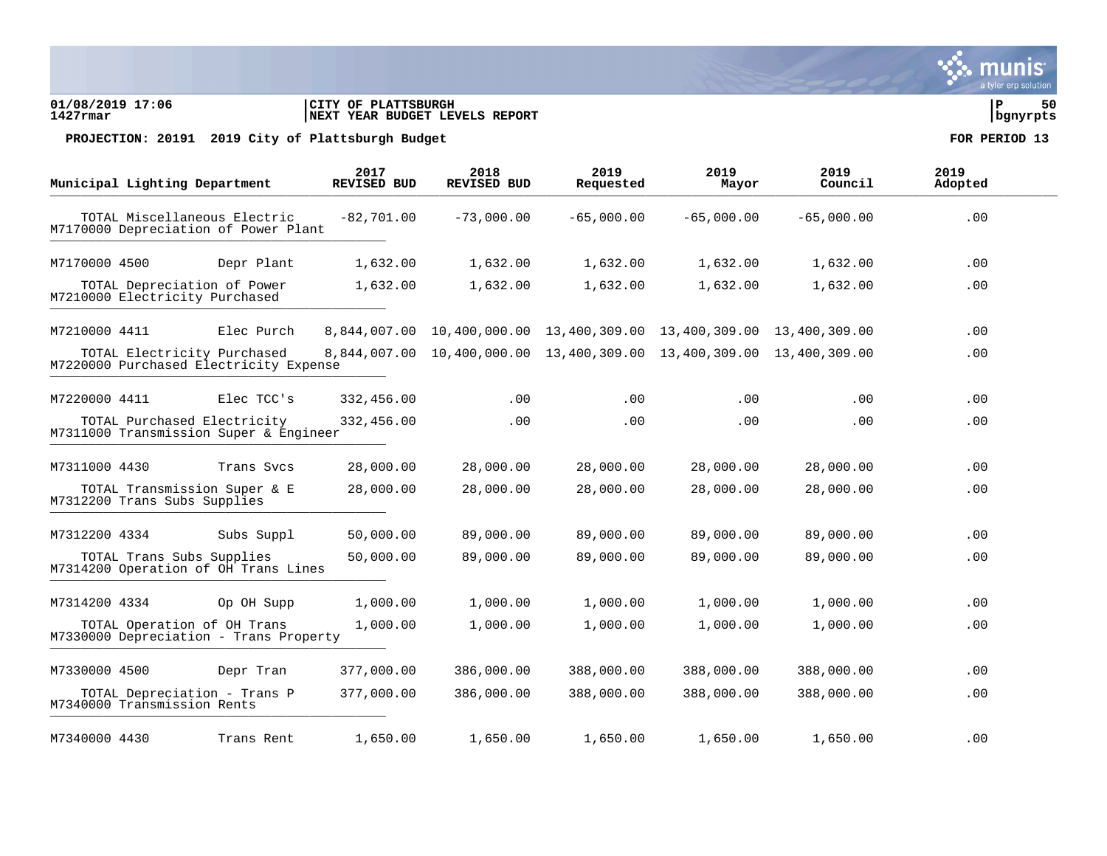

### **01/08/2019 17:06 |CITY OF PLATTSBURGH |P 50 1427rmar |NEXT YEAR BUDGET LEVELS REPORT |bgnyrpts**

|               | Municipal Lighting Department                                                       |                                                                       | 2017<br><b>REVISED BUD</b> | 2018<br><b>REVISED BUD</b>                                           | 2019<br>Requested | 2019<br>Mayor | 2019<br>Council | 2019<br>Adopted |
|---------------|-------------------------------------------------------------------------------------|-----------------------------------------------------------------------|----------------------------|----------------------------------------------------------------------|-------------------|---------------|-----------------|-----------------|
|               |                                                                                     | TOTAL Miscellaneous Electric<br>M7170000 Depreciation of Power Plant  | $-82,701.00$               | $-73,000.00$                                                         | $-65,000.00$      | $-65,000.00$  | $-65,000.00$    | .00             |
| M7170000 4500 |                                                                                     | Depr Plant                                                            | 1,632.00                   | 1,632.00                                                             | 1,632.00          | 1,632.00      | 1,632.00        | .00             |
|               | M7210000 Electricity Purchased                                                      | TOTAL Depreciation of Power                                           | 1,632.00                   | 1,632.00                                                             | 1,632.00          | 1,632.00      | 1,632.00        | .00             |
| M7210000 4411 |                                                                                     | Elec Purch                                                            |                            | 8,844,007.00 10,400,000.00 13,400,309.00 13,400,309.00 13,400,309.00 |                   |               |                 | .00             |
|               |                                                                                     | TOTAL Electricity Purchased<br>M7220000 Purchased Electricity Expense |                            | 8,844,007.00 10,400,000.00 13,400,309.00 13,400,309.00 13,400,309.00 |                   |               |                 | .00             |
| M7220000 4411 |                                                                                     | Elec TCC's                                                            | 332,456.00                 | $.00 \,$                                                             | .00               | .00           | .00.            | .00             |
|               | TOTAL Purchased Electricity<br>332,456.00<br>M7311000 Transmission Super & Engineer |                                                                       |                            |                                                                      | .00               | .00           | .00             | .00             |
| M7311000 4430 |                                                                                     | Trans Sycs                                                            | 28,000.00                  | 28,000.00                                                            | 28,000.00         | 28,000.00     | 28,000.00       | .00             |
|               | M7312200 Trans Subs Supplies                                                        | TOTAL Transmission Super & E                                          | 28,000.00                  | 28,000.00                                                            | 28,000.00         | 28,000.00     | 28,000.00       | .00             |
| M7312200 4334 |                                                                                     | Subs Suppl                                                            | 50,000.00                  | 89,000.00                                                            | 89,000.00         | 89,000.00     | 89,000.00       | .00             |
|               | TOTAL Trans Subs Supplies                                                           | M7314200 Operation of OH Trans Lines                                  | 50,000.00                  | 89,000.00                                                            | 89,000.00         | 89,000.00     | 89,000.00       | .00             |
| M7314200 4334 |                                                                                     | Op OH Supp                                                            | 1,000.00                   | 1,000.00                                                             | 1,000.00          | 1,000.00      | 1,000.00        | .00             |
|               |                                                                                     | TOTAL Operation of OH Trans<br>M7330000 Depreciation - Trans Property | 1,000.00                   | 1,000.00                                                             | 1,000.00          | 1,000.00      | 1,000.00        | .00             |
| M7330000 4500 |                                                                                     | Depr Tran                                                             | 377,000.00                 | 386,000.00                                                           | 388,000.00        | 388,000.00    | 388,000.00      | .00             |
|               | M7340000 Transmission Rents                                                         | TOTAL Depreciation - Trans P                                          | 377,000.00                 | 386,000.00                                                           | 388,000.00        | 388,000.00    | 388,000.00      | .00.            |
| M7340000 4430 |                                                                                     | Trans Rent                                                            | 1,650.00                   | 1,650.00                                                             | 1,650.00          | 1,650.00      | 1,650.00        | .00             |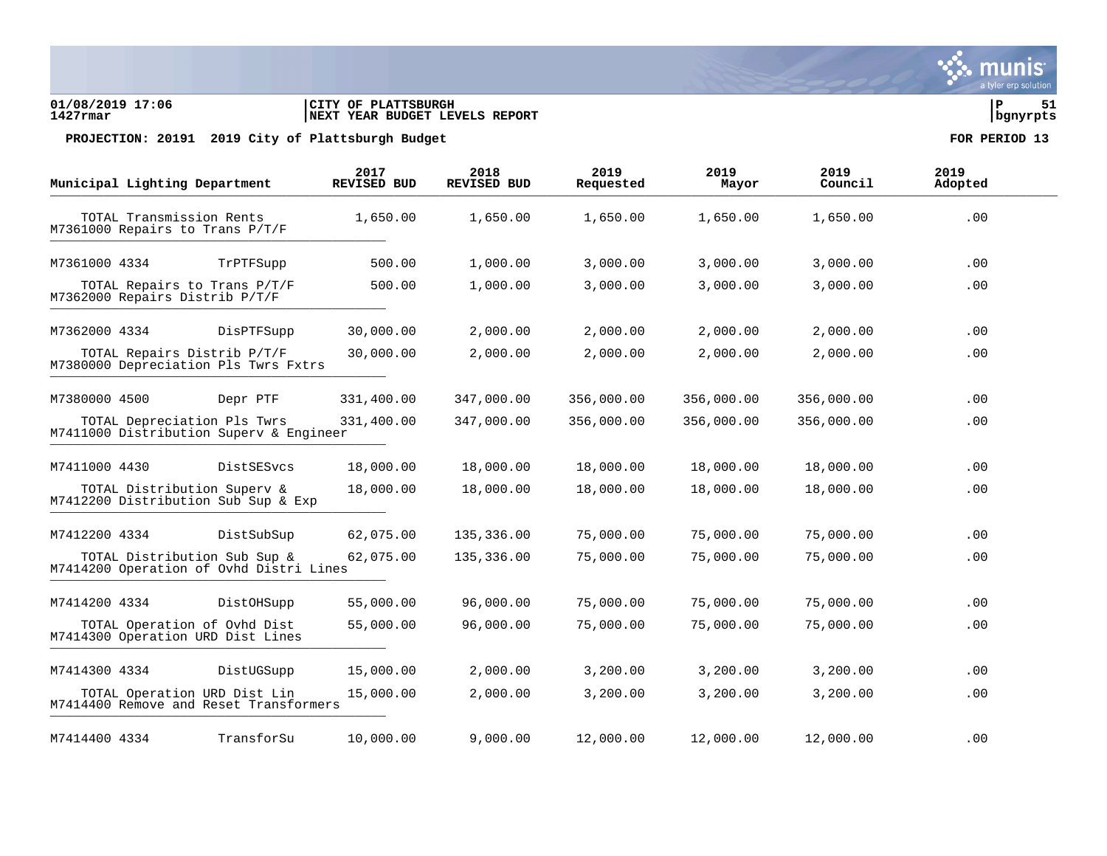### **01/08/2019 17:06 |CITY OF PLATTSBURGH |P 51 1427rmar |NEXT YEAR BUDGET LEVELS REPORT |bgnyrpts**

|               | Municipal Lighting Department                               |                                                                         | 2017<br><b>REVISED BUD</b> | 2018<br><b>REVISED BUD</b> | 2019<br>Requested | 2019<br>Mayor | 2019<br>Council | 2019<br>Adopted |
|---------------|-------------------------------------------------------------|-------------------------------------------------------------------------|----------------------------|----------------------------|-------------------|---------------|-----------------|-----------------|
|               | TOTAL Transmission Rents<br>M7361000 Repairs to Trans P/T/F |                                                                         | 1,650.00                   | 1,650.00                   | 1,650.00          | 1,650.00      | 1,650.00        | .00             |
| M7361000 4334 |                                                             | TrPTFSupp                                                               | 500.00                     | 1,000.00                   | 3,000.00          | 3,000.00      | 3,000.00        | .00             |
|               | M7362000 Repairs Distrib P/T/F                              | TOTAL Repairs to Trans P/T/F                                            | 500.00                     | 1,000.00                   | 3,000.00          | 3,000.00      | 3,000.00        | .00             |
| M7362000 4334 |                                                             | DisPTFSupp                                                              | 30,000.00                  | 2,000.00                   | 2,000.00          | 2,000.00      | 2,000.00        | .00             |
|               | TOTAL Repairs Distrib P/T/F                                 | M7380000 Depreciation Pls Twrs Fxtrs                                    | 30,000.00                  | 2,000.00                   | 2,000.00          | 2,000.00      | 2,000.00        | .00             |
| M7380000 4500 |                                                             | Depr PTF                                                                | 331,400.00                 | 347,000.00                 | 356,000.00        | 356,000.00    | 356,000.00      | .00             |
|               | TOTAL Depreciation Pls Twrs                                 | M7411000 Distribution Superv & Engineer                                 | 331,400.00                 | 347,000.00                 | 356,000.00        | 356,000.00    | 356,000.00      | .00             |
| M7411000 4430 |                                                             | DistSESvcs                                                              | 18,000.00                  | 18,000.00                  | 18,000.00         | 18,000.00     | 18,000.00       | .00             |
|               | TOTAL Distribution Superv &                                 | M7412200 Distribution Sub Sup & Exp                                     | 18,000.00                  | 18,000.00                  | 18,000.00         | 18,000.00     | 18,000.00       | .00             |
| M7412200 4334 |                                                             | DistSubSup                                                              | 62,075.00                  | 135,336.00                 | 75,000.00         | 75,000.00     | 75,000.00       | .00             |
|               |                                                             | TOTAL Distribution Sub Sup &<br>M7414200 Operation of Ovhd Distri Lines | 62,075.00                  | 135,336.00                 | 75,000.00         | 75,000.00     | 75,000.00       | .00             |
| M7414200 4334 |                                                             | DistOHSupp                                                              | 55,000.00                  | 96,000.00                  | 75,000.00         | 75,000.00     | 75,000.00       | .00             |
|               |                                                             | TOTAL Operation of Ovhd Dist<br>M7414300 Operation URD Dist Lines       | 55,000.00                  | 96,000.00                  | 75,000.00         | 75,000.00     | 75,000.00       | .00             |
| M7414300 4334 |                                                             | DistUGSupp                                                              | 15,000.00                  | 2,000.00                   | 3,200.00          | 3,200.00      | 3,200.00        | .00             |
|               |                                                             | TOTAL Operation URD Dist Lin<br>M7414400 Remove and Reset Transformers  | 15,000.00                  | 2,000.00                   | 3,200.00          | 3,200.00      | 3,200.00        | .00             |
| M7414400 4334 |                                                             | TransforSu                                                              | 10,000.00                  | 9,000.00                   | 12,000.00         | 12,000.00     | 12,000.00       | .00             |

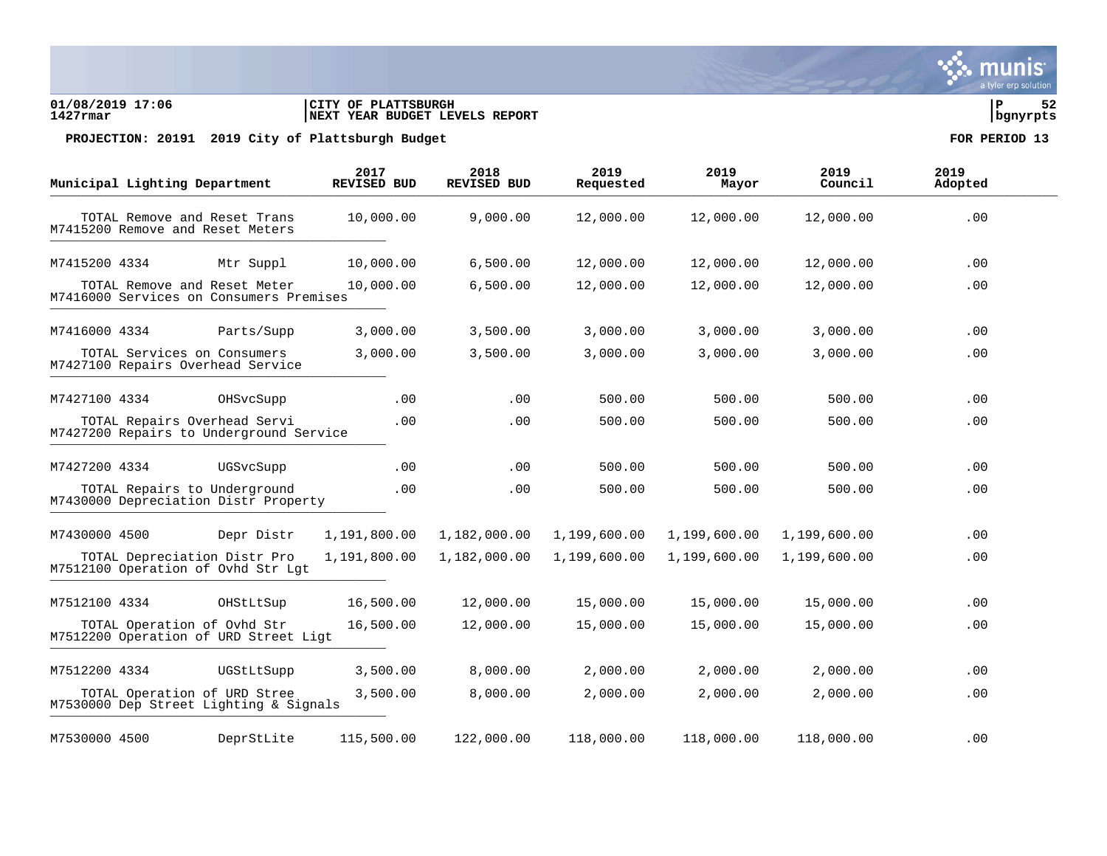### **01/08/2019 17:06 |CITY OF PLATTSBURGH |P 52 1427rmar |NEXT YEAR BUDGET LEVELS REPORT |bgnyrpts**

PROJECTION: 20191 2019 City of Plattsburgh Budget **FOR PERIOD** 13

|               | Municipal Lighting Department |                                                                         | 2017<br><b>REVISED BUD</b> | 2018<br><b>REVISED BUD</b> | 2019<br>Requested | 2019<br>Mayor | 2019<br>Council | 2019<br>Adopted |
|---------------|-------------------------------|-------------------------------------------------------------------------|----------------------------|----------------------------|-------------------|---------------|-----------------|-----------------|
|               |                               | TOTAL Remove and Reset Trans<br>M7415200 Remove and Reset Meters        | 10,000.00                  | 9,000.00                   | 12,000.00         | 12,000.00     | 12,000.00       | .00             |
| M7415200 4334 |                               | Mtr Suppl                                                               | 10,000.00                  | 6,500.00                   | 12,000.00         | 12,000.00     | 12,000.00       | .00             |
|               |                               | TOTAL Remove and Reset Meter<br>M7416000 Services on Consumers Premises | 10,000.00                  | 6,500.00                   | 12,000.00         | 12,000.00     | 12,000.00       | .00             |
| M7416000 4334 |                               | Parts/Supp                                                              | 3,000.00                   | 3,500.00                   | 3,000.00          | 3,000.00      | 3,000.00        | .00             |
|               |                               | TOTAL Services on Consumers<br>M7427100 Repairs Overhead Service        | 3,000.00                   | 3,500.00                   | 3,000.00          | 3,000.00      | 3,000.00        | .00             |
| M7427100 4334 |                               | OHSvcSupp                                                               | .00                        | .00                        | 500.00            | 500.00        | 500.00          | $.00 \,$        |
|               |                               | TOTAL Repairs Overhead Servi<br>M7427200 Repairs to Underground Service | .00                        | .00                        | 500.00            | 500.00        | 500.00          | .00             |
| M7427200 4334 |                               | UGSvcSupp                                                               | .00                        | $.00 \,$                   | 500.00            | 500.00        | 500.00          | .00             |
|               |                               | TOTAL Repairs to Underground<br>M7430000 Depreciation Distr Property    | .00                        | .00                        | 500.00            | 500.00        | 500.00          | $.00 \,$        |
| M7430000 4500 |                               | Depr Distr                                                              | 1,191,800.00               | 1,182,000.00               | 1,199,600.00      | 1,199,600.00  | 1,199,600.00    | .00             |
|               |                               | TOTAL Depreciation Distr Pro<br>M7512100 Operation of Ovhd Str Lqt      | 1,191,800.00               | 1,182,000.00               | 1,199,600.00      | 1,199,600.00  | 1,199,600.00    | .00             |
| M7512100 4334 |                               | OHStLtSup                                                               | 16,500.00                  | 12,000.00                  | 15,000.00         | 15,000.00     | 15,000.00       | .00             |
|               |                               | TOTAL Operation of Ovhd Str<br>M7512200 Operation of URD Street Ligt    | 16,500.00                  | 12,000.00                  | 15,000.00         | 15,000.00     | 15,000.00       | .00             |
| M7512200 4334 |                               | UGStLtSupp                                                              | 3,500.00                   | 8,000.00                   | 2,000.00          | 2,000.00      | 2,000.00        | .00             |
|               |                               | TOTAL Operation of URD Stree<br>M7530000 Dep Street Lighting & Signals  | 3,500.00                   | 8,000.00                   | 2,000.00          | 2,000.00      | 2,000.00        | .00             |
| M7530000 4500 |                               | DeprStLite                                                              | 115,500.00                 | 122,000.00                 | 118,000.00        | 118,000.00    | 118,000.00      | .00             |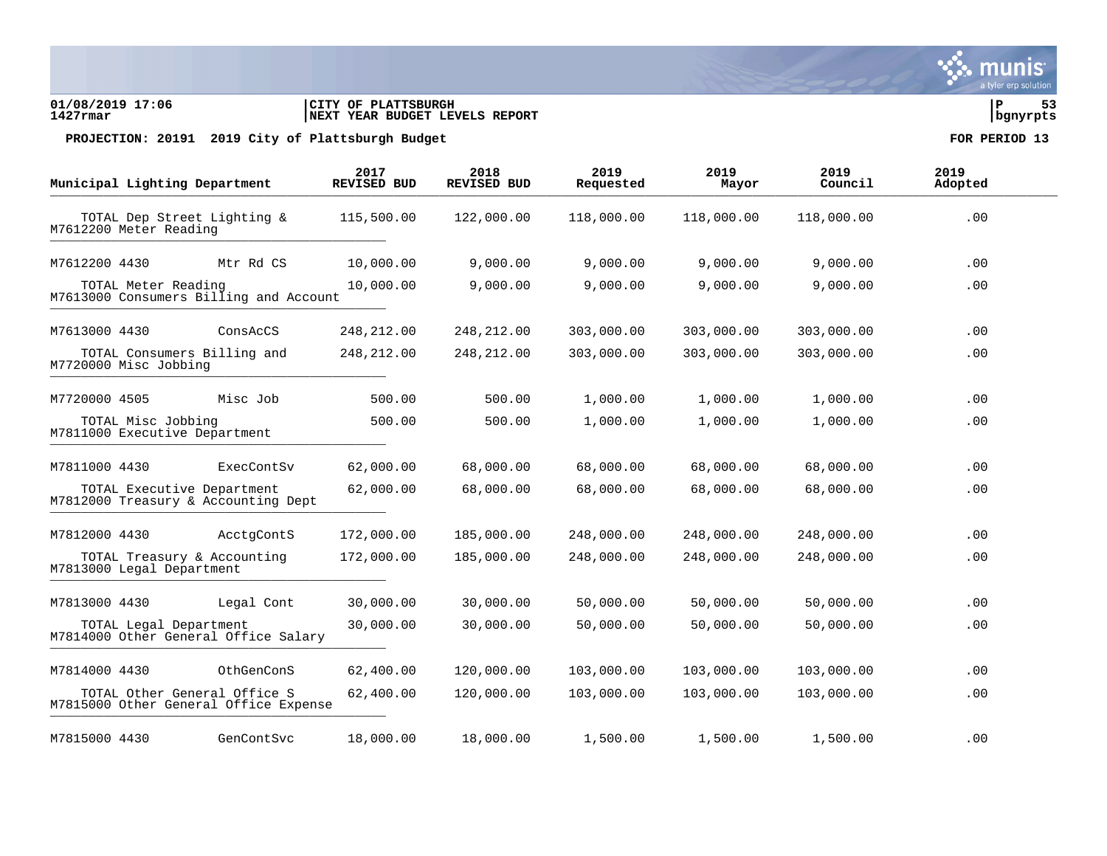### **01/08/2019 17:06 |CITY OF PLATTSBURGH |P 53 1427rmar |NEXT YEAR BUDGET LEVELS REPORT |bgnyrpts**

PROJECTION: 20191 2019 City of Plattsburgh Budget **FOR PERIOD** 13

|                                                     | Municipal Lighting Department                            |                                        | 2017<br>REVISED BUD | 2018<br>REVISED BUD | 2019<br>Requested | 2019<br>Mayor | 2019<br>Council | 2019<br>Adopted |
|-----------------------------------------------------|----------------------------------------------------------|----------------------------------------|---------------------|---------------------|-------------------|---------------|-----------------|-----------------|
|                                                     | TOTAL Dep Street Lighting &<br>M7612200 Meter Reading    |                                        | 115,500.00          | 122,000.00          | 118,000.00        | 118,000.00    | 118,000.00      | .00             |
| M7612200 4430                                       |                                                          | Mtr Rd CS                              | 10,000.00           | 9,000.00            | 9,000.00          | 9,000.00      | 9,000.00        | .00             |
|                                                     | TOTAL Meter Reading                                      | M7613000 Consumers Billing and Account | 10,000.00           | 9,000.00            | 9,000.00          | 9,000.00      | 9,000.00        | .00             |
| M7613000 4430                                       |                                                          | ConsAcCS                               | 248,212.00          | 248, 212.00         | 303,000.00        | 303,000.00    | 303,000.00      | .00             |
|                                                     | TOTAL Consumers Billing and<br>M7720000 Misc Jobbing     |                                        | 248,212.00          | 248, 212.00         | 303,000.00        | 303,000.00    | 303,000.00      | .00             |
| M7720000 4505                                       |                                                          | Misc Job                               | 500.00              | 500.00              | 1,000.00          | 1,000.00      | 1,000.00        | .00             |
| TOTAL Misc Jobbing<br>M7811000 Executive Department |                                                          |                                        | 500.00              | 500.00              | 1,000.00          | 1,000.00      | 1,000.00        | .00             |
| M7811000 4430                                       |                                                          | ExecContSv                             | 62,000.00           | 68,000.00           | 68,000.00         | 68,000.00     | 68,000.00       | .00             |
|                                                     | TOTAL Executive Department                               | M7812000 Treasury & Accounting Dept    | 62,000.00           | 68,000.00           | 68,000.00         | 68,000.00     | 68,000.00       | .00             |
| M7812000 4430                                       |                                                          | AcctgContS                             | 172,000.00          | 185,000.00          | 248,000.00        | 248,000.00    | 248,000.00      | .00             |
|                                                     | TOTAL Treasury & Accounting<br>M7813000 Legal Department |                                        | 172,000.00          | 185,000.00          | 248,000.00        | 248,000.00    | 248,000.00      | .00             |
| M7813000 4430                                       |                                                          | Legal Cont                             | 30,000.00           | 30,000.00           | 50,000.00         | 50,000.00     | 50,000.00       | .00             |
|                                                     | TOTAL Legal Department                                   | M7814000 Other General Office Salary   | 30,000.00           | 30,000.00           | 50,000.00         | 50,000.00     | 50,000.00       | .00             |
| M7814000 4430                                       |                                                          | OthGenConS                             | 62,400.00           | 120,000.00          | 103,000.00        | 103,000.00    | 103,000.00      | .00             |
|                                                     | TOTAL Other General Office S                             | M7815000 Other General Office Expense  | 62,400.00           | 120,000.00          | 103,000.00        | 103,000.00    | 103,000.00      | .00             |
| M7815000 4430                                       |                                                          | GenContSvc                             | 18,000.00           | 18,000.00           | 1,500.00          | 1,500.00      | 1,500.00        | .00             |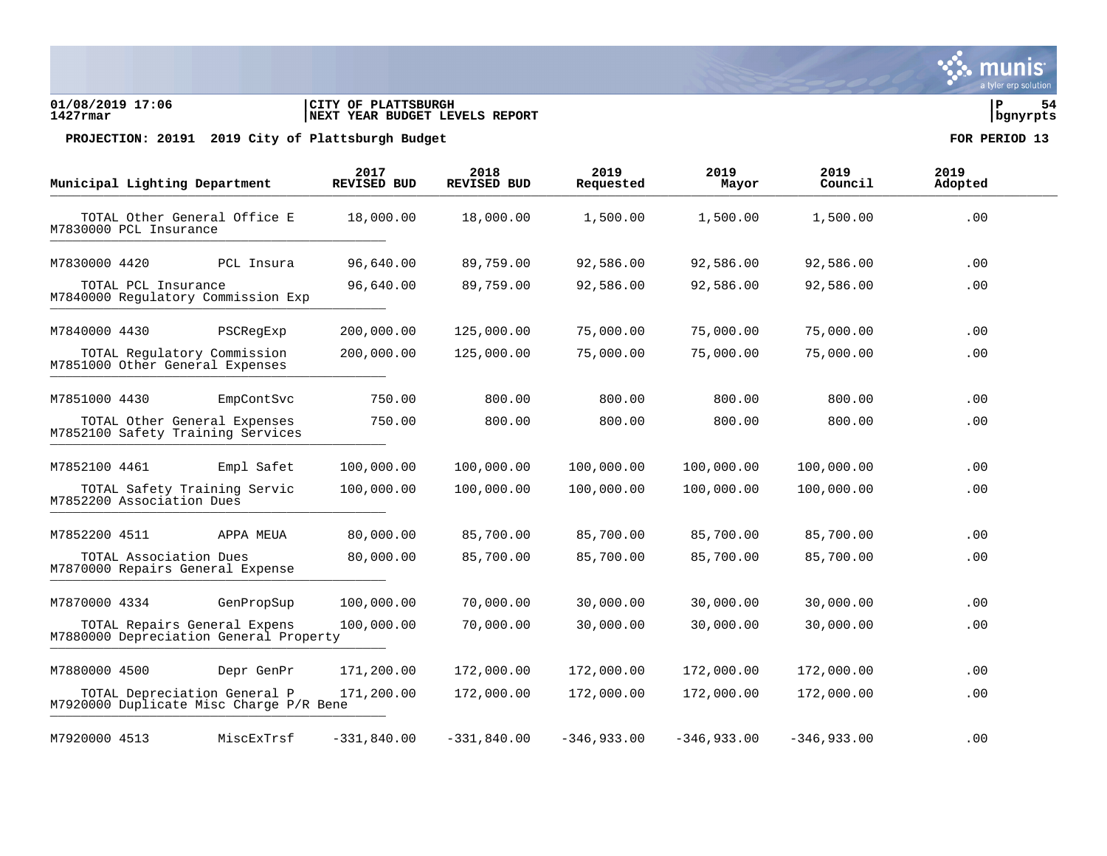### **01/08/2019 17:06 |CITY OF PLATTSBURGH |P 54 1427rmar |NEXT YEAR BUDGET LEVELS REPORT |bgnyrpts**

PROJECTION: 20191 2019 City of Plattsburgh Budget **FOR PERIOD** 13

|               | Municipal Lighting Department                                           | 2017<br><b>REVISED BUD</b> | 2018<br><b>REVISED BUD</b> | 2019<br>Requested | 2019<br>Mayor | 2019<br>Council | 2019<br>Adopted |
|---------------|-------------------------------------------------------------------------|----------------------------|----------------------------|-------------------|---------------|-----------------|-----------------|
|               | TOTAL Other General Office E<br>M7830000 PCL Insurance                  | 18,000.00                  | 18,000.00                  | 1,500.00          | 1,500.00      | 1,500.00        | .00             |
| M7830000 4420 | PCL Insura                                                              | 96,640.00                  | 89,759.00                  | 92,586.00         | 92,586.00     | 92,586.00       | .00             |
|               | TOTAL PCL Insurance<br>M7840000 Regulatory Commission Exp               | 96,640.00                  | 89,759.00                  | 92,586.00         | 92,586.00     | 92,586.00       | .00             |
| M7840000 4430 | PSCReqExp                                                               | 200,000.00                 | 125,000.00                 | 75,000.00         | 75,000.00     | 75,000.00       | .00             |
|               | TOTAL Regulatory Commission<br>M7851000 Other General Expenses          | 200,000.00                 | 125,000.00                 | 75,000.00         | 75,000.00     | 75,000.00       | .00             |
| M7851000 4430 | EmpContSvc                                                              | 750.00                     | 800.00                     | 800.00            | 800.00        | 800.00          | $.00 \,$        |
|               | TOTAL Other General Expenses<br>M7852100 Safety Training Services       | 750.00                     | 800.00                     | 800.00            | 800.00        | 800.00          | .00             |
| M7852100 4461 | Empl Safet                                                              | 100,000.00                 | 100,000.00                 | 100,000.00        | 100,000.00    | 100,000.00      | .00             |
|               | TOTAL Safety Training Servic<br>M7852200 Association Dues               | 100,000.00                 | 100,000.00                 | 100,000.00        | 100,000.00    | 100,000.00      | .00             |
| M7852200 4511 | APPA MEUA                                                               | 80,000.00                  | 85,700.00                  | 85,700.00         | 85,700.00     | 85,700.00       | .00             |
|               | TOTAL Association Dues<br>M7870000 Repairs General Expense              | 80,000.00                  | 85,700.00                  | 85,700.00         | 85,700.00     | 85,700.00       | .00             |
| M7870000 4334 | GenPropSup                                                              | 100,000.00                 | 70,000.00                  | 30,000.00         | 30,000.00     | 30,000.00       | .00             |
|               | TOTAL Repairs General Expens<br>M7880000 Depreciation General Property  | 100,000.00                 | 70,000.00                  | 30,000.00         | 30,000.00     | 30,000.00       | .00             |
| M7880000 4500 | Depr GenPr                                                              | 171,200.00                 | 172,000.00                 | 172,000.00        | 172,000.00    | 172,000.00      | .00             |
|               | TOTAL Depreciation General P<br>M7920000 Duplicate Misc Charge P/R Bene | 171,200.00                 | 172,000.00                 | 172,000.00        | 172,000.00    | 172,000.00      | .00             |
| M7920000 4513 | MiscExTrsf                                                              | $-331,840.00$              | $-331,840.00$              | $-346,933.00$     | $-346,933.00$ | $-346,933.00$   | .00             |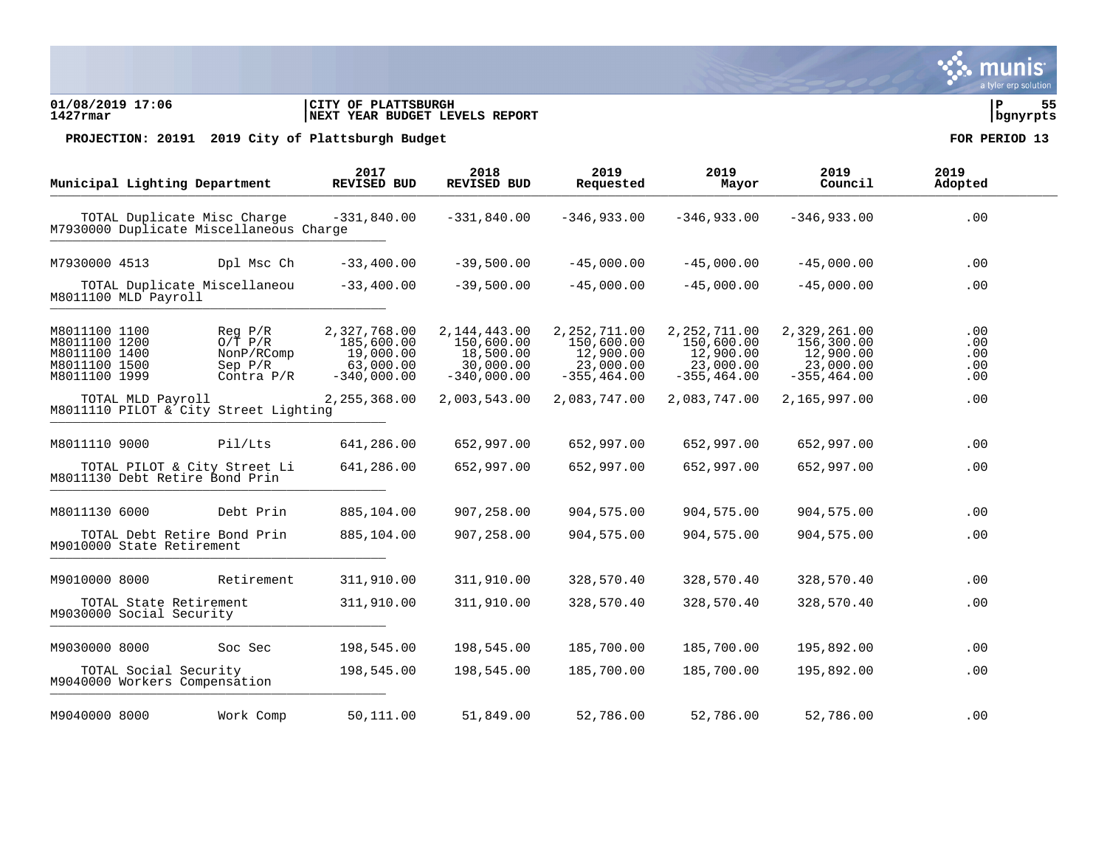### **01/08/2019 17:06 |CITY OF PLATTSBURGH |P 55 1427rmar |NEXT YEAR BUDGET LEVELS REPORT |bgnyrpts**

|                                                                                   | Municipal Lighting Department                          |                                                                        | 2017<br>REVISED BUD                                                   | 2018<br><b>REVISED BUD</b>                                               | 2019<br>Requested                                                        | 2019<br>Mayor                                                            | 2019<br>Council                                                        | 2019<br>Adopted                      |
|-----------------------------------------------------------------------------------|--------------------------------------------------------|------------------------------------------------------------------------|-----------------------------------------------------------------------|--------------------------------------------------------------------------|--------------------------------------------------------------------------|--------------------------------------------------------------------------|------------------------------------------------------------------------|--------------------------------------|
|                                                                                   |                                                        | TOTAL Duplicate Misc Charge<br>M7930000 Duplicate Miscellaneous Charge | $-331,840.00$                                                         | $-331,840.00$                                                            | $-346,933.00$                                                            | $-346,933.00$                                                            | $-346,933.00$                                                          | .00                                  |
| M7930000 4513                                                                     |                                                        | Dpl Msc Ch                                                             | $-33,400.00$                                                          | $-39,500.00$                                                             | $-45,000.00$                                                             | $-45,000.00$                                                             | $-45,000.00$                                                           | .00                                  |
|                                                                                   | M8011100 MLD Payroll                                   | TOTAL Duplicate Miscellaneou                                           | $-33,400.00$                                                          | $-39,500.00$                                                             | $-45,000.00$                                                             | $-45,000.00$                                                             | $-45,000.00$                                                           | .00                                  |
| M8011100 1100<br>M8011100 1200<br>M8011100 1400<br>M8011100 1500<br>M8011100 1999 |                                                        | Req P/R<br>$O/T$ $P/R$<br>NonP/RComp<br>Sep P/R<br>Contra $P/R$        | 2,327,768.00<br>185,600.00<br>19,000.00<br>63,000.00<br>$-340,000.00$ | 2, 144, 443, 00<br>150,600.00<br>18,500.00<br>30,000.00<br>$-340,000.00$ | 2, 252, 711.00<br>150,600.00<br>12,900.00<br>23,000.00<br>$-355, 464.00$ | 2, 252, 711.00<br>150,600.00<br>12,900.00<br>23,000.00<br>$-355, 464.00$ | 2,329,261.00<br>156,300.00<br>12,900.00<br>23,000.00<br>$-355, 464.00$ | $.00 \,$<br>.00<br>.00<br>.00<br>.00 |
|                                                                                   | TOTAL MLD Payroll                                      | M8011110 PILOT & City Street Lighting                                  | 2, 255, 368.00                                                        | 2,003,543.00                                                             | 2,083,747.00                                                             | 2,083,747.00                                                             | 2,165,997.00                                                           | .00                                  |
| M8011110 9000                                                                     |                                                        | Pil/Lts                                                                | 641,286.00                                                            | 652,997.00                                                               | 652,997.00                                                               | 652,997.00                                                               | 652,997.00                                                             | .00                                  |
|                                                                                   | M8011130 Debt Retire Bond Prin                         | TOTAL PILOT & City Street Li                                           | 641,286.00                                                            | 652,997.00                                                               | 652,997.00                                                               | 652,997.00                                                               | 652,997.00                                                             | .00                                  |
| M8011130 6000                                                                     |                                                        | Debt Prin                                                              | 885,104.00                                                            | 907,258.00                                                               | 904,575.00                                                               | 904,575.00                                                               | 904,575.00                                                             | .00                                  |
|                                                                                   | M9010000 State Retirement                              | TOTAL Debt Retire Bond Prin                                            | 885,104.00                                                            | 907,258.00                                                               | 904,575.00                                                               | 904,575.00                                                               | 904,575.00                                                             | .00                                  |
| M9010000 8000                                                                     |                                                        | Retirement                                                             | 311,910.00                                                            | 311,910.00                                                               | 328,570.40                                                               | 328,570.40                                                               | 328,570.40                                                             | .00                                  |
|                                                                                   | TOTAL State Retirement<br>M9030000 Social Security     |                                                                        | 311,910.00                                                            | 311,910.00                                                               | 328,570.40                                                               | 328,570.40                                                               | 328,570.40                                                             | .00                                  |
| M9030000 8000                                                                     |                                                        | Soc Sec                                                                | 198,545.00                                                            | 198,545.00                                                               | 185,700.00                                                               | 185,700.00                                                               | 195,892.00                                                             | .00                                  |
|                                                                                   | TOTAL Social Security<br>M9040000 Workers Compensation |                                                                        | 198,545.00                                                            | 198,545.00                                                               | 185,700.00                                                               | 185,700.00                                                               | 195,892.00                                                             | .00                                  |
| M9040000 8000                                                                     |                                                        | Work Comp                                                              | 50,111.00                                                             | 51,849.00                                                                | 52,786.00                                                                | 52,786.00                                                                | 52,786.00                                                              | .00                                  |